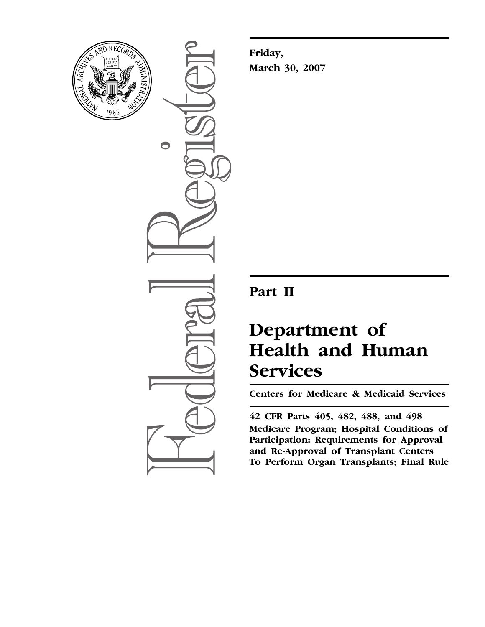

 $\bigcirc$ 

**Friday, March 30, 2007** 

## **Part II**

# **Department of Health and Human Services**

**Centers for Medicare & Medicaid Services** 

**42 CFR Parts 405, 482, 488, and 498 Medicare Program; Hospital Conditions of Participation: Requirements for Approval and Re-Approval of Transplant Centers To Perform Organ Transplants; Final Rule**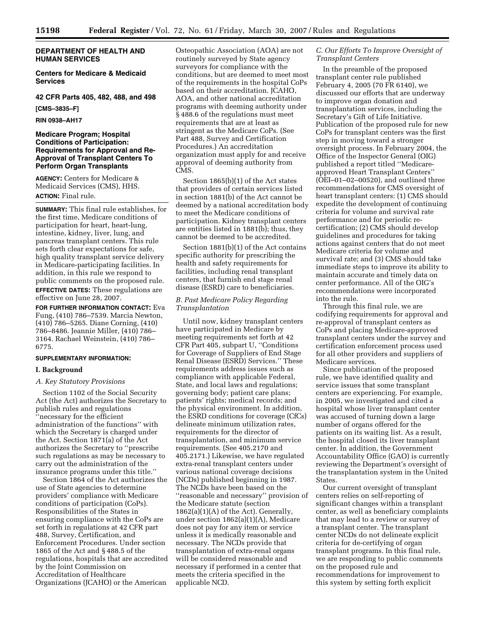#### **DEPARTMENT OF HEALTH AND HUMAN SERVICES**

**Centers for Medicare & Medicaid Services** 

**42 CFR Parts 405, 482, 488, and 498** 

**[CMS–3835–F]** 

**RIN 0938–AH17** 

#### **Medicare Program; Hospital Conditions of Participation: Requirements for Approval and Re-Approval of Transplant Centers To Perform Organ Transplants**

**AGENCY:** Centers for Medicare & Medicaid Services (CMS), HHS. **ACTION:** Final rule.

**SUMMARY:** This final rule establishes, for the first time, Medicare conditions of participation for heart, heart-lung, intestine, kidney, liver, lung, and pancreas transplant centers. This rule sets forth clear expectations for safe, high quality transplant service delivery in Medicare-participating facilities. In addition, in this rule we respond to public comments on the proposed rule. **EFFECTIVE DATES:** These regulations are effective on June 28, 2007.

**FOR FURTHER INFORMATION CONTACT:** Eva Fung, (410) 786–7539. Marcia Newton, (410) 786–5265. Diane Corning, (410) 786–8486. Jeannie Miller, (410) 786– 3164. Rachael Weinstein, (410) 786– 6775.

#### **SUPPLEMENTARY INFORMATION:**

#### **I. Background**

#### *A. Key Statutory Provisions*

Section 1102 of the Social Security Act (the Act) authorizes the Secretary to publish rules and regulations ''necessary for the efficient administration of the functions'' with which the Secretary is charged under the Act. Section 1871(a) of the Act authorizes the Secretary to ''prescribe such regulations as may be necessary to carry out the administration of the insurance programs under this title.''

Section 1864 of the Act authorizes the use of State agencies to determine providers' compliance with Medicare conditions of participation (CoPs). Responsibilities of the States in ensuring compliance with the CoPs are set forth in regulations at 42 CFR part 488, Survey, Certification, and Enforcement Procedures. Under section 1865 of the Act and § 488.5 of the regulations, hospitals that are accredited by the Joint Commission on Accreditation of Healthcare Organizations (JCAHO) or the American

Osteopathic Association (AOA) are not routinely surveyed by State agency surveyors for compliance with the conditions, but are deemed to meet most of the requirements in the hospital CoPs based on their accreditation. JCAHO, AOA, and other national accreditation programs with deeming authority under § 488.6 of the regulations must meet requirements that are at least as stringent as the Medicare CoPs. (See Part 488, Survey and Certification Procedures.) An accreditation organization must apply for and receive approval of deeming authority from CMS.

Section 1865(b)(1) of the Act states that providers of certain services listed in section 1881(b) of the Act cannot be deemed by a national accreditation body to meet the Medicare conditions of participation. Kidney transplant centers are entities listed in 1881(b); thus, they cannot be deemed to be accredited.

Section 1881(b)(1) of the Act contains specific authority for prescribing the health and safety requirements for facilities, including renal transplant centers, that furnish end stage renal disease (ESRD) care to beneficiaries.

#### *B. Past Medicare Policy Regarding Transplantation*

Until now, kidney transplant centers have participated in Medicare by meeting requirements set forth at 42 CFR Part 405, subpart U, ''Conditions for Coverage of Suppliers of End Stage Renal Disease (ESRD) Services.'' These requirements address issues such as compliance with applicable Federal, State, and local laws and regulations; governing body; patient care plans; patients' rights; medical records; and the physical environment. In addition, the ESRD conditions for coverage (CfCs) delineate minimum utilization rates, requirements for the director of transplantation, and minimum service requirements. (See 405.2170 and 405.2171.) Likewise, we have regulated extra-renal transplant centers under various national coverage decisions (NCDs) published beginning in 1987. The NCDs have been based on the ''reasonable and necessary'' provision of the Medicare statute (section  $1862(a)(1)(A)$  of the Act). Generally, under section 1862(a)(1)(A), Medicare does not pay for any item or service unless it is medically reasonable and necessary. The NCDs provide that transplantation of extra-renal organs will be considered reasonable and necessary if performed in a center that meets the criteria specified in the applicable NCD.

#### *C. Our Efforts To Improve Oversight of Transplant Centers*

In the preamble of the proposed transplant center rule published February 4, 2005 (70 FR 6140), we discussed our efforts that are underway to improve organ donation and transplantation services, including the Secretary's Gift of Life Initiative. Publication of the proposed rule for new CoPs for transplant centers was the first step in moving toward a stronger oversight process. In February 2004, the Office of the Inspector General (OIG) published a report titled ''Medicareapproved Heart Transplant Centers'' (OEI–01–02–00520), and outlined three recommendations for CMS oversight of heart transplant centers: (1) CMS should expedite the development of continuing criteria for volume and survival rate performance and for periodic recertification; (2) CMS should develop guidelines and procedures for taking actions against centers that do not meet Medicare criteria for volume and survival rate; and (3) CMS should take immediate steps to improve its ability to maintain accurate and timely data on center performance. All of the OIG's recommendations were incorporated into the rule.

Through this final rule, we are codifying requirements for approval and re-approval of transplant centers as CoPs and placing Medicare-approved transplant centers under the survey and certification enforcement process used for all other providers and suppliers of Medicare services.

Since publication of the proposed rule, we have identified quality and service issues that some transplant centers are experiencing. For example, in 2005, we investigated and cited a hospital whose liver transplant center was accused of turning down a large number of organs offered for the patients on its waiting list. As a result, the hospital closed its liver transplant center. In addition, the Government Accountability Office (GAO) is currently reviewing the Department's oversight of the transplantation system in the United States.

Our current oversight of transplant centers relies on self-reporting of significant changes within a transplant center, as well as beneficiary complaints that may lead to a review or survey of a transplant center. The transplant center NCDs do not delineate explicit criteria for de-certifying of organ transplant programs. In this final rule, we are responding to public comments on the proposed rule and recommendations for improvement to this system by setting forth explicit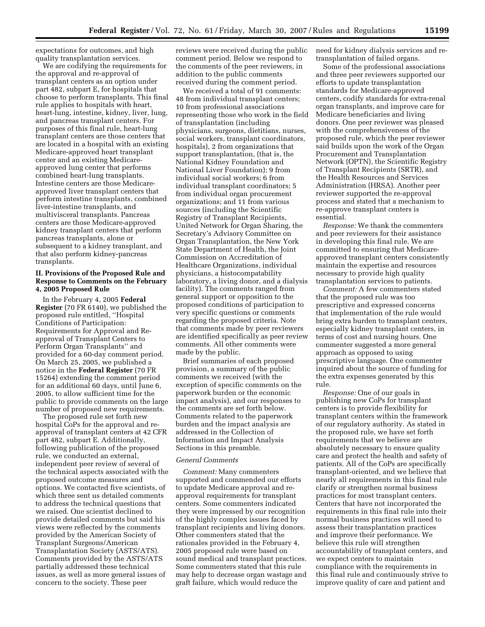expectations for outcomes, and high quality transplantation services.

We are codifying the requirements for the approval and re-approval of transplant centers as an option under part 482, subpart E, for hospitals that choose to perform transplants. This final rule applies to hospitals with heart, heart-lung, intestine, kidney, liver, lung, and pancreas transplant centers. For purposes of this final rule, heart-lung transplant centers are those centers that are located in a hospital with an existing Medicare-approved heart transplant center and an existing Medicareapproved lung center that performs combined heart-lung transplants. Intestine centers are those Medicareapproved liver transplant centers that perform intestine transplants, combined liver-intestine transplants, and multivisceral transplants. Pancreas centers are those Medicare-approved kidney transplant centers that perform pancreas transplants, alone or subsequent to a kidney transplant, and that also perform kidney-pancreas transplants.

#### **II. Provisions of the Proposed Rule and Response to Comments on the February 4, 2005 Proposed Rule**

In the February 4, 2005 **Federal Register** (70 FR 6140), we published the proposed rule entitled, ''Hospital Conditions of Participation: Requirements for Approval and Reapproval of Transplant Centers to Perform Organ Transplants'' and provided for a 60-day comment period. On March 25, 2005, we published a notice in the **Federal Register** (70 FR 15264) extending the comment period for an additional 60 days, until June 6, 2005, to allow sufficient time for the public to provide comments on the large number of proposed new requirements.

The proposed rule set forth new hospital CoPs for the approval and reapproval of transplant centers at 42 CFR part 482, subpart E. Additionally, following publication of the proposed rule, we conducted an external, independent peer review of several of the technical aspects associated with the proposed outcome measures and options. We contacted five scientists, of which three sent us detailed comments to address the technical questions that we raised. One scientist declined to provide detailed comments but said his views were reflected by the comments provided by the American Society of Transplant Surgeons/American Transplantation Society (ASTS/ATS). Comments provided by the ASTS/ATS partially addressed these technical issues, as well as more general issues of concern to the society. These peer

reviews were received during the public comment period. Below we respond to the comments of the peer reviewers, in addition to the public comments received during the comment period.

We received a total of 91 comments: 48 from individual transplant centers; 10 from professional associations representing those who work in the field of transplantation (including physicians, surgeons, dietitians, nurses, social workers, transplant coordinators, hospitals), 2 from organizations that support transplantation, (that is, the National Kidney Foundation and National Liver Foundation); 9 from individual social workers; 6 from individual transplant coordinators; 5 from individual organ procurement organizations; and 11 from various sources (including the Scientific Registry of Transplant Recipients, United Network for Organ Sharing, the Secretary's Advisory Committee on Organ Transplantation, the New York State Department of Health, the Joint Commission on Accreditation of Healthcare Organizations, individual physicians, a histocompatability laboratory, a living donor, and a dialysis facility). The comments ranged from general support or opposition to the proposed conditions of participation to very specific questions or comments regarding the proposed criteria. Note that comments made by peer reviewers are identified specifically as peer review comments. All other comments were made by the public.

Brief summaries of each proposed provision, a summary of the public comments we received (with the exception of specific comments on the paperwork burden or the economic impact analysis), and our responses to the comments are set forth below. Comments related to the paperwork burden and the impact analysis are addressed in the Collection of Information and Impact Analysis Sections in this preamble.

#### *General Comments*

*Comment:* Many commenters supported and commended our efforts to update Medicare approval and reapproval requirements for transplant centers. Some commenters indicated they were impressed by our recognition of the highly complex issues faced by transplant recipients and living donors. Other commenters stated that the rationales provided in the February 4, 2005 proposed rule were based on sound medical and transplant practices. Some commenters stated that this rule may help to decrease organ wastage and graft failure, which would reduce the

need for kidney dialysis services and retransplantation of failed organs.

Some of the professional associations and three peer reviewers supported our efforts to update transplantation standards for Medicare-approved centers, codify standards for extra-renal organ transplants, and improve care for Medicare beneficiaries and living donors. One peer reviewer was pleased with the comprehensiveness of the proposed rule, which the peer reviewer said builds upon the work of the Organ Procurement and Transplantation Network (OPTN), the Scientific Registry of Transplant Recipients (SRTR), and the Health Resources and Services Administration (HRSA). Another peer reviewer supported the re-approval process and stated that a mechanism to re-approve transplant centers is essential.

*Response:* We thank the commenters and peer reviewers for their assistance in developing this final rule. We are committed to ensuring that Medicareapproved transplant centers consistently maintain the expertise and resources necessary to provide high quality transplantation services to patients.

*Comment:* A few commenters stated that the proposed rule was too prescriptive and expressed concerns that implementation of the rule would bring extra burden to transplant centers, especially kidney transplant centers, in terms of cost and nursing hours. One commenter suggested a more general approach as opposed to using prescriptive language. One commenter inquired about the source of funding for the extra expenses generated by this rule.

*Response:* One of our goals in publishing new CoPs for transplant centers is to provide flexibility for transplant centers within the framework of our regulatory authority. As stated in the proposed rule, we have set forth requirements that we believe are absolutely necessary to ensure quality care and protect the health and safety of patients. All of the CoPs are specifically transplant-oriented, and we believe that nearly all requirements in this final rule clarify or strengthen normal business practices for most transplant centers. Centers that have not incorporated the requirements in this final rule into their normal business practices will need to assess their transplantation practices and improve their performance. We believe this rule will strengthen accountability of transplant centers, and we expect centers to maintain compliance with the requirements in this final rule and continuously strive to improve quality of care and patient and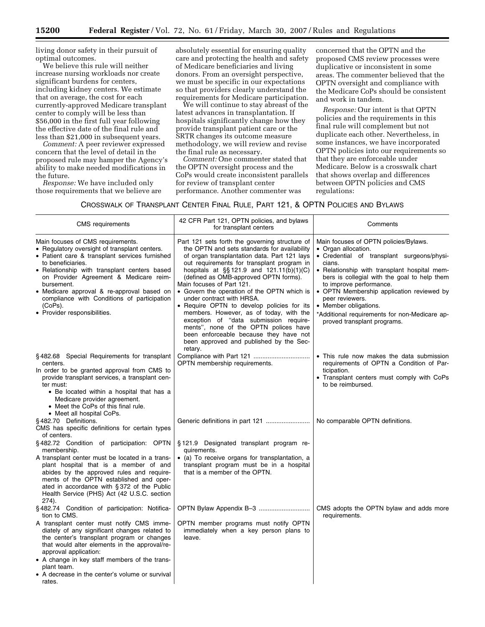living donor safety in their pursuit of optimal outcomes.

We believe this rule will neither increase nursing workloads nor create significant burdens for centers, including kidney centers. We estimate that on average, the cost for each currently-approved Medicare transplant center to comply will be less than \$56,000 in the first full year following the effective date of the final rule and less than \$21,000 in subsequent years.

*Comment:* A peer reviewer expressed concern that the level of detail in the proposed rule may hamper the Agency's ability to make needed modifications in the future.

*Response:* We have included only those requirements that we believe are absolutely essential for ensuring quality care and protecting the health and safety of Medicare beneficiaries and living donors. From an oversight perspective, we must be specific in our expectations so that providers clearly understand the requirements for Medicare participation.

We will continue to stay abreast of the latest advances in transplantation. If hospitals significantly change how they provide transplant patient care or the SRTR changes its outcome measure methodology, we will review and revise the final rule as necessary.

*Comment:* One commenter stated that the OPTN oversight process and the CoPs would create inconsistent parallels for review of transplant center performance. Another commenter was

concerned that the OPTN and the proposed CMS review processes were duplicative or inconsistent in some areas. The commenter believed that the OPTN oversight and compliance with the Medicare CoPs should be consistent and work in tandem.

*Response:* Our intent is that OPTN policies and the requirements in this final rule will complement but not duplicate each other. Nevertheless, in some instances, we have incorporated OPTN policies into our requirements so that they are enforceable under Medicare. Below is a crosswalk chart that shows overlap and differences between OPTN policies and CMS regulations:

#### CROSSWALK OF TRANSPLANT CENTER FINAL RULE, PART 121, & OPTN POLICIES AND BYLAWS

| <b>CMS</b> requirements                                                                                                                                                                                                                                                                                                                                                                                   | 42 CFR Part 121, OPTN policies, and bylaws<br>for transplant centers                                                                                                                                                                                                                                                                                                                                                                                                                                                                                                                                                                                                      | Comments                                                                                                                                                                                                                                                                                                                                                                                                                 |
|-----------------------------------------------------------------------------------------------------------------------------------------------------------------------------------------------------------------------------------------------------------------------------------------------------------------------------------------------------------------------------------------------------------|---------------------------------------------------------------------------------------------------------------------------------------------------------------------------------------------------------------------------------------------------------------------------------------------------------------------------------------------------------------------------------------------------------------------------------------------------------------------------------------------------------------------------------------------------------------------------------------------------------------------------------------------------------------------------|--------------------------------------------------------------------------------------------------------------------------------------------------------------------------------------------------------------------------------------------------------------------------------------------------------------------------------------------------------------------------------------------------------------------------|
| Main focuses of CMS requirements.<br>• Regulatory oversight of transplant centers.<br>• Patient care & transplant services furnished<br>to beneficiaries.<br>• Relationship with transplant centers based<br>on Provider Agreement & Medicare reim-<br>bursement.<br>• Medicare approval & re-approval based on<br>compliance with Conditions of participation<br>(CoPs).<br>• Provider responsibilities. | Part 121 sets forth the governing structure of<br>the OPTN and sets standards for availability<br>of organ transplantation data. Part 121 lays<br>out requirements for transplant program in<br>hospitals at $\S$ 121.9 and 121.11(b)(1)(C)<br>(defined as OMB-approved OPTN forms).<br>Main focuses of Part 121.<br>• Govern the operation of the OPTN which is<br>under contract with HRSA.<br>• Require OPTN to develop policies for its<br>members. However, as of today, with the<br>exception of "data submission require-<br>ments", none of the OPTN polices have<br>been enforceable because they have not<br>been approved and published by the Sec-<br>retary. | Main focuses of OPTN policies/Bylaws.<br>• Organ allocation.<br>• Credential of transplant surgeons/physi-<br>cians.<br>• Relationship with transplant hospital mem-<br>bers is collegial with the goal to help them<br>to improve performance.<br>• OPTN Membership application reviewed by<br>peer reviewers.<br>• Member obligations.<br>*Additional requirements for non-Medicare ap-<br>proved transplant programs. |
| §482.68 Special Requirements for transplant<br>centers.<br>In order to be granted approval from CMS to<br>provide transplant services, a transplant cen-<br>ter must:<br>• Be located within a hospital that has a<br>Medicare provider agreement.<br>• Meet the CoPs of this final rule.<br>• Meet all hospital CoPs.                                                                                    | OPTN membership requirements.                                                                                                                                                                                                                                                                                                                                                                                                                                                                                                                                                                                                                                             | • This rule now makes the data submission<br>requirements of OPTN a Condition of Par-<br>ticipation.<br>• Transplant centers must comply with CoPs<br>to be reimbursed.                                                                                                                                                                                                                                                  |
| §482.70 Definitions.<br>CMS has specific definitions for certain types<br>of centers.                                                                                                                                                                                                                                                                                                                     |                                                                                                                                                                                                                                                                                                                                                                                                                                                                                                                                                                                                                                                                           | No comparable OPTN definitions.                                                                                                                                                                                                                                                                                                                                                                                          |
| §482.72 Condition of participation: OPTN<br>membership.<br>A transplant center must be located in a trans-<br>plant hospital that is a member of and<br>abides by the approved rules and require-<br>ments of the OPTN established and oper-<br>ated in accordance with §372 of the Public<br>Health Service (PHS) Act (42 U.S.C. section<br>274).                                                        | §121.9 Designated transplant program re-<br>quirements.<br>• (a) To receive organs for transplantation, a<br>transplant program must be in a hospital<br>that is a member of the OPTN.                                                                                                                                                                                                                                                                                                                                                                                                                                                                                    |                                                                                                                                                                                                                                                                                                                                                                                                                          |
| §482.74 Condition of participation: Notifica-<br>tion to CMS.                                                                                                                                                                                                                                                                                                                                             |                                                                                                                                                                                                                                                                                                                                                                                                                                                                                                                                                                                                                                                                           | CMS adopts the OPTN bylaw and adds more<br>requirements.                                                                                                                                                                                                                                                                                                                                                                 |
| A transplant center must notify CMS imme-<br>diately of any significant changes related to<br>the center's transplant program or changes<br>that would alter elements in the approval/re-<br>approval application:<br>• A change in key staff members of the trans-<br>plant team.<br>• A decrease in the center's volume or survival<br>rates.                                                           | OPTN member programs must notify OPTN<br>immediately when a key person plans to<br>leave.                                                                                                                                                                                                                                                                                                                                                                                                                                                                                                                                                                                 |                                                                                                                                                                                                                                                                                                                                                                                                                          |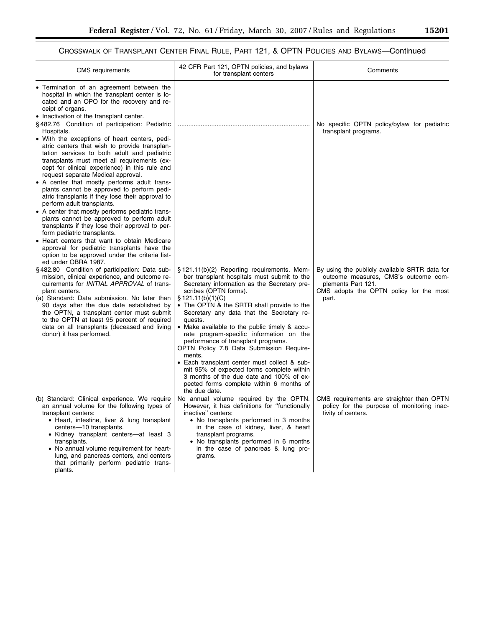## CROSSWALK OF TRANSPLANT CENTER FINAL RULE, PART 121, & OPTN POLICIES AND BYLAWS—Continued

| <b>CMS</b> requirements                                                                                                                                                                                                                                                                                                                                                                                                                                                                                                                                                                                                                                                                                                                                                                                                                                                                                                                                                                                                          | 42 CFR Part 121, OPTN policies, and bylaws<br>for transplant centers                                                                                                                                                                                                                                                                                                                                                                                                                                                                                                                                                                                                           | Comments                                                                                                                                                        |
|----------------------------------------------------------------------------------------------------------------------------------------------------------------------------------------------------------------------------------------------------------------------------------------------------------------------------------------------------------------------------------------------------------------------------------------------------------------------------------------------------------------------------------------------------------------------------------------------------------------------------------------------------------------------------------------------------------------------------------------------------------------------------------------------------------------------------------------------------------------------------------------------------------------------------------------------------------------------------------------------------------------------------------|--------------------------------------------------------------------------------------------------------------------------------------------------------------------------------------------------------------------------------------------------------------------------------------------------------------------------------------------------------------------------------------------------------------------------------------------------------------------------------------------------------------------------------------------------------------------------------------------------------------------------------------------------------------------------------|-----------------------------------------------------------------------------------------------------------------------------------------------------------------|
| Termination of an agreement between the<br>hospital in which the transplant center is lo-<br>cated and an OPO for the recovery and re-<br>ceipt of organs.<br>• Inactivation of the transplant center.<br>§482.76 Condition of participation: Pediatric<br>Hospitals.<br>• With the exceptions of heart centers, pedi-<br>atric centers that wish to provide transplan-<br>tation services to both adult and pediatric<br>transplants must meet all requirements (ex-<br>cept for clinical experience) in this rule and<br>request separate Medical approval.<br>• A center that mostly performs adult trans-<br>plants cannot be approved to perform pedi-<br>atric transplants if they lose their approval to<br>perform adult transplants.<br>• A center that mostly performs pediatric trans-<br>plants cannot be approved to perform adult<br>transplants if they lose their approval to per-<br>form pediatric transplants.<br>• Heart centers that want to obtain Medicare<br>approval for pediatric transplants have the |                                                                                                                                                                                                                                                                                                                                                                                                                                                                                                                                                                                                                                                                                | No specific OPTN policy/bylaw for pediatric<br>transplant programs.                                                                                             |
| option to be approved under the criteria list-<br>ed under OBRA 1987.<br>§482.80 Condition of participation: Data sub-<br>mission, clinical experience, and outcome re-<br>quirements for <i>INITIAL APPROVAL</i> of trans-<br>plant centers.<br>(a) Standard: Data submission. No later than<br>90 days after the due date established by<br>the OPTN, a transplant center must submit<br>to the OPTN at least 95 percent of required<br>data on all transplants (deceased and living<br>donor) it has performed.                                                                                                                                                                                                                                                                                                                                                                                                                                                                                                               | §121.11(b)(2) Reporting requirements. Mem-<br>ber transplant hospitals must submit to the<br>Secretary information as the Secretary pre-<br>scribes (OPTN forms).<br>$\S$ 121.11(b)(1)(C)<br>• The OPTN & the SRTR shall provide to the<br>Secretary any data that the Secretary re-<br>quests.<br>• Make available to the public timely & accu-<br>rate program-specific information on the<br>performance of transplant programs.<br>OPTN Policy 7.8 Data Submission Require-<br>ments.<br>• Each transplant center must collect & sub-<br>mit 95% of expected forms complete within<br>3 months of the due date and 100% of ex-<br>pected forms complete within 6 months of | By using the publicly available SRTR data for<br>outcome measures, CMS's outcome com-<br>plements Part 121.<br>CMS adopts the OPTN policy for the most<br>part. |
| (b) Standard: Clinical experience. We require<br>an annual volume for the following types of<br>transplant centers:<br>• Heart, intestine, liver & lung transplant<br>centers-10 transplants.<br>• Kidney transplant centers-at least 3<br>transplants.<br>• No annual volume requirement for heart-<br>lung, and pancreas centers, and centers<br>that primarily perform pediatric trans-<br>plants.                                                                                                                                                                                                                                                                                                                                                                                                                                                                                                                                                                                                                            | the due date.<br>No annual volume required by the OPTN.<br>However, it has definitions for "functionally<br>inactive" centers:<br>• No transplants performed in 3 months<br>in the case of kidney, liver, & heart<br>transplant programs.<br>• No transplants performed in 6 months<br>in the case of pancreas & lung pro-<br>grams.                                                                                                                                                                                                                                                                                                                                           | CMS requirements are straighter than OPTN<br>policy for the purpose of monitoring inac-<br>tivity of centers.                                                   |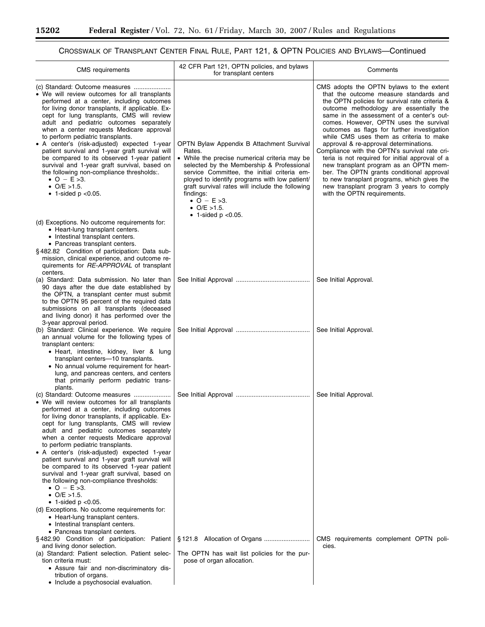۰

## CROSSWALK OF TRANSPLANT CENTER FINAL RULE, PART 121, & OPTN POLICIES AND BYLAWS—Continued

| <b>CMS</b> requirements                                                                                                                                                                                                                                                                                                                                                                                                                                                                                                                                                                                                                                                                                                                                            | 42 CFR Part 121, OPTN policies, and bylaws<br>for transplant centers                                                                                                                                                                                                                                                                                                                  | Comments                                                                                                                                                                                                                                                                                                                                                                                                                                                                                                                                                                                                                                                                                                                        |
|--------------------------------------------------------------------------------------------------------------------------------------------------------------------------------------------------------------------------------------------------------------------------------------------------------------------------------------------------------------------------------------------------------------------------------------------------------------------------------------------------------------------------------------------------------------------------------------------------------------------------------------------------------------------------------------------------------------------------------------------------------------------|---------------------------------------------------------------------------------------------------------------------------------------------------------------------------------------------------------------------------------------------------------------------------------------------------------------------------------------------------------------------------------------|---------------------------------------------------------------------------------------------------------------------------------------------------------------------------------------------------------------------------------------------------------------------------------------------------------------------------------------------------------------------------------------------------------------------------------------------------------------------------------------------------------------------------------------------------------------------------------------------------------------------------------------------------------------------------------------------------------------------------------|
| • We will review outcomes for all transplants<br>performed at a center, including outcomes<br>for living donor transplants, if applicable. Ex-<br>cept for lung transplants, CMS will review<br>adult and pediatric outcomes separately<br>when a center requests Medicare approval<br>to perform pediatric transplants.<br>• A center's (risk-adjusted) expected 1-year<br>patient survival and 1-year graft survival will<br>be compared to its observed 1-year patient<br>survival and 1-year graft survival, based on<br>the following non-compliance thresholds:.<br>• $O - E > 3$ .<br>$O/E > 1.5$ .<br>• 1-sided $p < 0.05$ .                                                                                                                               | OPTN Bylaw Appendix B Attachment Survival<br>Rates.<br>• While the precise numerical criteria may be<br>selected by the Membership & Professional<br>service Committee, the initial criteria em-<br>ployed to identify programs with low patient/<br>graft survival rates will include the following<br>findings:<br>• $O - E > 3$ .<br>• O/E $>1.5$ .<br>$\bullet$ 1-sided p < 0.05. | CMS adopts the OPTN bylaws to the extent<br>that the outcome measure standards and<br>the OPTN policies for survival rate criteria &<br>outcome methodology are essentially the<br>same in the assessment of a center's out-<br>comes. However, OPTN uses the survival<br>outcomes as flags for further investigation<br>while CMS uses them as criteria to make<br>approval & re-approval determinations.<br>Compliance with the OPTN's survival rate cri-<br>teria is not required for initial approval of a<br>new transplant program as an OPTN mem-<br>ber. The OPTN grants conditional approval<br>to new transplant programs, which gives the<br>new transplant program 3 years to comply<br>with the OPTN requirements. |
| (d) Exceptions. No outcome requirements for:<br>• Heart-lung transplant centers.<br>• Intestinal transplant centers.<br>• Pancreas transplant centers.<br>§482.82 Condition of participation: Data sub-<br>mission, clinical experience, and outcome re-<br>quirements for RE-APPROVAL of transplant                                                                                                                                                                                                                                                                                                                                                                                                                                                               |                                                                                                                                                                                                                                                                                                                                                                                       |                                                                                                                                                                                                                                                                                                                                                                                                                                                                                                                                                                                                                                                                                                                                 |
| centers.<br>(a) Standard: Data submission. No later than<br>90 days after the due date established by<br>the OPTN, a transplant center must submit<br>to the OPTN 95 percent of the required data<br>submissions on all transplants (deceased<br>and living donor) it has performed over the<br>3-year approval period.                                                                                                                                                                                                                                                                                                                                                                                                                                            |                                                                                                                                                                                                                                                                                                                                                                                       | See Initial Approval.                                                                                                                                                                                                                                                                                                                                                                                                                                                                                                                                                                                                                                                                                                           |
| (b) Standard: Clinical experience. We require<br>an annual volume for the following types of<br>transplant centers:<br>• Heart, intestine, kidney, liver & lung<br>transplant centers-10 transplants.<br>• No annual volume requirement for heart-<br>lung, and pancreas centers, and centers<br>that primarily perform pediatric trans-<br>plants.                                                                                                                                                                                                                                                                                                                                                                                                                |                                                                                                                                                                                                                                                                                                                                                                                       | See Initial Approval.                                                                                                                                                                                                                                                                                                                                                                                                                                                                                                                                                                                                                                                                                                           |
| • We will review outcomes for all transplants<br>performed at a center, including outcomes<br>for living donor transplants, if applicable. Ex-<br>cept for lung transplants, CMS will review<br>adult and pediatric outcomes separately<br>when a center requests Medicare approval<br>to perform pediatric transplants.<br>• A center's (risk-adjusted) expected 1-year<br>patient survival and 1-year graft survival will<br>be compared to its observed 1-year patient<br>survival and 1-year graft survival, based on<br>the following non-compliance thresholds:<br>• $O - E > 3$ .<br>• $O/E > 1.5$ .<br>$\bullet$ 1-sided p < 0.05.<br>(d) Exceptions. No outcome requirements for:<br>• Heart-lung transplant centers.<br>• Intestinal transplant centers. |                                                                                                                                                                                                                                                                                                                                                                                       | See Initial Approval.                                                                                                                                                                                                                                                                                                                                                                                                                                                                                                                                                                                                                                                                                                           |
| • Pancreas transplant centers.<br>§482.90 Condition of participation: Patient<br>and living donor selection.<br>(a) Standard: Patient selection. Patient selec-<br>tion criteria must:<br>• Assure fair and non-discriminatory dis-<br>tribution of organs.<br>• Include a psychosocial evaluation.                                                                                                                                                                                                                                                                                                                                                                                                                                                                | The OPTN has wait list policies for the pur-<br>pose of organ allocation.                                                                                                                                                                                                                                                                                                             | CMS requirements complement OPTN poli-<br>cies.                                                                                                                                                                                                                                                                                                                                                                                                                                                                                                                                                                                                                                                                                 |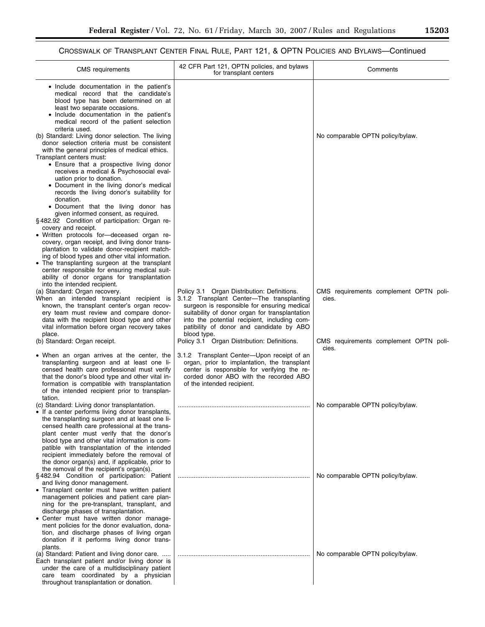## CROSSWALK OF TRANSPLANT CENTER FINAL RULE, PART 121, & OPTN POLICIES AND BYLAWS—Continued

| <b>CMS</b> requirements                                                                                                                                                                                                                                                                                                                                                                                                                                                                                                                                                                                                                                                                                                                                                                                                                                                             | 42 CFR Part 121, OPTN policies, and bylaws<br>for transplant centers                                                                                                                                                                                                                                 | Comments                                        |
|-------------------------------------------------------------------------------------------------------------------------------------------------------------------------------------------------------------------------------------------------------------------------------------------------------------------------------------------------------------------------------------------------------------------------------------------------------------------------------------------------------------------------------------------------------------------------------------------------------------------------------------------------------------------------------------------------------------------------------------------------------------------------------------------------------------------------------------------------------------------------------------|------------------------------------------------------------------------------------------------------------------------------------------------------------------------------------------------------------------------------------------------------------------------------------------------------|-------------------------------------------------|
| • Include documentation in the patient's<br>medical record that the candidate's<br>blood type has been determined on at<br>least two separate occasions.<br>• Include documentation in the patient's<br>medical record of the patient selection<br>criteria used.<br>(b) Standard: Living donor selection. The living<br>donor selection criteria must be consistent<br>with the general principles of medical ethics.<br>Transplant centers must:<br>• Ensure that a prospective living donor<br>receives a medical & Psychosocial eval-<br>uation prior to donation.<br>• Document in the living donor's medical<br>records the living donor's suitability for<br>donation.<br>· Document that the living donor has<br>given informed consent, as required.<br>§482.92 Condition of participation: Organ re-<br>covery and receipt.<br>• Written protocols for-deceased organ re- |                                                                                                                                                                                                                                                                                                      | No comparable OPTN policy/bylaw.                |
| covery, organ receipt, and living donor trans-<br>plantation to validate donor-recipient match-<br>ing of blood types and other vital information.<br>• The transplanting surgeon at the transplant<br>center responsible for ensuring medical suit-<br>ability of donor organs for transplantation<br>into the intended recipient.                                                                                                                                                                                                                                                                                                                                                                                                                                                                                                                                                 |                                                                                                                                                                                                                                                                                                      |                                                 |
| (a) Standard: Organ recovery.<br>When an intended transplant recipient is<br>known, the transplant center's organ recov-<br>ery team must review and compare donor-<br>data with the recipient blood type and other<br>vital information before organ recovery takes<br>place.                                                                                                                                                                                                                                                                                                                                                                                                                                                                                                                                                                                                      | Policy 3.1 Organ Distribution: Definitions.<br>3.1.2 Transplant Center-The transplanting<br>surgeon is responsible for ensuring medical<br>suitability of donor organ for transplantation<br>into the potential recipient, including com-<br>patibility of donor and candidate by ABO<br>blood type. | CMS requirements complement OPTN poli-<br>cies. |
| (b) Standard: Organ receipt.<br>• When an organ arrives at the center, the<br>transplanting surgeon and at least one li-<br>censed health care professional must verify<br>that the donor's blood type and other vital in-<br>formation is compatible with transplantation<br>of the intended recipient prior to transplan-<br>tation.                                                                                                                                                                                                                                                                                                                                                                                                                                                                                                                                              | Policy 3.1 Organ Distribution: Definitions.<br>3.1.2 Transplant Center-Upon receipt of an<br>organ, prior to implantation, the transplant<br>center is responsible for verifying the re-<br>corded donor ABO with the recorded ABO<br>of the intended recipient.                                     | CMS requirements complement OPTN poli-<br>cies. |
| (c) Standard: Living donor transplantation.<br>If a center performs living donor transplants,<br>the transplanting surgeon and at least one li-<br>censed health care professional at the trans-<br>plant center must verify that the donor's<br>blood type and other vital information is com-<br>patible with transplantation of the intended<br>recipient immediately before the removal of<br>the donor organ(s) and, if applicable, prior to                                                                                                                                                                                                                                                                                                                                                                                                                                   |                                                                                                                                                                                                                                                                                                      | No comparable OPTN policy/bylaw.                |
| the removal of the recipient's organ(s).<br>§482.94 Condition of participation. Patient<br>and living donor management.<br>• Transplant center must have written patient<br>management policies and patient care plan-<br>ning for the pre-transplant, transplant, and<br>discharge phases of transplantation.<br>• Center must have written donor manage-<br>ment policies for the donor evaluation, dona-<br>tion, and discharge phases of living organ                                                                                                                                                                                                                                                                                                                                                                                                                           |                                                                                                                                                                                                                                                                                                      | No comparable OPTN policy/bylaw.                |
| donation if it performs living donor trans-<br>plants.<br>(a) Standard: Patient and living donor care.<br>Each transplant patient and/or living donor is<br>under the care of a multidisciplinary patient<br>care team coordinated by a physician<br>throughout transplantation or donation.                                                                                                                                                                                                                                                                                                                                                                                                                                                                                                                                                                                        |                                                                                                                                                                                                                                                                                                      | No comparable OPTN policy/bylaw.                |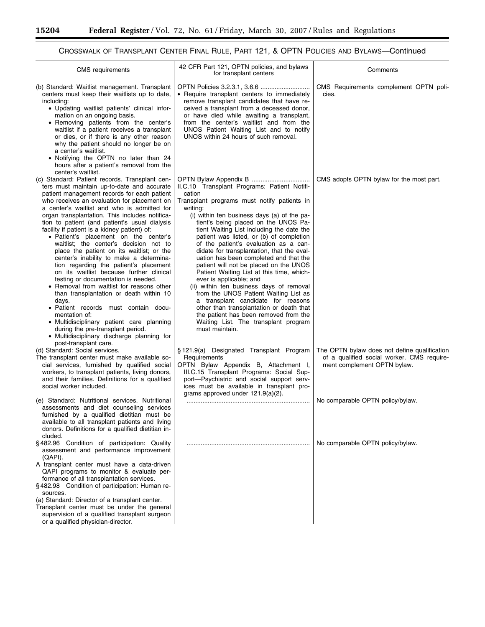۳

۰

## CROSSWALK OF TRANSPLANT CENTER FINAL RULE, PART 121, & OPTN POLICIES AND BYLAWS—Continued

| <b>CMS</b> requirements                                                                                                                                                                                                                                                                                                                                                                                                                                                                                                                                                                                                                                                                                                                                                                                                                                                                                                                                                                                                                       | 42 CFR Part 121, OPTN policies, and bylaws<br>for transplant centers                                                                                                                                                                                                                                                                                                                                                                                                                                                                                                                                                                                                                                                                                                                                                           | Comments                                                                                                                  |
|-----------------------------------------------------------------------------------------------------------------------------------------------------------------------------------------------------------------------------------------------------------------------------------------------------------------------------------------------------------------------------------------------------------------------------------------------------------------------------------------------------------------------------------------------------------------------------------------------------------------------------------------------------------------------------------------------------------------------------------------------------------------------------------------------------------------------------------------------------------------------------------------------------------------------------------------------------------------------------------------------------------------------------------------------|--------------------------------------------------------------------------------------------------------------------------------------------------------------------------------------------------------------------------------------------------------------------------------------------------------------------------------------------------------------------------------------------------------------------------------------------------------------------------------------------------------------------------------------------------------------------------------------------------------------------------------------------------------------------------------------------------------------------------------------------------------------------------------------------------------------------------------|---------------------------------------------------------------------------------------------------------------------------|
| (b) Standard: Waitlist management. Transplant<br>centers must keep their waitlists up to date,<br>including:<br>• Updating waitlist patients' clinical infor-<br>mation on an ongoing basis.<br>• Removing patients from the center's<br>waitlist if a patient receives a transplant<br>or dies, or if there is any other reason<br>why the patient should no longer be on<br>a center's waitlist.<br>• Notifying the OPTN no later than 24<br>hours after a patient's removal from the                                                                                                                                                                                                                                                                                                                                                                                                                                                                                                                                                       | • Require transplant centers to immediately<br>remove transplant candidates that have re-<br>ceived a transplant from a deceased donor,<br>or have died while awaiting a transplant,<br>from the center's waitlist and from the<br>UNOS Patient Waiting List and to notify<br>UNOS within 24 hours of such removal.                                                                                                                                                                                                                                                                                                                                                                                                                                                                                                            | CMS Requirements complement OPTN poli-<br>cies.                                                                           |
| center's waitlist.<br>(c) Standard: Patient records. Transplant cen-<br>ters must maintain up-to-date and accurate<br>patient management records for each patient<br>who receives an evaluation for placement on<br>a center's waitlist and who is admitted for<br>organ transplantation. This includes notifica-<br>tion to patient (and patient's usual dialysis<br>facility if patient is a kidney patient) of:<br>• Patient's placement on the center's<br>waitlist; the center's decision not to<br>place the patient on its waitlist; or the<br>center's inability to make a determina-<br>tion regarding the patient's placement<br>on its waitlist because further clinical<br>testing or documentation is needed.<br>• Removal from waitlist for reasons other<br>than transplantation or death within 10<br>days.<br>• Patient records must contain docu-<br>mentation of:<br>• Multidisciplinary patient care planning<br>during the pre-transplant period.<br>• Multidisciplinary discharge planning for<br>post-transplant care. | II.C.10 Transplant Programs: Patient Notifi-<br>cation<br>Transplant programs must notify patients in<br>writing:<br>(i) within ten business days (a) of the pa-<br>tient's being placed on the UNOS Pa-<br>tient Waiting List including the date the<br>patient was listed, or (b) of completion<br>of the patient's evaluation as a can-<br>didate for transplantation, that the eval-<br>uation has been completed and that the<br>patient will not be placed on the UNOS<br>Patient Waiting List at this time, which-<br>ever is applicable; and<br>(ii) within ten business days of removal<br>from the UNOS Patient Waiting List as<br>a transplant candidate for reasons<br>other than transplantation or death that<br>the patient has been removed from the<br>Waiting List. The transplant program<br>must maintain. | CMS adopts OPTN bylaw for the most part.                                                                                  |
| (d) Standard: Social services.<br>The transplant center must make available so-<br>cial services, furnished by qualified social<br>workers, to transplant patients, living donors,<br>and their families. Definitions for a qualified<br>social worker included.                                                                                                                                                                                                                                                                                                                                                                                                                                                                                                                                                                                                                                                                                                                                                                              | § 121.9(a) Designated Transplant Program<br>Requirements<br>OPTN Bylaw Appendix B, Attachment I,<br>III.C.15 Transplant Programs: Social Sup-<br>port-Psychiatric and social support serv-<br>ices must be available in transplant pro-<br>grams approved under $121.9(a)(2)$ .                                                                                                                                                                                                                                                                                                                                                                                                                                                                                                                                                | The OPTN bylaw does not define qualification<br>of a qualified social worker. CMS require-<br>ment complement OPTN bylaw. |
| (e) Standard: Nutritional services. Nutritional<br>assessments and diet counseling services<br>furnished by a qualified dietitian must be<br>available to all transplant patients and living<br>donors. Definitions for a qualified dietitian in-<br>cluded.                                                                                                                                                                                                                                                                                                                                                                                                                                                                                                                                                                                                                                                                                                                                                                                  |                                                                                                                                                                                                                                                                                                                                                                                                                                                                                                                                                                                                                                                                                                                                                                                                                                | No comparable OPTN policy/bylaw.                                                                                          |
| §482.96 Condition of participation: Quality<br>assessment and performance improvement<br>(QAPI).<br>A transplant center must have a data-driven<br>QAPI programs to monitor & evaluate per-<br>formance of all transplantation services.<br>§482.98 Condition of participation: Human re-<br>sources.<br>(a) Standard: Director of a transplant center.<br>Transplant center must be under the general<br>supervision of a qualified transplant surgeon<br>or a qualified physician-director.                                                                                                                                                                                                                                                                                                                                                                                                                                                                                                                                                 |                                                                                                                                                                                                                                                                                                                                                                                                                                                                                                                                                                                                                                                                                                                                                                                                                                | No comparable OPTN policy/bylaw.                                                                                          |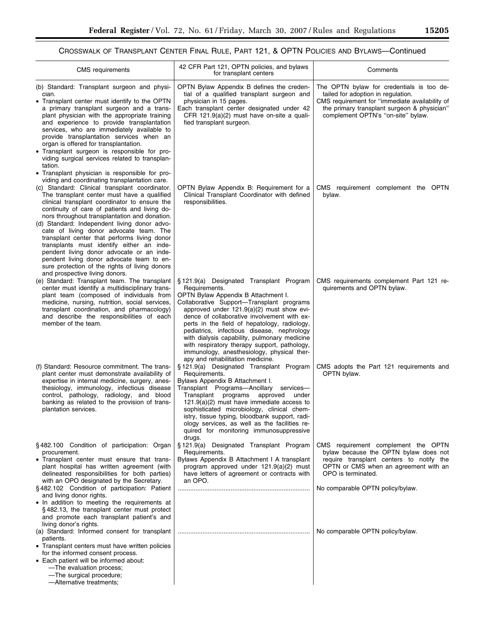## CROSSWALK OF TRANSPLANT CENTER FINAL RULE, PART 121, & OPTN POLICIES AND BYLAWS—Continued

| <b>CMS</b> requirements                                                                                                                                                                                                                                                                                                                                                                                                                                                                                                                                                                                                                          | 42 CFR Part 121, OPTN policies, and bylaws<br>for transplant centers                                                                                                                                                                                                                                                                                                                                                                                                                                                                                                | Comments                                                                                                                                                                                                                    |
|--------------------------------------------------------------------------------------------------------------------------------------------------------------------------------------------------------------------------------------------------------------------------------------------------------------------------------------------------------------------------------------------------------------------------------------------------------------------------------------------------------------------------------------------------------------------------------------------------------------------------------------------------|---------------------------------------------------------------------------------------------------------------------------------------------------------------------------------------------------------------------------------------------------------------------------------------------------------------------------------------------------------------------------------------------------------------------------------------------------------------------------------------------------------------------------------------------------------------------|-----------------------------------------------------------------------------------------------------------------------------------------------------------------------------------------------------------------------------|
| (b) Standard: Transplant surgeon and physi-<br>cian.<br>• Transplant center must identify to the OPTN<br>a primary transplant surgeon and a trans-<br>plant physician with the appropriate training<br>and experience to provide transplantation<br>services, who are immediately available to<br>provide transplantation services when an<br>organ is offered for transplantation.<br>• Transplant surgeon is responsible for pro-<br>viding surgical services related to transplan-                                                                                                                                                            | OPTN Bylaw Appendix B defines the creden-<br>tial of a qualified transplant surgeon and<br>physician in 15 pages.<br>Each transplant center designated under 42<br>CFR 121.9(a)(2) must have on-site a quali-<br>fied transplant surgeon.                                                                                                                                                                                                                                                                                                                           | The OPTN bylaw for credentials is too de-<br>tailed for adoption in regulation.<br>CMS requirement for "immediate availability of<br>the primary transplant surgeon & physician"<br>complement OPTN's "on-site" bylaw.      |
| tation.<br>• Transplant physician is responsible for pro-<br>viding and coordinating transplantation care.<br>(c) Standard: Clinical transplant coordinator.<br>The transplant center must have a qualified<br>clinical transplant coordinator to ensure the<br>continuity of care of patients and living do-<br>nors throughout transplantation and donation.<br>(d) Standard: Independent living donor advo-<br>cate of living donor advocate team. The<br>transplant center that performs living donor<br>transplants must identify either an inde-<br>pendent living donor advocate or an inde-<br>pendent living donor advocate team to en- | OPTN Bylaw Appendix B: Requirement for a<br>Clinical Transplant Coordinator with defined<br>responsibilities.                                                                                                                                                                                                                                                                                                                                                                                                                                                       | CMS requirement complement the OPTN<br>bylaw.                                                                                                                                                                               |
| sure protection of the rights of living donors<br>and prospective living donors.<br>(e) Standard: Transplant team. The transplant<br>center must identify a multidisciplinary trans-<br>plant team (composed of individuals from<br>medicine, nursing, nutrition, social services,<br>transplant coordination, and pharmacology)<br>and describe the responsibilities of each<br>member of the team.                                                                                                                                                                                                                                             | § 121.9(a) Designated Transplant Program<br>Requirements.<br>OPTN Bylaw Appendix B Attachment I.<br>Collaborative Support-Transplant programs<br>approved under $121.9(a)(2)$ must show evi-<br>dence of collaborative involvement with ex-<br>perts in the field of hepatology, radiology,<br>pediatrics, infectious disease, nephrology<br>with dialysis capability, pulmonary medicine                                                                                                                                                                           | CMS requirements complement Part 121 re-<br>quirements and OPTN bylaw.                                                                                                                                                      |
| (f) Standard: Resource commitment. The trans-<br>plant center must demonstrate availability of<br>expertise in internal medicine, surgery, anes-<br>thesiology, immunology, infectious disease<br>control, pathology, radiology, and blood<br>banking as related to the provision of trans-<br>plantation services.                                                                                                                                                                                                                                                                                                                              | with respiratory therapy support, pathology,<br>immunology, anesthesiology, physical ther-<br>apy and rehabilitation medicine.<br>§ 121.9(a) Designated Transplant Program<br>Requirements.<br>Bylaws Appendix B Attachment I.<br>Transplant Programs-Ancillary services-<br>Transplant<br>programs<br>approved<br>under<br>$121.9(a)(2)$ must have immediate access to<br>sophisticated microbiology, clinical chem-<br>istry, tissue typing, bloodbank support, radi-<br>ology services, as well as the facilities re-<br>quired for monitoring immunosuppressive | CMS adopts the Part 121 requirements and<br>OPTN bylaw.                                                                                                                                                                     |
| §482.100 Condition of participation: Organ<br>procurement.<br>• Transplant center must ensure that trans-<br>plant hospital has written agreement (with<br>delineated responsibilities for both parties)<br>with an OPO designated by the Secretary.<br>§482.102 Condition of participation: Patient<br>and living donor rights.<br>. In addition to meeting the requirements at<br>§482.13, the transplant center must protect<br>and promote each transplant patient's and                                                                                                                                                                     | drugs.<br>§ 121.9(a) Designated Transplant Program<br>Requirements.<br>Bylaws Appendix B Attachment I A transplant<br>program approved under 121.9(a)(2) must<br>have letters of agreement or contracts with<br>an OPO.                                                                                                                                                                                                                                                                                                                                             | CMS requirement complement the OPTN<br>bylaw because the OPTN bylaw does not<br>require transplant centers to notify the<br>OPTN or CMS when an agreement with an<br>OPO is terminated.<br>No comparable OPTN policy/bylaw. |
| living donor's rights.<br>(a) Standard: Informed consent for transplant<br>patients.<br>• Transplant centers must have written policies<br>for the informed consent process.<br>• Each patient will be informed about:<br>-The evaluation process;<br>-The surgical procedure;<br>-Alternative treatments;                                                                                                                                                                                                                                                                                                                                       |                                                                                                                                                                                                                                                                                                                                                                                                                                                                                                                                                                     | No comparable OPTN policy/bylaw.                                                                                                                                                                                            |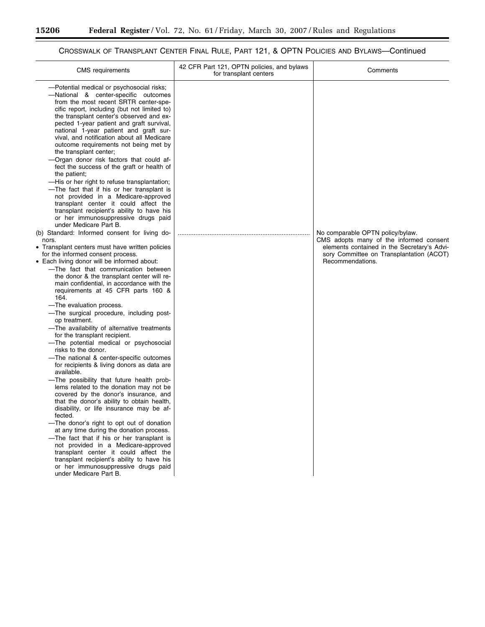▀

## CROSSWALK OF TRANSPLANT CENTER FINAL RULE, PART 121, & OPTN POLICIES AND BYLAWS—Continued

| <b>CMS</b> requirements                                                                                                                                                                                                                                                                                                                                                                                                                                                                                                                                                                                                                                                                                                                                                                                                                                                                                                                                                                                                                                                                                                                                                                                                                                                                                                                                                                                                                                                                                                                                                                                                                                                                                                                                                                                                                                                                                                                                                                                                                                                                                                                               | 42 CFR Part 121, OPTN policies, and bylaws<br>for transplant centers | Comments                                                                                                                                                                                   |
|-------------------------------------------------------------------------------------------------------------------------------------------------------------------------------------------------------------------------------------------------------------------------------------------------------------------------------------------------------------------------------------------------------------------------------------------------------------------------------------------------------------------------------------------------------------------------------------------------------------------------------------------------------------------------------------------------------------------------------------------------------------------------------------------------------------------------------------------------------------------------------------------------------------------------------------------------------------------------------------------------------------------------------------------------------------------------------------------------------------------------------------------------------------------------------------------------------------------------------------------------------------------------------------------------------------------------------------------------------------------------------------------------------------------------------------------------------------------------------------------------------------------------------------------------------------------------------------------------------------------------------------------------------------------------------------------------------------------------------------------------------------------------------------------------------------------------------------------------------------------------------------------------------------------------------------------------------------------------------------------------------------------------------------------------------------------------------------------------------------------------------------------------------|----------------------------------------------------------------------|--------------------------------------------------------------------------------------------------------------------------------------------------------------------------------------------|
| -Potential medical or psychosocial risks;<br>-National & center-specific outcomes<br>from the most recent SRTR center-spe-<br>cific report, including (but not limited to)<br>the transplant center's observed and ex-<br>pected 1-year patient and graft survival,<br>national 1-year patient and graft sur-<br>vival, and notification about all Medicare<br>outcome requirements not being met by<br>the transplant center;<br>-Organ donor risk factors that could af-<br>fect the success of the graft or health of<br>the patient;<br>-His or her right to refuse transplantation;<br>-The fact that if his or her transplant is<br>not provided in a Medicare-approved<br>transplant center it could affect the<br>transplant recipient's ability to have his<br>or her immunosuppressive drugs paid<br>under Medicare Part B.<br>(b) Standard: Informed consent for living do-<br>nors.<br>• Transplant centers must have written policies<br>for the informed consent process.<br>• Each living donor will be informed about:<br>-The fact that communication between<br>the donor & the transplant center will re-<br>main confidential, in accordance with the<br>requirements at 45 CFR parts 160 &<br>164.<br>-The evaluation process.<br>-The surgical procedure, including post-<br>op treatment.<br>-The availability of alternative treatments<br>for the transplant recipient.<br>-The potential medical or psychosocial<br>risks to the donor.<br>-The national & center-specific outcomes<br>for recipients & living donors as data are<br>available.<br>-The possibility that future health prob-<br>lems related to the donation may not be<br>covered by the donor's insurance, and<br>that the donor's ability to obtain health,<br>disability, or life insurance may be af-<br>fected.<br>-The donor's right to opt out of donation<br>at any time during the donation process.<br>-The fact that if his or her transplant is<br>not provided in a Medicare-approved<br>transplant center it could affect the<br>transplant recipient's ability to have his<br>or her immunosuppressive drugs paid<br>under Medicare Part B. |                                                                      | No comparable OPTN policy/bylaw.<br>CMS adopts many of the informed consent<br>elements contained in the Secretary's Advi-<br>sory Committee on Transplantation (ACOT)<br>Recommendations. |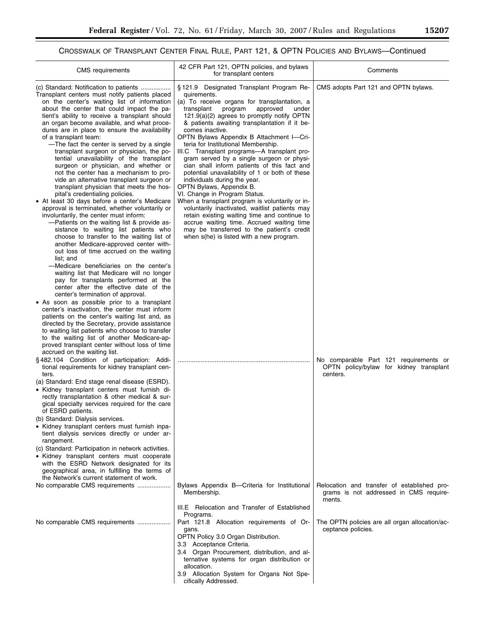۳

## CROSSWALK OF TRANSPLANT CENTER FINAL RULE, PART 121, & OPTN POLICIES AND BYLAWS—Continued

| <b>CMS</b> requirements                                                                                                                                                                                                                                                                                                                                                                                                                                                                                                                                                                                                                                                                                                                                                                                                                                                                                                                                                                                                                                                                                                                                                                                                                                                                                                                                                                                                                                                                                                                                                                                                                                                     | 42 CFR Part 121, OPTN policies, and bylaws<br>for transplant centers                                                                                                                                                                                                                                                                                                                                                                                                                                                                                                                                                                                                                                                                                                                                                                                                                                                                             | Comments                                                                                        |
|-----------------------------------------------------------------------------------------------------------------------------------------------------------------------------------------------------------------------------------------------------------------------------------------------------------------------------------------------------------------------------------------------------------------------------------------------------------------------------------------------------------------------------------------------------------------------------------------------------------------------------------------------------------------------------------------------------------------------------------------------------------------------------------------------------------------------------------------------------------------------------------------------------------------------------------------------------------------------------------------------------------------------------------------------------------------------------------------------------------------------------------------------------------------------------------------------------------------------------------------------------------------------------------------------------------------------------------------------------------------------------------------------------------------------------------------------------------------------------------------------------------------------------------------------------------------------------------------------------------------------------------------------------------------------------|--------------------------------------------------------------------------------------------------------------------------------------------------------------------------------------------------------------------------------------------------------------------------------------------------------------------------------------------------------------------------------------------------------------------------------------------------------------------------------------------------------------------------------------------------------------------------------------------------------------------------------------------------------------------------------------------------------------------------------------------------------------------------------------------------------------------------------------------------------------------------------------------------------------------------------------------------|-------------------------------------------------------------------------------------------------|
| (c) Standard: Notification to patients<br>Transplant centers must notify patients placed<br>on the center's waiting list of information<br>about the center that could impact the pa-<br>tient's ability to receive a transplant should<br>an organ become available, and what proce-<br>dures are in place to ensure the availability<br>of a transplant team:<br>-The fact the center is served by a single<br>transplant surgeon or physician, the po-<br>tential unavailability of the transplant<br>surgeon or physician, and whether or<br>not the center has a mechanism to pro-<br>vide an alternative transplant surgeon or<br>transplant physician that meets the hos-<br>pital's credentialing policies.<br>• At least 30 days before a center's Medicare<br>approval is terminated, whether voluntarily or<br>involuntarily, the center must inform:<br>-Patients on the waiting list & provide as-<br>sistance to waiting list patients who<br>choose to transfer to the waiting list of<br>another Medicare-approved center with-<br>out loss of time accrued on the waiting<br>list; and<br>-Medicare beneficiaries on the center's<br>waiting list that Medicare will no longer<br>pay for transplants performed at the<br>center after the effective date of the<br>center's termination of approval.<br>• As soon as possible prior to a transplant<br>center's inactivation, the center must inform<br>patients on the center's waiting list and, as<br>directed by the Secretary, provide assistance<br>to waiting list patients who choose to transfer<br>to the waiting list of another Medicare-ap-<br>proved transplant center without loss of time | §121.9 Designated Transplant Program Re-<br>quirements.<br>(a) To receive organs for transplantation, a<br>transplant<br>program<br>approved<br>under<br>121.9(a)(2) agrees to promptly notify OPTN<br>& patients awaiting transplantation if it be-<br>comes inactive.<br>OPTN Bylaws Appendix B Attachment I-Cri-<br>teria for Institutional Membership.<br>III.C Transplant programs-A transplant pro-<br>gram served by a single surgeon or physi-<br>cian shall inform patients of this fact and<br>potential unavailability of 1 or both of these<br>individuals during the year.<br>OPTN Bylaws, Appendix B.<br>VI. Change in Program Status.<br>When a transplant program is voluntarily or in-<br>voluntarily inactivated, waitlist patients may<br>retain existing waiting time and continue to<br>accrue waiting time. Accrued waiting time<br>may be transferred to the patient's credit<br>when s(he) is listed with a new program. | CMS adopts Part 121 and OPTN bylaws.                                                            |
| accrued on the waiting list.<br>§482.104 Condition of participation: Addi-<br>tional requirements for kidney transplant cen-<br>ters.<br>(a) Standard: End stage renal disease (ESRD).<br>• Kidney transplant centers must furnish di-<br>rectly transplantation & other medical & sur-<br>gical specialty services required for the care<br>of ESRD patients.<br>(b) Standard: Dialysis services.<br>• Kidney transplant centers must furnish inpa-<br>tient dialysis services directly or under ar-<br>rangement.<br>(c) Standard: Participation in network activities.<br>• Kidney transplant centers must cooperate<br>with the ESRD Network designated for its<br>geographical area, in fulfilling the terms of                                                                                                                                                                                                                                                                                                                                                                                                                                                                                                                                                                                                                                                                                                                                                                                                                                                                                                                                                        |                                                                                                                                                                                                                                                                                                                                                                                                                                                                                                                                                                                                                                                                                                                                                                                                                                                                                                                                                  | No comparable Part 121 requirements or<br>OPTN policy/bylaw for kidney transplant<br>centers.   |
| the Network's current statement of work.<br>No comparable CMS requirements                                                                                                                                                                                                                                                                                                                                                                                                                                                                                                                                                                                                                                                                                                                                                                                                                                                                                                                                                                                                                                                                                                                                                                                                                                                                                                                                                                                                                                                                                                                                                                                                  | Bylaws Appendix B—Criteria for Institutional<br>Membership.                                                                                                                                                                                                                                                                                                                                                                                                                                                                                                                                                                                                                                                                                                                                                                                                                                                                                      | Relocation and transfer of established pro-<br>grams is not addressed in CMS require-<br>ments. |
| No comparable CMS requirements                                                                                                                                                                                                                                                                                                                                                                                                                                                                                                                                                                                                                                                                                                                                                                                                                                                                                                                                                                                                                                                                                                                                                                                                                                                                                                                                                                                                                                                                                                                                                                                                                                              | III.E Relocation and Transfer of Established<br>Programs.<br>Part 121.8 Allocation requirements of Or-<br>gans.<br>OPTN Policy 3.0 Organ Distribution.<br>3.3 Acceptance Criteria.<br>Organ Procurement, distribution, and al-<br>3.4<br>ternative systems for organ distribution or<br>allocation.<br>3.9 Allocation System for Organs Not Spe-<br>cifically Addressed.                                                                                                                                                                                                                                                                                                                                                                                                                                                                                                                                                                         | The OPTN policies are all organ allocation/ac-<br>ceptance policies.                            |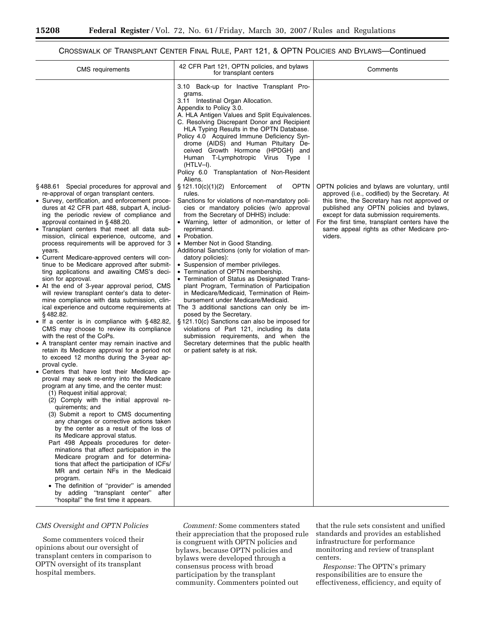#### CROSSWALK OF TRANSPLANT CENTER FINAL RULE, PART 121, & OPTN POLICIES AND BYLAWS—Continued

| <b>CMS</b> requirements                                                                                                                                                                                                                                                                                                                                                                                                                                                                                                                                                                                                                                                                                                                                                                                                                                                                                                                                                                                                                                                                                                                                                                                                                                                                                                                                                                                                                                                                                                                                                                                                                                                                                                                                                                                                                                                              | 42 CFR Part 121, OPTN policies, and bylaws<br>for transplant centers                                                                                                                                                                                                                                                                                                                                                                                                                                                                                                                                                                                                                                                                                                                                                                                                                                                                                                                                                                                                                                                                                                                                                                                                                                                                                                                                                                                                  | Comments                                                                                                                                                                                                                                                                                                                                          |
|--------------------------------------------------------------------------------------------------------------------------------------------------------------------------------------------------------------------------------------------------------------------------------------------------------------------------------------------------------------------------------------------------------------------------------------------------------------------------------------------------------------------------------------------------------------------------------------------------------------------------------------------------------------------------------------------------------------------------------------------------------------------------------------------------------------------------------------------------------------------------------------------------------------------------------------------------------------------------------------------------------------------------------------------------------------------------------------------------------------------------------------------------------------------------------------------------------------------------------------------------------------------------------------------------------------------------------------------------------------------------------------------------------------------------------------------------------------------------------------------------------------------------------------------------------------------------------------------------------------------------------------------------------------------------------------------------------------------------------------------------------------------------------------------------------------------------------------------------------------------------------------|-----------------------------------------------------------------------------------------------------------------------------------------------------------------------------------------------------------------------------------------------------------------------------------------------------------------------------------------------------------------------------------------------------------------------------------------------------------------------------------------------------------------------------------------------------------------------------------------------------------------------------------------------------------------------------------------------------------------------------------------------------------------------------------------------------------------------------------------------------------------------------------------------------------------------------------------------------------------------------------------------------------------------------------------------------------------------------------------------------------------------------------------------------------------------------------------------------------------------------------------------------------------------------------------------------------------------------------------------------------------------------------------------------------------------------------------------------------------------|---------------------------------------------------------------------------------------------------------------------------------------------------------------------------------------------------------------------------------------------------------------------------------------------------------------------------------------------------|
| §488.61 Special procedures for approval and<br>re-approval of organ transplant centers.<br>• Survey, certification, and enforcement proce-<br>dures at 42 CFR part 488, subpart A, includ-<br>ing the periodic review of compliance and<br>approval contained in §488.20.<br>• Transplant centers that meet all data sub-<br>mission, clinical experience, outcome, and<br>process requirements will be approved for 3<br>years.<br>• Current Medicare-approved centers will con-<br>tinue to be Medicare approved after submit-<br>ting applications and awaiting CMS's deci-<br>sion for approval.<br>• At the end of 3-year approval period, CMS<br>will review transplant center's data to deter-<br>mine compliance with data submission, clin-<br>ical experience and outcome requirements at<br>§482.82.<br>• If a center is in compliance with $\S$ 482.82,<br>CMS may choose to review its compliance<br>with the rest of the CoPs.<br>• A transplant center may remain inactive and<br>retain its Medicare approval for a period not<br>to exceed 12 months during the 3-year ap-<br>proval cycle.<br>• Centers that have lost their Medicare ap-<br>proval may seek re-entry into the Medicare<br>program at any time, and the center must:<br>(1) Request initial approval;<br>(2) Comply with the initial approval re-<br>quirements; and<br>(3) Submit a report to CMS documenting<br>any changes or corrective actions taken<br>by the center as a result of the loss of<br>its Medicare approval status.<br>Part 498 Appeals procedures for deter-<br>minations that affect participation in the<br>Medicare program and for determina-<br>tions that affect the participation of ICFs/<br>MR and certain NFs in the Medicaid<br>program.<br>The definition of "provider" is amended<br>by adding "transplant center" after<br>"hospital" the first time it appears. | 3.10 Back-up for Inactive Transplant Pro-<br>grams.<br>3.11 Intestinal Organ Allocation.<br>Appendix to Policy 3.0.<br>A. HLA Antigen Values and Split Equivalences.<br>C. Resolving Discrepant Donor and Recipient<br>HLA Typing Results in the OPTN Database.<br>Policy 4.0 Acquired Immune Deficiency Syn-<br>drome (AIDS) and Human Pituitary De-<br>ceived Growth Hormone (HPDGH) and<br>Human T-Lymphotropic Virus Type<br>$(HTLV-I).$<br>Policy 6.0 Transplantation of Non-Resident<br>Aliens.<br>§ 121.10(c)(1)(2) Enforcement<br><b>OPTN</b><br>οf<br>rules.<br>Sanctions for violations of non-mandatory poli-<br>cies or mandatory policies (w/o approval<br>from the Secretary of DHHS) include:<br>• Warning, letter of admonition, or letter of<br>reprimand.<br>• Probation.<br>• Member Not in Good Standing.<br>Additional Sanctions (only for violation of man-<br>datory policies):<br>• Suspension of member privileges.<br>• Termination of OPTN membership.<br>• Termination of Status as Designated Trans-<br>plant Program, Termination of Participation<br>in Medicare/Medicaid, Termination of Reim-<br>bursement under Medicare/Medicaid.<br>The 3 additional sanctions can only be im-<br>posed by the Secretary.<br>§ 121.10(c) Sanctions can also be imposed for<br>violations of Part 121, including its data<br>submission requirements, and when the<br>Secretary determines that the public health<br>or patient safety is at risk. | OPTN policies and bylaws are voluntary, until<br>approved (i.e., codified) by the Secretary. At<br>this time, the Secretary has not approved or<br>published any OPTN policies and bylaws,<br>except for data submission requirements.<br>For the first time, transplant centers have the<br>same appeal rights as other Medicare pro-<br>viders. |

#### *CMS Oversight and OPTN Policies*

Some commenters voiced their opinions about our oversight of transplant centers in comparison to OPTN oversight of its transplant hospital members.

*Comment:* Some commenters stated their appreciation that the proposed rule is congruent with OPTN policies and bylaws, because OPTN policies and bylaws were developed through a consensus process with broad participation by the transplant community. Commenters pointed out

that the rule sets consistent and unified standards and provides an established infrastructure for performance monitoring and review of transplant centers.

*Response:* The OPTN's primary responsibilities are to ensure the effectiveness, efficiency, and equity of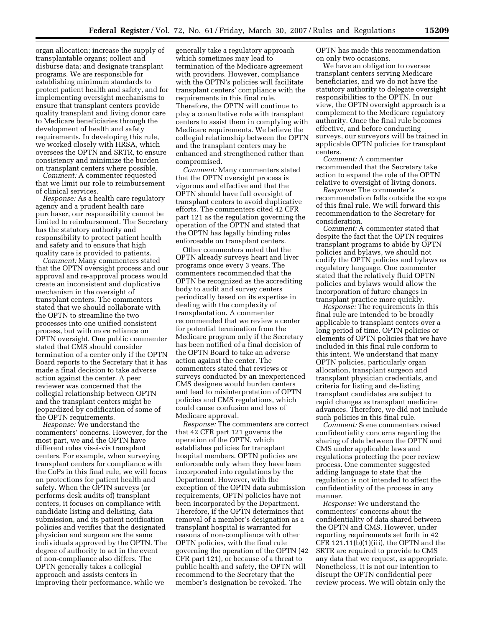organ allocation; increase the supply of transplantable organs; collect and disburse data; and designate transplant programs. We are responsible for establishing minimum standards to protect patient health and safety, and for implementing oversight mechanisms to ensure that transplant centers provide quality transplant and living donor care to Medicare beneficiaries through the development of health and safety requirements. In developing this rule, we worked closely with HRSA, which oversees the OPTN and SRTR, to ensure consistency and minimize the burden on transplant centers where possible.

*Comment:* A commenter requested that we limit our role to reimbursement of clinical services.

*Response:* As a health care regulatory agency and a prudent health care purchaser, our responsibility cannot be limited to reimbursement. The Secretary has the statutory authority and responsibility to protect patient health and safety and to ensure that high quality care is provided to patients.

*Comment:* Many commenters stated that the OPTN oversight process and our approval and re-approval process would create an inconsistent and duplicative mechanism in the oversight of transplant centers. The commenters stated that we should collaborate with the OPTN to streamline the two processes into one unified consistent process, but with more reliance on OPTN oversight. One public commenter stated that CMS should consider termination of a center only if the OPTN Board reports to the Secretary that it has made a final decision to take adverse action against the center. A peer reviewer was concerned that the collegial relationship between OPTN and the transplant centers might be jeopardized by codification of some of the OPTN requirements.

*Response:* We understand the commenters' concerns. However, for the most part, we and the OPTN have different roles vis-á-vis transplant centers. For example, when surveying transplant centers for compliance with the CoPs in this final rule, we will focus on protections for patient health and safety. When the OPTN surveys (or performs desk audits of) transplant centers, it focuses on compliance with candidate listing and delisting, data submission, and its patient notification policies and verifies that the designated physician and surgeon are the same individuals approved by the OPTN. The degree of authority to act in the event of non-compliance also differs. The OPTN generally takes a collegial approach and assists centers in improving their performance, while we

generally take a regulatory approach which sometimes may lead to termination of the Medicare agreement with providers. However, compliance with the OPTN's policies will facilitate transplant centers' compliance with the requirements in this final rule. Therefore, the OPTN will continue to play a consultative role with transplant centers to assist them in complying with Medicare requirements. We believe the collegial relationship between the OPTN and the transplant centers may be enhanced and strengthened rather than compromised.

*Comment:* Many commenters stated that the OPTN oversight process is vigorous and effective and that the OPTN should have full oversight of transplant centers to avoid duplicative efforts. The commenters cited 42 CFR part 121 as the regulation governing the operation of the OPTN and stated that the OPTN has legally binding rules enforceable on transplant centers.

Other commenters noted that the OPTN already surveys heart and liver programs once every 3 years. The commenters recommended that the OPTN be recognized as the accrediting body to audit and survey centers periodically based on its expertise in dealing with the complexity of transplantation. A commenter recommended that we review a center for potential termination from the Medicare program only if the Secretary has been notified of a final decision of the OPTN Board to take an adverse action against the center. The commenters stated that reviews or surveys conducted by an inexperienced CMS designee would burden centers and lead to misinterpretation of OPTN policies and CMS regulations, which could cause confusion and loss of Medicare approval.

*Response:* The commenters are correct that 42 CFR part 121 governs the operation of the OPTN, which establishes policies for transplant hospital members. OPTN policies are enforceable only when they have been incorporated into regulations by the Department. However, with the exception of the OPTN data submission requirements, OPTN policies have not been incorporated by the Department. Therefore, if the OPTN determines that removal of a member's designation as a transplant hospital is warranted for reasons of non-compliance with other OPTN policies, with the final rule governing the operation of the OPTN (42 CFR part 121), or because of a threat to public health and safety, the OPTN will recommend to the Secretary that the member's designation be revoked. The

OPTN has made this recommendation on only two occasions.

We have an obligation to oversee transplant centers serving Medicare beneficiaries, and we do not have the statutory authority to delegate oversight responsibilities to the OPTN. In our view, the OPTN oversight approach is a complement to the Medicare regulatory authority. Once the final rule becomes effective, and before conducting surveys, our surveyors will be trained in applicable OPTN policies for transplant centers.

*Comment:* A commenter recommended that the Secretary take action to expand the role of the OPTN relative to oversight of living donors.

*Response:* The commenter's recommendation falls outside the scope of this final rule. We will forward this recommendation to the Secretary for consideration.

*Comment:* A commenter stated that despite the fact that the OPTN requires transplant programs to abide by OPTN policies and bylaws, we should not codify the OPTN policies and bylaws as regulatory language. One commenter stated that the relatively fluid OPTN policies and bylaws would allow the incorporation of future changes in transplant practice more quickly.

*Response:* The requirements in this final rule are intended to be broadly applicable to transplant centers over a long period of time. OPTN policies or elements of OPTN policies that we have included in this final rule conform to this intent. We understand that many OPTN policies, particularly organ allocation, transplant surgeon and transplant physician credentials, and criteria for listing and de-listing transplant candidates are subject to rapid changes as transplant medicine advances. Therefore, we did not include such policies in this final rule.

*Comment:* Some commenters raised confidentiality concerns regarding the sharing of data between the OPTN and CMS under applicable laws and regulations protecting the peer review process. One commenter suggested adding language to state that the regulation is not intended to affect the confidentiality of the process in any manner.

*Response:* We understand the commenters' concerns about the confidentiality of data shared between the OPTN and CMS. However, under reporting requirements set forth in 42 CFR 121.11(b)(1)(iii), the OPTN and the SRTR are required to provide to CMS any data that we request, as appropriate. Nonetheless, it is not our intention to disrupt the OPTN confidential peer review process. We will obtain only the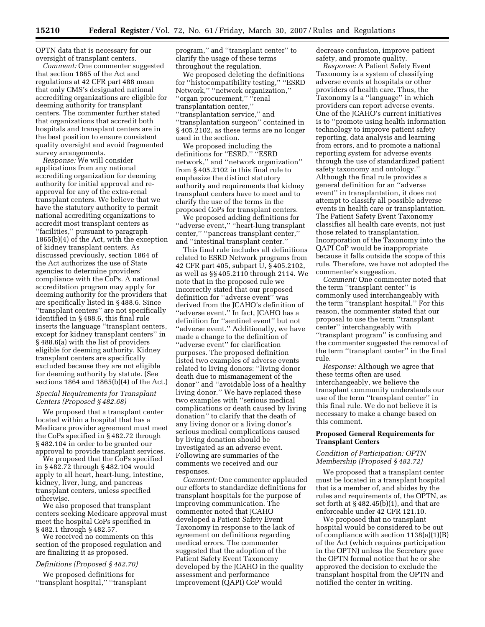OPTN data that is necessary for our oversight of transplant centers.

*Comment:* One commenter suggested that section 1865 of the Act and regulations at 42 CFR part 488 mean that only CMS's designated national accrediting organizations are eligible for deeming authority for transplant centers. The commenter further stated that organizations that accredit both hospitals and transplant centers are in the best position to ensure consistent quality oversight and avoid fragmented survey arrangements.

*Response:* We will consider applications from any national accrediting organization for deeming authority for initial approval and reapproval for any of the extra-renal transplant centers. We believe that we have the statutory authority to permit national accrediting organizations to accredit most transplant centers as ''facilities,'' pursuant to paragraph 1865(b)(4) of the Act, with the exception of kidney transplant centers. As discussed previously, section 1864 of the Act authorizes the use of State agencies to determine providers' compliance with the CoPs. A national accreditation program may apply for deeming authority for the providers that are specifically listed in § 488.6. Since ''transplant centers'' are not specifically identified in § 488.6, this final rule inserts the language ''transplant centers, except for kidney transplant centers'' in § 488.6(a) with the list of providers eligible for deeming authority. Kidney transplant centers are specifically excluded because they are not eligible for deeming authority by statute. (See sections 1864 and 1865(b)(4) of the Act.)

#### *Special Requirements for Transplant Centers (Proposed § 482.68)*

We proposed that a transplant center located within a hospital that has a Medicare provider agreement must meet the CoPs specified in § 482.72 through § 482.104 in order to be granted our approval to provide transplant services.

We proposed that the CoPs specified in § 482.72 through § 482.104 would apply to all heart, heart-lung, intestine, kidney, liver, lung, and pancreas transplant centers, unless specified otherwise.

We also proposed that transplant centers seeking Medicare approval must meet the hospital CoPs specified in § 482.1 through § 482.57.

We received no comments on this section of the proposed regulation and are finalizing it as proposed.

#### *Definitions (Proposed § 482.70)*

We proposed definitions for ''transplant hospital,'' ''transplant

program,'' and ''transplant center'' to clarify the usage of these terms throughout the regulation.

We proposed deleting the definitions for ''histocompatibility testing,'' ''ESRD Network,'' ''network organization,'' ''organ procurement,'' ''renal transplantation center,'' ''transplantation service,'' and ''transplantation surgeon'' contained in § 405.2102, as these terms are no longer used in the section.

We proposed including the definitions for "ESRD," "ESRD network,'' and ''network organization'' from § 405.2102 in this final rule to emphasize the distinct statutory authority and requirements that kidney transplant centers have to meet and to clarify the use of the terms in the proposed CoPs for transplant centers.

We proposed adding definitions for ''adverse event,'' ''heart-lung transplant center,'' ''pancreas transplant center,'' and ''intestinal transplant center.''

This final rule includes all definitions related to ESRD Network programs from 42 CFR part 405, subpart U, § 405.2102, as well as §§ 405.2110 through 2114. We note that in the proposed rule we incorrectly stated that our proposed definition for ''adverse event'' was derived from the JCAHO's definition of "adverse event." In fact, JCAHO has a definition for ''sentinel event'' but not ''adverse event.'' Additionally, we have made a change to the definition of ''adverse event'' for clarification purposes. The proposed definition listed two examples of adverse events related to living donors: ''living donor death due to mismanagement of the donor'' and ''avoidable loss of a healthy living donor.'' We have replaced these two examples with ''serious medical complications or death caused by living donation'' to clarify that the death of any living donor or a living donor's serious medical complications caused by living donation should be investigated as an adverse event. Following are summaries of the comments we received and our responses.

*Comment:* One commenter applauded our efforts to standardize definitions for transplant hospitals for the purpose of improving communication. The commenter noted that JCAHO developed a Patient Safety Event Taxonomy in response to the lack of agreement on definitions regarding medical errors. The commenter suggested that the adoption of the Patient Safety Event Taxonomy developed by the JCAHO in the quality assessment and performance improvement (QAPI) CoP would

decrease confusion, improve patient safety, and promote quality.

*Response:* A Patient Safety Event Taxonomy is a system of classifying adverse events at hospitals or other providers of health care. Thus, the Taxonomy is a ''language'' in which providers can report adverse events. One of the JCAHO's current initiatives is to ''promote using health information technology to improve patient safety reporting, data analysis and learning from errors, and to promote a national reporting system for adverse events through the use of standardized patient safety taxonomy and ontology.'' Although the final rule provides a general definition for an ''adverse event'' in transplantation, it does not attempt to classify all possible adverse events in health care or transplantation. The Patient Safety Event Taxonomy classifies all health care events, not just those related to transplantation. Incorporation of the Taxonomy into the QAPI CoP would be inappropriate because it falls outside the scope of this rule. Therefore, we have not adopted the commenter's suggestion.

*Comment:* One commenter noted that the term ''transplant center'' is commonly used interchangeably with the term ''transplant hospital.'' For this reason, the commenter stated that our proposal to use the term ''transplant center'' interchangeably with ''transplant program'' is confusing and the commenter suggested the removal of the term ''transplant center'' in the final rule.

*Response:* Although we agree that these terms often are used interchangeably, we believe the transplant community understands our use of the term ''transplant center'' in this final rule. We do not believe it is necessary to make a change based on this comment.

#### **Proposed General Requirements for Transplant Centers**

#### *Condition of Participation: OPTN Membership (Proposed § 482.72)*

We proposed that a transplant center must be located in a transplant hospital that is a member of, and abides by the rules and requirements of, the OPTN, as set forth at  $\S$  482.45(b)(1), and that are enforceable under 42 CFR 121.10.

We proposed that no transplant hospital would be considered to be out of compliance with section 1138(a)(1)(B) of the Act (which requires participation in the OPTN) unless the Secretary gave the OPTN formal notice that he or she approved the decision to exclude the transplant hospital from the OPTN and notified the center in writing.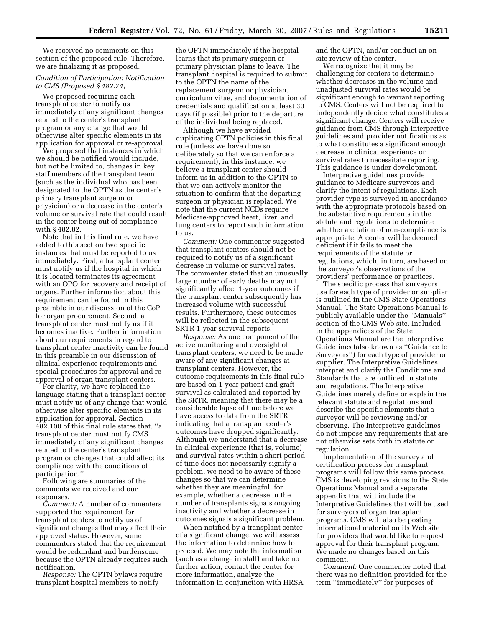We received no comments on this section of the proposed rule. Therefore, we are finalizing it as proposed.

#### *Condition of Participation: Notification to CMS (Proposed § 482.74)*

We proposed requiring each transplant center to notify us immediately of any significant changes related to the center's transplant program or any change that would otherwise alter specific elements in its application for approval or re-approval.

We proposed that instances in which we should be notified would include, but not be limited to, changes in key staff members of the transplant team (such as the individual who has been designated to the OPTN as the center's primary transplant surgeon or physician) or a decrease in the center's volume or survival rate that could result in the center being out of compliance with § 482.82.

Note that in this final rule, we have added to this section two specific instances that must be reported to us immediately. First, a transplant center must notify us if the hospital in which it is located terminates its agreement with an OPO for recovery and receipt of organs. Further information about this requirement can be found in this preamble in our discussion of the CoP for organ procurement. Second, a transplant center must notify us if it becomes inactive. Further information about our requirements in regard to transplant center inactivity can be found in this preamble in our discussion of clinical experience requirements and special procedures for approval and reapproval of organ transplant centers.

For clarity, we have replaced the language stating that a transplant center must notify us of any change that would otherwise alter specific elements in its application for approval. Section 482.100 of this final rule states that, ''a transplant center must notify CMS immediately of any significant changes related to the center's transplant program or changes that could affect its compliance with the conditions of participation.''

Following are summaries of the comments we received and our responses.

*Comment:* A number of commenters supported the requirement for transplant centers to notify us of significant changes that may affect their approved status. However, some commenters stated that the requirement would be redundant and burdensome because the OPTN already requires such notification.

*Response:* The OPTN bylaws require transplant hospital members to notify

the OPTN immediately if the hospital learns that its primary surgeon or primary physician plans to leave. The transplant hospital is required to submit to the OPTN the name of the replacement surgeon or physician, curriculum vitae, and documentation of credentials and qualification at least 30 days (if possible) prior to the departure of the individual being replaced.

Although we have avoided duplicating OPTN policies in this final rule (unless we have done so deliberately so that we can enforce a requirement), in this instance, we believe a transplant center should inform us in addition to the OPTN so that we can actively monitor the situation to confirm that the departing surgeon or physician is replaced. We note that the current NCDs require Medicare-approved heart, liver, and lung centers to report such information to us.

*Comment:* One commenter suggested that transplant centers should not be required to notify us of a significant decrease in volume or survival rates. The commenter stated that an unusually large number of early deaths may not significantly affect 1-year outcomes if the transplant center subsequently has increased volume with successful results. Furthermore, these outcomes will be reflected in the subsequent SRTR 1-year survival reports.

*Response:* As one component of the active monitoring and oversight of transplant centers, we need to be made aware of any significant changes at transplant centers. However, the outcome requirements in this final rule are based on 1-year patient and graft survival as calculated and reported by the SRTR, meaning that there may be a considerable lapse of time before we have access to data from the SRTR indicating that a transplant center's outcomes have dropped significantly. Although we understand that a decrease in clinical experience (that is, volume) and survival rates within a short period of time does not necessarily signify a problem, we need to be aware of these changes so that we can determine whether they are meaningful, for example, whether a decrease in the number of transplants signals ongoing inactivity and whether a decrease in outcomes signals a significant problem.

When notified by a transplant center of a significant change, we will assess the information to determine how to proceed. We may note the information (such as a change in staff) and take no further action, contact the center for more information, analyze the information in conjunction with HRSA and the OPTN, and/or conduct an onsite review of the center.

We recognize that it may be challenging for centers to determine whether decreases in the volume and unadjusted survival rates would be significant enough to warrant reporting to CMS. Centers will not be required to independently decide what constitutes a significant change. Centers will receive guidance from CMS through interpretive guidelines and provider notifications as to what constitutes a significant enough decrease in clinical experience or survival rates to necessitate reporting. This guidance is under development.

Interpretive guidelines provide guidance to Medicare surveyors and clarify the intent of regulations. Each provider type is surveyed in accordance with the appropriate protocols based on the substantive requirements in the statute and regulations to determine whether a citation of non-compliance is appropriate. A center will be deemed deficient if it fails to meet the requirements of the statute or regulations, which, in turn, are based on the surveyor's observations of the providers' performance or practices.

The specific process that surveyors use for each type of provider or supplier is outlined in the CMS State Operations Manual. The State Operations Manual is publicly available under the ''Manuals'' section of the CMS Web site. Included in the appendices of the State Operations Manual are the Interpretive Guidelines (also known as ''Guidance to Surveyors'') for each type of provider or supplier. The Interpretive Guidelines interpret and clarify the Conditions and Standards that are outlined in statute and regulations. The Interpretive Guidelines merely define or explain the relevant statute and regulations and describe the specific elements that a surveyor will be reviewing and/or observing. The Interpretive guidelines do not impose any requirements that are not otherwise sets forth in statute or regulation.

Implementation of the survey and certification process for transplant programs will follow this same process. CMS is developing revisions to the State Operations Manual and a separate appendix that will include the Interpretive Guidelines that will be used for surveyors of organ transplant programs. CMS will also be posting informational material on its Web site for providers that would like to request approval for their transplant program. We made no changes based on this comment.

*Comment:* One commenter noted that there was no definition provided for the term ''immediately'' for purposes of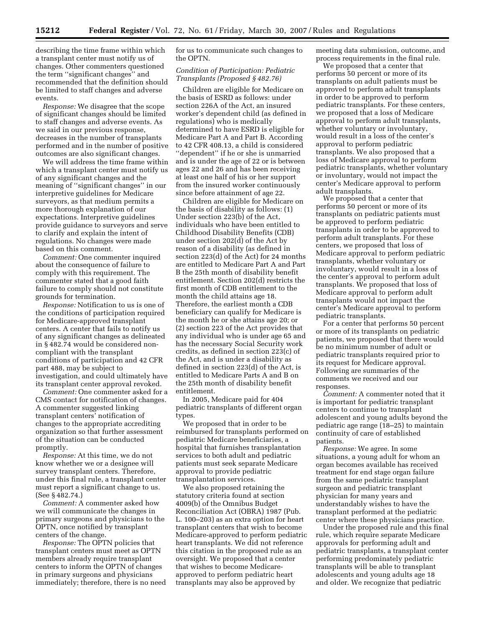describing the time frame within which a transplant center must notify us of changes. Other commenters questioned the term ''significant changes'' and recommended that the definition should be limited to staff changes and adverse events.

*Response:* We disagree that the scope of significant changes should be limited to staff changes and adverse events. As we said in our previous response, decreases in the number of transplants performed and in the number of positive outcomes are also significant changes.

We will address the time frame within which a transplant center must notify us of any significant changes and the meaning of ''significant changes'' in our interpretive guidelines for Medicare surveyors, as that medium permits a more thorough explanation of our expectations. Interpretive guidelines provide guidance to surveyors and serve to clarify and explain the intent of regulations. No changes were made based on this comment.

*Comment:* One commenter inquired about the consequence of failure to comply with this requirement. The commenter stated that a good faith failure to comply should not constitute grounds for termination.

*Response:* Notification to us is one of the conditions of participation required for Medicare-approved transplant centers. A center that fails to notify us of any significant changes as delineated in § 482.74 would be considered noncompliant with the transplant conditions of participation and 42 CFR part 488, may be subject to investigation, and could ultimately have its transplant center approval revoked.

*Comment:* One commenter asked for a CMS contact for notification of changes. A commenter suggested linking transplant centers' notification of changes to the appropriate accrediting organization so that further assessment of the situation can be conducted promptly.

*Response:* At this time, we do not know whether we or a designee will survey transplant centers. Therefore, under this final rule, a transplant center must report a significant change to us. (See § 482.74.)

*Comment:* A commenter asked how we will communicate the changes in primary surgeons and physicians to the OPTN, once notified by transplant centers of the change.

*Response:* The OPTN policies that transplant centers must meet as OPTN members already require transplant centers to inform the OPTN of changes in primary surgeons and physicians immediately; therefore, there is no need for us to communicate such changes to the OPTN.

#### *Condition of Participation: Pediatric Transplants (Proposed § 482.76)*

Children are eligible for Medicare on the basis of ESRD as follows: under section 226A of the Act, an insured worker's dependent child (as defined in regulations) who is medically determined to have ESRD is eligible for Medicare Part A and Part B. According to 42 CFR 408.13, a child is considered ''dependent'' if he or she is unmarried and is under the age of 22 or is between ages 22 and 26 and has been receiving at least one half of his or her support from the insured worker continuously since before attainment of age 22.

Children are eligible for Medicare on the basis of disability as follows: (1) Under section 223(b) of the Act, individuals who have been entitled to Childhood Disability Benefits (CDB) under section 202(d) of the Act by reason of a disability (as defined in section 223(d) of the Act) for 24 months are entitled to Medicare Part A and Part B the 25th month of disability benefit entitlement. Section 202(d) restricts the first month of CDB entitlement to the month the child attains age 18. Therefore, the earliest month a CDB beneficiary can qualify for Medicare is the month he or she attains age 20; or (2) section 223 of the Act provides that any individual who is under age 65 and has the necessary Social Security work credits, as defined in section 223(c) of the Act, and is under a disability as defined in section 223(d) of the Act, is entitled to Medicare Parts A and B on the 25th month of disability benefit entitlement.

In 2005, Medicare paid for 404 pediatric transplants of different organ types.

We proposed that in order to be reimbursed for transplants performed on pediatric Medicare beneficiaries, a hospital that furnishes transplantation services to both adult and pediatric patients must seek separate Medicare approval to provide pediatric transplantation services.

We also proposed retaining the statutory criteria found at section 4009(b) of the Omnibus Budget Reconciliation Act (OBRA) 1987 (Pub. L. 100–203) as an extra option for heart transplant centers that wish to become Medicare-approved to perform pediatric heart transplants. We did not reference this citation in the proposed rule as an oversight. We proposed that a center that wishes to become Medicareapproved to perform pediatric heart transplants may also be approved by

meeting data submission, outcome, and process requirements in the final rule.

We proposed that a center that performs 50 percent or more of its transplants on adult patients must be approved to perform adult transplants in order to be approved to perform pediatric transplants. For these centers, we proposed that a loss of Medicare approval to perform adult transplants, whether voluntary or involuntary, would result in a loss of the center's approval to perform pediatric transplants. We also proposed that a loss of Medicare approval to perform pediatric transplants, whether voluntary or involuntary, would not impact the center's Medicare approval to perform adult transplants.

We proposed that a center that performs 50 percent or more of its transplants on pediatric patients must be approved to perform pediatric transplants in order to be approved to perform adult transplants. For these centers, we proposed that loss of Medicare approval to perform pediatric transplants, whether voluntary or involuntary, would result in a loss of the center's approval to perform adult transplants. We proposed that loss of Medicare approval to perform adult transplants would not impact the center's Medicare approval to perform pediatric transplants.

For a center that performs 50 percent or more of its transplants on pediatric patients, we proposed that there would be no minimum number of adult or pediatric transplants required prior to its request for Medicare approval. Following are summaries of the comments we received and our responses.

*Comment:* A commenter noted that it is important for pediatric transplant centers to continue to transplant adolescent and young adults beyond the pediatric age range (18–25) to maintain continuity of care of established patients.

*Response:* We agree. In some situations, a young adult for whom an organ becomes available has received treatment for end stage organ failure from the same pediatric transplant surgeon and pediatric transplant physician for many years and understandably wishes to have the transplant performed at the pediatric center where these physicians practice.

Under the proposed rule and this final rule, which require separate Medicare approvals for performing adult and pediatric transplants, a transplant center performing predominately pediatric transplants will be able to transplant adolescents and young adults age 18 and older. We recognize that pediatric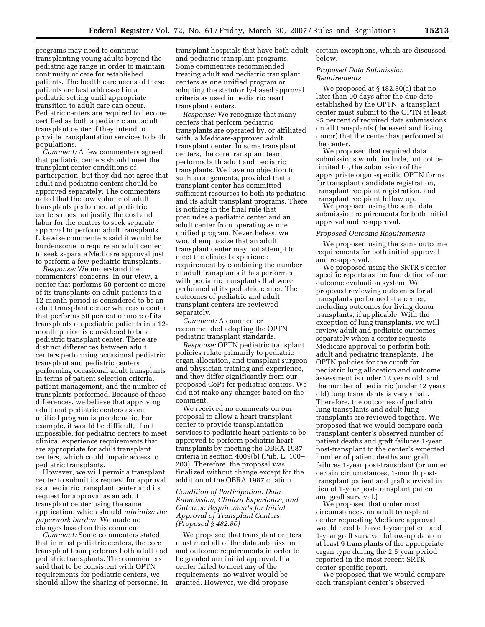programs may need to continue transplanting young adults beyond the pediatric age range in order to maintain continuity of care for established patients. The health care needs of these patients are best addressed in a pediatric setting until appropriate transition to adult care can occur. Pediatric centers are required to become certified as both a pediatric and adult transplant center if they intend to provide transplantation services to both populations.

*Comment:* A few commenters agreed that pediatric centers should meet the transplant center conditions of participation, but they did not agree that adult and pediatric centers should be approved separately. The commenters noted that the low volume of adult transplants performed at pediatric centers does not justify the cost and labor for the centers to seek separate approval to perform adult transplants. Likewise commenters said it would be burdensome to require an adult center to seek separate Medicare approval just to perform a few pediatric transplants.

*Response:* We understand the commenters' concerns. In our view, a center that performs 50 percent or more of its transplants on adult patients in a 12-month period is considered to be an adult transplant center whereas a center that performs 50 percent or more of its transplants on pediatric patients in a 12 month period is considered to be a pediatric transplant center. There are distinct differences between adult centers performing occasional pediatric transplant and pediatric centers performing occasional adult transplants in terms of patient selection criteria, patient management, and the number of transplants performed. Because of these differences, we believe that approving adult and pediatric centers as one unified program is problematic. For example, it would be difficult, if not impossible, for pediatric centers to meet clinical experience requirements that are appropriate for adult transplant centers, which could impair access to pediatric transplants.

However, we will permit a transplant center to submit its request for approval as a pediatric transplant center and its request for approval as an adult transplant center using the same application, which should *minimize the paperwork burden.* We made no changes based on this comment.

*Comment:* Some commenters stated that in most pediatric centers, the core transplant team performs both adult and pediatric transplants. The commenters said that to be consistent with OPTN requirements for pediatric centers, we should allow the sharing of personnel in

transplant hospitals that have both adult and pediatric transplant programs. Some commenters recommended treating adult and pediatric transplant centers as one unified program or adopting the statutorily-based approval criteria as used in pediatric heart transplant centers.

*Response:* We recognize that many centers that perform pediatric transplants are operated by, or affiliated with, a Medicare-approved adult transplant center. In some transplant centers, the core transplant team performs both adult and pediatric transplants. We have no objection to such arrangements, provided that a transplant center has committed sufficient resources to both its pediatric and its adult transplant programs. There is nothing in the final rule that precludes a pediatric center and an adult center from operating as one unified program. Nevertheless, we would emphasize that an adult transplant center may not attempt to meet the clinical experience requirement by combining the number of adult transplants it has performed with pediatric transplants that were performed at its pediatric center. The outcomes of pediatric and adult transplant centers are reviewed separately.

*Comment:* A commenter recommended adopting the OPTN pediatric transplant standards.

*Response:* OPTN pediatric transplant policies relate primarily to pediatric organ allocation, and transplant surgeon and physician training and experience, and they differ significantly from our proposed CoPs for pediatric centers. We did not make any changes based on the comment.

We received no comments on our proposal to allow a heart transplant center to provide transplantation services to pediatric heart patients to be approved to perform pediatric heart transplants by meeting the OBRA 1987 criteria in section 4009(b) (Pub. L. 100– 203). Therefore, the proposal was finalized without change except for the addition of the OBRA 1987 citation.

#### *Condition of Participation: Data Submission, Clinical Experience, and Outcome Requirements for Initial Approval of Transplant Centers (Proposed § 482.80)*

We proposed that transplant centers must meet all of the data submission and outcome requirements in order to be granted our initial approval. If a center failed to meet any of the requirements, no waiver would be granted. However, we did propose

certain exceptions, which are discussed below.

#### *Proposed Data Submission Requirements*

We proposed at § 482.80(a) that no later than 90 days after the due date established by the OPTN, a transplant center must submit to the OPTN at least 95 percent of required data submissions on all transplants (deceased and living donor) that the center has performed at the center.

We proposed that required data submissions would include, but not be limited to, the submission of the appropriate organ-specific OPTN forms for transplant candidate registration, transplant recipient registration, and transplant recipient follow up.

We proposed using the same data submission requirements for both initial approval and re-approval.

#### *Proposed Outcome Requirements*

We proposed using the same outcome requirements for both initial approval and re-approval.

We proposed using the SRTR's centerspecific reports as the foundation of our outcome evaluation system. We proposed reviewing outcomes for all transplants performed at a center, including outcomes for living donor transplants, if applicable. With the exception of lung transplants, we will review adult and pediatric outcomes separately when a center requests Medicare approval to perform both adult and pediatric transplants. The OPTN policies for the cutoff for pediatric lung allocation and outcome assessment is under 12 years old, and the number of pediatric (under 12 years old) lung transplants is very small. Therefore, the outcomes of pediatric lung transplants and adult lung transplants are reviewed together. We proposed that we would compare each transplant center's observed number of patient deaths and graft failures 1-year post-transplant to the center's expected number of patient deaths and graft failures 1-year post-transplant (or under certain circumstances, 1-month posttransplant patient and graft survival in lieu of 1-year post-transplant patient and graft survival.)

We proposed that under most circumstances, an adult transplant center requesting Medicare approval would need to have 1-year patient and 1-year graft survival follow-up data on at least 9 transplants of the appropriate organ type during the 2.5 year period reported in the most recent SRTR center-specific report.

We proposed that we would compare each transplant center's observed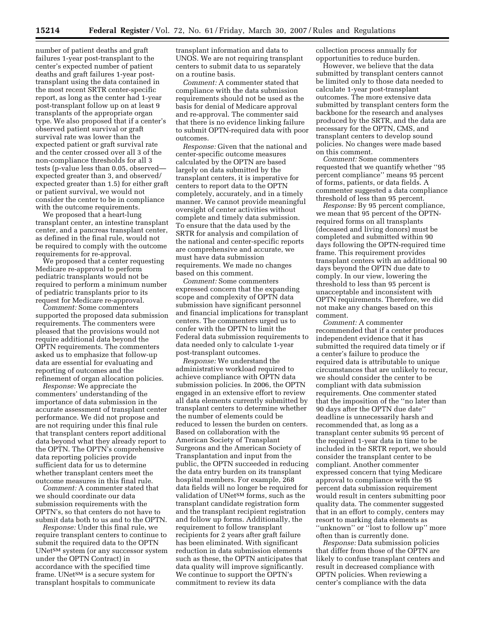number of patient deaths and graft failures 1-year post-transplant to the center's expected number of patient deaths and graft failures 1-year posttransplant using the data contained in the most recent SRTR center-specific report, as long as the center had 1-year post-transplant follow up on at least 9 transplants of the appropriate organ type. We also proposed that if a center's observed patient survival or graft survival rate was lower than the expected patient or graft survival rate and the center crossed over all 3 of the non-compliance thresholds for all 3 tests (p-value less than 0.05, observed expected greater than 3, and observed/ expected greater than 1.5) for either graft or patient survival, we would not consider the center to be in compliance with the outcome requirements.

We proposed that a heart-lung transplant center, an intestine transplant center, and a pancreas transplant center, as defined in the final rule, would not be required to comply with the outcome requirements for re-approval.

We proposed that a center requesting Medicare re-approval to perform pediatric transplants would not be required to perform a minimum number of pediatric transplants prior to its request for Medicare re-approval.

*Comment:* Some commenters supported the proposed data submission requirements. The commenters were pleased that the provisions would not require additional data beyond the OPTN requirements. The commenters asked us to emphasize that follow-up data are essential for evaluating and reporting of outcomes and the refinement of organ allocation policies.

*Response:* We appreciate the commenters' understanding of the importance of data submission in the accurate assessment of transplant center performance. We did not propose and are not requiring under this final rule that transplant centers report additional data beyond what they already report to the OPTN. The OPTN's comprehensive data reporting policies provide sufficient data for us to determine whether transplant centers meet the outcome measures in this final rule.

*Comment:* A commenter stated that we should coordinate our data submission requirements with the OPTN's, so that centers do not have to submit data both to us and to the OPTN.

*Response:* Under this final rule, we require transplant centers to continue to submit the required data to the OPTN UNet<sup>SM</sup> system (or any successor system under the OPTN Contract) in accordance with the specified time frame. UNet<sup>SM</sup> is a secure system for transplant hospitals to communicate

transplant information and data to UNOS. We are not requiring transplant centers to submit data to us separately on a routine basis.

*Comment:* A commenter stated that compliance with the data submission requirements should not be used as the basis for denial of Medicare approval and re-approval. The commenter said that there is no evidence linking failure to submit OPTN-required data with poor outcomes.

*Response:* Given that the national and center-specific outcome measures calculated by the OPTN are based largely on data submitted by the transplant centers, it is imperative for centers to report data to the OPTN completely, accurately, and in a timely manner. We cannot provide meaningful oversight of center activities without complete and timely data submission. To ensure that the data used by the SRTR for analysis and compilation of the national and center-specific reports are comprehensive and accurate, we must have data submission requirements. We made no changes based on this comment.

*Comment:* Some commenters expressed concern that the expanding scope and complexity of OPTN data submission have significant personnel and financial implications for transplant centers. The commenters urged us to confer with the OPTN to limit the Federal data submission requirements to data needed only to calculate 1-year post-transplant outcomes.

*Response:* We understand the administrative workload required to achieve compliance with OPTN data submission policies. In 2006, the OPTN engaged in an extensive effort to review all data elements currently submitted by transplant centers to determine whether the number of elements could be reduced to lessen the burden on centers. Based on collaboration with the American Society of Transplant Surgeons and the American Society of Transplantation and input from the public, the OPTN succeeded in reducing the data entry burden on its transplant hospital members. For example, 268 data fields will no longer be required for validation of UNetSM forms, such as the transplant candidate registration form and the transplant recipient registration and follow up forms. Additionally, the requirement to follow transplant recipients for 2 years after graft failure has been eliminated. With significant reduction in data submission elements such as these, the OPTN anticipates that data quality will improve significantly. We continue to support the OPTN's commitment to review its data

collection process annually for opportunities to reduce burden.

However, we believe that the data submitted by transplant centers cannot be limited only to those data needed to calculate 1-year post-transplant outcomes. The more extensive data submitted by transplant centers form the backbone for the research and analyses produced by the SRTR, and the data are necessary for the OPTN, CMS, and transplant centers to develop sound policies. No changes were made based on this comment.

*Comment:* Some commenters requested that we quantify whether ''95 percent compliance'' means 95 percent of forms, patients, or data fields. A commenter suggested a data compliance threshold of less than 95 percent.

*Response:* By 95 percent compliance, we mean that 95 percent of the OPTNrequired forms on all transplants (deceased and living donors) must be completed and submitted within 90 days following the OPTN-required time frame. This requirement provides transplant centers with an additional 90 days beyond the OPTN due date to comply. In our view, lowering the threshold to less than 95 percent is unacceptable and inconsistent with OPTN requirements. Therefore, we did not make any changes based on this comment.

*Comment:* A commenter recommended that if a center produces independent evidence that it has submitted the required data timely or if a center's failure to produce the required data is attributable to unique circumstances that are unlikely to recur, we should consider the center to be compliant with data submission requirements. One commenter stated that the imposition of the ''no later than 90 days after the OPTN due date'' deadline is unnecessarily harsh and recommended that, as long as a transplant center submits 95 percent of the required 1-year data in time to be included in the SRTR report, we should consider the transplant center to be compliant. Another commenter expressed concern that tying Medicare approval to compliance with the 95 percent data submission requirement would result in centers submitting poor quality data. The commenter suggested that in an effort to comply, centers may resort to marking data elements as ''unknown'' or ''lost to follow up'' more often than is currently done.

*Response:* Data submission policies that differ from those of the OPTN are likely to confuse transplant centers and result in decreased compliance with OPTN policies. When reviewing a center's compliance with the data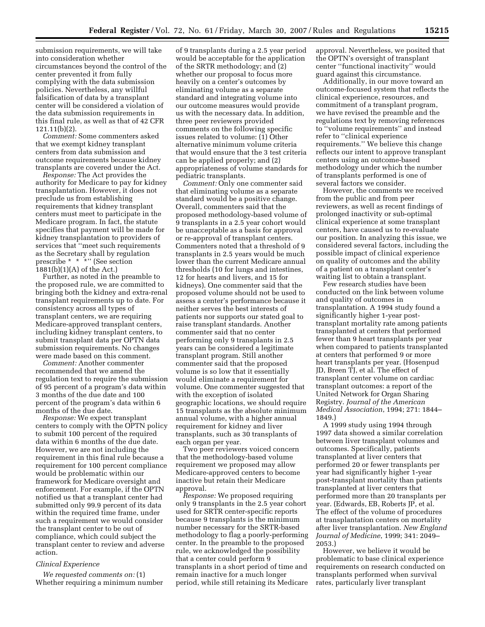submission requirements, we will take into consideration whether circumstances beyond the control of the center prevented it from fully complying with the data submission policies. Nevertheless, any willful falsification of data by a transplant center will be considered a violation of the data submission requirements in this final rule, as well as that of 42 CFR 121.11(b)(2).

*Comment:* Some commenters asked that we exempt kidney transplant centers from data submission and outcome requirements because kidney transplants are covered under the Act.

*Response:* The Act provides the authority for Medicare to pay for kidney transplantation. However, it does not preclude us from establishing requirements that kidney transplant centers must meet to participate in the Medicare program. In fact, the statute specifies that payment will be made for kidney transplantation to providers of services that ''meet such requirements as the Secretary shall by regulation prescribe \* \* \*'' (See section 1881(b)(1)(A) of the Act.)

Further, as noted in the preamble to the proposed rule, we are committed to bringing both the kidney and extra-renal transplant requirements up to date. For consistency across all types of transplant centers, we are requiring Medicare-approved transplant centers, including kidney transplant centers, to submit transplant data per OPTN data submission requirements. No changes were made based on this comment.

*Comment:* Another commenter recommended that we amend the regulation text to require the submission of 95 percent of a program's data within 3 months of the due date and 100 percent of the program's data within 6 months of the due date.

*Response:* We expect transplant centers to comply with the OPTN policy to submit 100 percent of the required data within 6 months of the due date. However, we are not including the requirement in this final rule because a requirement for 100 percent compliance would be problematic within our framework for Medicare oversight and enforcement. For example, if the OPTN notified us that a transplant center had submitted only 99.9 percent of its data within the required time frame, under such a requirement we would consider the transplant center to be out of compliance, which could subject the transplant center to review and adverse action.

#### *Clinical Experience*

*We requested comments on:* (1) Whether requiring a minimum number of 9 transplants during a 2.5 year period would be acceptable for the application of the SRTR methodology; and (2) whether our proposal to focus more heavily on a center's outcomes by eliminating volume as a separate standard and integrating volume into our outcome measures would provide us with the necessary data. In addition, three peer reviewers provided comments on the following specific issues related to volume: (1) Other alternative minimum volume criteria that would ensure that the 3 test criteria can be applied properly; and (2) appropriateness of volume standards for pediatric transplants.

*Comment:* Only one commenter said that eliminating volume as a separate standard would be a positive change. Overall, commenters said that the proposed methodology-based volume of 9 transplants in a 2.5 year cohort would be unacceptable as a basis for approval or re-approval of transplant centers. Commenters noted that a threshold of 9 transplants in 2.5 years would be much lower than the current Medicare annual thresholds (10 for lungs and intestines, 12 for hearts and livers, and 15 for kidneys). One commenter said that the proposed volume should not be used to assess a center's performance because it neither serves the best interests of patients nor supports our stated goal to raise transplant standards. Another commenter said that no center performing only 9 transplants in 2.5 years can be considered a legitimate transplant program. Still another commenter said that the proposed volume is so low that it essentially would eliminate a requirement for volume. One commenter suggested that with the exception of isolated geographic locations, we should require 15 transplants as the absolute minimum annual volume, with a higher annual requirement for kidney and liver transplants, such as 30 transplants of each organ per year.

Two peer reviewers voiced concern that the methodology-based volume requirement we proposed may allow Medicare-approved centers to become inactive but retain their Medicare approval.

*Response:* We proposed requiring only 9 transplants in the 2.5 year cohort used for SRTR center-specific reports because 9 transplants is the minimum number necessary for the SRTR-based methodology to flag a poorly-performing center. In the preamble to the proposed rule, we acknowledged the possibility that a center could perform 9 transplants in a short period of time and remain inactive for a much longer period, while still retaining its Medicare

approval. Nevertheless, we posited that the OPTN's oversight of transplant center ''functional inactivity'' would guard against this circumstance.

Additionally, in our move toward an outcome-focused system that reflects the clinical experience, resources, and commitment of a transplant program, we have revised the preamble and the regulations text by removing references to ''volume requirements'' and instead refer to ''clinical experience requirements.'' We believe this change reflects our intent to approve transplant centers using an outcome-based methodology under which the number of transplants performed is one of several factors we consider.

However, the comments we received from the public and from peer reviewers, as well as recent findings of prolonged inactivity or sub-optimal clinical experience at some transplant centers, have caused us to re-evaluate our position. In analyzing this issue, we considered several factors, including the possible impact of clinical experience on quality of outcomes and the ability of a patient on a transplant center's waiting list to obtain a transplant.

Few research studies have been conducted on the link between volume and quality of outcomes in transplantation. A 1994 study found a significantly higher 1-year posttransplant mortality rate among patients transplanted at centers that performed fewer than 9 heart transplants per year when compared to patients transplanted at centers that performed 9 or more heart transplants per year. (Hosenpud JD, Breen TJ, et al. The effect of transplant center volume on cardiac transplant outcomes: a report of the United Network for Organ Sharing Registry. *Journal of the American Medical Association*, 1994; 271: 1844– 1849.)

A 1999 study using 1994 through 1997 data showed a similar correlation between liver transplant volumes and outcomes. Specifically, patients transplanted at liver centers that performed 20 or fewer transplants per year had significantly higher 1-year post-transplant mortality than patients transplanted at liver centers that performed more than 20 transplants per year. (Edwards, EB, Roberts JP, et al. The effect of the volume of procedures at transplantation centers on mortality after liver transplantation. *New England Journal of Medicine*, 1999; 341: 2049– 2053.)

However, we believe it would be problematic to base clinical experience requirements on research conducted on transplants performed when survival rates, particularly liver transplant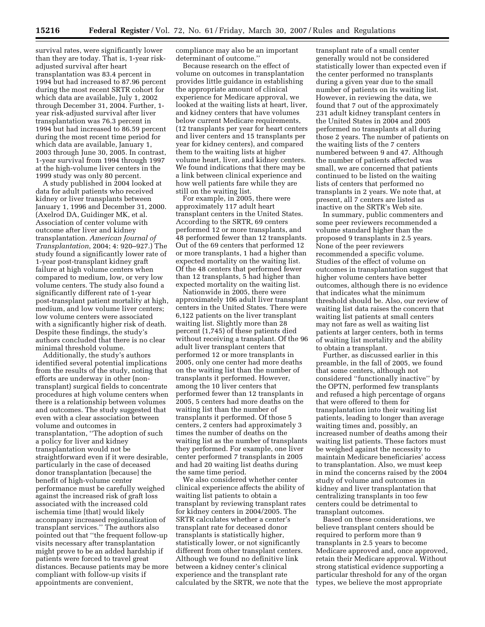survival rates, were significantly lower than they are today. That is, 1-year riskadjusted survival after heart transplantation was 83.4 percent in 1994 but had increased to 87.96 percent during the most recent SRTR cohort for which data are available, July 1, 2002 through December 31, 2004. Further, 1 year risk-adjusted survival after liver transplantation was 76.3 percent in 1994 but had increased to 86.59 percent during the most recent time period for which data are available, January 1, 2003 through June 30, 2005. In contrast, 1-year survival from 1994 through 1997 at the high-volume liver centers in the 1999 study was only 80 percent.

A study published in 2004 looked at data for adult patients who received kidney or liver transplants between January 1, 1996 and December 31, 2000. (Axelrod DA, Guidinger MK, et al. Association of center volume with outcome after liver and kidney transplantation. *American Journal of Transplantation*, 2004; 4: 920–927.) The study found a significantly lower rate of 1-year post-transplant kidney graft failure at high volume centers when compared to medium, low, or very low volume centers. The study also found a significantly different rate of 1-year post-transplant patient mortality at high, medium, and low volume liver centers; low volume centers were associated with a significantly higher risk of death. Despite these findings, the study's authors concluded that there is no clear minimal threshold volume.

Additionally, the study's authors identified several potential implications from the results of the study, noting that efforts are underway in other (nontransplant) surgical fields to concentrate procedures at high volume centers when there is a relationship between volumes and outcomes. The study suggested that even with a clear association between volume and outcomes in transplantation, ''The adoption of such a policy for liver and kidney transplantation would not be straightforward even if it were desirable, particularly in the case of deceased donor transplantation [because] the benefit of high-volume center performance must be carefully weighed against the increased risk of graft loss associated with the increased cold ischemia time [that] would likely accompany increased regionalization of transplant services.'' The authors also pointed out that ''the frequent follow-up visits necessary after transplantation might prove to be an added hardship if patients were forced to travel great distances. Because patients may be more compliant with follow-up visits if appointments are convenient,

compliance may also be an important determinant of outcome.''

Because research on the effect of volume on outcomes in transplantation provides little guidance in establishing the appropriate amount of clinical experience for Medicare approval, we looked at the waiting lists at heart, liver, and kidney centers that have volumes below current Medicare requirements, (12 transplants per year for heart centers and liver centers and 15 transplants per year for kidney centers), and compared them to the waiting lists at higher volume heart, liver, and kidney centers. We found indications that there may be a link between clinical experience and how well patients fare while they are still on the waiting list.

For example, in 2005, there were approximately 117 adult heart transplant centers in the United States. According to the SRTR, 69 centers performed 12 or more transplants, and 48 performed fewer than 12 transplants. Out of the 69 centers that performed 12 or more transplants, 1 had a higher than expected mortality on the waiting list. Of the 48 centers that performed fewer than 12 transplants, 5 had higher than expected mortality on the waiting list.

Nationwide in 2005, there were approximately 106 adult liver transplant centers in the United States. There were 6,122 patients on the liver transplant waiting list. Slightly more than 28 percent (1,745) of these patients died without receiving a transplant. Of the 96 adult liver transplant centers that performed 12 or more transplants in 2005, only one center had more deaths on the waiting list than the number of transplants it performed. However, among the 10 liver centers that performed fewer than 12 transplants in 2005, 5 centers had more deaths on the waiting list than the number of transplants it performed. Of those 5 centers, 2 centers had approximately 3 times the number of deaths on the waiting list as the number of transplants they performed. For example, one liver center performed 7 transplants in 2005 and had 20 waiting list deaths during the same time period.

We also considered whether center clinical experience affects the ability of waiting list patients to obtain a transplant by reviewing transplant rates for kidney centers in 2004/2005. The SRTR calculates whether a center's transplant rate for deceased donor transplants is statistically higher, statistically lower, or not significantly different from other transplant centers. Although we found no definitive link between a kidney center's clinical experience and the transplant rate calculated by the SRTR, we note that the

transplant rate of a small center generally would not be considered statistically lower than expected even if the center performed no transplants during a given year due to the small number of patients on its waiting list. However, in reviewing the data, we found that 7 out of the approximately 231 adult kidney transplant centers in the United States in 2004 and 2005 performed no transplants at all during those 2 years. The number of patients on the waiting lists of the 7 centers numbered between 9 and 47. Although the number of patients affected was small, we are concerned that patients continued to be listed on the waiting lists of centers that performed no transplants in 2 years. We note that, at present, all 7 centers are listed as inactive on the SRTR's Web site.

In summary, public commenters and some peer reviewers recommended a volume standard higher than the proposed 9 transplants in 2.5 years. None of the peer reviewers recommended a specific volume. Studies of the effect of volume on outcomes in transplantation suggest that higher volume centers have better outcomes, although there is no evidence that indicates what the minimum threshold should be. Also, our review of waiting list data raises the concern that waiting list patients at small centers may not fare as well as waiting list patients at larger centers, both in terms of waiting list mortality and the ability to obtain a transplant.

Further, as discussed earlier in this preamble, in the fall of 2005, we found that some centers, although not considered ''functionally inactive'' by the OPTN, performed few transplants and refused a high percentage of organs that were offered to them for transplantation into their waiting list patients, leading to longer than average waiting times and, possibly, an increased number of deaths among their waiting list patients. These factors must be weighed against the necessity to maintain Medicare beneficiaries' access to transplantation. Also, we must keep in mind the concerns raised by the 2004 study of volume and outcomes in kidney and liver transplantation that centralizing transplants in too few centers could be detrimental to transplant outcomes.

Based on these considerations, we believe transplant centers should be required to perform more than 9 transplants in 2.5 years to become Medicare approved and, once approved, retain their Medicare approval. Without strong statistical evidence supporting a particular threshold for any of the organ types, we believe the most appropriate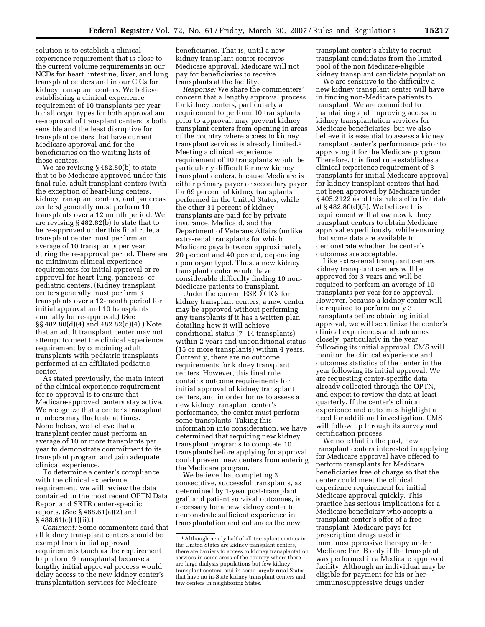solution is to establish a clinical experience requirement that is close to the current volume requirements in our NCDs for heart, intestine, liver, and lung transplant centers and in our CfCs for kidney transplant centers. We believe establishing a clinical experience requirement of 10 transplants per year for all organ types for both approval and re-approval of transplant centers is both sensible and the least disruptive for transplant centers that have current Medicare approval and for the beneficiaries on the waiting lists of these centers.

We are revising § 482.80(b) to state that to be Medicare approved under this final rule, adult transplant centers (with the exception of heart-lung centers, kidney transplant centers, and pancreas centers) generally must perform 10 transplants over a 12 month period. We are revising § 482.82(b) to state that to be re-approved under this final rule, a transplant center must perform an average of 10 transplants per year during the re-approval period. There are no minimum clinical experience requirements for initial approval or reapproval for heart-lung, pancreas, or pediatric centers. (Kidney transplant centers generally must perform 3 transplants over a 12-month period for initial approval and 10 transplants annually for re-approval.) (See §§ 482.80(d)(4) and 482.82(d)(4).) Note that an adult transplant center may not attempt to meet the clinical experience requirement by combining adult transplants with pediatric transplants performed at an affiliated pediatric center.

As stated previously, the main intent of the clinical experience requirement for re-approval is to ensure that Medicare-approved centers stay active. We recognize that a center's transplant numbers may fluctuate at times. Nonetheless, we believe that a transplant center must perform an average of 10 or more transplants per year to demonstrate commitment to its transplant program and gain adequate clinical experience.

To determine a center's compliance with the clinical experience requirement, we will review the data contained in the most recent OPTN Data Report and SRTR center-specific reports. (See § 488.61(a)(2) and  $§ 488.61(c)(1)(ii).]$ 

*Comment:* Some commenters said that all kidney transplant centers should be exempt from initial approval requirements (such as the requirement to perform 9 transplants) because a lengthy initial approval process would delay access to the new kidney center's transplantation services for Medicare

beneficiaries. That is, until a new kidney transplant center receives Medicare approval, Medicare will not pay for beneficiaries to receive transplants at the facility.

*Response:* We share the commenters' concern that a lengthy approval process for kidney centers, particularly a requirement to perform 10 transplants prior to approval, may prevent kidney transplant centers from opening in areas of the country where access to kidney transplant services is already limited.1 Meeting a clinical experience requirement of 10 transplants would be particularly difficult for new kidney transplant centers, because Medicare is either primary payer or secondary payer for 69 percent of kidney transplants performed in the United States, while the other 31 percent of kidney transplants are paid for by private insurance, Medicaid, and the Department of Veterans Affairs (unlike extra-renal transplants for which Medicare pays between approximately 20 percent and 40 percent, depending upon organ type). Thus, a new kidney transplant center would have considerable difficulty finding 10 non-Medicare patients to transplant.

Under the current ESRD CfCs for kidney transplant centers, a new center may be approved without performing any transplants if it has a written plan detailing how it will achieve conditional status (7–14 transplants) within 2 years and unconditional status (15 or more transplants) within 4 years. Currently, there are no outcome requirements for kidney transplant centers. However, this final rule contains outcome requirements for initial approval of kidney transplant centers, and in order for us to assess a new kidney transplant center's performance, the center must perform some transplants. Taking this information into consideration, we have determined that requiring new kidney transplant programs to complete 10 transplants before applying for approval could prevent new centers from entering the Medicare program.

We believe that completing 3 consecutive, successful transplants, as determined by 1-year post-transplant graft and patient survival outcomes, is necessary for a new kidney center to demonstrate sufficient experience in transplantation and enhances the new

transplant center's ability to recruit transplant candidates from the limited pool of the non Medicare-eligible kidney transplant candidate population.

We are sensitive to the difficulty a new kidney transplant center will have in finding non-Medicare patients to transplant. We are committed to maintaining and improving access to kidney transplantation services for Medicare beneficiaries, but we also believe it is essential to assess a kidney transplant center's performance prior to approving it for the Medicare program. Therefore, this final rule establishes a clinical experience requirement of 3 transplants for initial Medicare approval for kidney transplant centers that had not been approved by Medicare under § 405.2122 as of this rule's effective date at § 482.80(d)(5). We believe this requirement will allow new kidney transplant centers to obtain Medicare approval expeditiously, while ensuring that some data are available to demonstrate whether the center's outcomes are acceptable.

Like extra-renal transplant centers, kidney transplant centers will be approved for 3 years and will be required to perform an average of 10 transplants per year for re-approval. However, because a kidney center will be required to perform only 3 transplants before obtaining initial approval, we will scrutinize the center's clinical experiences and outcomes closely, particularly in the year following its initial approval. CMS will monitor the clinical experience and outcomes statistics of the center in the year following its initial approval. We are requesting center-specific data already collected through the OPTN, and expect to review the data at least quarterly. If the center's clinical experience and outcomes highlight a need for additional investigation, CMS will follow up through its survey and certification process.

We note that in the past, new transplant centers interested in applying for Medicare approval have offered to perform transplants for Medicare beneficiaries free of charge so that the center could meet the clinical experience requirement for initial Medicare approval quickly. This practice has serious implications for a Medicare beneficiary who accepts a transplant center's offer of a free transplant. Medicare pays for prescription drugs used in immunosuppressive therapy under Medicare Part B only if the transplant was performed in a Medicare approved facility. Although an individual may be eligible for payment for his or her immunosuppressive drugs under

<sup>1</sup>Although nearly half of all transplant centers in the United States are kidney transplant centers, there are barriers to access to kidney transplantation services in some areas of the country where there are large dialysis populations but few kidney transplant centers, and in some largely rural States that have no in-State kidney transplant centers and few centers in neighboring States.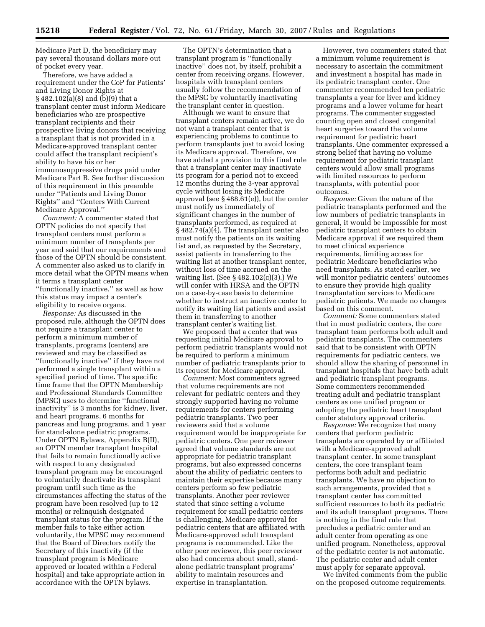Medicare Part D, the beneficiary may pay several thousand dollars more out of pocket every year.

Therefore, we have added a requirement under the CoP for Patients' and Living Donor Rights at § 482.102(a)(8) and (b)(9) that a transplant center must inform Medicare beneficiaries who are prospective transplant recipients and their prospective living donors that receiving a transplant that is not provided in a Medicare-approved transplant center could affect the transplant recipient's ability to have his or her immunosuppressive drugs paid under Medicare Part B. See further discussion of this requirement in this preamble under ''Patients and Living Donor Rights'' and ''Centers With Current Medicare Approval.''

*Comment:* A commenter stated that OPTN policies do not specify that transplant centers must perform a minimum number of transplants per year and said that our requirements and those of the OPTN should be consistent. A commenter also asked us to clarify in more detail what the OPTN means when it terms a transplant center ''functionally inactive,'' as well as how this status may impact a center's eligibility to receive organs.

*Response:* As discussed in the proposed rule, although the OPTN does not require a transplant center to perform a minimum number of transplants, programs (centers) are reviewed and may be classified as ''functionally inactive'' if they have not performed a single transplant within a specified period of time. The specific time frame that the OPTN Membership and Professional Standards Committee (MPSC) uses to determine ''functional inactivity'' is 3 months for kidney, liver, and heart programs, 6 months for pancreas and lung programs, and 1 year for stand-alone pediatric programs. Under OPTN Bylaws, Appendix B(II), an OPTN member transplant hospital that fails to remain functionally active with respect to any designated transplant program may be encouraged to voluntarily deactivate its transplant program until such time as the circumstances affecting the status of the program have been resolved (up to 12 months) or relinquish designated transplant status for the program. If the member fails to take either action voluntarily, the MPSC may recommend that the Board of Directors notify the Secretary of this inactivity (if the transplant program is Medicare approved or located within a Federal hospital) and take appropriate action in accordance with the OPTN bylaws.

The OPTN's determination that a transplant program is ''functionally inactive'' does not, by itself, prohibit a center from receiving organs. However, hospitals with transplant centers usually follow the recommendation of the MPSC by voluntarily inactivating the transplant center in question.

Although we want to ensure that transplant centers remain active, we do not want a transplant center that is experiencing problems to continue to perform transplants just to avoid losing its Medicare approval. Therefore, we have added a provision to this final rule that a transplant center may inactivate its program for a period not to exceed 12 months during the 3-year approval cycle without losing its Medicare approval (see § 488.61(e)), but the center must notify us immediately of significant changes in the number of transplants performed, as required at § 482.74(a)(4). The transplant center also must notify the patients on its waiting list and, as requested by the Secretary, assist patients in transferring to the waiting list at another transplant center, without loss of time accrued on the waiting list. (See § 482.102(c)(3).) We will confer with HRSA and the OPTN on a case-by-case basis to determine whether to instruct an inactive center to notify its waiting list patients and assist them in transferring to another transplant center's waiting list.

We proposed that a center that was requesting initial Medicare approval to perform pediatric transplants would not be required to perform a minimum number of pediatric transplants prior to its request for Medicare approval.

*Comment:* Most commenters agreed that volume requirements are not relevant for pediatric centers and they strongly supported having no volume requirements for centers performing pediatric transplants. Two peer reviewers said that a volume requirement would be inappropriate for pediatric centers. One peer reviewer agreed that volume standards are not appropriate for pediatric transplant programs, but also expressed concerns about the ability of pediatric centers to maintain their expertise because many centers perform so few pediatric transplants. Another peer reviewer stated that since setting a volume requirement for small pediatric centers is challenging, Medicare approval for pediatric centers that are affiliated with Medicare-approved adult transplant programs is recommended. Like the other peer reviewer, this peer reviewer also had concerns about small, standalone pediatric transplant programs' ability to maintain resources and expertise in transplantation.

However, two commenters stated that a minimum volume requirement is necessary to ascertain the commitment and investment a hospital has made in its pediatric transplant center. One commenter recommended ten pediatric transplants a year for liver and kidney programs and a lower volume for heart programs. The commenter suggested counting open and closed congenital heart surgeries toward the volume requirement for pediatric heart transplants. One commenter expressed a strong belief that having no volume requirement for pediatric transplant centers would allow small programs with limited resources to perform transplants, with potential poor outcomes.

*Response:* Given the nature of the pediatric transplants performed and the low numbers of pediatric transplants in general, it would be impossible for most pediatric transplant centers to obtain Medicare approval if we required them to meet clinical experience requirements, limiting access for pediatric Medicare beneficiaries who need transplants. As stated earlier, we will monitor pediatric centers' outcomes to ensure they provide high quality transplantation services to Medicare pediatric patients. We made no changes based on this comment.

*Comment:* Some commenters stated that in most pediatric centers, the core transplant team performs both adult and pediatric transplants. The commenters said that to be consistent with OPTN requirements for pediatric centers, we should allow the sharing of personnel in transplant hospitals that have both adult and pediatric transplant programs. Some commenters recommended treating adult and pediatric transplant centers as one unified program or adopting the pediatric heart transplant center statutory approval criteria.

*Response:* We recognize that many centers that perform pediatric transplants are operated by or affiliated with a Medicare-approved adult transplant center. In some transplant centers, the core transplant team performs both adult and pediatric transplants. We have no objection to such arrangements, provided that a transplant center has committed sufficient resources to both its pediatric and its adult transplant programs. There is nothing in the final rule that precludes a pediatric center and an adult center from operating as one unified program. Nonetheless, approval of the pediatric center is not automatic. The pediatric center and adult center must apply for separate approval.

We invited comments from the public on the proposed outcome requirements.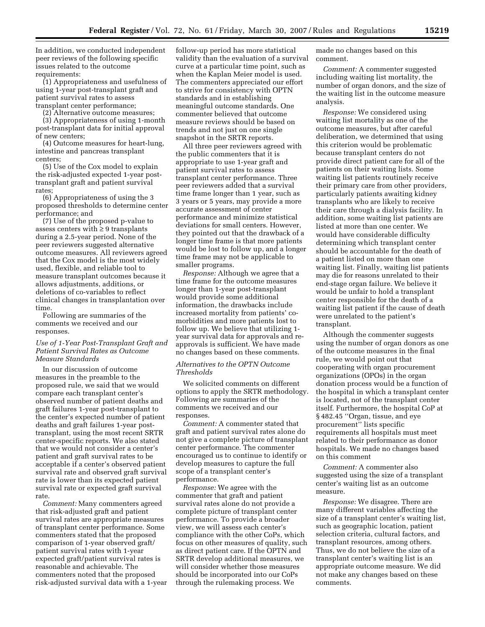In addition, we conducted independent peer reviews of the following specific issues related to the outcome requirements:

(1) Appropriateness and usefulness of using 1-year post-transplant graft and patient survival rates to assess transplant center performance;

(2) Alternative outcome measures;

(3) Appropriateness of using 1-month post-transplant data for initial approval of new centers;

(4) Outcome measures for heart-lung, intestine and pancreas transplant centers;

(5) Use of the Cox model to explain the risk-adjusted expected 1-year posttransplant graft and patient survival rates;

(6) Appropriateness of using the 3 proposed thresholds to determine center performance; and

(7) Use of the proposed p-value to assess centers with  $\geq 9$  transplants during a 2.5-year period. None of the peer reviewers suggested alternative outcome measures. All reviewers agreed that the Cox model is the most widely used, flexible, and reliable tool to measure transplant outcomes because it allows adjustments, additions, or deletions of co-variables to reflect clinical changes in transplantation over time

Following are summaries of the comments we received and our responses.

#### *Use of 1-Year Post-Transplant Graft and Patient Survival Rates as Outcome Measure Standards*

In our discussion of outcome measures in the preamble to the proposed rule, we said that we would compare each transplant center's observed number of patient deaths and graft failures 1-year post-transplant to the center's expected number of patient deaths and graft failures 1-year posttransplant, using the most recent SRTR center-specific reports. We also stated that we would not consider a center's patient and graft survival rates to be acceptable if a center's observed patient survival rate and observed graft survival rate is lower than its expected patient survival rate or expected graft survival rate.

*Comment:* Many commenters agreed that risk-adjusted graft and patient survival rates are appropriate measures of transplant center performance. Some commenters stated that the proposed comparison of 1-year observed graft/ patient survival rates with 1-year expected graft/patient survival rates is reasonable and achievable. The commenters noted that the proposed risk-adjusted survival data with a 1-year

follow-up period has more statistical validity than the evaluation of a survival curve at a particular time point, such as when the Kaplan Meier model is used. The commenters appreciated our effort to strive for consistency with OPTN standards and in establishing meaningful outcome standards. One commenter believed that outcome measure reviews should be based on trends and not just on one single snapshot in the SRTR reports.

All three peer reviewers agreed with the public commenters that it is appropriate to use 1-year graft and patient survival rates to assess transplant center performance. Three peer reviewers added that a survival time frame longer than 1 year, such as 3 years or 5 years, may provide a more accurate assessment of center performance and minimize statistical deviations for small centers. However, they pointed out that the drawback of a longer time frame is that more patients would be lost to follow up, and a longer time frame may not be applicable to smaller programs.

*Response:* Although we agree that a time frame for the outcome measures longer than 1-year post-transplant would provide some additional information, the drawbacks include increased mortality from patients' comorbidities and more patients lost to follow up. We believe that utilizing 1 year survival data for approvals and reapprovals is sufficient. We have made no changes based on these comments.

*Alternatives to the OPTN Outcome Thresholds* 

We solicited comments on different options to apply the SRTR methodology. Following are summaries of the comments we received and our responses.

*Comment:* A commenter stated that graft and patient survival rates alone do not give a complete picture of transplant center performance. The commenter encouraged us to continue to identify or develop measures to capture the full scope of a transplant center's performance.

*Response:* We agree with the commenter that graft and patient survival rates alone do not provide a complete picture of transplant center performance. To provide a broader view, we will assess each center's compliance with the other CoPs, which focus on other measures of quality, such as direct patient care. If the OPTN and SRTR develop additional measures, we will consider whether those measures should be incorporated into our CoPs through the rulemaking process. We

made no changes based on this comment.

*Comment:* A commenter suggested including waiting list mortality, the number of organ donors, and the size of the waiting list in the outcome measure analysis.

*Response:* We considered using waiting list mortality as one of the outcome measures, but after careful deliberation, we determined that using this criterion would be problematic because transplant centers do not provide direct patient care for all of the patients on their waiting lists. Some waiting list patients routinely receive their primary care from other providers, particularly patients awaiting kidney transplants who are likely to receive their care through a dialysis facility. In addition, some waiting list patients are listed at more than one center. We would have considerable difficulty determining which transplant center should be accountable for the death of a patient listed on more than one waiting list. Finally, waiting list patients may die for reasons unrelated to their end-stage organ failure. We believe it would be unfair to hold a transplant center responsible for the death of a waiting list patient if the cause of death were unrelated to the patient's transplant.

Although the commenter suggests using the number of organ donors as one of the outcome measures in the final rule, we would point out that cooperating with organ procurement organizations (OPOs) in the organ donation process would be a function of the hospital in which a transplant center is located, not of the transplant center itself. Furthermore, the hospital CoP at § 482.45 ''Organ, tissue, and eye procurement'' lists specific requirements all hospitals must meet related to their performance as donor hospitals. We made no changes based on this comment

*Comment:* A commenter also suggested using the size of a transplant center's waiting list as an outcome measure.

*Response:* We disagree. There are many different variables affecting the size of a transplant center's waiting list, such as geographic location, patient selection criteria, cultural factors, and transplant resources, among others. Thus, we do not believe the size of a transplant center's waiting list is an appropriate outcome measure. We did not make any changes based on these comments.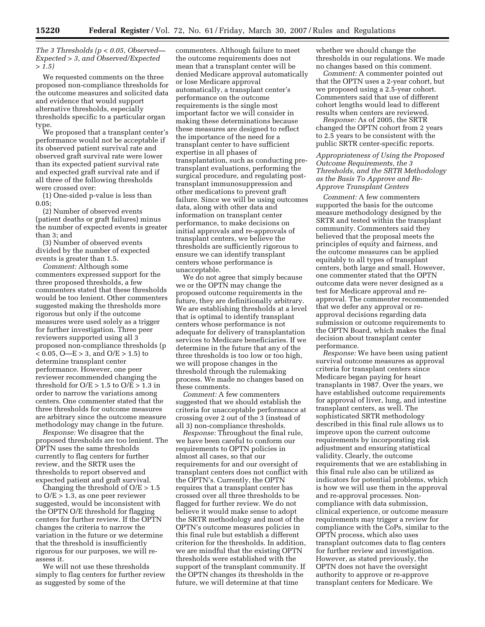*The 3 Thresholds (p < 0.05, Observed— Expected > 3, and Observed/Expected > 1.5)* 

We requested comments on the three proposed non-compliance thresholds for the outcome measures and solicited data and evidence that would support alternative thresholds, especially thresholds specific to a particular organ type.

We proposed that a transplant center's performance would not be acceptable if its observed patient survival rate and observed graft survival rate were lower than its expected patient survival rate and expected graft survival rate and if all three of the following thresholds were crossed over:

(1) One-sided p-value is less than 0.05;

(2) Number of observed events (patient deaths or graft failures) minus the number of expected events is greater than 3; and

(3) Number of observed events divided by the number of expected events is greater than 1.5.

*Comment:* Although some commenters expressed support for the three proposed thresholds, a few commenters stated that these thresholds would be too lenient. Other commenters suggested making the thresholds more rigorous but only if the outcome measures were used solely as a trigger for further investigation. Three peer reviewers supported using all 3 proposed non-compliance thresholds (p  $< 0.05$ , O—E > 3, and O/E > 1.5) to determine transplant center performance. However, one peer reviewer recommended changing the threshold for  $O/E > 1.5$  to  $O/E > 1.3$  in order to narrow the variations among centers. One commenter stated that the three thresholds for outcome measures are arbitrary since the outcome measure methodology may change in the future.

*Response:* We disagree that the proposed thresholds are too lenient. The OPTN uses the same thresholds currently to flag centers for further review, and the SRTR uses the thresholds to report observed and expected patient and graft survival.

Changing the threshold of  $O/E > 1.5$ to  $O/E > 1.3$ , as one peer reviewer suggested, would be inconsistent with the OPTN O/E threshold for flagging centers for further review. If the OPTN changes the criteria to narrow the variation in the future or we determine that the threshold is insufficiently rigorous for our purposes, we will reassess it.

We will not use these thresholds simply to flag centers for further review as suggested by some of the

commenters. Although failure to meet the outcome requirements does not mean that a transplant center will be denied Medicare approval automatically or lose Medicare approval automatically, a transplant center's performance on the outcome requirements is the single most important factor we will consider in making these determinations because these measures are designed to reflect the importance of the need for a transplant center to have sufficient expertise in all phases of transplantation, such as conducting pretransplant evaluations, performing the surgical procedure, and regulating posttransplant immunosuppression and other medications to prevent graft failure. Since we will be using outcomes data, along with other data and information on transplant center performance, to make decisions on initial approvals and re-approvals of transplant centers, we believe the thresholds are sufficiently rigorous to ensure we can identify transplant centers whose performance is unacceptable.

We do not agree that simply because we or the OPTN may change the proposed outcome requirements in the future, they are definitionally arbitrary. We are establishing thresholds at a level that is optimal to identify transplant centers whose performance is not adequate for delivery of transplantation services to Medicare beneficiaries. If we determine in the future that any of the three thresholds is too low or too high, we will propose changes in the threshold through the rulemaking process. We made no changes based on these comments.

*Comment:* A few commenters suggested that we should establish the criteria for unacceptable performance at crossing over 2 out of the 3 (instead of all 3) non-compliance thresholds.

*Response:* Throughout the final rule, we have been careful to conform our requirements to OPTN policies in almost all cases, so that our requirements for and our oversight of transplant centers does not conflict with the OPTN's. Currently, the OPTN requires that a transplant center has crossed over all three thresholds to be flagged for further review. We do not believe it would make sense to adopt the SRTR methodology and most of the OPTN's outcome measures policies in this final rule but establish a different criterion for the thresholds. In addition, we are mindful that the existing OPTN thresholds were established with the support of the transplant community. If the OPTN changes its thresholds in the future, we will determine at that time

whether we should change the thresholds in our regulations. We made no changes based on this comment.

*Comment:* A commenter pointed out that the OPTN uses a 2-year cohort, but we proposed using a 2.5-year cohort. Commenters said that use of different cohort lengths would lead to different results when centers are reviewed.

*Response:* As of 2005, the SRTR changed the OPTN cohort from 2 years to 2.5 years to be consistent with the public SRTR center-specific reports.

*Appropriateness of Using the Proposed Outcome Requirements, the 3 Thresholds, and the SRTR Methodology as the Basis To Approve and Re-Approve Transplant Centers* 

*Comment:* A few commenters supported the basis for the outcome measure methodology designed by the SRTR and tested within the transplant community. Commenters said they believed that the proposal meets the principles of equity and fairness, and the outcome measures can be applied equitably to all types of transplant centers, both large and small. However, one commenter stated that the OPTN outcome data were never designed as a test for Medicare approval and reapproval. The commenter recommended that we defer any approval or reapproval decisions regarding data submission or outcome requirements to the OPTN Board, which makes the final decision about transplant center performance.

*Response:* We have been using patient survival outcome measures as approval criteria for transplant centers since Medicare began paying for heart transplants in 1987. Over the years, we have established outcome requirements for approval of liver, lung, and intestine transplant centers, as well. The sophisticated SRTR methodology described in this final rule allows us to improve upon the current outcome requirements by incorporating risk adjustment and ensuring statistical validity. Clearly, the outcome requirements that we are establishing in this final rule also can be utilized as indicators for potential problems, which is how we will use them in the approval and re-approval processes. Noncompliance with data submission, clinical experience, or outcome measure requirements may trigger a review for compliance with the CoPs, similar to the OPTN process, which also uses transplant outcomes data to flag centers for further review and investigation. However, as stated previously, the OPTN does not have the oversight authority to approve or re-approve transplant centers for Medicare. We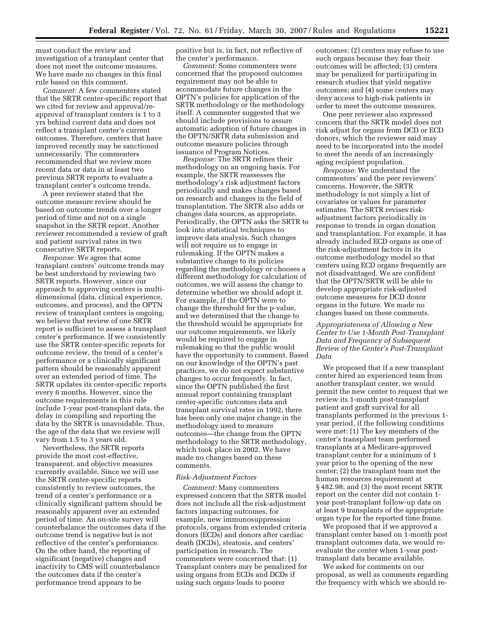must conduct the review and investigation of a transplant center that does not meet the outcome measures. We have made no changes in this final rule based on this comment.

*Comment:* A few commenters stated that the SRTR center-specific report that we cited for review and approval/reapproval of transplant centers is 1 to 3 yrs behind current data and does not reflect a transplant center's current outcomes. Therefore, centers that have improved recently may be sanctioned unnecessarily. The commenters recommended that we review more recent data or data in at least two previous SRTR reports to evaluate a transplant center's outcome trends.

A peer reviewer stated that the outcome measure review should be based on outcome trends over a longer period of time and not on a single snapshot in the SRTR report. Another reviewer recommended a review of graft and patient survival rates in two consecutive SRTR reports.

*Response:* We agree that some transplant centers' outcome trends may be best understood by reviewing two SRTR reports. However, since our approach to approving centers is multidimensional (data, clinical experience, outcomes, and process), and the OPTN review of transplant centers is ongoing, we believe that review of one SRTR report is sufficient to assess a transplant center's performance. If we consistently use the SRTR center-specific reports for outcome review, the trend of a center's performance or a clinically significant pattern should be reasonably apparent over an extended period of time. The SRTR updates its center-specific reports every 6 months. However, since the outcome requirements in this rule include 1-year post-transplant data, the delay in compiling and reporting the data by the SRTR is unavoidable. Thus, the age of the data that we review will vary from 1.5 to 3 years old.

Nevertheless, the SRTR reports provide the most cost-effective, transparent, and objective measures currently available. Since we will use the SRTR center-specific reports consistently to review outcomes, the trend of a center's performance or a clinically significant pattern should be reasonably apparent over an extended period of time. An on-site survey will counterbalance the outcomes data if the outcome trend is negative but is not reflective of the center's performance. On the other hand, the reporting of significant (negative) changes and inactivity to CMS will counterbalance the outcomes data if the center's performance trend appears to be

positive but is, in fact, not reflective of the center's performance.

*Comment:* Some commenters were concerned that the proposed outcomes requirement may not be able to accommodate future changes in the OPTN's policies for application of the SRTR methodology or the methodology itself. A commenter suggested that we should include provisions to assure automatic adoption of future changes in the OPTN/SRTR data submission and outcome measure policies through issuance of Program Notices.

*Response:* The SRTR refines their methodology on an ongoing basis. For example, the SRTR reassesses the methodology's risk adjustment factors periodically and makes changes based on research and changes in the field of transplantation. The SRTR also adds or changes data sources, as appropriate. Periodically, the OPTN asks the SRTR to look into statistical techniques to improve data analysis. Such changes will not require us to engage in rulemaking. If the OPTN makes a substantive change to its policies regarding the methodology or chooses a different methodology for calculation of outcomes, we will assess the change to determine whether we should adopt it. For example, if the OPTN were to change the threshold for the p-value, and we determined that the change to the threshold would be appropriate for our outcome requirements, we likely would be required to engage in rulemaking so that the public would have the opportunity to comment. Based on our knowledge of the OPTN's past practices, we do not expect substantive changes to occur frequently. In fact, since the OPTN published the first annual report containing transplant center-specific outcomes data and transplant survival rates in 1992, there has been only one major change in the methodology used to measure outcomes—the change from the OPTN methodology to the SRTR methodology, which took place in 2002. We have made no changes based on these comments.

#### *Risk-Adjustment Factors*

*Comment:* Many commenters expressed concern that the SRTR model does not include all the risk-adjustment factors impacting outcomes, for example, new immunosuppression protocols, organs from extended criteria donors (ECDs) and donors after cardiac death (DCDs), steatosis, and centers' participation in research. The commenters were concerned that: (1) Transplant centers may be penalized for using organs from ECDs and DCDs if using such organs leads to poorer

outcomes; (2) centers may refuse to use such organs because they fear their outcomes will be affected; (3) centers may be penalized for participating in research studies that yield negative outcomes; and (4) some centers may deny access to high-risk patients in order to meet the outcome measures.

One peer reviewer also expressed concern that the SRTR model does not risk adjust for organs from DCD or ECD donors, which the reviewer said may need to be incorporated into the model to meet the needs of an increasingly aging recipient population.

*Response:* We understand the commenters' and the peer reviewers' concerns. However, the SRTR methodology is not simply a list of covariates or values for parameter estimates. The SRTR revises riskadjustment factors periodically in response to trends in organ donation and transplantation. For example, it has already included ECD organs as one of the risk-adjustment factors in its outcome methodology model so that centers using ECD organs frequently are not disadvantaged. We are confident that the OPTN/SRTR will be able to develop appropriate risk-adjusted outcome measures for DCD donor organs in the future. We made no changes based on these comments.

#### *Appropriateness of Allowing a New Center to Use 1-Month Post-Transplant Data and Frequency of Subsequent Review of the Center's Post-Transplant Data*

We proposed that if a new transplant center hired an experienced team from another transplant center, we would permit the new center to request that we review its 1-month post-transplant patient and graft survival for all transplants performed in the previous 1 year period, if the following conditions were met: (1) The key members of the center's transplant team performed transplants at a Medicare-approved transplant center for a minimum of 1 year prior to the opening of the new center; (2) the transplant team met the human resources requirement at § 482.98; and (3) the most recent SRTR report on the center did not contain 1 year post-transplant follow-up data on at least 9 transplants of the appropriate organ type for the reported time frame.

We proposed that if we approved a transplant center based on 1-month post transplant outcomes data, we would reevaluate the center when 1-year posttransplant data became available.

We asked for comments on our proposal, as well as comments regarding the frequency with which we should re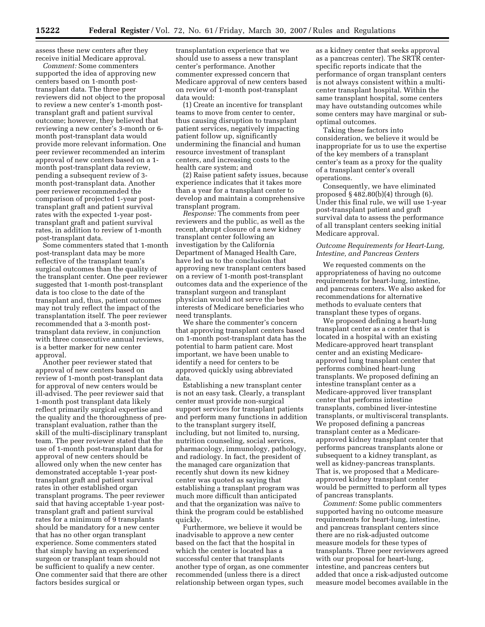assess these new centers after they receive initial Medicare approval.

*Comment:* Some commenters supported the idea of approving new centers based on 1-month posttransplant data. The three peer reviewers did not object to the proposal to review a new center's 1-month posttransplant graft and patient survival outcome; however, they believed that reviewing a new center's 3-month or 6 month post-transplant data would provide more relevant information. One peer reviewer recommended an interim approval of new centers based on a 1 month post-transplant data review, pending a subsequent review of 3 month post-transplant data. Another peer reviewer recommended the comparison of projected 1-year posttransplant graft and patient survival rates with the expected 1-year posttransplant graft and patient survival rates, in addition to review of 1-month post-transplant data.

Some commenters stated that 1-month post-transplant data may be more reflective of the transplant team's surgical outcomes than the quality of the transplant center. One peer reviewer suggested that 1-month post-transplant data is too close to the date of the transplant and, thus, patient outcomes may not truly reflect the impact of the transplantation itself. The peer reviewer recommended that a 3-month posttransplant data review, in conjunction with three consecutive annual reviews, is a better marker for new center approval.

Another peer reviewer stated that approval of new centers based on review of 1-month post-transplant data for approval of new centers would be ill-advised. The peer reviewer said that 1-month post transplant data likely reflect primarily surgical expertise and the quality and the thoroughness of pretransplant evaluation, rather than the skill of the multi-disciplinary transplant team. The peer reviewer stated that the use of 1-month post-transplant data for approval of new centers should be allowed only when the new center has demonstrated acceptable 1-year posttransplant graft and patient survival rates in other established organ transplant programs. The peer reviewer said that having acceptable 1-year posttransplant graft and patient survival rates for a minimum of 9 transplants should be mandatory for a new center that has no other organ transplant experience. Some commenters stated that simply having an experienced surgeon or transplant team should not be sufficient to qualify a new center. One commenter said that there are other factors besides surgical or

transplantation experience that we should use to assess a new transplant center's performance. Another commenter expressed concern that Medicare approval of new centers based on review of 1-month post-transplant data would:

(1) Create an incentive for transplant teams to move from center to center, thus causing disruption to transplant patient services, negatively impacting patient follow up, significantly undermining the financial and human resource investment of transplant centers, and increasing costs to the health care system; and

(2) Raise patient safety issues, because experience indicates that it takes more than a year for a transplant center to develop and maintain a comprehensive transplant program.

*Response:* The comments from peer reviewers and the public, as well as the recent, abrupt closure of a new kidney transplant center following an investigation by the California Department of Managed Health Care, have led us to the conclusion that approving new transplant centers based on a review of 1-month post-transplant outcomes data and the experience of the transplant surgeon and transplant physician would not serve the best interests of Medicare beneficiaries who need transplants.

We share the commenter's concern that approving transplant centers based on 1-month post-transplant data has the potential to harm patient care. Most important, we have been unable to identify a need for centers to be approved quickly using abbreviated data.

Establishing a new transplant center is not an easy task. Clearly, a transplant center must provide non-surgical support services for transplant patients and perform many functions in addition to the transplant surgery itself, including, but not limited to, nursing, nutrition counseling, social services, pharmacology, immunology, pathology, and radiology. In fact, the president of the managed care organization that recently shut down its new kidney center was quoted as saying that establishing a transplant program was much more difficult than anticipated and that the organization was naïve to think the program could be established quickly.

Furthermore, we believe it would be inadvisable to approve a new center based on the fact that the hospital in which the center is located has a successful center that transplants another type of organ, as one commenter recommended (unless there is a direct relationship between organ types, such

as a kidney center that seeks approval as a pancreas center). The SRTR centerspecific reports indicate that the performance of organ transplant centers is not always consistent within a multicenter transplant hospital. Within the same transplant hospital, some centers may have outstanding outcomes while some centers may have marginal or suboptimal outcomes.

Taking these factors into consideration, we believe it would be inappropriate for us to use the expertise of the key members of a transplant center's team as a proxy for the quality of a transplant center's overall operations.

Consequently, we have eliminated proposed  $\S$  482.80(b)(4) through (6). Under this final rule, we will use 1-year post-transplant patient and graft survival data to assess the performance of all transplant centers seeking initial Medicare approval.

#### *Outcome Requirements for Heart-Lung, Intestine, and Pancreas Centers*

We requested comments on the appropriateness of having no outcome requirements for heart-lung, intestine, and pancreas centers. We also asked for recommendations for alternative methods to evaluate centers that transplant these types of organs.

We proposed defining a heart-lung transplant center as a center that is located in a hospital with an existing Medicare-approved heart transplant center and an existing Medicareapproved lung transplant center that performs combined heart-lung transplants. We proposed defining an intestine transplant center as a Medicare-approved liver transplant center that performs intestine transplants, combined liver-intestine transplants, or multivisceral transplants. We proposed defining a pancreas transplant center as a Medicareapproved kidney transplant center that performs pancreas transplants alone or subsequent to a kidney transplant, as well as kidney-pancreas transplants. That is, we proposed that a Medicareapproved kidney transplant center would be permitted to perform all types of pancreas transplants.

*Comment:* Some public commenters supported having no outcome measure requirements for heart-lung, intestine, and pancreas transplant centers since there are no risk-adjusted outcome measure models for these types of transplants. Three peer reviewers agreed with our proposal for heart-lung, intestine, and pancreas centers but added that once a risk-adjusted outcome measure model becomes available in the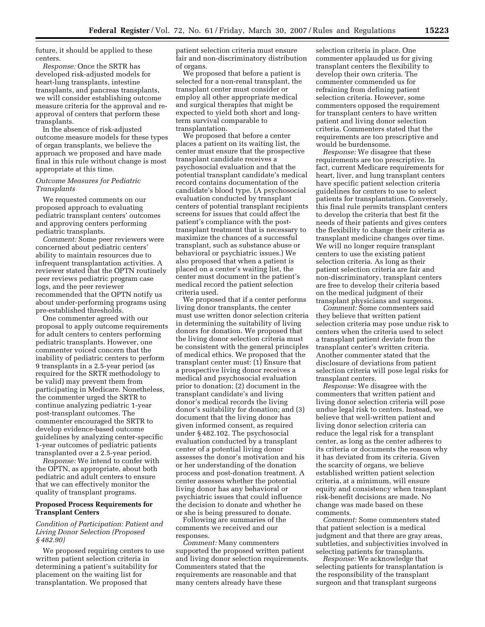future, it should be applied to these centers.

*Response:* Once the SRTR has developed risk-adjusted models for heart-lung transplants, intestine transplants, and pancreas transplants, we will consider establishing outcome measure criteria for the approval and reapproval of centers that perform these transplants.

In the absence of risk-adjusted outcome measure models for these types of organ transplants, we believe the approach we proposed and have made final in this rule without change is most appropriate at this time.

#### *Outcome Measures for Pediatric Transplants*

We requested comments on our proposed approach to evaluating pediatric transplant centers' outcomes and approving centers performing pediatric transplants.

*Comment:* Some peer reviewers were concerned about pediatric centers' ability to maintain resources due to infrequent transplantation activities. A reviewer stated that the OPTN routinely peer reviews pediatric program case logs, and the peer reviewer recommended that the OPTN notify us about under-performing programs using pre-established thresholds.

One commenter agreed with our proposal to apply outcome requirements for adult centers to centers performing pediatric transplants. However, one commenter voiced concern that the inability of pediatric centers to perform 9 transplants in a 2.5-year period (as required for the SRTR methodology to be valid) may prevent them from participating in Medicare. Nonetheless, the commenter urged the SRTR to continue analyzing pediatric 1-year post-transplant outcomes. The commenter encouraged the SRTR to develop evidence-based outcome guidelines by analyzing center-specific 1-year outcomes of pediatric patients transplanted over a 2.5-year period.

*Response:* We intend to confer with the OPTN, as appropriate, about both pediatric and adult centers to ensure that we can effectively monitor the quality of transplant programs.

#### **Proposed Process Requirements for Transplant Centers**

#### *Condition of Participation: Patient and Living Donor Selection (Proposed § 482.90)*

We proposed requiring centers to use written patient selection criteria in determining a patient's suitability for placement on the waiting list for transplantation. We proposed that

patient selection criteria must ensure fair and non-discriminatory distribution of organs.

We proposed that before a patient is selected for a non-renal transplant, the transplant center must consider or employ all other appropriate medical and surgical therapies that might be expected to yield both short and longterm survival comparable to transplantation.

We proposed that before a center places a patient on its waiting list, the center must ensure that the prospective transplant candidate receives a psychosocial evaluation and that the potential transplant candidate's medical record contains documentation of the candidate's blood type. (A psychosocial evaluation conducted by transplant centers of potential transplant recipients screens for issues that could affect the patient's compliance with the posttransplant treatment that is necessary to maximize the chances of a successful transplant, such as substance abuse or behavioral or psychiatric issues.) We also proposed that when a patient is placed on a center's waiting list, the center must document in the patient's medical record the patient selection criteria used.

We proposed that if a center performs living donor transplants, the center must use written donor selection criteria in determining the suitability of living donors for donation. We proposed that the living donor selection criteria must be consistent with the general principles of medical ethics. We proposed that the transplant center must: (1) Ensure that a prospective living donor receives a medical and psychosocial evaluation prior to donation; (2) document in the transplant candidate's and living donor's medical records the living donor's suitability for donation; and (3) document that the living donor has given informed consent, as required under § 482.102. The psychosocial evaluation conducted by a transplant center of a potential living donor assesses the donor's motivation and his or her understanding of the donation process and post-donation treatment. A center assesses whether the potential living donor has any behavioral or psychiatric issues that could influence the decision to donate and whether he or she is being pressured to donate.

Following are summaries of the comments we received and our responses.

*Comment:* Many commenters supported the proposed written patient and living donor selection requirements. Commenters stated that the requirements are reasonable and that many centers already have these

selection criteria in place. One commenter applauded us for giving transplant centers the flexibility to develop their own criteria. The commenter commended us for refraining from defining patient selection criteria. However, some commenters opposed the requirement for transplant centers to have written patient and living donor selection criteria. Commenters stated that the requirements are too prescriptive and would be burdensome.

*Response:* We disagree that these requirements are too prescriptive. In fact, current Medicare requirements for heart, liver, and lung transplant centers have specific patient selection criteria guidelines for centers to use to select patients for transplantation. Conversely, this final rule permits transplant centers to develop the criteria that best fit the needs of their patients and gives centers the flexibility to change their criteria as transplant medicine changes over time. We will no longer require transplant centers to use the existing patient selection criteria. As long as their patient selection criteria are fair and non-discriminatory, transplant centers are free to develop their criteria based on the medical judgment of their transplant physicians and surgeons.

*Comment:* Some commenters said they believe that written patient selection criteria may pose undue risk to centers when the criteria used to select a transplant patient deviate from the transplant center's written criteria. Another commenter stated that the disclosure of deviations from patient selection criteria will pose legal risks for transplant centers.

*Response:* We disagree with the commenters that written patient and living donor selection criteria will pose undue legal risk to centers. Instead, we believe that well-written patient and living donor selection criteria can reduce the legal risk for a transplant center, as long as the center adheres to its criteria or documents the reason why it has deviated from its criteria. Given the scarcity of organs, we believe established written patient selection criteria, at a minimum, will ensure equity and consistency when transplant risk-benefit decisions are made. No change was made based on these comments.

*Comment:* Some commenters stated that patient selection is a medical judgment and that there are gray areas, subtleties, and subjectivities involved in selecting patients for transplants.

*Response:* We acknowledge that selecting patients for transplantation is the responsibility of the transplant surgeon and that transplant surgeons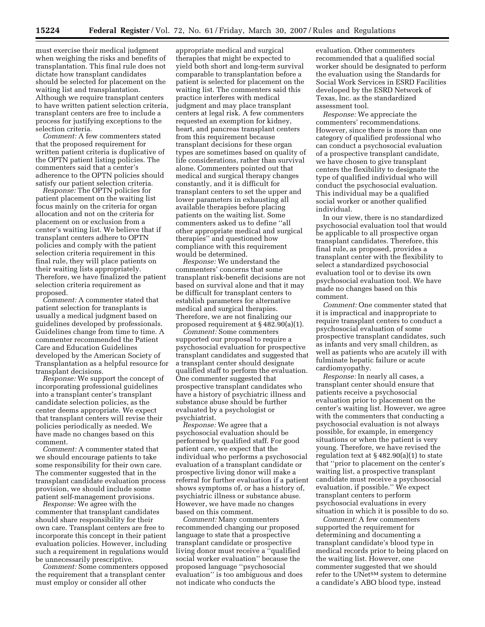must exercise their medical judgment when weighing the risks and benefits of transplantation. This final rule does not dictate how transplant candidates should be selected for placement on the waiting list and transplantation. Although we require transplant centers to have written patient selection criteria, transplant centers are free to include a process for justifying exceptions to the selection criteria.

*Comment:* A few commenters stated that the proposed requirement for written patient criteria is duplicative of the OPTN patient listing policies. The commenters said that a center's adherence to the OPTN policies should satisfy our patient selection criteria.

*Response:* The OPTN policies for patient placement on the waiting list focus mainly on the criteria for organ allocation and not on the criteria for placement on or exclusion from a center's waiting list. We believe that if transplant centers adhere to OPTN policies and comply with the patient selection criteria requirement in this final rule, they will place patients on their waiting lists appropriately. Therefore, we have finalized the patient selection criteria requirement as proposed.

*Comment:* A commenter stated that patient selection for transplants is usually a medical judgment based on guidelines developed by professionals. Guidelines change from time to time. A commenter recommended the Patient Care and Education Guidelines developed by the American Society of Transplantation as a helpful resource for transplant decisions.

*Response:* We support the concept of incorporating professional guidelines into a transplant center's transplant candidate selection policies, as the center deems appropriate. We expect that transplant centers will revise their policies periodically as needed. We have made no changes based on this comment.

*Comment:* A commenter stated that we should encourage patients to take some responsibility for their own care. The commenter suggested that in the transplant candidate evaluation process provision, we should include some patient self-management provisions.

*Response:* We agree with the commenter that transplant candidates should share responsibility for their own care. Transplant centers are free to incorporate this concept in their patient evaluation policies. However, including such a requirement in regulations would be unnecessarily prescriptive.

*Comment:* Some commenters opposed the requirement that a transplant center must employ or consider all other

appropriate medical and surgical therapies that might be expected to yield both short and long-term survival comparable to transplantation before a patient is selected for placement on the waiting list. The commenters said this practice interferes with medical judgment and may place transplant centers at legal risk. A few commenters requested an exemption for kidney, heart, and pancreas transplant centers from this requirement because transplant decisions for these organ types are sometimes based on quality of life considerations, rather than survival alone. Commenters pointed out that medical and surgical therapy changes constantly, and it is difficult for transplant centers to set the upper and lower parameters in exhausting all available therapies before placing patients on the waiting list. Some commenters asked us to define ''all other appropriate medical and surgical therapies'' and questioned how compliance with this requirement would be determined.

*Response:* We understand the commenters' concerns that some transplant risk-benefit decisions are not based on survival alone and that it may be difficult for transplant centers to establish parameters for alternative medical and surgical therapies. Therefore, we are not finalizing our proposed requirement at § 482.90(a)(1).

*Comment:* Some commenters supported our proposal to require a psychosocial evaluation for prospective transplant candidates and suggested that a transplant center should designate qualified staff to perform the evaluation. One commenter suggested that prospective transplant candidates who have a history of psychiatric illness and substance abuse should be further evaluated by a psychologist or psychiatrist.

*Response:* We agree that a psychosocial evaluation should be performed by qualified staff. For good patient care, we expect that the individual who performs a psychosocial evaluation of a transplant candidate or prospective living donor will make a referral for further evaluation if a patient shows symptoms of, or has a history of, psychiatric illness or substance abuse. However, we have made no changes based on this comment.

*Comment:* Many commenters recommended changing our proposed language to state that a prospective transplant candidate or prospective living donor must receive a ''qualified social worker evaluation'' because the proposed language ''psychosocial evaluation'' is too ambiguous and does not indicate who conducts the

evaluation. Other commenters recommended that a qualified social worker should be designated to perform the evaluation using the Standards for Social Work Services in ESRD Facilities developed by the ESRD Network of Texas, Inc. as the standardized assessment tool.

*Response:* We appreciate the commenters' recommendations. However, since there is more than one category of qualified professional who can conduct a psychosocial evaluation of a prospective transplant candidate, we have chosen to give transplant centers the flexibility to designate the type of qualified individual who will conduct the psychosocial evaluation. This individual may be a qualified social worker or another qualified individual.

In our view, there is no standardized psychosocial evaluation tool that would be applicable to all prospective organ transplant candidates. Therefore, this final rule, as proposed, provides a transplant center with the flexibility to select a standardized psychosocial evaluation tool or to devise its own psychosocial evaluation tool. We have made no changes based on this comment.

*Comment:* One commenter stated that it is impractical and inappropriate to require transplant centers to conduct a psychosocial evaluation of some prospective transplant candidates, such as infants and very small children, as well as patients who are acutely ill with fulminate hepatic failure or acute cardiomyopathy.

*Response:* In nearly all cases, a transplant center should ensure that patients receive a psychosocial evaluation prior to placement on the center's waiting list. However, we agree with the commenters that conducting a psychosocial evaluation is not always possible, for example, in emergency situations or when the patient is very young. Therefore, we have revised the regulation text at  $§$  482.90(a)(1) to state that ''prior to placement on the center's waiting list, a prospective transplant candidate must receive a psychosocial evaluation, if possible.'' We expect transplant centers to perform psychosocial evaluations in every situation in which it is possible to do so.

*Comment:* A few commenters supported the requirement for determining and documenting a transplant candidate's blood type in medical records prior to being placed on the waiting list. However, one commenter suggested that we should refer to the UNetSM system to determine a candidate's ABO blood type, instead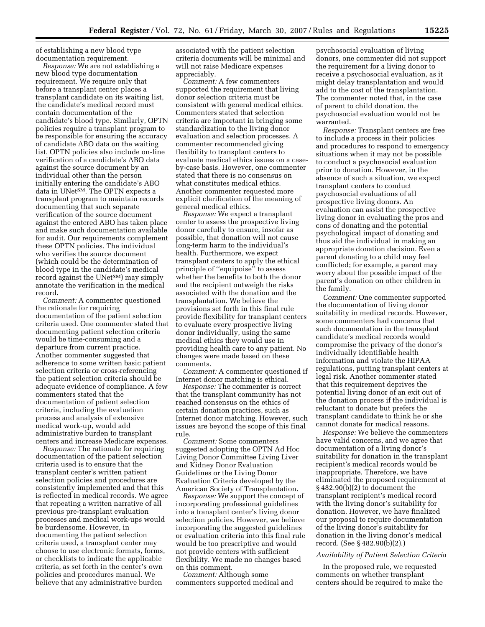of establishing a new blood type documentation requirement.

*Response:* We are not establishing a new blood type documentation requirement. We require only that before a transplant center places a transplant candidate on its waiting list, the candidate's medical record must contain documentation of the candidate's blood type. Similarly, OPTN policies require a transplant program to be responsible for ensuring the accuracy of candidate ABO data on the waiting list. OPTN policies also include on-line verification of a candidate's ABO data against the source document by an individual other than the person initially entering the candidate's ABO data in UNet<sup>SM</sup>. The OPTN expects a transplant program to maintain records documenting that such separate verification of the source document against the entered ABO has taken place and make such documentation available for audit. Our requirements complement these OPTN policies. The individual who verifies the source document (which could be the determination of blood type in the candidate's medical record against the UNet<sup>SM</sup>) may simply annotate the verification in the medical record.

*Comment:* A commenter questioned the rationale for requiring documentation of the patient selection criteria used. One commenter stated that documenting patient selection criteria would be time-consuming and a departure from current practice. Another commenter suggested that adherence to some written basic patient selection criteria or cross-referencing the patient selection criteria should be adequate evidence of compliance. A few commenters stated that the documentation of patient selection criteria, including the evaluation process and analysis of extensive medical work-up, would add administrative burden to transplant centers and increase Medicare expenses.

*Response:* The rationale for requiring documentation of the patient selection criteria used is to ensure that the transplant center's written patient selection policies and procedures are consistently implemented and that this is reflected in medical records. We agree that repeating a written narrative of all previous pre-transplant evaluation processes and medical work-ups would be burdensome. However, in documenting the patient selection criteria used, a transplant center may choose to use electronic formats, forms, or checklists to indicate the applicable criteria, as set forth in the center's own policies and procedures manual. We believe that any administrative burden

associated with the patient selection criteria documents will be minimal and will not raise Medicare expenses appreciably.

*Comment:* A few commenters supported the requirement that living donor selection criteria must be consistent with general medical ethics. Commenters stated that selection criteria are important in bringing some standardization to the living donor evaluation and selection processes. A commenter recommended giving flexibility to transplant centers to evaluate medical ethics issues on a caseby-case basis. However, one commenter stated that there is no consensus on what constitutes medical ethics. Another commenter requested more explicit clarification of the meaning of general medical ethics.

*Response:* We expect a transplant center to assess the prospective living donor carefully to ensure, insofar as possible, that donation will not cause long-term harm to the individual's health. Furthermore, we expect transplant centers to apply the ethical principle of ''equipoise'' to assess whether the benefits to both the donor and the recipient outweigh the risks associated with the donation and the transplantation. We believe the provisions set forth in this final rule provide flexibility for transplant centers to evaluate every prospective living donor individually, using the same medical ethics they would use in providing health care to any patient. No changes were made based on these comments.

*Comment:* A commenter questioned if Internet donor matching is ethical.

*Response:* The commenter is correct that the transplant community has not reached consensus on the ethics of certain donation practices, such as Internet donor matching. However, such issues are beyond the scope of this final rule.

*Comment:* Some commenters suggested adopting the OPTN Ad Hoc Living Donor Committee Living Liver and Kidney Donor Evaluation Guidelines or the Living Donor Evaluation Criteria developed by the American Society of Transplantation.

*Response:* We support the concept of incorporating professional guidelines into a transplant center's living donor selection policies. However, we believe incorporating the suggested guidelines or evaluation criteria into this final rule would be too prescriptive and would not provide centers with sufficient flexibility. We made no changes based on this comment.

*Comment:* Although some commenters supported medical and

psychosocial evaluation of living donors, one commenter did not support the requirement for a living donor to receive a psychosocial evaluation, as it might delay transplantation and would add to the cost of the transplantation. The commenter noted that, in the case of parent to child donation, the psychosocial evaluation would not be warranted.

*Response:* Transplant centers are free to include a process in their policies and procedures to respond to emergency situations when it may not be possible to conduct a psychosocial evaluation prior to donation. However, in the absence of such a situation, we expect transplant centers to conduct psychosocial evaluations of all prospective living donors. An evaluation can assist the prospective living donor in evaluating the pros and cons of donating and the potential psychological impact of donating and thus aid the individual in making an appropriate donation decision. Even a parent donating to a child may feel conflicted; for example, a parent may worry about the possible impact of the parent's donation on other children in the family.

*Comment:* One commenter supported the documentation of living donor suitability in medical records. However, some commenters had concerns that such documentation in the transplant candidate's medical records would compromise the privacy of the donor's individually identifiable health information and violate the HIPAA regulations, putting transplant centers at legal risk. Another commenter stated that this requirement deprives the potential living donor of an exit out of the donation process if the individual is reluctant to donate but prefers the transplant candidate to think he or she cannot donate for medical reasons.

*Response:* We believe the commenters have valid concerns, and we agree that documentation of a living donor's suitability for donation in the transplant recipient's medical records would be inappropriate. Therefore, we have eliminated the proposed requirement at § 482.90(b)(2) to document the transplant recipient's medical record with the living donor's suitability for donation. However, we have finalized our proposal to require documentation of the living donor's suitability for donation in the living donor's medical record. (See § 482.90(b)(2).)

#### *Availability of Patient Selection Criteria*

In the proposed rule, we requested comments on whether transplant centers should be required to make the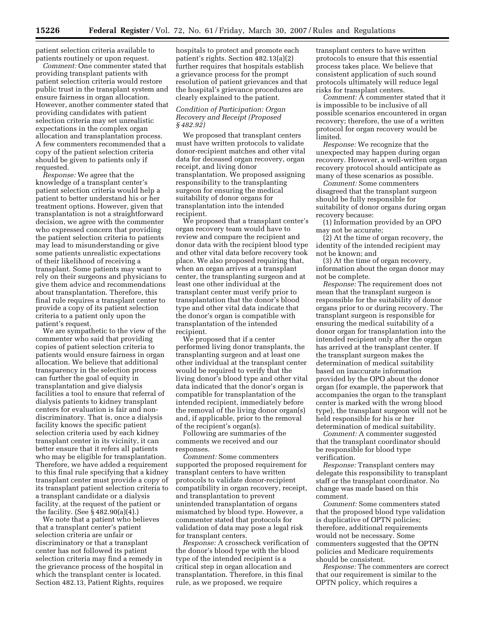patient selection criteria available to patients routinely or upon request.

*Comment:* One commenter stated that providing transplant patients with patient selection criteria would restore public trust in the transplant system and ensure fairness in organ allocation. However, another commenter stated that providing candidates with patient selection criteria may set unrealistic expectations in the complex organ allocation and transplantation process. A few commenters recommended that a copy of the patient selection criteria should be given to patients only if requested.

*Response:* We agree that the knowledge of a transplant center's patient selection criteria would help a patient to better understand his or her treatment options. However, given that transplantation is not a straightforward decision, we agree with the commenter who expressed concern that providing the patient selection criteria to patients may lead to misunderstanding or give some patients unrealistic expectations of their likelihood of receiving a transplant. Some patients may want to rely on their surgeons and physicians to give them advice and recommendations about transplantation. Therefore, this final rule requires a transplant center to provide a copy of its patient selection criteria to a patient only upon the patient's request.

We are sympathetic to the view of the commenter who said that providing copies of patient selection criteria to patients would ensure fairness in organ allocation. We believe that additional transparency in the selection process can further the goal of equity in transplantation and give dialysis facilities a tool to ensure that referral of dialysis patients to kidney transplant centers for evaluation is fair and nondiscriminatory. That is, once a dialysis facility knows the specific patient selection criteria used by each kidney transplant center in its vicinity, it can better ensure that it refers all patients who may be eligible for transplantation. Therefore, we have added a requirement to this final rule specifying that a kidney transplant center must provide a copy of its transplant patient selection criteria to a transplant candidate or a dialysis facility, at the request of the patient or the facility. (See § 482.90(a)(4).)

We note that a patient who believes that a transplant center's patient selection criteria are unfair or discriminatory or that a transplant center has not followed its patient selection criteria may find a remedy in the grievance process of the hospital in which the transplant center is located. Section 482.13, Patient Rights, requires hospitals to protect and promote each patient's rights. Section 482.13(a)(2) further requires that hospitals establish a grievance process for the prompt resolution of patient grievances and that the hospital's grievance procedures are clearly explained to the patient.

#### *Condition of Participation: Organ Recovery and Receipt (Proposed § 482.92)*

We proposed that transplant centers must have written protocols to validate donor-recipient matches and other vital data for deceased organ recovery, organ receipt, and living donor transplantation. We proposed assigning responsibility to the transplanting surgeon for ensuring the medical suitability of donor organs for transplantation into the intended recipient.

We proposed that a transplant center's organ recovery team would have to review and compare the recipient and donor data with the recipient blood type and other vital data before recovery took place. We also proposed requiring that, when an organ arrives at a transplant center, the transplanting surgeon and at least one other individual at the transplant center must verify prior to transplantation that the donor's blood type and other vital data indicate that the donor's organ is compatible with transplantation of the intended recipient.

We proposed that if a center performed living donor transplants, the transplanting surgeon and at least one other individual at the transplant center would be required to verify that the living donor's blood type and other vital data indicated that the donor's organ is compatible for transplantation of the intended recipient, immediately before the removal of the living donor organ(s) and, if applicable, prior to the removal of the recipient's organ(s).

Following are summaries of the comments we received and our responses.

*Comment:* Some commenters supported the proposed requirement for transplant centers to have written protocols to validate donor-recipient compatibility in organ recovery, receipt, and transplantation to prevent unintended transplantation of organs mismatched by blood type. However, a commenter stated that protocols for validation of data may pose a legal risk for transplant centers.

*Response:* A crosscheck verification of the donor's blood type with the blood type of the intended recipient is a critical step in organ allocation and transplantation. Therefore, in this final rule, as we proposed, we require

transplant centers to have written protocols to ensure that this essential process takes place. We believe that consistent application of such sound protocols ultimately will reduce legal risks for transplant centers.

*Comment:* A commenter stated that it is impossible to be inclusive of all possible scenarios encountered in organ recovery; therefore, the use of a written protocol for organ recovery would be limited.

*Response:* We recognize that the unexpected may happen during organ recovery. However, a well-written organ recovery protocol should anticipate as many of these scenarios as possible.

*Comment:* Some commenters disagreed that the transplant surgeon should be fully responsible for suitability of donor organs during organ recovery because:

(1) Information provided by an OPO may not be accurate;

(2) At the time of organ recovery, the identity of the intended recipient may not be known; and

(3) At the time of organ recovery, information about the organ donor may not be complete.

*Response:* The requirement does not mean that the transplant surgeon is responsible for the suitability of donor organs prior to or during recovery. The transplant surgeon is responsible for ensuring the medical suitability of a donor organ for transplantation into the intended recipient only after the organ has arrived at the transplant center. If the transplant surgeon makes the determination of medical suitability based on inaccurate information provided by the OPO about the donor organ (for example, the paperwork that accompanies the organ to the transplant center is marked with the wrong blood type), the transplant surgeon will not be held responsible for his or her determination of medical suitability.

*Comment:* A commenter suggested that the transplant coordinator should be responsible for blood type verification.

*Response:* Transplant centers may delegate this responsibility to transplant staff or the transplant coordinator. No change was made based on this comment.

*Comment:* Some commenters stated that the proposed blood type validation is duplicative of OPTN policies; therefore, additional requirements would not be necessary. Some commenters suggested that the OPTN policies and Medicare requirements should be consistent.

*Response:* The commenters are correct that our requirement is similar to the OPTN policy, which requires a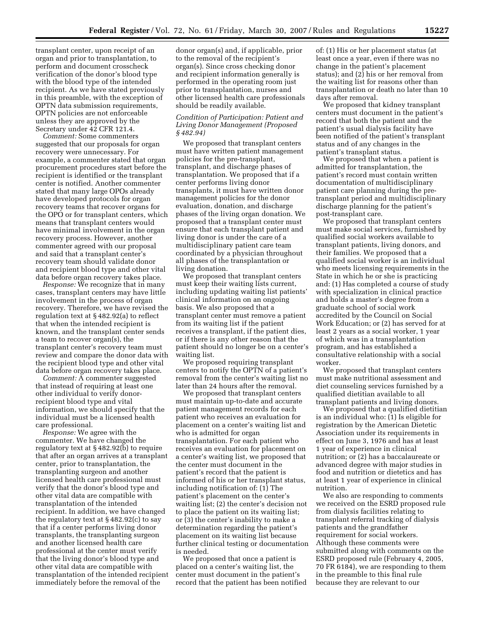transplant center, upon receipt of an organ and prior to transplantation, to perform and document crosscheck verification of the donor's blood type with the blood type of the intended recipient. As we have stated previously in this preamble, with the exception of OPTN data submission requirements, OPTN policies are not enforceable unless they are approved by the Secretary under 42 CFR 121.4.

*Comment:* Some commenters suggested that our proposals for organ recovery were unnecessary. For example, a commenter stated that organ procurement procedures start before the recipient is identified or the transplant center is notified. Another commenter stated that many large OPOs already have developed protocols for organ recovery teams that recover organs for the OPO or for transplant centers, which means that transplant centers would have minimal involvement in the organ recovery process. However, another commenter agreed with our proposal and said that a transplant center's recovery team should validate donor and recipient blood type and other vital data before organ recovery takes place.

*Response:* We recognize that in many cases, transplant centers may have little involvement in the process of organ recovery. Therefore, we have revised the regulation text at § 482.92(a) to reflect that when the intended recipient is known, and the transplant center sends a team to recover organ(s), the transplant center's recovery team must review and compare the donor data with the recipient blood type and other vital data before organ recovery takes place.

*Comment:* A commenter suggested that instead of requiring at least one other individual to verify donorrecipient blood type and vital information, we should specify that the individual must be a licensed health care professional.

*Response:* We agree with the commenter. We have changed the regulatory text at § 482.92(b) to require that after an organ arrives at a transplant center, prior to transplantation, the transplanting surgeon and another licensed health care professional must verify that the donor's blood type and other vital data are compatible with transplantation of the intended recipient. In addition, we have changed the regulatory text at § 482.92(c) to say that if a center performs living donor transplants, the transplanting surgeon and another licensed health care professional at the center must verify that the living donor's blood type and other vital data are compatible with transplantation of the intended recipient immediately before the removal of the

donor organ(s) and, if applicable, prior to the removal of the recipient's organ(s). Since cross checking donor and recipient information generally is performed in the operating room just prior to transplantation, nurses and other licensed health care professionals should be readily available.

#### *Condition of Participation: Patient and Living Donor Management (Proposed § 482.94)*

We proposed that transplant centers must have written patient management policies for the pre-transplant, transplant, and discharge phases of transplantation. We proposed that if a center performs living donor transplants, it must have written donor management policies for the donor evaluation, donation, and discharge phases of the living organ donation. We proposed that a transplant center must ensure that each transplant patient and living donor is under the care of a multidisciplinary patient care team coordinated by a physician throughout all phases of the transplantation or living donation.

We proposed that transplant centers must keep their waiting lists current, including updating waiting list patients' clinical information on an ongoing basis. We also proposed that a transplant center must remove a patient from its waiting list if the patient receives a transplant, if the patient dies, or if there is any other reason that the patient should no longer be on a center's waiting list.

We proposed requiring transplant centers to notify the OPTN of a patient's removal from the center's waiting list no later than 24 hours after the removal.

We proposed that transplant centers must maintain up-to-date and accurate patient management records for each patient who receives an evaluation for placement on a center's waiting list and who is admitted for organ transplantation. For each patient who receives an evaluation for placement on a center's waiting list, we proposed that the center must document in the patient's record that the patient is informed of his or her transplant status, including notification of: (1) The patient's placement on the center's waiting list; (2) the center's decision not to place the patient on its waiting list; or (3) the center's inability to make a determination regarding the patient's placement on its waiting list because further clinical testing or documentation is needed.

We proposed that once a patient is placed on a center's waiting list, the center must document in the patient's record that the patient has been notified of: (1) His or her placement status (at least once a year, even if there was no change in the patient's placement status); and (2) his or her removal from the waiting list for reasons other than transplantation or death no later than 10 days after removal.

We proposed that kidney transplant centers must document in the patient's record that both the patient and the patient's usual dialysis facility have been notified of the patient's transplant status and of any changes in the patient's transplant status.

We proposed that when a patient is admitted for transplantation, the patient's record must contain written documentation of multidisciplinary patient care planning during the pretransplant period and multidisciplinary discharge planning for the patient's post-transplant care.

We proposed that transplant centers must make social services, furnished by qualified social workers available to transplant patients, living donors, and their families. We proposed that a qualified social worker is an individual who meets licensing requirements in the State in which he or she is practicing and: (1) Has completed a course of study with specialization in clinical practice and holds a master's degree from a graduate school of social work accredited by the Council on Social Work Education; or (2) has served for at least 2 years as a social worker, 1 year of which was in a transplantation program, and has established a consultative relationship with a social worker.

We proposed that transplant centers must make nutritional assessment and diet counseling services furnished by a qualified dietitian available to all transplant patients and living donors.

We proposed that a qualified dietitian is an individual who: (1) Is eligible for registration by the American Dietetic Association under its requirements in effect on June 3, 1976 and has at least 1 year of experience in clinical nutrition; or (2) has a baccalaureate or advanced degree with major studies in food and nutrition or dietetics and has at least 1 year of experience in clinical nutrition.

We also are responding to comments we received on the ESRD proposed rule from dialysis facilities relating to transplant referral tracking of dialysis patients and the grandfather requirement for social workers. Although these comments were submitted along with comments on the ESRD proposed rule (February 4, 2005, 70 FR 6184), we are responding to them in the preamble to this final rule because they are relevant to our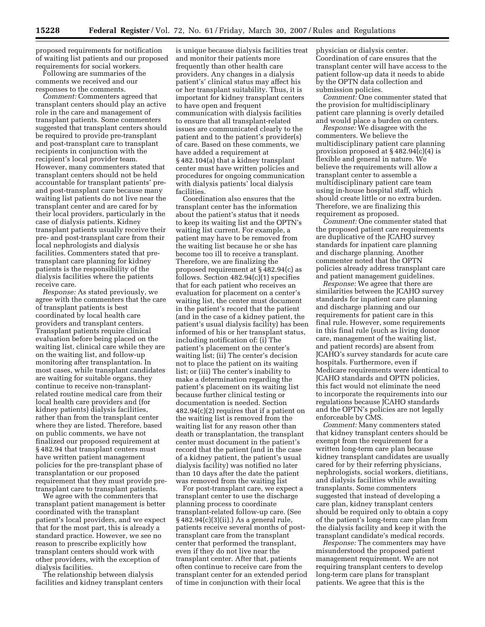proposed requirements for notification of waiting list patients and our proposed requirements for social workers.

Following are summaries of the comments we received and our responses to the comments.

*Comment:* Commenters agreed that transplant centers should play an active role in the care and management of transplant patients. Some commenters suggested that transplant centers should be required to provide pre-transplant and post-transplant care to transplant recipients in conjunction with the recipient's local provider team. However, many commenters stated that transplant centers should not be held accountable for transplant patients' preand post-transplant care because many waiting list patients do not live near the transplant center and are cared for by their local providers, particularly in the case of dialysis patients. Kidney transplant patients usually receive their pre- and post-transplant care from their local nephrologists and dialysis facilities. Commenters stated that pretransplant care planning for kidney patients is the responsibility of the dialysis facilities where the patients receive care.

*Response:* As stated previously, we agree with the commenters that the care of transplant patients is best coordinated by local health care providers and transplant centers. Transplant patients require clinical evaluation before being placed on the waiting list, clinical care while they are on the waiting list, and follow-up monitoring after transplantation. In most cases, while transplant candidates are waiting for suitable organs, they continue to receive non-transplantrelated routine medical care from their local health care providers and (for kidney patients) dialysis facilities, rather than from the transplant center where they are listed. Therefore, based on public comments, we have not finalized our proposed requirement at § 482.94 that transplant centers must have written patient management policies for the pre-transplant phase of transplantation or our proposed requirement that they must provide pretransplant care to transplant patients.

We agree with the commenters that transplant patient management is better coordinated with the transplant patient's local providers, and we expect that for the most part, this is already a standard practice. However, we see no reason to prescribe explicitly how transplant centers should work with other providers, with the exception of dialysis facilities.

The relationship between dialysis facilities and kidney transplant centers

is unique because dialysis facilities treat and monitor their patients more frequently than other health care providers. Any changes in a dialysis patient's' clinical status may affect his or her transplant suitability. Thus, it is important for kidney transplant centers to have open and frequent communication with dialysis facilities to ensure that all transplant-related issues are communicated clearly to the patient and to the patient's provider(s) of care. Based on these comments, we have added a requirement at § 482.104(a) that a kidney transplant center must have written policies and procedures for ongoing communication with dialysis patients' local dialysis facilities.

Coordination also ensures that the transplant center has the information about the patient's status that it needs to keep its waiting list and the OPTN's waiting list current. For example, a patient may have to be removed from the waiting list because he or she has become too ill to receive a transplant. Therefore, we are finalizing the proposed requirement at § 482.94(c) as follows. Section  $482.94(c)(1)$  specifies that for each patient who receives an evaluation for placement on a center's waiting list, the center must document in the patient's record that the patient (and in the case of a kidney patient, the patient's usual dialysis facility) has been informed of his or her transplant status, including notification of: (i) The patient's placement on the center's waiting list; (ii) The center's decision not to place the patient on its waiting list; or (iii) The center's inability to make a determination regarding the patient's placement on its waiting list because further clinical testing or documentation is needed. Section 482.94(c)(2) requires that if a patient on the waiting list is removed from the waiting list for any reason other than death or transplantation, the transplant center must document in the patient's record that the patient (and in the case of a kidney patient, the patient's usual dialysis facility) was notified no later than 10 days after the date the patient was removed from the waiting list

For post-transplant care, we expect a transplant center to use the discharge planning process to coordinate transplant-related follow-up care. (See § 482.94(c)(3)(ii).) As a general rule, patients receive several months of posttransplant care from the transplant center that performed the transplant, even if they do not live near the transplant center. After that, patients often continue to receive care from the transplant center for an extended period of time in conjunction with their local

physician or dialysis center. Coordination of care ensures that the transplant center will have access to the patient follow-up data it needs to abide by the OPTN data collection and submission policies.

*Comment:* One commenter stated that the provision for multidisciplinary patient care planning is overly detailed and would place a burden on centers.

*Response:* We disagree with the commenters. We believe the multidisciplinary patient care planning provision proposed at § 482.94(c)(4) is flexible and general in nature. We believe the requirements will allow a transplant center to assemble a multidisciplinary patient care team using in-house hospital staff, which should create little or no extra burden. Therefore, we are finalizing this requirement as proposed.

*Comment:* One commenter stated that the proposed patient care requirements are duplicative of the JCAHO survey standards for inpatient care planning and discharge planning. Another commenter noted that the OPTN policies already address transplant care and patient management guidelines.

*Response:* We agree that there are similarities between the JCAHO survey standards for inpatient care planning and discharge planning and our requirements for patient care in this final rule. However, some requirements in this final rule (such as living donor care, management of the waiting list, and patient records) are absent from JCAHO's survey standards for acute care hospitals. Furthermore, even if Medicare requirements were identical to JCAHO standards and OPTN policies, this fact would not eliminate the need to incorporate the requirements into our regulations because JCAHO standards and the OPTN's policies are not legally enforceable by CMS.

*Comment:* Many commenters stated that kidney transplant centers should be exempt from the requirement for a written long-term care plan because kidney transplant candidates are usually cared for by their referring physicians, nephrologists, social workers, dietitians, and dialysis facilities while awaiting transplants. Some commenters suggested that instead of developing a care plan, kidney transplant centers should be required only to obtain a copy of the patient's long-term care plan from the dialysis facility and keep it with the transplant candidate's medical records.

*Response:* The commenters may have misunderstood the proposed patient management requirement. We are not requiring transplant centers to develop long-term care plans for transplant patients. We agree that this is the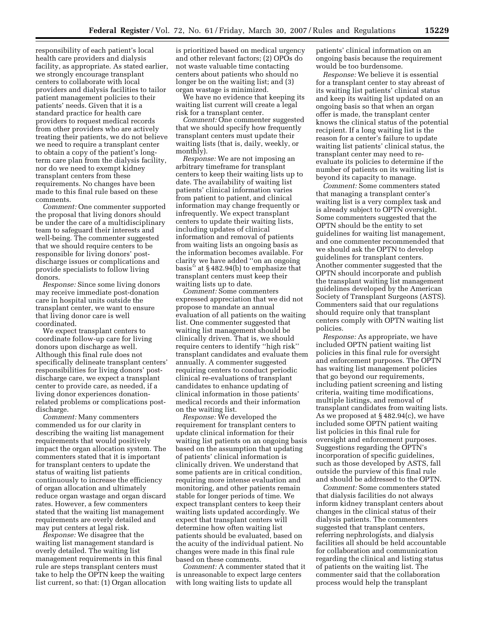responsibility of each patient's local health care providers and dialysis facility, as appropriate. As stated earlier, we strongly encourage transplant centers to collaborate with local providers and dialysis facilities to tailor patient management policies to their patients' needs. Given that it is a standard practice for health care providers to request medical records from other providers who are actively treating their patients, we do not believe we need to require a transplant center to obtain a copy of the patient's longterm care plan from the dialysis facility, nor do we need to exempt kidney transplant centers from these requirements. No changes have been made to this final rule based on these comments.

*Comment:* One commenter supported the proposal that living donors should be under the care of a multidisciplinary team to safeguard their interests and well-being. The commenter suggested that we should require centers to be responsible for living donors' postdischarge issues or complications and provide specialists to follow living donors.

*Response:* Since some living donors may receive immediate post-donation care in hospital units outside the transplant center, we want to ensure that living donor care is well coordinated.

We expect transplant centers to coordinate follow-up care for living donors upon discharge as well. Although this final rule does not specifically delineate transplant centers' responsibilities for living donors' postdischarge care, we expect a transplant center to provide care, as needed, if a living donor experiences donationrelated problems or complications postdischarge.

*Comment:* Many commenters commended us for our clarity in describing the waiting list management requirements that would positively impact the organ allocation system. The commenters stated that it is important for transplant centers to update the status of waiting list patients continuously to increase the efficiency of organ allocation and ultimately reduce organ wastage and organ discard rates. However, a few commenters stated that the waiting list management requirements are overly detailed and may put centers at legal risk.

*Response:* We disagree that the waiting list management standard is overly detailed. The waiting list management requirements in this final rule are steps transplant centers must take to help the OPTN keep the waiting list current, so that: (1) Organ allocation

is prioritized based on medical urgency and other relevant factors; (2) OPOs do not waste valuable time contacting centers about patients who should no longer be on the waiting list; and (3) organ wastage is minimized.

We have no evidence that keeping its waiting list current will create a legal risk for a transplant center.

*Comment:* One commenter suggested that we should specify how frequently transplant centers must update their waiting lists (that is, daily, weekly, or monthly).

*Response:* We are not imposing an arbitrary timeframe for transplant centers to keep their waiting lists up to date. The availability of waiting list patients' clinical information varies from patient to patient, and clinical information may change frequently or infrequently. We expect transplant centers to update their waiting lists, including updates of clinical information and removal of patients from waiting lists an ongoing basis as the information becomes available. For clarity we have added ''on an ongoing basis'' at § 482.94(b) to emphasize that transplant centers must keep their waiting lists up to date.

*Comment:* Some commenters expressed appreciation that we did not propose to mandate an annual evaluation of all patients on the waiting list. One commenter suggested that waiting list management should be clinically driven. That is, we should require centers to identify ''high risk'' transplant candidates and evaluate them annually. A commenter suggested requiring centers to conduct periodic clinical re-evaluations of transplant candidates to enhance updating of clinical information in those patients' medical records and their information on the waiting list.

*Response:* We developed the requirement for transplant centers to update clinical information for their waiting list patients on an ongoing basis based on the assumption that updating of patients' clinical information is clinically driven. We understand that some patients are in critical condition, requiring more intense evaluation and monitoring, and other patients remain stable for longer periods of time. We expect transplant centers to keep their waiting lists updated accordingly. We expect that transplant centers will determine how often waiting list patients should be evaluated, based on the acuity of the individual patient. No changes were made in this final rule based on these comments.

*Comment:* A commenter stated that it is unreasonable to expect large centers with long waiting lists to update all

patients' clinical information on an ongoing basis because the requirement would be too burdensome.

*Response:* We believe it is essential for a transplant center to stay abreast of its waiting list patients' clinical status and keep its waiting list updated on an ongoing basis so that when an organ offer is made, the transplant center knows the clinical status of the potential recipient. If a long waiting list is the reason for a center's failure to update waiting list patients' clinical status, the transplant center may need to reevaluate its policies to determine if the number of patients on its waiting list is beyond its capacity to manage.

*Comment:* Some commenters stated that managing a transplant center's waiting list is a very complex task and is already subject to OPTN oversight. Some commenters suggested that the OPTN should be the entity to set guidelines for waiting list management, and one commenter recommended that we should ask the OPTN to develop guidelines for transplant centers. Another commenter suggested that the OPTN should incorporate and publish the transplant waiting list management guidelines developed by the American Society of Transplant Surgeons (ASTS). Commenters said that our regulations should require only that transplant centers comply with OPTN waiting list policies.

*Response:* As appropriate, we have included OPTN patient waiting list policies in this final rule for oversight and enforcement purposes. The OPTN has waiting list management policies that go beyond our requirements, including patient screening and listing criteria, waiting time modifications, multiple listings, and removal of transplant candidates from waiting lists. As we proposed at § 482.94(c), we have included some OPTN patient waiting list policies in this final rule for oversight and enforcement purposes. Suggestions regarding the OPTN's incorporation of specific guidelines, such as those developed by ASTS, fall outside the purview of this final rule and should be addressed to the OPTN.

*Comment:* Some commenters stated that dialysis facilities do not always inform kidney transplant centers about changes in the clinical status of their dialysis patients. The commenters suggested that transplant centers, referring nephrologists, and dialysis facilities all should be held accountable for collaboration and communication regarding the clinical and listing status of patients on the waiting list. The commenter said that the collaboration process would help the transplant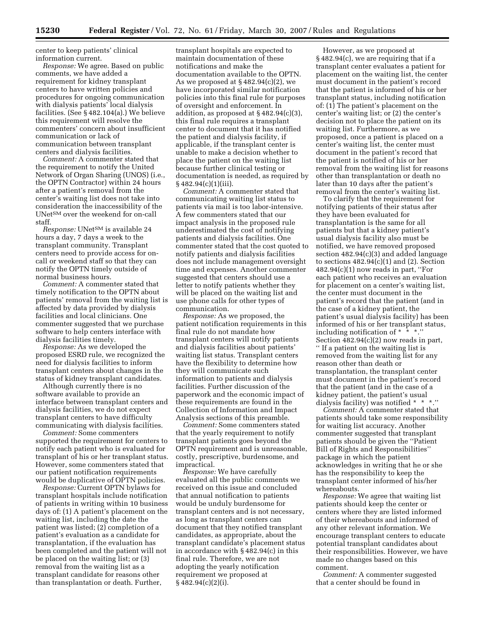center to keep patients' clinical information current.

*Response:* We agree. Based on public comments, we have added a requirement for kidney transplant centers to have written policies and procedures for ongoing communication with dialysis patients' local dialysis facilities. (See § 482.104(a).) We believe this requirement will resolve the commenters' concern about insufficient communication or lack of communication between transplant centers and dialysis facilities.

*Comment:* A commenter stated that the requirement to notify the United Network of Organ Sharing (UNOS) (i.e., the OPTN Contractor) within 24 hours after a patient's removal from the center's waiting list does not take into consideration the inaccessibility of the UNetSM over the weekend for on-call staff.

*Response:* UNetSM is available 24 hours a day, 7 days a week to the transplant community. Transplant centers need to provide access for oncall or weekend staff so that they can notify the OPTN timely outside of normal business hours.

*Comment:* A commenter stated that timely notification to the OPTN about patients' removal from the waiting list is affected by data provided by dialysis facilities and local clinicians. One commenter suggested that we purchase software to help centers interface with dialysis facilities timely.

*Response:* As we developed the proposed ESRD rule, we recognized the need for dialysis facilities to inform transplant centers about changes in the status of kidney transplant candidates.

Although currently there is no software available to provide an interface between transplant centers and dialysis facilities, we do not expect transplant centers to have difficulty communicating with dialysis facilities.

*Comment:* Some commenters supported the requirement for centers to notify each patient who is evaluated for transplant of his or her transplant status. However, some commenters stated that our patient notification requirements would be duplicative of OPTN policies.

*Response:* Current OPTN bylaws for transplant hospitals include notification of patients in writing within 10 business days of: (1) A patient's placement on the waiting list, including the date the patient was listed; (2) completion of a patient's evaluation as a candidate for transplantation, if the evaluation has been completed and the patient will not be placed on the waiting list; or (3) removal from the waiting list as a transplant candidate for reasons other than transplantation or death. Further,

transplant hospitals are expected to maintain documentation of these notifications and make the documentation available to the OPTN. As we proposed at  $§ 482.94(c)(2)$ , we have incorporated similar notification policies into this final rule for purposes of oversight and enforcement. In addition, as proposed at § 482.94(c)(3), this final rule requires a transplant center to document that it has notified the patient and dialysis facility, if applicable, if the transplant center is unable to make a decision whether to place the patient on the waiting list because further clinical testing or documentation is needed, as required by § 482.94(c)(1)(iii).

*Comment:* A commenter stated that communicating waiting list status to patients via mail is too labor-intensive. A few commenters stated that our impact analysis in the proposed rule underestimated the cost of notifying patients and dialysis facilities. One commenter stated that the cost quoted to notify patients and dialysis facilities does not include management oversight time and expenses. Another commenter suggested that centers should use a letter to notify patients whether they will be placed on the waiting list and use phone calls for other types of communication.

*Response:* As we proposed, the patient notification requirements in this final rule do not mandate how transplant centers will notify patients and dialysis facilities about patients' waiting list status. Transplant centers have the flexibility to determine how they will communicate such information to patients and dialysis facilities. Further discussion of the paperwork and the economic impact of these requirements are found in the Collection of Information and Impact Analysis sections of this preamble.

*Comment:* Some commenters stated that the yearly requirement to notify transplant patients goes beyond the OPTN requirement and is unreasonable, costly, prescriptive, burdensome, and impractical.

*Response:* We have carefully evaluated all the public comments we received on this issue and concluded that annual notification to patients would be unduly burdensome for transplant centers and is not necessary, as long as transplant centers can document that they notified transplant candidates, as appropriate, about the transplant candidate's placement status in accordance with § 482.94(c) in this final rule. Therefore, we are not adopting the yearly notification requirement we proposed at § 482.94(c)(2)(i).

However, as we proposed at § 482.94(c), we are requiring that if a transplant center evaluates a patient for placement on the waiting list, the center must document in the patient's record that the patient is informed of his or her transplant status, including notification of: (1) The patient's placement on the center's waiting list; or (2) the center's decision not to place the patient on its waiting list. Furthermore, as we proposed, once a patient is placed on a center's waiting list, the center must document in the patient's record that the patient is notified of his or her removal from the waiting list for reasons other than transplantation or death no later than 10 days after the patient's removal from the center's waiting list.

To clarify that the requirement for notifying patients of their status after they have been evaluated for transplantation is the same for all patients but that a kidney patient's usual dialysis facility also must be notified, we have removed proposed section 482.94(c)(3) and added language to sections  $482.94(c)(1)$  and  $(2)$ . Section  $482.94(c)(1)$  now reads in part, "For each patient who receives an evaluation for placement on a center's waiting list, the center must document in the patient's record that the patient (and in the case of a kidney patient, the patient's usual dialysis facility) has been informed of his or her transplant status, including notification of  $* \cdot *$ ." Section 482.94(c)(2) now reads in part, '' If a patient on the waiting list is removed from the waiting list for any reason other than death or transplantation, the transplant center must document in the patient's record that the patient (and in the case of a kidney patient, the patient's usual dialysis facility) was notified \* \* \*.''

*Comment:* A commenter stated that patients should take some responsibility for waiting list accuracy. Another commenter suggested that transplant patients should be given the ''Patient Bill of Rights and Responsibilities'' package in which the patient acknowledges in writing that he or she has the responsibility to keep the transplant center informed of his/her whereabouts.

*Response:* We agree that waiting list patients should keep the center or centers where they are listed informed of their whereabouts and informed of any other relevant information. We encourage transplant centers to educate potential transplant candidates about their responsibilities. However, we have made no changes based on this comment.

*Comment:* A commenter suggested that a center should be found in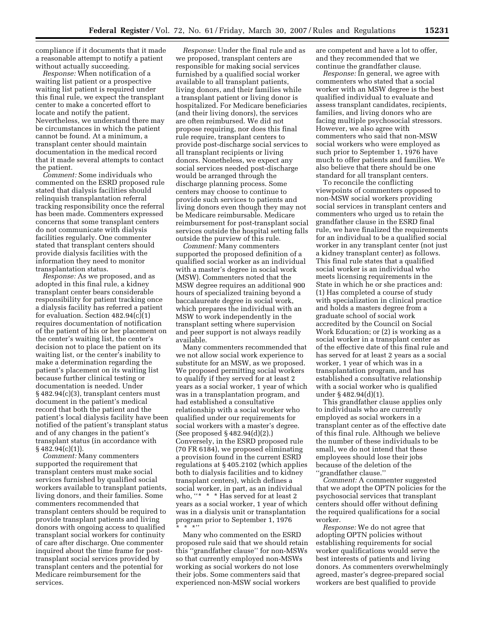compliance if it documents that it made a reasonable attempt to notify a patient without actually succeeding.

*Response:* When notification of a waiting list patient or a prospective waiting list patient is required under this final rule, we expect the transplant center to make a concerted effort to locate and notify the patient. Nevertheless, we understand there may be circumstances in which the patient cannot be found. At a minimum, a transplant center should maintain documentation in the medical record that it made several attempts to contact the patient.

*Comment:* Some individuals who commented on the ESRD proposed rule stated that dialysis facilities should relinquish transplantation referral tracking responsibility once the referral has been made. Commenters expressed concerns that some transplant centers do not communicate with dialysis facilities regularly. One commenter stated that transplant centers should provide dialysis facilities with the information they need to monitor transplantation status.

*Response:* As we proposed, and as adopted in this final rule, a kidney transplant center bears considerable responsibility for patient tracking once a dialysis facility has referred a patient for evaluation. Section 482.94(c)(1) requires documentation of notification of the patient of his or her placement on the center's waiting list, the center's decision not to place the patient on its waiting list, or the center's inability to make a determination regarding the patient's placement on its waiting list because further clinical testing or documentation is needed. Under § 482.94(c)(3), transplant centers must document in the patient's medical record that both the patient and the patient's local dialysis facility have been notified of the patient's transplant status and of any changes in the patient's transplant status (in accordance with § 482.94(c)(1)).

*Comment:* Many commenters supported the requirement that transplant centers must make social services furnished by qualified social workers available to transplant patients, living donors, and their families. Some commenters recommended that transplant centers should be required to provide transplant patients and living donors with ongoing access to qualified transplant social workers for continuity of care after discharge. One commenter inquired about the time frame for posttransplant social services provided by transplant centers and the potential for Medicare reimbursement for the services.

*Response:* Under the final rule and as we proposed, transplant centers are responsible for making social services furnished by a qualified social worker available to all transplant patients, living donors, and their families while a transplant patient or living donor is hospitalized. For Medicare beneficiaries (and their living donors), the services are often reimbursed. We did not propose requiring, nor does this final rule require, transplant centers to provide post-discharge social services to all transplant recipients or living donors. Nonetheless, we expect any social services needed post-discharge would be arranged through the discharge planning process. Some centers may choose to continue to provide such services to patients and living donors even though they may not be Medicare reimbursable. Medicare reimbursement for post-transplant social services outside the hospital setting falls outside the purview of this rule.

*Comment:* Many commenters supported the proposed definition of a qualified social worker as an individual with a master's degree in social work (MSW). Commenters noted that the MSW degree requires an additional 900 hours of specialized training beyond a baccalaureate degree in social work, which prepares the individual with an MSW to work independently in the transplant setting where supervision and peer support is not always readily available.

Many commenters recommended that we not allow social work experience to substitute for an MSW, as we proposed. We proposed permitting social workers to qualify if they served for at least 2 years as a social worker, 1 year of which was in a transplantation program, and had established a consultative relationship with a social worker who qualified under our requirements for social workers with a master's degree. (See proposed § 482.94(d)(2).) Conversely, in the ESRD proposed rule (70 FR 6184), we proposed eliminating a provision found in the current ESRD regulations at § 405.2102 (which applies both to dialysis facilities and to kidney transplant centers), which defines a social worker, in part, as an individual who, "\* \* \* Has served for at least 2 years as a social worker, 1 year of which was in a dialysis unit or transplantation program prior to September 1, 1976 \*\*\*''

Many who commented on the ESRD proposed rule said that we should retain this ''grandfather clause'' for non-MSWs so that currently employed non-MSWs working as social workers do not lose their jobs. Some commenters said that experienced non-MSW social workers

are competent and have a lot to offer, and they recommended that we continue the grandfather clause.

*Response:* In general, we agree with commenters who stated that a social worker with an MSW degree is the best qualified individual to evaluate and assess transplant candidates, recipients, families, and living donors who are facing multiple psychosocial stressors. However, we also agree with commenters who said that non-MSW social workers who were employed as such prior to September 1, 1976 have much to offer patients and families. We also believe that there should be one standard for all transplant centers.

To reconcile the conflicting viewpoints of commenters opposed to non-MSW social workers providing social services in transplant centers and commenters who urged us to retain the grandfather clause in the ESRD final rule, we have finalized the requirements for an individual to be a qualified social worker in any transplant center (not just a kidney transplant center) as follows. This final rule states that a qualified social worker is an individual who meets licensing requirements in the State in which he or she practices and: (1) Has completed a course of study with specialization in clinical practice and holds a masters degree from a graduate school of social work accredited by the Council on Social Work Education; or (2) is working as a social worker in a transplant center as of the effective date of this final rule and has served for at least 2 years as a social worker, 1 year of which was in a transplantation program, and has established a consultative relationship with a social worker who is qualified under § 482.94(d)(1).

This grandfather clause applies only to individuals who are currently employed as social workers in a transplant center as of the effective date of this final rule. Although we believe the number of these individuals to be small, we do not intend that these employees should lose their jobs because of the deletion of the ''grandfather clause.''

*Comment:* A commenter suggested that we adopt the OPTN policies for the psychosocial services that transplant centers should offer without defining the required qualifications for a social worker.

*Response:* We do not agree that adopting OPTN policies without establishing requirements for social worker qualifications would serve the best interests of patients and living donors. As commenters overwhelmingly agreed, master's degree-prepared social workers are best qualified to provide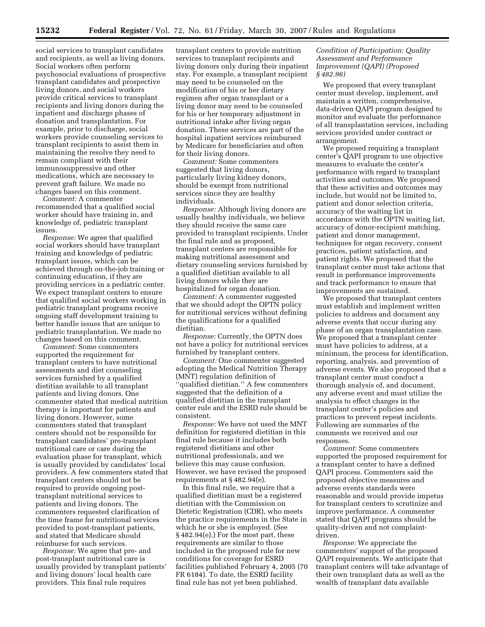social services to transplant candidates and recipients, as well as living donors. Social workers often perform psychosocial evaluations of prospective transplant candidates and prospective living donors, and social workers provide critical services to transplant recipients and living donors during the inpatient and discharge phases of donation and transplantation. For example, prior to discharge, social workers provide counseling services to transplant recipients to assist them in maintaining the resolve they need to remain compliant with their immunosuppressive and other medications, which are necessary to prevent graft failure. We made no changes based on this comment.

*Comment:* A commenter recommended that a qualified social worker should have training in, and knowledge of, pediatric transplant issues.

*Response:* We agree that qualified social workers should have transplant training and knowledge of pediatric transplant issues, which can be achieved through on-the-job training or continuing education, if they are providing services in a pediatric center. We expect transplant centers to ensure that qualified social workers working in pediatric transplant programs receive ongoing staff development training to better handle issues that are unique to pediatric transplantation. We made no changes based on this comment.

*Comment:* Some commenters supported the requirement for transplant centers to have nutritional assessments and diet counseling services furnished by a qualified dietitian available to all transplant patients and living donors. One commenter stated that medical nutrition therapy is important for patients and living donors. However, some commenters stated that transplant centers should not be responsible for transplant candidates' pre-transplant nutritional care or care during the evaluation phase for transplant, which is usually provided by candidates' local providers. A few commenters stated that transplant centers should not be required to provide ongoing posttransplant nutritional services to patients and living donors. The commenters requested clarification of the time frame for nutritional services provided to post-transplant patients, and stated that Medicare should reimburse for such services.

*Response:* We agree that pre- and post-transplant nutritional care is usually provided by transplant patients' and living donors' local health care providers. This final rule requires

transplant centers to provide nutrition services to transplant recipients and living donors only during their inpatient stay. For example, a transplant recipient may need to be counseled on the modification of his or her dietary regimen after organ transplant or a living donor may need to be counseled for his or her temporary adjustment in nutritional intake after living organ donation. These services are part of the hospital inpatient services reimbursed by Medicare for beneficiaries and often for their living donors.

*Comment:* Some commenters suggested that living donors, particularly living kidney donors, should be exempt from nutritional services since they are healthy individuals.

*Response:* Although living donors are usually healthy individuals, we believe they should receive the same care provided to transplant recipients. Under the final rule and as proposed, transplant centers are responsible for making nutritional assessment and dietary counseling services furnished by a qualified dietitian available to all living donors while they are hospitalized for organ donation.

*Comment:* A commenter suggested that we should adopt the OPTN policy for nutritional services without defining the qualifications for a qualified dietitian.

*Response:* Currently, the OPTN does not have a policy for nutritional services furnished by transplant centers.

*Comment:* One commenter suggested adopting the Medical Nutrition Therapy (MNT) regulation definition of ''qualified dietitian.'' A few commenters suggested that the definition of a qualified dietitian in the transplant center rule and the ESRD rule should be consistent.

*Response:* We have not used the MNT definition for registered dietitian in this final rule because it includes both registered dietitians and other nutritional professionals, and we believe this may cause confusion. However, we have revised the proposed requirements at § 482.94(e).

In this final rule, we require that a qualified dietitian must be a registered dietitian with the Commission on Dietetic Registration (CDR), who meets the practice requirements in the State in which he or she is employed. (See § 482.94(e).) For the most part, these requirements are similar to those included in the proposed rule for new conditions for coverage for ESRD facilities published February 4, 2005 (70 FR 6184). To date, the ESRD facility final rule has not yet been published.

#### *Condition of Participation: Quality Assessment and Performance Improvement (QAPI) (Proposed § 482.96)*

We proposed that every transplant center must develop, implement, and maintain a written, comprehensive, data-driven QAPI program designed to monitor and evaluate the performance of all transplantation services, including services provided under contract or arrangement.

We proposed requiring a transplant center's QAPI program to use objective measures to evaluate the center's performance with regard to transplant activities and outcomes. We proposed that these activities and outcomes may include, but would not be limited to, patient and donor selection criteria, accuracy of the waiting list in accordance with the OPTN waiting list, accuracy of donor-recipient matching, patient and donor management, techniques for organ recovery, consent practices, patient satisfaction, and patient rights. We proposed that the transplant center must take actions that result in performance improvements and track performance to ensure that improvements are sustained.

We proposed that transplant centers must establish and implement written policies to address and document any adverse events that occur during any phase of an organ transplantation case. We proposed that a transplant center must have policies to address, at a minimum, the process for identification, reporting, analysis, and prevention of adverse events. We also proposed that a transplant center must conduct a thorough analysis of, and document, any adverse event and must utilize the analysis to effect changes in the transplant center's policies and practices to prevent repeat incidents. Following are summaries of the comments we received and our responses.

*Comment:* Some commenters supported the proposed requirement for a transplant center to have a defined QAPI process. Commenters said the proposed objective measures and adverse events standards were reasonable and would provide impetus for transplant centers to scrutinize and improve performance. A commenter stated that QAPI programs should be quality-driven and not complaintdriven.

*Response:* We appreciate the commenters' support of the proposed QAPI requirements. We anticipate that transplant centers will take advantage of their own transplant data as well as the wealth of transplant data available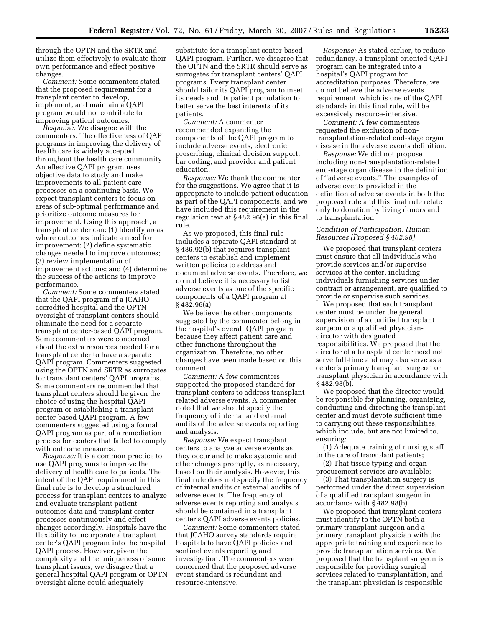through the OPTN and the SRTR and utilize them effectively to evaluate their own performance and effect positive changes.

*Comment:* Some commenters stated that the proposed requirement for a transplant center to develop, implement, and maintain a QAPI program would not contribute to improving patient outcomes.

*Response:* We disagree with the commenters. The effectiveness of QAPI programs in improving the delivery of health care is widely accepted throughout the health care community. An effective QAPI program uses objective data to study and make improvements to all patient care processes on a continuing basis. We expect transplant centers to focus on areas of sub-optimal performance and prioritize outcome measures for improvement. Using this approach, a transplant center can: (1) Identify areas where outcomes indicate a need for improvement; (2) define systematic changes needed to improve outcomes; (3) review implementation of improvement actions; and (4) determine the success of the actions to improve performance.

*Comment:* Some commenters stated that the QAPI program of a JCAHO accredited hospital and the OPTN oversight of transplant centers should eliminate the need for a separate transplant center-based QAPI program. Some commenters were concerned about the extra resources needed for a transplant center to have a separate QAPI program. Commenters suggested using the OPTN and SRTR as surrogates for transplant centers' QAPI programs. Some commenters recommended that transplant centers should be given the choice of using the hospital QAPI program or establishing a transplantcenter-based QAPI program. A few commenters suggested using a formal QAPI program as part of a remediation process for centers that failed to comply with outcome measures.

*Response:* It is a common practice to use QAPI programs to improve the delivery of health care to patients. The intent of the QAPI requirement in this final rule is to develop a structured process for transplant centers to analyze and evaluate transplant patient outcomes data and transplant center processes continuously and effect changes accordingly. Hospitals have the flexibility to incorporate a transplant center's QAPI program into the hospital QAPI process. However, given the complexity and the uniqueness of some transplant issues, we disagree that a general hospital QAPI program or OPTN oversight alone could adequately

substitute for a transplant center-based QAPI program. Further, we disagree that the OPTN and the SRTR should serve as surrogates for transplant centers' QAPI programs. Every transplant center should tailor its QAPI program to meet its needs and its patient population to better serve the best interests of its patients.

*Comment:* A commenter recommended expanding the components of the QAPI program to include adverse events, electronic prescribing, clinical decision support, bar coding, and provider and patient education.

*Response:* We thank the commenter for the suggestions. We agree that it is appropriate to include patient education as part of the QAPI components, and we have included this requirement in the regulation text at § 482.96(a) in this final rule.

As we proposed, this final rule includes a separate QAPI standard at § 486.92(b) that requires transplant centers to establish and implement written policies to address and document adverse events. Therefore, we do not believe it is necessary to list adverse events as one of the specific components of a QAPI program at § 482.96(a).

We believe the other components suggested by the commenter belong in the hospital's overall QAPI program because they affect patient care and other functions throughout the organization. Therefore, no other changes have been made based on this comment.

*Comment:* A few commenters supported the proposed standard for transplant centers to address transplantrelated adverse events. A commenter noted that we should specify the frequency of internal and external audits of the adverse events reporting and analysis.

*Response:* We expect transplant centers to analyze adverse events as they occur and to make systemic and other changes promptly, as necessary, based on their analysis. However, this final rule does not specify the frequency of internal audits or external audits of adverse events. The frequency of adverse events reporting and analysis should be contained in a transplant center's QAPI adverse events policies.

*Comment:* Some commenters stated that JCAHO survey standards require hospitals to have QAPI policies and sentinel events reporting and investigation. The commenters were concerned that the proposed adverse event standard is redundant and resource-intensive.

*Response:* As stated earlier, to reduce redundancy, a transplant-oriented QAPI program can be integrated into a hospital's QAPI program for accreditation purposes. Therefore, we do not believe the adverse events requirement, which is one of the QAPI standards in this final rule, will be excessively resource-intensive.

*Comment:* A few commenters requested the exclusion of nontransplantation-related end-stage organ disease in the adverse events definition.

*Response:* We did not propose including non-transplantation-related end-stage organ disease in the definition of ''adverse events.'' The examples of adverse events provided in the definition of adverse events in both the proposed rule and this final rule relate only to donation by living donors and to transplantation.

## *Condition of Participation: Human Resources (Proposed § 482.98)*

We proposed that transplant centers must ensure that all individuals who provide services and/or supervise services at the center, including individuals furnishing services under contract or arrangement, are qualified to provide or supervise such services.

We proposed that each transplant center must be under the general supervision of a qualified transplant surgeon or a qualified physiciandirector with designated responsibilities. We proposed that the director of a transplant center need not serve full-time and may also serve as a center's primary transplant surgeon or transplant physician in accordance with § 482.98(b).

We proposed that the director would be responsible for planning, organizing, conducting and directing the transplant center and must devote sufficient time to carrying out these responsibilities, which include, but are not limited to, ensuring:

(1) Adequate training of nursing staff in the care of transplant patients;

(2) That tissue typing and organ procurement services are available;

(3) That transplantation surgery is performed under the direct supervision of a qualified transplant surgeon in accordance with § 482.98(b).

We proposed that transplant centers must identify to the OPTN both a primary transplant surgeon and a primary transplant physician with the appropriate training and experience to provide transplantation services. We proposed that the transplant surgeon is responsible for providing surgical services related to transplantation, and the transplant physician is responsible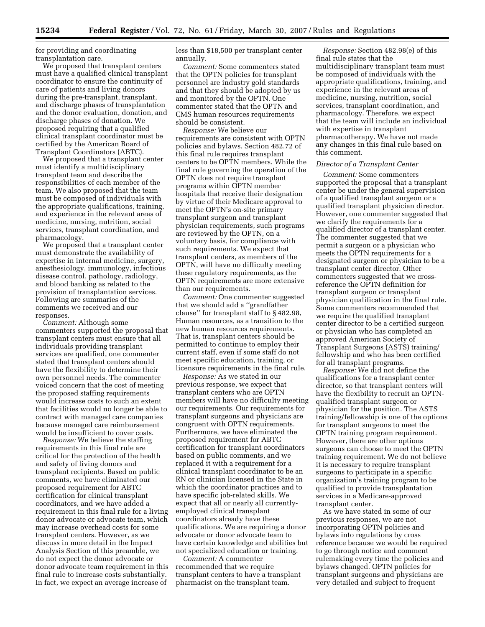for providing and coordinating transplantation care.

We proposed that transplant centers must have a qualified clinical transplant coordinator to ensure the continuity of care of patients and living donors during the pre-transplant, transplant, and discharge phases of transplantation and the donor evaluation, donation, and discharge phases of donation. We proposed requiring that a qualified clinical transplant coordinator must be certified by the American Board of Transplant Coordinators (ABTC).

We proposed that a transplant center must identify a multidisciplinary transplant team and describe the responsibilities of each member of the team. We also proposed that the team must be composed of individuals with the appropriate qualifications, training, and experience in the relevant areas of medicine, nursing, nutrition, social services, transplant coordination, and pharmacology.

We proposed that a transplant center must demonstrate the availability of expertise in internal medicine, surgery, anesthesiology, immunology, infectious disease control, pathology, radiology, and blood banking as related to the provision of transplantation services. Following are summaries of the comments we received and our responses.

*Comment:* Although some commenters supported the proposal that transplant centers must ensure that all individuals providing transplant services are qualified, one commenter stated that transplant centers should have the flexibility to determine their own personnel needs. The commenter voiced concern that the cost of meeting the proposed staffing requirements would increase costs to such an extent that facilities would no longer be able to contract with managed care companies because managed care reimbursement would be insufficient to cover costs.

*Response:* We believe the staffing requirements in this final rule are critical for the protection of the health and safety of living donors and transplant recipients. Based on public comments, we have eliminated our proposed requirement for ABTC certification for clinical transplant coordinators, and we have added a requirement in this final rule for a living donor advocate or advocate team, which may increase overhead costs for some transplant centers. However, as we discuss in more detail in the Impact Analysis Section of this preamble, we do not expect the donor advocate or donor advocate team requirement in this final rule to increase costs substantially. In fact, we expect an average increase of

less than \$18,500 per transplant center annually.

*Comment:* Some commenters stated that the OPTN policies for transplant personnel are industry gold standards and that they should be adopted by us and monitored by the OPTN. One commenter stated that the OPTN and CMS human resources requirements should be consistent.

*Response:* We believe our requirements are consistent with OPTN policies and bylaws. Section 482.72 of this final rule requires transplant centers to be OPTN members. While the final rule governing the operation of the OPTN does not require transplant programs within OPTN member hospitals that receive their designation by virtue of their Medicare approval to meet the OPTN's on-site primary transplant surgeon and transplant physician requirements, such programs are reviewed by the OPTN, on a voluntary basis, for compliance with such requirements. We expect that transplant centers, as members of the OPTN, will have no difficulty meeting these regulatory requirements, as the OPTN requirements are more extensive than our requirements.

*Comment:* One commenter suggested that we should add a ''grandfather clause'' for transplant staff to § 482.98, Human resources, as a transition to the new human resources requirements. That is, transplant centers should be permitted to continue to employ their current staff, even if some staff do not meet specific education, training, or licensure requirements in the final rule.

*Response:* As we stated in our previous response, we expect that transplant centers who are OPTN members will have no difficulty meeting our requirements. Our requirements for transplant surgeons and physicians are congruent with OPTN requirements. Furthermore, we have eliminated the proposed requirement for ABTC certification for transplant coordinators based on public comments, and we replaced it with a requirement for a clinical transplant coordinator to be an RN or clinician licensed in the State in which the coordinator practices and to have specific job-related skills. We expect that all or nearly all currentlyemployed clinical transplant coordinators already have these qualifications. We are requiring a donor advocate or donor advocate team to have certain knowledge and abilities but not specialized education or training.

*Comment:* A commenter recommended that we require transplant centers to have a transplant pharmacist on the transplant team.

*Response:* Section 482.98(e) of this final rule states that the multidisciplinary transplant team must be composed of individuals with the appropriate qualifications, training, and experience in the relevant areas of medicine, nursing, nutrition, social services, transplant coordination, and pharmacology. Therefore, we expect that the team will include an individual with expertise in transplant pharmacotherapy. We have not made any changes in this final rule based on this comment.

### *Director of a Transplant Center*

*Comment:* Some commenters supported the proposal that a transplant center be under the general supervision of a qualified transplant surgeon or a qualified transplant physician director. However, one commenter suggested that we clarify the requirements for a qualified director of a transplant center. The commenter suggested that we permit a surgeon or a physician who meets the OPTN requirements for a designated surgeon or physician to be a transplant center director. Other commenters suggested that we crossreference the OPTN definition for transplant surgeon or transplant physician qualification in the final rule. Some commenters recommended that we require the qualified transplant center director to be a certified surgeon or physician who has completed an approved American Society of Transplant Surgeons (ASTS) training/ fellowship and who has been certified for all transplant programs.

*Response:* We did not define the qualifications for a transplant center director, so that transplant centers will have the flexibility to recruit an OPTNqualified transplant surgeon or physician for the position. The ASTS training/fellowship is one of the options for transplant surgeons to meet the OPTN training program requirement. However, there are other options surgeons can choose to meet the OPTN training requirement. We do not believe it is necessary to require transplant surgeons to participate in a specific organization's training program to be qualified to provide transplantation services in a Medicare-approved transplant center.

As we have stated in some of our previous responses, we are not incorporating OPTN policies and bylaws into regulations by cross reference because we would be required to go through notice and comment rulemaking every time the policies and bylaws changed. OPTN policies for transplant surgeons and physicians are very detailed and subject to frequent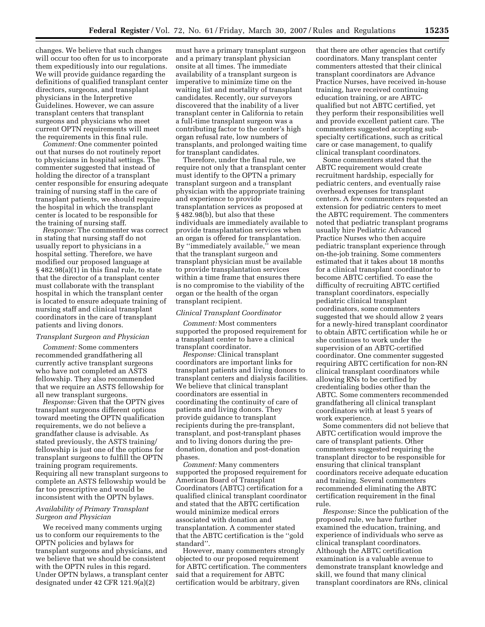changes. We believe that such changes will occur too often for us to incorporate them expeditiously into our regulations. We will provide guidance regarding the definitions of qualified transplant center directors, surgeons, and transplant physicians in the Interpretive Guidelines. However, we can assure transplant centers that transplant surgeons and physicians who meet current OPTN requirements will meet the requirements in this final rule.

*Comment:* One commenter pointed out that nurses do not routinely report to physicians in hospital settings. The commenter suggested that instead of holding the director of a transplant center responsible for ensuring adequate training of nursing staff in the care of transplant patients, we should require the hospital in which the transplant center is located to be responsible for the training of nursing staff.

*Response:* The commenter was correct in stating that nursing staff do not usually report to physicians in a hospital setting. Therefore, we have modified our proposed language at § 482.98(a)(1) in this final rule, to state that the director of a transplant center must collaborate with the transplant hospital in which the transplant center is located to ensure adequate training of nursing staff and clinical transplant coordinators in the care of transplant patients and living donors.

### *Transplant Surgeon and Physician*

*Comment:* Some commenters recommended grandfathering all currently active transplant surgeons who have not completed an ASTS fellowship. They also recommended that we require an ASTS fellowship for all new transplant surgeons.

*Response:* Given that the OPTN gives transplant surgeons different options toward meeting the OPTN qualification requirements, we do not believe a grandfather clause is advisable. As stated previously, the ASTS training/ fellowship is just one of the options for transplant surgeons to fulfill the OPTN training program requirements. Requiring all new transplant surgeons to complete an ASTS fellowship would be far too prescriptive and would be inconsistent with the OPTN bylaws.

## *Availability of Primary Transplant Surgeon and Physician*

We received many comments urging us to conform our requirements to the OPTN policies and bylaws for transplant surgeons and physicians, and we believe that we should be consistent with the OPTN rules in this regard. Under OPTN bylaws, a transplant center designated under 42 CFR 121.9(a)(2)

must have a primary transplant surgeon and a primary transplant physician onsite at all times. The immediate availability of a transplant surgeon is imperative to minimize time on the waiting list and mortality of transplant candidates. Recently, our surveyors discovered that the inability of a liver transplant center in California to retain a full-time transplant surgeon was a contributing factor to the center's high organ refusal rate, low numbers of transplants, and prolonged waiting time for transplant candidates.

Therefore, under the final rule, we require not only that a transplant center must identify to the OPTN a primary transplant surgeon and a transplant physician with the appropriate training and experience to provide transplantation services as proposed at § 482.98(b), but also that these individuals are immediately available to provide transplantation services when an organ is offered for transplantation. By ''immediately available,'' we mean that the transplant surgeon and transplant physician must be available to provide transplantation services within a time frame that ensures there is no compromise to the viability of the organ or the health of the organ transplant recipient.

### *Clinical Transplant Coordinator*

*Comment:* Most commenters supported the proposed requirement for a transplant center to have a clinical transplant coordinator.

*Response:* Clinical transplant coordinators are important links for transplant patients and living donors to transplant centers and dialysis facilities. We believe that clinical transplant coordinators are essential in coordinating the continuity of care of patients and living donors. They provide guidance to transplant recipients during the pre-transplant, transplant, and post-transplant phases and to living donors during the predonation, donation and post-donation phases.

*Comment:* Many commenters supported the proposed requirement for American Board of Transplant Coordinators (ABTC) certification for a qualified clinical transplant coordinator and stated that the ABTC certification would minimize medical errors associated with donation and transplantation. A commenter stated that the ABTC certification is the ''gold standard''.

However, many commenters strongly objected to our proposed requirement for ABTC certification. The commenters said that a requirement for ABTC certification would be arbitrary, given

that there are other agencies that certify coordinators. Many transplant center commenters attested that their clinical transplant coordinators are Advance Practice Nurses, have received in-house training, have received continuing education training, or are ABTCqualified but not ABTC certified, yet they perform their responsibilities well and provide excellent patient care. The commenters suggested accepting subspecialty certifications, such as critical care or case management, to qualify clinical transplant coordinators.

Some commenters stated that the ABTC requirement would create recruitment hardship, especially for pediatric centers, and eventually raise overhead expenses for transplant centers. A few commenters requested an extension for pediatric centers to meet the ABTC requirement. The commenters noted that pediatric transplant programs usually hire Pediatric Advanced Practice Nurses who then acquire pediatric transplant experience through on-the-job training. Some commenters estimated that it takes about 18 months for a clinical transplant coordinator to become ABTC certified. To ease the difficulty of recruiting ABTC certified transplant coordinators, especially pediatric clinical transplant coordinators, some commenters suggested that we should allow 2 years for a newly-hired transplant coordinator to obtain ABTC certification while he or she continues to work under the supervision of an ABTC-certified coordinator. One commenter suggested requiring ABTC certification for non-RN clinical transplant coordinators while allowing RNs to be certified by credentialing bodies other than the ABTC. Some commenters recommended grandfathering all clinical transplant coordinators with at least 5 years of work experience.

Some commenters did not believe that ABTC certification would improve the care of transplant patients. Other commenters suggested requiring the transplant director to be responsible for ensuring that clinical transplant coordinators receive adequate education and training. Several commenters recommended eliminating the ABTC certification requirement in the final rule.

*Response:* Since the publication of the proposed rule, we have further examined the education, training, and experience of individuals who serve as clinical transplant coordinators. Although the ABTC certification examination is a valuable avenue to demonstrate transplant knowledge and skill, we found that many clinical transplant coordinators are RNs, clinical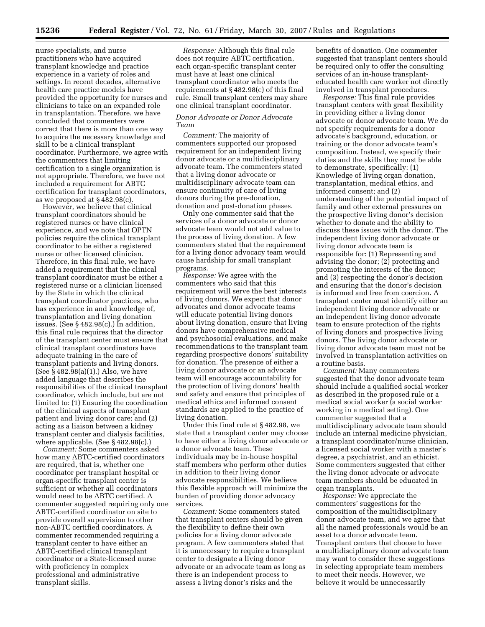nurse specialists, and nurse practitioners who have acquired transplant knowledge and practice experience in a variety of roles and settings. In recent decades, alternative health care practice models have provided the opportunity for nurses and clinicians to take on an expanded role in transplantation. Therefore, we have concluded that commenters were correct that there is more than one way to acquire the necessary knowledge and skill to be a clinical transplant coordinator. Furthermore, we agree with the commenters that limiting certification to a single organization is not appropriate. Therefore, we have not included a requirement for ABTC certification for transplant coordinators, as we proposed at § 482.98(c).

However, we believe that clinical transplant coordinators should be registered nurses or have clinical experience, and we note that OPTN policies require the clinical transplant coordinator to be either a registered nurse or other licensed clinician. Therefore, in this final rule, we have added a requirement that the clinical transplant coordinator must be either a registered nurse or a clinician licensed by the State in which the clinical transplant coordinator practices, who has experience in and knowledge of, transplantation and living donation issues. (See § 482.98(c).) In addition, this final rule requires that the director of the transplant center must ensure that clinical transplant coordinators have adequate training in the care of transplant patients and living donors. (See § 482.98(a)(1).) Also, we have added language that describes the responsibilities of the clinical transplant coordinator, which include, but are not limited to: (1) Ensuring the coordination of the clinical aspects of transplant patient and living donor care; and (2) acting as a liaison between a kidney transplant center and dialysis facilities, where applicable. (See § 482.98(c).)

*Comment:* Some commenters asked how many ABTC-certified coordinators are required, that is, whether one coordinator per transplant hospital or organ-specific transplant center is sufficient or whether all coordinators would need to be ABTC certified. A commenter suggested requiring only one ABTC-certified coordinator on site to provide overall supervision to other non-ABTC certified coordinators. A commenter recommended requiring a transplant center to have either an ABTC-certified clinical transplant coordinator or a State-licensed nurse with proficiency in complex professional and administrative transplant skills.

*Response:* Although this final rule does not require ABTC certification, each organ-specific transplant center must have at least one clinical transplant coordinator who meets the requirements at § 482.98(c) of this final rule. Small transplant centers may share one clinical transplant coordinator.

# *Donor Advocate or Donor Advocate Team*

*Comment:* The majority of commenters supported our proposed requirement for an independent living donor advocate or a multidisciplinary advocate team. The commenters stated that a living donor advocate or multidisciplinary advocate team can ensure continuity of care of living donors during the pre-donation, donation and post-donation phases.

Only one commenter said that the services of a donor advocate or donor advocate team would not add value to the process of living donation. A few commenters stated that the requirement for a living donor advocacy team would cause hardship for small transplant programs.

*Response:* We agree with the commenters who said that this requirement will serve the best interests of living donors. We expect that donor advocates and donor advocate teams will educate potential living donors about living donation, ensure that living donors have comprehensive medical and psychosocial evaluations, and make recommendations to the transplant team regarding prospective donors' suitability for donation. The presence of either a living donor advocate or an advocate team will encourage accountability for the protection of living donors' health and safety and ensure that principles of medical ethics and informed consent standards are applied to the practice of living donation.

Under this final rule at § 482.98, we state that a transplant center may choose to have either a living donor advocate or a donor advocate team. These individuals may be in-house hospital staff members who perform other duties in addition to their living donor advocate responsibilities. We believe this flexible approach will minimize the burden of providing donor advocacy services.

*Comment:* Some commenters stated that transplant centers should be given the flexibility to define their own policies for a living donor advocate program. A few commenters stated that it is unnecessary to require a transplant center to designate a living donor advocate or an advocate team as long as there is an independent process to assess a living donor's risks and the

benefits of donation. One commenter suggested that transplant centers should be required only to offer the consulting services of an in-house transplanteducated health care worker not directly involved in transplant procedures.

*Response:* This final rule provides transplant centers with great flexibility in providing either a living donor advocate or donor advocate team. We do not specify requirements for a donor advocate's background, education, or training or the donor advocate team's composition. Instead, we specify their duties and the skills they must be able to demonstrate, specifically: (1) Knowledge of living organ donation, transplantation, medical ethics, and informed consent; and (2) understanding of the potential impact of family and other external pressures on the prospective living donor's decision whether to donate and the ability to discuss these issues with the donor. The independent living donor advocate or living donor advocate team is responsible for: (1) Representing and advising the donor; (2) protecting and promoting the interests of the donor; and (3) respecting the donor's decision and ensuring that the donor's decision is informed and free from coercion. A transplant center must identify either an independent living donor advocate or an independent living donor advocate team to ensure protection of the rights of living donors and prospective living donors. The living donor advocate or living donor advocate team must not be involved in transplantation activities on a routine basis.

*Comment:* Many commenters suggested that the donor advocate team should include a qualified social worker as described in the proposed rule or a medical social worker (a social worker working in a medical setting). One commenter suggested that a multidisciplinary advocate team should include an internal medicine physician, a transplant coordinator/nurse clinician, a licensed social worker with a master's degree, a psychiatrist, and an ethicist. Some commenters suggested that either the living donor advocate or advocate team members should be educated in organ transplants.

*Response:* We appreciate the commenters' suggestions for the composition of the multidisciplinary donor advocate team, and we agree that all the named professionals would be an asset to a donor advocate team. Transplant centers that choose to have a multidisciplinary donor advocate team may want to consider these suggestions in selecting appropriate team members to meet their needs. However, we believe it would be unnecessarily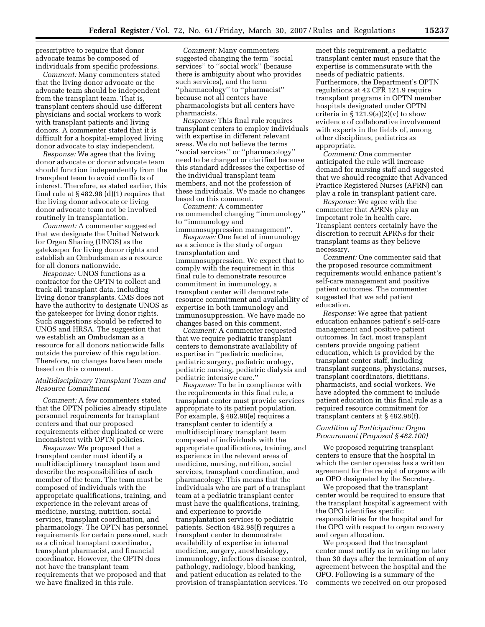prescriptive to require that donor advocate teams be composed of individuals from specific professions.

*Comment:* Many commenters stated that the living donor advocate or the advocate team should be independent from the transplant team. That is, transplant centers should use different physicians and social workers to work with transplant patients and living donors. A commenter stated that it is difficult for a hospital-employed living donor advocate to stay independent.

*Response:* We agree that the living donor advocate or donor advocate team should function independently from the transplant team to avoid conflicts of interest. Therefore, as stated earlier, this final rule at  $\S 482.98$  (d)(1) requires that the living donor advocate or living donor advocate team not be involved routinely in transplantation.

*Comment:* A commenter suggested that we designate the United Network for Organ Sharing (UNOS) as the gatekeeper for living donor rights and establish an Ombudsman as a resource for all donors nationwide.

*Response:* UNOS functions as a contractor for the OPTN to collect and track all transplant data, including living donor transplants. CMS does not have the authority to designate UNOS as the gatekeeper for living donor rights. Such suggestions should be referred to UNOS and HRSA. The suggestion that we establish an Ombudsman as a resource for all donors nationwide falls outside the purview of this regulation. Therefore, no changes have been made based on this comment.

## *Multidisciplinary Transplant Team and Resource Commitment*

*Comment:* A few commenters stated that the OPTN policies already stipulate personnel requirements for transplant centers and that our proposed requirements either duplicated or were inconsistent with OPTN policies.

*Response:* We proposed that a transplant center must identify a multidisciplinary transplant team and describe the responsibilities of each member of the team. The team must be composed of individuals with the appropriate qualifications, training, and experience in the relevant areas of medicine, nursing, nutrition, social services, transplant coordination, and pharmacology. The OPTN has personnel requirements for certain personnel, such as a clinical transplant coordinator, transplant pharmacist, and financial coordinator. However, the OPTN does not have the transplant team requirements that we proposed and that we have finalized in this rule.

*Comment:* Many commenters suggested changing the term ''social services'' to ''social work'' (because there is ambiguity about who provides such services), and the term ''pharmacology'' to ''pharmacist'' because not all centers have pharmacologists but all centers have pharmacists.

*Response:* This final rule requires transplant centers to employ individuals with expertise in different relevant areas. We do not believe the terms ''social services'' or ''pharmacology'' need to be changed or clarified because this standard addresses the expertise of the individual transplant team members, and not the profession of these individuals. We made no changes based on this comment.

*Comment:* A commenter recommended changing ''immunology'' to ''immunology and immunosuppression management''.

*Response:* One facet of immunology as a science is the study of organ transplantation and immunosuppression. We expect that to comply with the requirement in this final rule to demonstrate resource commitment in immunology, a transplant center will demonstrate resource commitment and availability of expertise in both immunology and immunosuppression. We have made no changes based on this comment.

*Comment:* A commenter requested that we require pediatric transplant centers to demonstrate availability of expertise in ''pediatric medicine, pediatric surgery, pediatric urology, pediatric nursing, pediatric dialysis and pediatric intensive care.''

*Response:* To be in compliance with the requirements in this final rule, a transplant center must provide services appropriate to its patient population. For example, § 482.98(e) requires a transplant center to identify a multidisciplinary transplant team composed of individuals with the appropriate qualifications, training, and experience in the relevant areas of medicine, nursing, nutrition, social services, transplant coordination, and pharmacology. This means that the individuals who are part of a transplant team at a pediatric transplant center must have the qualifications, training, and experience to provide transplantation services to pediatric patients. Section 482.98(f) requires a transplant center to demonstrate availability of expertise in internal medicine, surgery, anesthesiology, immunology, infectious disease control, pathology, radiology, blood banking, and patient education as related to the provision of transplantation services. To meet this requirement, a pediatric transplant center must ensure that the expertise is commensurate with the needs of pediatric patients. Furthermore, the Department's OPTN regulations at 42 CFR 121.9 require transplant programs in OPTN member hospitals designated under OPTN criteria in  $\S 121.9(a)(2)(v)$  to show evidence of collaborative involvement with experts in the fields of, among other disciplines, pediatrics as appropriate.

*Comment:* One commenter anticipated the rule will increase demand for nursing staff and suggested that we should recognize that Advanced Practice Registered Nurses (APRN) can play a role in transplant patient care.

*Response:* We agree with the commenter that APRNs play an important role in health care. Transplant centers certainly have the discretion to recruit APRNs for their transplant teams as they believe necessary.

*Comment:* One commenter said that the proposed resource commitment requirements would enhance patient's self-care management and positive patient outcomes. The commenter suggested that we add patient education.

*Response:* We agree that patient education enhances patient's self-care management and positive patient outcomes. In fact, most transplant centers provide ongoing patient education, which is provided by the transplant center staff, including transplant surgeons, physicians, nurses, transplant coordinators, dietitians, pharmacists, and social workers. We have adopted the comment to include patient education in this final rule as a required resource commitment for transplant centers at § 482.98(f).

## *Condition of Participation: Organ Procurement (Proposed § 482.100)*

We proposed requiring transplant centers to ensure that the hospital in which the center operates has a written agreement for the receipt of organs with an OPO designated by the Secretary.

We proposed that the transplant center would be required to ensure that the transplant hospital's agreement with the OPO identifies specific responsibilities for the hospital and for the OPO with respect to organ recovery and organ allocation.

We proposed that the transplant center must notify us in writing no later than 30 days after the termination of any agreement between the hospital and the OPO. Following is a summary of the comments we received on our proposed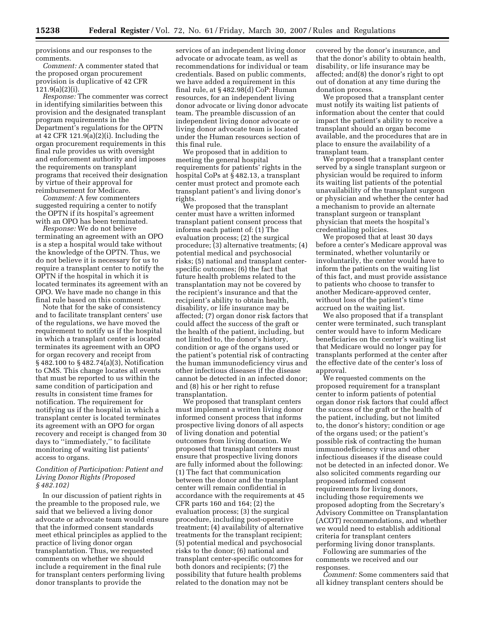provisions and our responses to the comments.

*Comment:* A commenter stated that the proposed organ procurement provision is duplicative of 42 CFR 121.9(a)(2)(i).

*Response:* The commenter was correct in identifying similarities between this provision and the designated transplant program requirements in the Department's regulations for the OPTN at 42 CFR 121.9(a)(2)(i). Including the organ procurement requirements in this final rule provides us with oversight and enforcement authority and imposes the requirements on transplant programs that received their designation by virtue of their approval for reimbursement for Medicare.

*Comment:* A few commenters suggested requiring a center to notify the OPTN if its hospital's agreement with an OPO has been terminated.

*Response:* We do not believe terminating an agreement with an OPO is a step a hospital would take without the knowledge of the OPTN. Thus, we do not believe it is necessary for us to require a transplant center to notify the OPTN if the hospital in which it is located terminates its agreement with an OPO. We have made no change in this final rule based on this comment.

Note that for the sake of consistency and to facilitate transplant centers' use of the regulations, we have moved the requirement to notify us if the hospital in which a transplant center is located terminates its agreement with an OPO for organ recovery and receipt from § 482.100 to § 482.74(a)(3), Notification to CMS. This change locates all events that must be reported to us within the same condition of participation and results in consistent time frames for notification. The requirement for notifying us if the hospital in which a transplant center is located terminates its agreement with an OPO for organ recovery and receipt is changed from 30 days to ''immediately,'' to facilitate monitoring of waiting list patients' access to organs.

## *Condition of Participation: Patient and Living Donor Rights (Proposed § 482.102)*

In our discussion of patient rights in the preamble to the proposed rule, we said that we believed a living donor advocate or advocate team would ensure that the informed consent standards meet ethical principles as applied to the practice of living donor organ transplantation. Thus, we requested comments on whether we should include a requirement in the final rule for transplant centers performing living donor transplants to provide the

services of an independent living donor advocate or advocate team, as well as recommendations for individual or team credentials. Based on public comments, we have added a requirement in this final rule, at § 482.98(d) CoP: Human resources, for an independent living donor advocate or living donor advocate team. The preamble discussion of an independent living donor advocate or living donor advocate team is located under the Human resources section of this final rule.

We proposed that in addition to meeting the general hospital requirements for patients' rights in the hospital CoPs at § 482.13, a transplant center must protect and promote each transplant patient's and living donor's rights.

We proposed that the transplant center must have a written informed transplant patient consent process that informs each patient of: (1) The evaluation process; (2) the surgical procedure; (3) alternative treatments; (4) potential medical and psychosocial risks; (5) national and transplant centerspecific outcomes; (6) the fact that future health problems related to the transplantation may not be covered by the recipient's insurance and that the recipient's ability to obtain health, disability, or life insurance may be affected; (7) organ donor risk factors that could affect the success of the graft or the health of the patient, including, but not limited to, the donor's history, condition or age of the organs used or the patient's potential risk of contracting the human immunodeficiency virus and other infectious diseases if the disease cannot be detected in an infected donor; and (8) his or her right to refuse transplantation.

We proposed that transplant centers must implement a written living donor informed consent process that informs prospective living donors of all aspects of living donation and potential outcomes from living donation. We proposed that transplant centers must ensure that prospective living donors are fully informed about the following: (1) The fact that communication between the donor and the transplant center will remain confidential in accordance with the requirements at 45 CFR parts 160 and 164; (2) the evaluation process; (3) the surgical procedure, including post-operative treatment; (4) availability of alternative treatments for the transplant recipient; (5) potential medical and psychosocial risks to the donor; (6) national and transplant center-specific outcomes for both donors and recipients; (7) the possibility that future health problems related to the donation may not be

covered by the donor's insurance, and that the donor's ability to obtain health, disability, or life insurance may be affected; and(8) the donor's right to opt out of donation at any time during the donation process.

We proposed that a transplant center must notify its waiting list patients of information about the center that could impact the patient's ability to receive a transplant should an organ become available, and the procedures that are in place to ensure the availability of a transplant team.

We proposed that a transplant center served by a single transplant surgeon or physician would be required to inform its waiting list patients of the potential unavailability of the transplant surgeon or physician and whether the center had a mechanism to provide an alternate transplant surgeon or transplant physician that meets the hospital's credentialing policies.

We proposed that at least 30 days before a center's Medicare approval was terminated, whether voluntarily or involuntarily, the center would have to inform the patients on the waiting list of this fact, and must provide assistance to patients who choose to transfer to another Medicare-approved center, without loss of the patient's time accrued on the waiting list.

We also proposed that if a transplant center were terminated, such transplant center would have to inform Medicare beneficiaries on the center's waiting list that Medicare would no longer pay for transplants performed at the center after the effective date of the center's loss of approval.

We requested comments on the proposed requirement for a transplant center to inform patients of potential organ donor risk factors that could affect the success of the graft or the health of the patient, including, but not limited to, the donor's history; condition or age of the organs used; or the patient's possible risk of contracting the human immunodeficiency virus and other infectious diseases if the disease could not be detected in an infected donor. We also solicited comments regarding our proposed informed consent requirements for living donors, including those requirements we proposed adopting from the Secretary's Advisory Committee on Transplantation (ACOT) recommendations, and whether we would need to establish additional criteria for transplant centers performing living donor transplants.

Following are summaries of the comments we received and our responses.

*Comment:* Some commenters said that all kidney transplant centers should be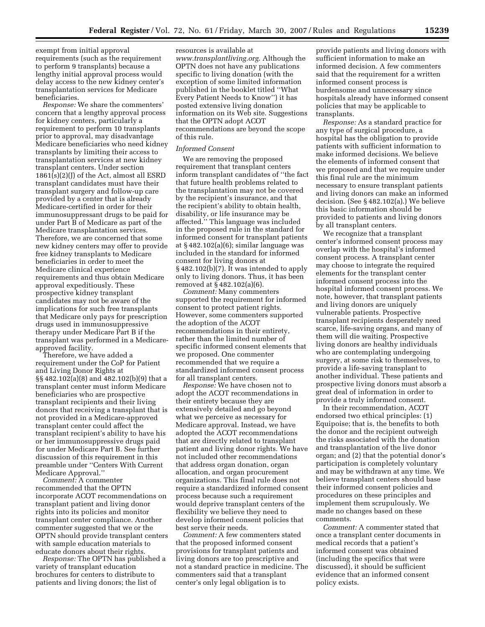exempt from initial approval requirements (such as the requirement to perform 9 transplants) because a lengthy initial approval process would delay access to the new kidney center's transplantation services for Medicare beneficiaries.

*Response:* We share the commenters' concern that a lengthy approval process for kidney centers, particularly a requirement to perform 10 transplants prior to approval, may disadvantage Medicare beneficiaries who need kidney transplants by limiting their access to transplantation services at new kidney transplant centers. Under section 1861(s)(2)(J) of the Act, almost all ESRD transplant candidates must have their transplant surgery and follow-up care provided by a center that is already Medicare-certified in order for their immunosuppressant drugs to be paid for under Part B of Medicare as part of the Medicare transplantation services. Therefore, we are concerned that some new kidney centers may offer to provide free kidney transplants to Medicare beneficiaries in order to meet the Medicare clinical experience requirements and thus obtain Medicare approval expeditiously. These prospective kidney transplant candidates may not be aware of the implications for such free transplants that Medicare only pays for prescription drugs used in immunosuppressive therapy under Medicare Part B if the transplant was performed in a Medicareapproved facility.

Therefore, we have added a requirement under the CoP for Patient and Living Donor Rights at §§ 482.102(a)(8) and 482.102(b)(9) that a transplant center must inform Medicare beneficiaries who are prospective transplant recipients and their living donors that receiving a transplant that is not provided in a Medicare-approved transplant center could affect the transplant recipient's ability to have his or her immunosuppressive drugs paid for under Medicare Part B. See further discussion of this requirement in this preamble under ''Centers With Current Medicare Approval.''

*Comment:* A commenter recommended that the OPTN incorporate ACOT recommendations on transplant patient and living donor rights into its policies and monitor transplant center compliance. Another commenter suggested that we or the OPTN should provide transplant centers with sample education materials to educate donors about their rights.

*Response:* The OPTN has published a variety of transplant education brochures for centers to distribute to patients and living donors; the list of

resources is available at *[www.transplantliving.org](http://www.transplantliving.org)*. Although the OPTN does not have any publications specific to living donation (with the exception of some limited information published in the booklet titled ''What Every Patient Needs to Know'') it has posted extensive living donation information on its Web site. Suggestions that the OPTN adopt ACOT recommendations are beyond the scope of this rule.

## *Informed Consent*

We are removing the proposed requirement that transplant centers inform transplant candidates of ''the fact that future health problems related to the transplantation may not be covered by the recipient's insurance, and that the recipient's ability to obtain health, disability, or life insurance may be affected.'' This language was included in the proposed rule in the standard for informed consent for transplant patients at § 482.102(a)(6); similar language was included in the standard for informed consent for living donors at § 482.102(b)(7). It was intended to apply only to living donors. Thus, it has been removed at § 482.102(a)(6).

*Comment:* Many commenters supported the requirement for informed consent to protect patient rights. However, some commenters supported the adoption of the ACOT recommendations in their entirety, rather than the limited number of specific informed consent elements that we proposed. One commenter recommended that we require a standardized informed consent process for all transplant centers.

*Response:* We have chosen not to adopt the ACOT recommendations in their entirety because they are extensively detailed and go beyond what we perceive as necessary for Medicare approval. Instead, we have adopted the ACOT recommendations that are directly related to transplant patient and living donor rights. We have not included other recommendations that address organ donation, organ allocation, and organ procurement organizations. This final rule does not require a standardized informed consent process because such a requirement would deprive transplant centers of the flexibility we believe they need to develop informed consent policies that best serve their needs.

*Comment:* A few commenters stated that the proposed informed consent provisions for transplant patients and living donors are too prescriptive and not a standard practice in medicine. The commenters said that a transplant center's only legal obligation is to

provide patients and living donors with sufficient information to make an informed decision. A few commenters said that the requirement for a written informed consent process is burdensome and unnecessary since hospitals already have informed consent policies that may be applicable to transplants.

*Response:* As a standard practice for any type of surgical procedure, a hospital has the obligation to provide patients with sufficient information to make informed decisions. We believe the elements of informed consent that we proposed and that we require under this final rule are the minimum necessary to ensure transplant patients and living donors can make an informed decision. (See § 482.102(a).) We believe this basic information should be provided to patients and living donors by all transplant centers.

We recognize that a transplant center's informed consent process may overlap with the hospital's informed consent process. A transplant center may choose to integrate the required elements for the transplant center informed consent process into the hospital informed consent process. We note, however, that transplant patients and living donors are uniquely vulnerable patients. Prospective transplant recipients desperately need scarce, life-saving organs, and many of them will die waiting. Prospective living donors are healthy individuals who are contemplating undergoing surgery, at some risk to themselves, to provide a life-saving transplant to another individual. These patients and prospective living donors must absorb a great deal of information in order to provide a truly informed consent.

In their recommendation, ACOT endorsed two ethical principles: (1) Equipoise; that is, the benefits to both the donor and the recipient outweigh the risks associated with the donation and transplantation of the live donor organ; and (2) that the potential donor's participation is completely voluntary and may be withdrawn at any time. We believe transplant centers should base their informed consent policies and procedures on these principles and implement them scrupulously. We made no changes based on these comments.

*Comment:* A commenter stated that once a transplant center documents in medical records that a patient's informed consent was obtained (including the specifics that were discussed), it should be sufficient evidence that an informed consent policy exists.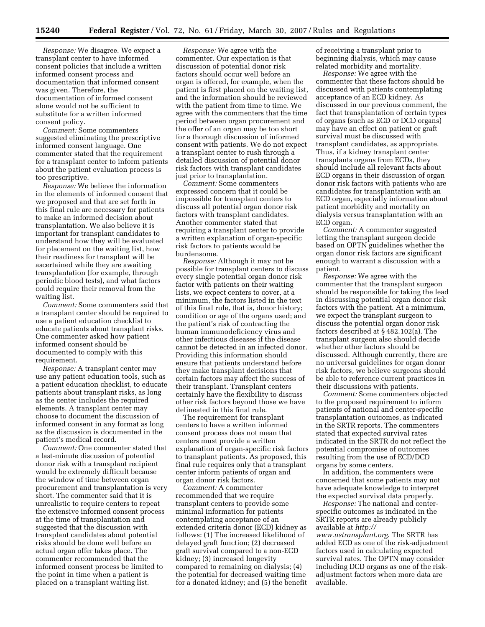*Response:* We disagree. We expect a transplant center to have informed consent policies that include a written informed consent process and documentation that informed consent was given. Therefore, the documentation of informed consent alone would not be sufficient to substitute for a written informed consent policy.

*Comment:* Some commenters suggested eliminating the prescriptive informed consent language. One commenter stated that the requirement for a transplant center to inform patients about the patient evaluation process is too prescriptive.

*Response:* We believe the information in the elements of informed consent that we proposed and that are set forth in this final rule are necessary for patients to make an informed decision about transplantation. We also believe it is important for transplant candidates to understand how they will be evaluated for placement on the waiting list, how their readiness for transplant will be ascertained while they are awaiting transplantation (for example, through periodic blood tests), and what factors could require their removal from the waiting list.

*Comment:* Some commenters said that a transplant center should be required to use a patient education checklist to educate patients about transplant risks. One commenter asked how patient informed consent should be documented to comply with this requirement.

*Response:* A transplant center may use any patient education tools, such as a patient education checklist, to educate patients about transplant risks, as long as the center includes the required elements. A transplant center may choose to document the discussion of informed consent in any format as long as the discussion is documented in the patient's medical record.

*Comment:* One commenter stated that a last-minute discussion of potential donor risk with a transplant recipient would be extremely difficult because the window of time between organ procurement and transplantation is very short. The commenter said that it is unrealistic to require centers to repeat the extensive informed consent process at the time of transplantation and suggested that the discussion with transplant candidates about potential risks should be done well before an actual organ offer takes place. The commenter recommended that the informed consent process be limited to the point in time when a patient is placed on a transplant waiting list.

*Response:* We agree with the commenter. Our expectation is that discussion of potential donor risk factors should occur well before an organ is offered, for example, when the patient is first placed on the waiting list, and the information should be reviewed with the patient from time to time. We agree with the commenters that the time period between organ procurement and the offer of an organ may be too short for a thorough discussion of informed consent with patients. We do not expect a transplant center to rush through a detailed discussion of potential donor risk factors with transplant candidates just prior to transplantation.

*Comment:* Some commenters expressed concern that it could be impossible for transplant centers to discuss all potential organ donor risk factors with transplant candidates. Another commenter stated that requiring a transplant center to provide a written explanation of organ-specific risk factors to patients would be burdensome.

*Response:* Although it may not be possible for transplant centers to discuss every single potential organ donor risk factor with patients on their waiting lists, we expect centers to cover, at a minimum, the factors listed in the text of this final rule, that is, donor history; condition or age of the organs used; and the patient's risk of contracting the human immunodeficiency virus and other infectious diseases if the disease cannot be detected in an infected donor. Providing this information should ensure that patients understand before they make transplant decisions that certain factors may affect the success of their transplant. Transplant centers certainly have the flexibility to discuss other risk factors beyond those we have delineated in this final rule.

The requirement for transplant centers to have a written informed consent process does not mean that centers must provide a written explanation of organ-specific risk factors to transplant patients. As proposed, this final rule requires only that a transplant center inform patients of organ and organ donor risk factors.

*Comment:* A commenter recommended that we require transplant centers to provide some minimal information for patients contemplating acceptance of an extended criteria donor (ECD) kidney as follows: (1) The increased likelihood of delayed graft function; (2) decreased graft survival compared to a non-ECD kidney; (3) increased longevity compared to remaining on dialysis; (4) the potential for decreased waiting time for a donated kidney; and (5) the benefit of receiving a transplant prior to beginning dialysis, which may cause related morbidity and mortality.

*Response:* We agree with the commenter that these factors should be discussed with patients contemplating acceptance of an ECD kidney. As discussed in our previous comment, the fact that transplantation of certain types of organs (such as ECD or DCD organs) may have an effect on patient or graft survival must be discussed with transplant candidates, as appropriate. Thus, if a kidney transplant center transplants organs from ECDs, they should include all relevant facts about ECD organs in their discussion of organ donor risk factors with patients who are candidates for transplantation with an ECD organ, especially information about patient morbidity and mortality on dialysis versus transplantation with an ECD organ.

*Comment:* A commenter suggested letting the transplant surgeon decide based on OPTN guidelines whether the organ donor risk factors are significant enough to warrant a discussion with a patient.

*Response:* We agree with the commenter that the transplant surgeon should be responsible for taking the lead in discussing potential organ donor risk factors with the patient. At a minimum, we expect the transplant surgeon to discuss the potential organ donor risk factors described at § 482.102(a). The transplant surgeon also should decide whether other factors should be discussed. Although currently, there are no universal guidelines for organ donor risk factors, we believe surgeons should be able to reference current practices in their discussions with patients.

*Comment:* Some commenters objected to the proposed requirement to inform patients of national and center-specific transplantation outcomes, as indicated in the SRTR reports. The commenters stated that expected survival rates indicated in the SRTR do not reflect the potential compromise of outcomes resulting from the use of ECD/DCD organs by some centers.

In addition, the commenters were concerned that some patients may not have adequate knowledge to interpret the expected survival data properly.

*Response:* The national and centerspecific outcomes as indicated in the SRTR reports are already publicly available at *http://* 

*[www.ustransplant.org](http://www.ustransplant.org)*. The SRTR has added ECD as one of the risk-adjustment factors used in calculating expected survival rates. The OPTN may consider including DCD organs as one of the riskadjustment factors when more data are available.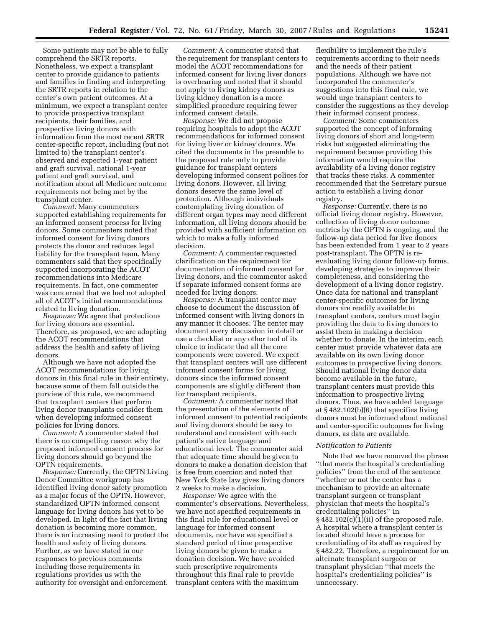Some patients may not be able to fully comprehend the SRTR reports. Nonetheless, we expect a transplant center to provide guidance to patients and families in finding and interpreting the SRTR reports in relation to the center's own patient outcomes. At a minimum, we expect a transplant center to provide prospective transplant recipients, their families, and prospective living donors with information from the most recent SRTR center-specific report, including (but not limited to) the transplant center's observed and expected 1-year patient and graft survival, national 1-year patient and graft survival, and notification about all Medicare outcome requirements not being met by the transplant center.

*Comment:* Many commenters supported establishing requirements for an informed consent process for living donors. Some commenters noted that informed consent for living donors protects the donor and reduces legal liability for the transplant team. Many commenters said that they specifically supported incorporating the ACOT recommendations into Medicare requirements. In fact, one commenter was concerned that we had not adopted all of ACOT's initial recommendations related to living donation.

*Response:* We agree that protections for living donors are essential. Therefore, as proposed, we are adopting the ACOT recommendations that address the health and safety of living donors.

Although we have not adopted the ACOT recommendations for living donors in this final rule in their entirety, because some of them fall outside the purview of this rule, we recommend that transplant centers that perform living donor transplants consider them when developing informed consent policies for living donors.

*Comment:* A commenter stated that there is no compelling reason why the proposed informed consent process for living donors should go beyond the OPTN requirements.

*Response:* Currently, the OPTN Living Donor Committee workgroup has identified living donor safety promotion as a major focus of the OPTN. However, standardized OPTN informed consent language for living donors has yet to be developed. In light of the fact that living donation is becoming more common, there is an increasing need to protect the health and safety of living donors. Further, as we have stated in our responses to previous comments including these requirements in regulations provides us with the authority for oversight and enforcement.

*Comment:* A commenter stated that the requirement for transplant centers to model the ACOT recommendations for informed consent for living liver donors is overbearing and noted that it should not apply to living kidney donors as living kidney donation is a more simplified procedure requiring fewer informed consent details.

*Response:* We did not propose requiring hospitals to adopt the ACOT recommendations for informed consent for living liver or kidney donors. We cited the documents in the preamble to the proposed rule only to provide guidance for transplant centers developing informed consent polices for living donors. However, all living donors deserve the same level of protection. Although individuals contemplating living donation of different organ types may need different information, all living donors should be provided with sufficient information on which to make a fully informed decision.

*Comment:* A commenter requested clarification on the requirement for documentation of informed consent for living donors, and the commenter asked if separate informed consent forms are needed for living donors.

*Response:* A transplant center may choose to document the discussion of informed consent with living donors in any manner it chooses. The center may document every discussion in detail or use a checklist or any other tool of its choice to indicate that all the core components were covered. We expect that transplant centers will use different informed consent forms for living donors since the informed consent components are slightly different than for transplant recipients.

*Comment:* A commenter noted that the presentation of the elements of informed consent to potential recipients and living donors should be easy to understand and consistent with each patient's native language and educational level. The commenter said that adequate time should be given to donors to make a donation decision that is free from coercion and noted that New York State law gives living donors 2 weeks to make a decision.

*Response:* We agree with the commenter's observations. Nevertheless, we have not specified requirements in this final rule for educational level or language for informed consent documents, nor have we specified a standard period of time prospective living donors be given to make a donation decision. We have avoided such prescriptive requirements throughout this final rule to provide transplant centers with the maximum

flexibility to implement the rule's requirements according to their needs and the needs of their patient populations. Although we have not incorporated the commenter's suggestions into this final rule, we would urge transplant centers to consider the suggestions as they develop their informed consent process.

*Comment:* Some commenters supported the concept of informing living donors of short and long-term risks but suggested eliminating the requirement because providing this information would require the availability of a living donor registry that tracks these risks. A commenter recommended that the Secretary pursue action to establish a living donor registry.

*Response:* Currently, there is no official living donor registry. However, collection of living donor outcome metrics by the OPTN is ongoing, and the follow-up data period for live donors has been extended from 1 year to 2 years post-transplant. The OPTN is reevaluating living donor follow-up forms, developing strategies to improve their completeness, and considering the development of a living donor registry. Once data for national and transplant center-specific outcomes for living donors are readily available to transplant centers, centers must begin providing the data to living donors to assist them in making a decision whether to donate. In the interim, each center must provide whatever data are available on its own living donor outcomes to prospective living donors. Should national living donor data become available in the future, transplant centers must provide this information to prospective living donors. Thus, we have added language at § 482.102(b)(6) that specifies living donors must be informed about national and center-specific outcomes for living donors, as data are available.

#### *Notification to Patients*

Note that we have removed the phrase ''that meets the hospital's credentialing policies'' from the end of the sentence ''whether or not the center has a mechanism to provide an alternate transplant surgeon or transplant physician that meets the hospital's credentialing policies'' in  $\S 482.102(c)(1)(ii)$  of the proposed rule. A hospital where a transplant center is located should have a process for credentialing of its staff as required by § 482.22. Therefore, a requirement for an alternate transplant surgeon or transplant physician ''that meets the hospital's credentialing policies'' is unnecessary.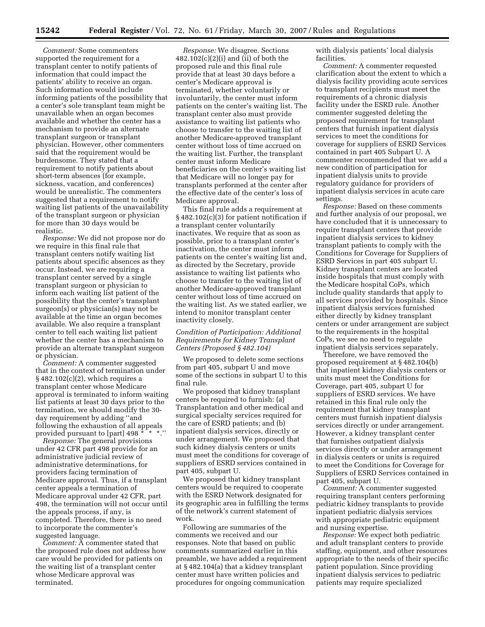*Comment:* Some commenters supported the requirement for a transplant center to notify patients of information that could impact the patients' ability to receive an organ. Such information would include informing patients of the possibility that a center's sole transplant team might be unavailable when an organ becomes available and whether the center has a mechanism to provide an alternate transplant surgeon or transplant physician. However, other commenters said that the requirement would be burdensome. They stated that a requirement to notify patients about short-term absences (for example, sickness, vacation, and conferences) would be unrealistic. The commenters suggested that a requirement to notify waiting list patients of the unavailability of the transplant surgeon or physician for more than 30 days would be realistic.

*Response:* We did not propose nor do we require in this final rule that transplant centers notify waiting list patients about specific absences as they occur. Instead, we are requiring a transplant center served by a single transplant surgeon or physician to inform each waiting list patient of the possibility that the center's transplant surgeon(s) or physician(s) may not be available at the time an organ becomes available. We also require a transplant center to tell each waiting list patient whether the center has a mechanism to provide an alternate transplant surgeon or physician.

*Comment:* A commenter suggested that in the context of termination under  $§$  482.102(c)(2), which requires a transplant center whose Medicare approval is terminated to inform waiting list patients at least 30 days prior to the termination, we should modify the 30 day requirement by adding ''and following the exhaustion of all appeals provided pursuant to [part]  $498 \times 10^{-10}$  \* \*.''

*Response:* The general provisions under 42 CFR part 498 provide for an administrative judicial review of administrative determinations, for providers facing termination of Medicare approval. Thus, if a transplant center appeals a termination of Medicare approval under 42 CFR, part 498, the termination will not occur until the appeals process, if any, is completed. Therefore, there is no need to incorporate the commenter's suggested language.

*Comment:* A commenter stated that the proposed rule does not address how care would be provided for patients on the waiting list of a transplant center whose Medicare approval was terminated.

*Response:* We disagree. Sections 482.102(c)(2)(i) and (ii) of both the proposed rule and this final rule provide that at least 30 days before a center's Medicare approval is terminated, whether voluntarily or involuntarily, the center must inform patients on the center's waiting list. The transplant center also must provide assistance to waiting list patients who choose to transfer to the waiting list of another Medicare-approved transplant center without loss of time accrued on the waiting list. Further, the transplant center must inform Medicare beneficiaries on the center's waiting list that Medicare will no longer pay for transplants performed at the center after the effective date of the center's loss of Medicare approval.

This final rule adds a requirement at § 482.102(c)(3) for patient notification if a transplant center voluntarily inactivates. We require that as soon as possible, prior to a transplant center's inactivation, the center must inform patients on the center's waiting list and, as directed by the Secretary, provide assistance to waiting list patients who choose to transfer to the waiting list of another Medicare-approved transplant center without loss of time accrued on the waiting list. As we stated earlier, we intend to monitor transplant center inactivity closely.

## *Condition of Participation: Additional Requirements for Kidney Transplant Centers (Proposed § 482.104)*

We proposed to delete some sections from part 405, subpart U and move some of the sections in subpart U to this final rule.

We proposed that kidney transplant centers be required to furnish: (a) Transplantation and other medical and surgical specialty services required for the care of ESRD patients; and (b) inpatient dialysis services, directly or under arrangement. We proposed that such kidney dialysis centers or units must meet the conditions for coverage of suppliers of ESRD services contained in part 405, subpart U.

We proposed that kidney transplant centers would be required to cooperate with the ESRD Network designated for its geographic area in fulfilling the terms of the network's current statement of work.

Following are summaries of the comments we received and our responses. Note that based on public comments summarized earlier in this preamble, we have added a requirement at § 482.104(a) that a kidney transplant center must have written policies and procedures for ongoing communication

with dialysis patients' local dialysis facilities.

*Comment:* A commenter requested clarification about the extent to which a dialysis facility providing acute services to transplant recipients must meet the requirements of a chronic dialysis facility under the ESRD rule. Another commenter suggested deleting the proposed requirement for transplant centers that furnish inpatient dialysis services to meet the conditions for coverage for suppliers of ESRD Services contained in part 405 Subpart U. A commenter recommended that we add a new condition of participation for inpatient dialysis units to provide regulatory guidance for providers of inpatient dialysis services in acute care settings.

*Response:* Based on these comments and further analysis of our proposal, we have concluded that it is unnecessary to require transplant centers that provide inpatient dialysis services to kidney transplant patients to comply with the Conditions for Coverage for Suppliers of ESRD Services in part 405 subpart U. Kidney transplant centers are located inside hospitals that must comply with the Medicare hospital CoPs, which include quality standards that apply to all services provided by hospitals. Since inpatient dialysis services furnished either directly by kidney transplant centers or under arrangement are subject to the requirements in the hospital CoPs, we see no need to regulate inpatient dialysis services separately.

Therefore, we have removed the proposed requirement at § 482.104(b) that inpatient kidney dialysis centers or units must meet the Conditions for Coverage, part 405, subpart U for suppliers of ESRD services. We have retained in this final rule only the requirement that kidney transplant centers must furnish inpatient dialysis services directly or under arrangement. However, a kidney transplant center that furnishes outpatient dialysis services directly or under arrangement in dialysis centers or units is required to meet the Conditions for Coverage for Suppliers of ESRD Services contained in part 405, subpart U.

*Comment:* A commenter suggested requiring transplant centers performing pediatric kidney transplants to provide inpatient pediatric dialysis services with appropriate pediatric equipment and nursing expertise.

*Response:* We expect both pediatric and adult transplant centers to provide staffing, equipment, and other resources appropriate to the needs of their specific patient population. Since providing inpatient dialysis services to pediatric patients may require specialized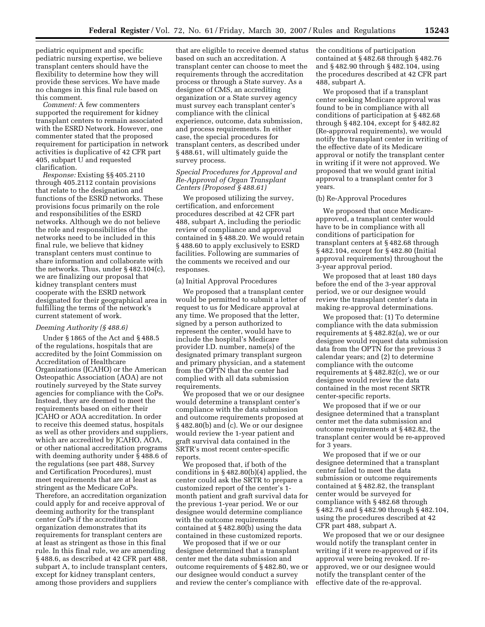pediatric equipment and specific pediatric nursing expertise, we believe transplant centers should have the flexibility to determine how they will provide these services. We have made no changes in this final rule based on this comment.

*Comment:* A few commenters supported the requirement for kidney transplant centers to remain associated with the ESRD Network. However, one commenter stated that the proposed requirement for participation in network activities is duplicative of 42 CFR part 405, subpart U and requested clarification.

*Response:* Existing §§ 405.2110 through 405.2112 contain provisions that relate to the designation and functions of the ESRD networks. These provisions focus primarily on the role and responsibilities of the ESRD networks. Although we do not believe the role and responsibilities of the networks need to be included in this final rule, we believe that kidney transplant centers must continue to share information and collaborate with the networks. Thus, under § 482.104(c), we are finalizing our proposal that kidney transplant centers must cooperate with the ESRD network designated for their geographical area in fulfilling the terms of the network's current statement of work.

#### *Deeming Authority (§ 488.6)*

Under § 1865 of the Act and § 488.5 of the regulations, hospitals that are accredited by the Joint Commission on Accreditation of Healthcare Organizations (JCAHO) or the American Osteopathic Association (AOA) are not routinely surveyed by the State survey agencies for compliance with the CoPs. Instead, they are deemed to meet the requirements based on either their JCAHO or AOA accreditation. In order to receive this deemed status, hospitals as well as other providers and suppliers, which are accredited by JCAHO, AOA, or other national accreditation programs with deeming authority under § 488.6 of the regulations (see part 488, Survey and Certification Procedures), must meet requirements that are at least as stringent as the Medicare CoPs. Therefore, an accreditation organization could apply for and receive approval of deeming authority for the transplant center CoPs if the accreditation organization demonstrates that its requirements for transplant centers are at least as stringent as those in this final rule. In this final rule, we are amending § 488.6, as described at 42 CFR part 488, subpart A, to include transplant centers, except for kidney transplant centers, among those providers and suppliers

that are eligible to receive deemed status based on such an accreditation. A transplant center can choose to meet the requirements through the accreditation process or through a State survey. As a designee of CMS, an accrediting organization or a State survey agency must survey each transplant center's compliance with the clinical experience, outcome, data submission, and process requirements. In either case, the special procedures for transplant centers, as described under § 488.61, will ultimately guide the survey process.

## *Special Procedures for Approval and Re-Approval of Organ Transplant Centers (Proposed § 488.61)*

We proposed utilizing the survey, certification, and enforcement procedures described at 42 CFR part 488, subpart A, including the periodic review of compliance and approval contained in § 488.20. We would retain § 488.60 to apply exclusively to ESRD facilities. Following are summaries of the comments we received and our responses.

### (a) Initial Approval Procedures

We proposed that a transplant center would be permitted to submit a letter of request to us for Medicare approval at any time. We proposed that the letter, signed by a person authorized to represent the center, would have to include the hospital's Medicare provider I.D. number, name(s) of the designated primary transplant surgeon and primary physician, and a statement from the OPTN that the center had complied with all data submission requirements.

We proposed that we or our designee would determine a transplant center's compliance with the data submission and outcome requirements proposed at § 482.80(b) and (c). We or our designee would review the 1-year patient and graft survival data contained in the SRTR's most recent center-specific reports.

We proposed that, if both of the conditions in § 482.80(b)(4) applied, the center could ask the SRTR to prepare a customized report of the center's 1 month patient and graft survival data for the previous 1-year period. We or our designee would determine compliance with the outcome requirements contained at § 482.80(b) using the data contained in these customized reports.

We proposed that if we or our designee determined that a transplant center met the data submission and outcome requirements of § 482.80, we or our designee would conduct a survey and review the center's compliance with the conditions of participation contained at § 482.68 through § 482.76 and § 482.90 through § 482.104, using the procedures described at 42 CFR part 488, subpart A.

We proposed that if a transplant center seeking Medicare approval was found to be in compliance with all conditions of participation at § 482.68 through § 482.104, except for § 482.82 (Re-approval requirements), we would notify the transplant center in writing of the effective date of its Medicare approval or notify the transplant center in writing if it were not approved. We proposed that we would grant initial approval to a transplant center for 3 years.

### (b) Re-Approval Procedures

We proposed that once Medicareapproved, a transplant center would have to be in compliance with all conditions of participation for transplant centers at § 482.68 through § 482.104, except for § 482.80 (Initial approval requirements) throughout the 3-year approval period.

We proposed that at least 180 days before the end of the 3-year approval period, we or our designee would review the transplant center's data in making re-approval determinations.

We proposed that: (1) To determine compliance with the data submission requirements at § 482.82(a), we or our designee would request data submission data from the OPTN for the previous 3 calendar years; and (2) to determine compliance with the outcome requirements at § 482.82(c), we or our designee would review the data contained in the most recent SRTR center-specific reports.

We proposed that if we or our designee determined that a transplant center met the data submission and outcome requirements at § 482.82, the transplant center would be re-approved for 3 years.

We proposed that if we or our designee determined that a transplant center failed to meet the data submission or outcome requirements contained at § 482.82, the transplant center would be surveyed for compliance with § 482.68 through § 482.76 and § 482.90 through § 482.104, using the procedures described at 42 CFR part 488, subpart A.

We proposed that we or our designee would notify the transplant center in writing if it were re-approved or if its approval were being revoked. If reapproved, we or our designee would notify the transplant center of the effective date of the re-approval.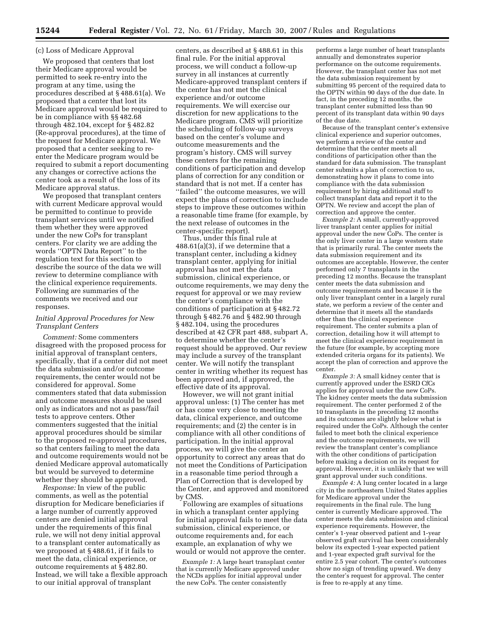#### (c) Loss of Medicare Approval

We proposed that centers that lost their Medicare approval would be permitted to seek re-entry into the program at any time, using the procedures described at § 488.61(a). We proposed that a center that lost its Medicare approval would be required to be in compliance with §§ 482.68 through 482.104, except for § 482.82 (Re-approval procedures), at the time of the request for Medicare approval. We proposed that a center seeking to reenter the Medicare program would be required to submit a report documenting any changes or corrective actions the center took as a result of the loss of its Medicare approval status.

We proposed that transplant centers with current Medicare approval would be permitted to continue to provide transplant services until we notified them whether they were approved under the new CoPs for transplant centers. For clarity we are adding the words ''OPTN Data Report'' to the regulation text for this section to describe the source of the data we will review to determine compliance with the clinical experience requirements. Following are summaries of the comments we received and our responses.

## *Initial Approval Procedures for New Transplant Centers*

*Comment:* Some commenters disagreed with the proposed process for initial approval of transplant centers, specifically, that if a center did not meet the data submission and/or outcome requirements, the center would not be considered for approval. Some commenters stated that data submission and outcome measures should be used only as indicators and not as pass/fail tests to approve centers. Other commenters suggested that the initial approval procedures should be similar to the proposed re-approval procedures, so that centers failing to meet the data and outcome requirements would not be denied Medicare approval automatically but would be surveyed to determine whether they should be approved.

*Response:* In view of the public comments, as well as the potential disruption for Medicare beneficiaries if a large number of currently approved centers are denied initial approval under the requirements of this final rule, we will not deny initial approval to a transplant center automatically as we proposed at § 488.61, if it fails to meet the data, clinical experience, or outcome requirements at § 482.80. Instead, we will take a flexible approach to our initial approval of transplant

centers, as described at § 488.61 in this final rule. For the initial approval process, we will conduct a follow-up survey in all instances at currently Medicare-approved transplant centers if the center has not met the clinical experience and/or outcome requirements. We will exercise our discretion for new applications to the Medicare program. CMS will prioritize the scheduling of follow-up surveys based on the center's volume and outcome measurements and the program's history. CMS will survey these centers for the remaining conditions of participation and develop plans of correction for any condition or standard that is not met. If a center has ''failed'' the outcome measures, we will expect the plans of correction to include steps to improve these outcomes within a reasonable time frame (for example, by the next release of outcomes in the center-specific report).

Thus, under this final rule at 488.61(a)(3), if we determine that a transplant center, including a kidney transplant center, applying for initial approval has not met the data submission, clinical experience, or outcome requirements, we may deny the request for approval or we may review the center's compliance with the conditions of participation at § 482.72 through § 482.76 and § 482.90 through § 482.104, using the procedures described at 42 CFR part 488, subpart A, to determine whether the center's request should be approved. Our review may include a survey of the transplant center. We will notify the transplant center in writing whether its request has been approved and, if approved, the effective date of its approval.

However, we will not grant initial approval unless: (1) The center has met or has come very close to meeting the data, clinical experience, and outcome requirements; and (2) the center is in compliance with all other conditions of participation. In the initial approval process, we will give the center an opportunity to correct any areas that do not meet the Conditions of Participation in a reasonable time period through a Plan of Correction that is developed by the Center, and approved and monitored by CMS.

Following are examples of situations in which a transplant center applying for initial approval fails to meet the data submission, clinical experience, or outcome requirements and, for each example, an explanation of why we would or would not approve the center.

*Example 1:* A large heart transplant center that is currently Medicare approved under the NCDs applies for initial approval under the new CoPs. The center consistently

performs a large number of heart transplants annually and demonstrates superior performance on the outcome requirements. However, the transplant center has not met the data submission requirement by submitting 95 percent of the required data to the OPTN within 90 days of the due date. In fact, in the preceding 12 months, the transplant center submitted less than 90 percent of its transplant data within 90 days of the due date.

Because of the transplant center's extensive clinical experience and superior outcomes, we perform a review of the center and determine that the center meets all conditions of participation other than the standard for data submission. The transplant center submits a plan of correction to us, demonstrating how it plans to come into compliance with the data submission requirement by hiring additional staff to collect transplant data and report it to the OPTN. We review and accept the plan of correction and approve the center.

*Example 2:* A small, currently-approved liver transplant center applies for initial approval under the new CoPs. The center is the only liver center in a large western state that is primarily rural. The center meets the data submission requirement and its outcomes are acceptable. However, the center performed only 7 transplants in the preceding 12 months. Because the transplant center meets the data submission and outcome requirements and because it is the only liver transplant center in a largely rural state, we perform a review of the center and determine that it meets all the standards other than the clinical experience requirement. The center submits a plan of correction, detailing how it will attempt to meet the clinical experience requirement in the future (for example, by accepting more extended criteria organs for its patients). We accept the plan of correction and approve the center.

*Example 3:* A small kidney center that is currently approved under the ESRD CfCs applies for approval under the new CoPs. The kidney center meets the data submission requirement. The center performed 2 of the 10 transplants in the preceding 12 months and its outcomes are slightly below what is required under the CoPs. Although the center failed to meet both the clinical experience and the outcome requirements, we will review the transplant center's compliance with the other conditions of participation before making a decision on its request for approval. However, it is unlikely that we will grant approval under such conditions.

*Example 4:* A lung center located in a large city in the northeastern United States applies for Medicare approval under the requirements in the final rule. The lung center is currently Medicare approved. The center meets the data submission and clinical experience requirements. However, the center's 1-year observed patient and 1-year observed graft survival has been considerably below its expected 1-year expected patient and 1-year expected graft survival for the entire 2.5 year cohort. The center's outcomes show no sign of trending upward. We deny the center's request for approval. The center is free to re-apply at any time.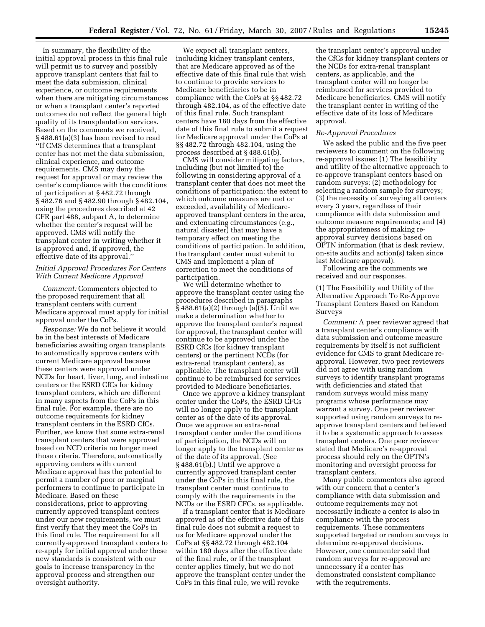In summary, the flexibility of the initial approval process in this final rule will permit us to survey and possibly approve transplant centers that fail to meet the data submission, clinical experience, or outcome requirements when there are mitigating circumstances or when a transplant center's reported outcomes do not reflect the general high quality of its transplantation services. Based on the comments we received, § 488.61(a)(3) has been revised to read ''If CMS determines that a transplant center has not met the data submission, clinical experience, and outcome requirements, CMS may deny the request for approval or may review the center's compliance with the conditions of participation at § 482.72 through § 482.76 and § 482.90 through § 482.104, using the procedures described at 42 CFR part 488, subpart A, to determine whether the center's request will be approved. CMS will notify the transplant center in writing whether it is approved and, if approved, the effective date of its approval.''

## *Initial Approval Procedures For Centers With Current Medicare Approval*

*Comment:* Commenters objected to the proposed requirement that all transplant centers with current Medicare approval must apply for initial approval under the CoPs.

*Response:* We do not believe it would be in the best interests of Medicare beneficiaries awaiting organ transplants to automatically approve centers with current Medicare approval because these centers were approved under NCDs for heart, liver, lung, and intestine centers or the ESRD CfCs for kidney transplant centers, which are different in many aspects from the CoPs in this final rule. For example, there are no outcome requirements for kidney transplant centers in the ESRD CfCs. Further, we know that some extra-renal transplant centers that were approved based on NCD criteria no longer meet those criteria. Therefore, automatically approving centers with current Medicare approval has the potential to permit a number of poor or marginal performers to continue to participate in Medicare. Based on these considerations, prior to approving currently approved transplant centers under our new requirements, we must first verify that they meet the CoPs in this final rule. The requirement for all currently-approved transplant centers to re-apply for initial approval under these new standards is consistent with our goals to increase transparency in the approval process and strengthen our oversight authority.

We expect all transplant centers, including kidney transplant centers, that are Medicare approved as of the effective date of this final rule that wish to continue to provide services to Medicare beneficiaries to be in compliance with the CoPs at §§ 482.72 through 482.104, as of the effective date of this final rule. Such transplant centers have 180 days from the effective date of this final rule to submit a request for Medicare approval under the CoPs at §§ 482.72 through 482.104, using the process described at § 488.61(b).

CMS will consider mitigating factors, including (but not limited to) the following in considering approval of a transplant center that does not meet the conditions of participation: the extent to which outcome measures are met or exceeded, availability of Medicareapproved transplant centers in the area, and extenuating circumstances (e.g., natural disaster) that may have a temporary effect on meeting the conditions of participation. In addition, the transplant center must submit to CMS and implement a plan of correction to meet the conditions of participation.

We will determine whether to approve the transplant center using the procedures described in paragraphs § 488.61(a)(2) through (a)(5). Until we make a determination whether to approve the transplant center's request for approval, the transplant center will continue to be approved under the ESRD CfCs (for kidney transplant centers) or the pertinent NCDs (for extra-renal transplant centers), as applicable. The transplant center will continue to be reimbursed for services provided to Medicare beneficiaries.

Once we approve a kidney transplant center under the CoPs, the ESRD CFCs will no longer apply to the transplant center as of the date of its approval. Once we approve an extra-renal transplant center under the conditions of participation, the NCDs will no longer apply to the transplant center as of the date of its approval. (See § 488.61(b).) Until we approve a currently approved transplant center under the CoPs in this final rule, the transplant center must continue to comply with the requirements in the NCDs or the ESRD CFCs, as applicable.

If a transplant center that is Medicare approved as of the effective date of this final rule does not submit a request to us for Medicare approval under the CoPs at §§ 482.72 through 482.104 within 180 days after the effective date of the final rule, or if the transplant center applies timely, but we do not approve the transplant center under the CoPs in this final rule, we will revoke

the transplant center's approval under the CfCs for kidney transplant centers or the NCDs for extra-renal transplant centers, as applicable, and the transplant center will no longer be reimbursed for services provided to Medicare beneficiaries. CMS will notify the transplant center in writing of the effective date of its loss of Medicare approval.

#### *Re-Approval Procedures*

We asked the public and the five peer reviewers to comment on the following re-approval issues: (1) The feasibility and utility of the alternative approach to re-approve transplant centers based on random surveys; (2) methodology for selecting a random sample for surveys; (3) the necessity of surveying all centers every 3 years, regardless of their compliance with data submission and outcome measure requirements; and (4) the appropriateness of making reapproval survey decisions based on OPTN information (that is desk review, on-site audits and action(s) taken since last Medicare approval).

Following are the comments we received and our responses.

(1) The Feasibility and Utility of the Alternative Approach To Re-Approve Transplant Centers Based on Random Surveys

*Comment:* A peer reviewer agreed that a transplant center's compliance with data submission and outcome measure requirements by itself is not sufficient evidence for CMS to grant Medicare reapproval. However, two peer reviewers did not agree with using random surveys to identify transplant programs with deficiencies and stated that random surveys would miss many programs whose performance may warrant a survey. One peer reviewer supported using random surveys to reapprove transplant centers and believed it to be a systematic approach to assess transplant centers. One peer reviewer stated that Medicare's re-approval process should rely on the OPTN's monitoring and oversight process for transplant centers.

Many public commenters also agreed with our concern that a center's compliance with data submission and outcome requirements may not necessarily indicate a center is also in compliance with the process requirements. These commenters supported targeted or random surveys to determine re-approval decisions. However, one commenter said that random surveys for re-approval are unnecessary if a center has demonstrated consistent compliance with the requirements.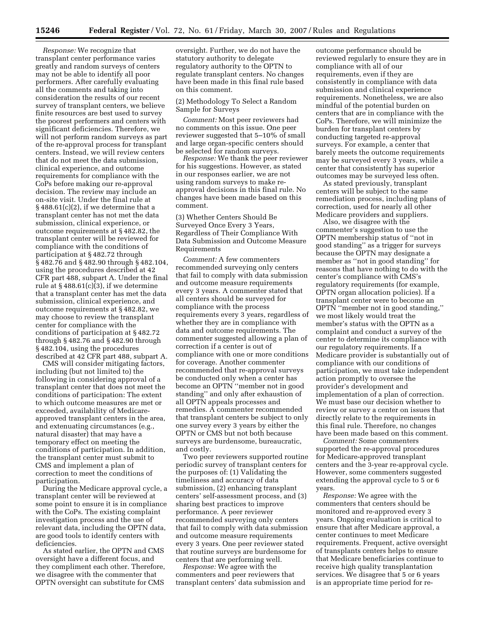*Response:* We recognize that transplant center performance varies greatly and random surveys of centers may not be able to identify all poor performers. After carefully evaluating all the comments and taking into consideration the results of our recent survey of transplant centers, we believe finite resources are best used to survey the poorest performers and centers with significant deficiencies. Therefore, we will not perform random surveys as part of the re-approval process for transplant centers. Instead, we will review centers that do not meet the data submission, clinical experience, and outcome requirements for compliance with the CoPs before making our re-approval decision. The review may include an on-site visit. Under the final rule at  $§$  488.61(c)(2), if we determine that a transplant center has not met the data submission, clinical experience, or outcome requirements at § 482.82, the transplant center will be reviewed for compliance with the conditions of participation at § 482.72 through § 482.76 and § 482.90 through § 482.104, using the procedures described at 42 CFR part 488, subpart A. Under the final rule at § 488.61(c)(3), if we determine that a transplant center has met the data submission, clinical experience, and outcome requirements at § 482.82, we may choose to review the transplant center for compliance with the conditions of participation at § 482.72 through § 482.76 and § 482.90 through § 482.104, using the procedures described at 42 CFR part 488, subpart A.

CMS will consider mitigating factors, including (but not limited to) the following in considering approval of a transplant center that does not meet the conditions of participation: The extent to which outcome measures are met or exceeded, availability of Medicareapproved transplant centers in the area, and extenuating circumstances (e.g., natural disaster) that may have a temporary effect on meeting the conditions of participation. In addition, the transplant center must submit to CMS and implement a plan of correction to meet the conditions of participation.

During the Medicare approval cycle, a transplant center will be reviewed at some point to ensure it is in compliance with the CoPs. The existing complaint investigation process and the use of relevant data, including the OPTN data, are good tools to identify centers with deficiencies.

As stated earlier, the OPTN and CMS oversight have a different focus, and they compliment each other. Therefore, we disagree with the commenter that OPTN oversight can substitute for CMS

oversight. Further, we do not have the statutory authority to delegate regulatory authority to the OPTN to regulate transplant centers. No changes have been made in this final rule based on this comment.

(2) Methodology To Select a Random Sample for Surveys

*Comment:* Most peer reviewers had no comments on this issue. One peer reviewer suggested that 5–10% of small and large organ-specific centers should be selected for random surveys.

*Response:* We thank the peer reviewer for his suggestions. However, as stated in our responses earlier, we are not using random surveys to make reapproval decisions in this final rule. No changes have been made based on this comment.

(3) Whether Centers Should Be Surveyed Once Every 3 Years, Regardless of Their Compliance With Data Submission and Outcome Measure Requirements

*Comment:* A few commenters recommended surveying only centers that fail to comply with data submission and outcome measure requirements every 3 years. A commenter stated that all centers should be surveyed for compliance with the process requirements every 3 years, regardless of whether they are in compliance with data and outcome requirements. The commenter suggested allowing a plan of correction if a center is out of compliance with one or more conditions for coverage. Another commenter recommended that re-approval surveys be conducted only when a center has become an OPTN ''member not in good standing'' and only after exhaustion of all OPTN appeals processes and remedies. A commenter recommended that transplant centers be subject to only one survey every 3 years by either the OPTN or CMS but not both because surveys are burdensome, bureaucratic, and costly.

Two peer reviewers supported routine periodic survey of transplant centers for the purposes of: (1) Validating the timeliness and accuracy of data submission, (2) enhancing transplant centers' self-assessment process, and (3) sharing best practices to improve performance. A peer reviewer recommended surveying only centers that fail to comply with data submission and outcome measure requirements every 3 years. One peer reviewer stated that routine surveys are burdensome for centers that are performing well.

*Response:* We agree with the commenters and peer reviewers that transplant centers' data submission and outcome performance should be reviewed regularly to ensure they are in compliance with all of our requirements, even if they are consistently in compliance with data submission and clinical experience requirements. Nonetheless, we are also mindful of the potential burden on centers that are in compliance with the CoPs. Therefore, we will minimize the burden for transplant centers by conducting targeted re-approval surveys. For example, a center that barely meets the outcome requirements may be surveyed every 3 years, while a center that consistently has superior outcomes may be surveyed less often.

As stated previously, transplant centers will be subject to the same remediation process, including plans of correction, used for nearly all other Medicare providers and suppliers.

Also, we disagree with the commenter's suggestion to use the OPTN membership status of ''not in good standing'' as a trigger for surveys because the OPTN may designate a member as ''not in good standing'' for reasons that have nothing to do with the center's compliance with CMS's regulatory requirements (for example, OPTN organ allocation policies). If a transplant center were to become an OPTN ''member not in good standing,'' we most likely would treat the member's status with the OPTN as a complaint and conduct a survey of the center to determine its compliance with our regulatory requirements. If a Medicare provider is substantially out of compliance with our conditions of participation, we must take independent action promptly to oversee the provider's development and implementation of a plan of correction. We must base our decision whether to review or survey a center on issues that directly relate to the requirements in this final rule. Therefore, no changes have been made based on this comment.

*Comment:* Some commenters supported the re-approval procedures for Medicare-approved transplant centers and the 3-year re-approval cycle. However, some commenters suggested extending the approval cycle to 5 or 6 years.

*Response:* We agree with the commenters that centers should be monitored and re-approved every 3 years. Ongoing evaluation is critical to ensure that after Medicare approval, a center continues to meet Medicare requirements. Frequent, active oversight of transplants centers helps to ensure that Medicare beneficiaries continue to receive high quality transplantation services. We disagree that 5 or 6 years is an appropriate time period for re-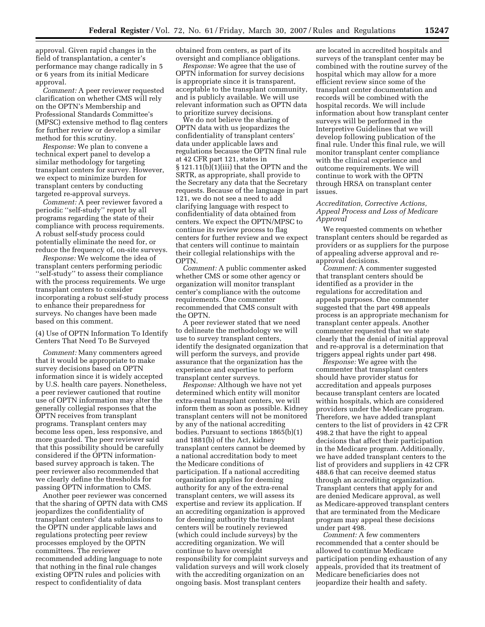approval. Given rapid changes in the field of transplantation, a center's performance may change radically in 5 or 6 years from its initial Medicare approval.

*Comment:* A peer reviewer requested clarification on whether CMS will rely on the OPTN's Membership and Professional Standards Committee's (MPSC) extensive method to flag centers for further review or develop a similar method for this scrutiny.

*Response:* We plan to convene a technical expert panel to develop a similar methodology for targeting transplant centers for survey. However, we expect to minimize burden for transplant centers by conducting targeted re-approval surveys.

*Comment:* A peer reviewer favored a periodic ''self-study'' report by all programs regarding the state of their compliance with process requirements. A robust self-study process could potentially eliminate the need for, or reduce the frequency of, on-site surveys.

*Response:* We welcome the idea of transplant centers performing periodic ''self-study'' to assess their compliance with the process requirements. We urge transplant centers to consider incorporating a robust self-study process to enhance their preparedness for surveys. No changes have been made based on this comment.

(4) Use of OPTN Information To Identify Centers That Need To Be Surveyed

*Comment:* Many commenters agreed that it would be appropriate to make survey decisions based on OPTN information since it is widely accepted by U.S. health care payers. Nonetheless, a peer reviewer cautioned that routine use of OPTN information may alter the generally collegial responses that the OPTN receives from transplant programs. Transplant centers may become less open, less responsive, and more guarded. The peer reviewer said that this possibility should be carefully considered if the OPTN informationbased survey approach is taken. The peer reviewer also recommended that we clearly define the thresholds for passing OPTN information to CMS.

Another peer reviewer was concerned that the sharing of OPTN data with CMS jeopardizes the confidentiality of transplant centers' data submissions to the OPTN under applicable laws and regulations protecting peer review processes employed by the OPTN committees. The reviewer recommended adding language to note that nothing in the final rule changes existing OPTN rules and policies with respect to confidentiality of data

obtained from centers, as part of its oversight and compliance obligations.

*Response:* We agree that the use of OPTN information for survey decisions is appropriate since it is transparent, acceptable to the transplant community, and is publicly available. We will use relevant information such as OPTN data to prioritize survey decisions.

We do not believe the sharing of OPTN data with us jeopardizes the confidentiality of transplant centers' data under applicable laws and regulations because the OPTN final rule at 42 CFR part 121, states in § 121.11(b)(1)(iii) that the OPTN and the SRTR, as appropriate, shall provide to the Secretary any data that the Secretary requests. Because of the language in part 121, we do not see a need to add clarifying language with respect to confidentiality of data obtained from centers. We expect the OPTN/MPSC to continue its review process to flag centers for further review and we expect that centers will continue to maintain their collegial relationships with the OPTN.

*Comment:* A public commenter asked whether CMS or some other agency or organization will monitor transplant center's compliance with the outcome requirements. One commenter recommended that CMS consult with the OPTN.

A peer reviewer stated that we need to delineate the methodology we will use to survey transplant centers, identify the designated organization that will perform the surveys, and provide assurance that the organization has the experience and expertise to perform transplant center surveys.

*Response:* Although we have not yet determined which entity will monitor extra-renal transplant centers, we will inform them as soon as possible. Kidney transplant centers will not be monitored by any of the national accrediting bodies. Pursuant to sections 1865(b)(1) and 1881(b) of the Act, kidney transplant centers cannot be deemed by a national accreditation body to meet the Medicare conditions of participation. If a national accrediting organization applies for deeming authority for any of the extra-renal transplant centers, we will assess its expertise and review its application. If an accrediting organization is approved for deeming authority the transplant centers will be routinely reviewed (which could include surveys) by the accrediting organization. We will continue to have oversight responsibility for complaint surveys and validation surveys and will work closely with the accrediting organization on an ongoing basis. Most transplant centers

are located in accredited hospitals and surveys of the transplant center may be combined with the routine survey of the hospital which may allow for a more efficient review since some of the transplant center documentation and records will be combined with the hospital records. We will include information about how transplant center surveys will be performed in the Interpretive Guidelines that we will develop following publication of the final rule. Under this final rule, we will monitor transplant center compliance with the clinical experience and outcome requirements. We will continue to work with the OPTN through HRSA on transplant center issues.

## *Accreditation, Corrective Actions, Appeal Process and Loss of Medicare Approval*

We requested comments on whether transplant centers should be regarded as providers or as suppliers for the purpose of appealing adverse approval and reapproval decisions.

*Comment:* A commenter suggested that transplant centers should be identified as a provider in the regulations for accreditation and appeals purposes. One commenter suggested that the part 498 appeals process is an appropriate mechanism for transplant center appeals. Another commenter requested that we state clearly that the denial of initial approval and re-approval is a determination that triggers appeal rights under part 498.

*Response:* We agree with the commenter that transplant centers should have provider status for accreditation and appeals purposes because transplant centers are located within hospitals, which are considered providers under the Medicare program. Therefore, we have added transplant centers to the list of providers in 42 CFR 498.2 that have the right to appeal decisions that affect their participation in the Medicare program. Additionally, we have added transplant centers to the list of providers and suppliers in 42 CFR 488.6 that can receive deemed status through an accrediting organization. Transplant centers that apply for and are denied Medicare approval, as well as Medicare-approved transplant centers that are terminated from the Medicare program may appeal these decisions under part 498.

*Comment:* A few commenters recommended that a center should be allowed to continue Medicare participation pending exhaustion of any appeals, provided that its treatment of Medicare beneficiaries does not jeopardize their health and safety.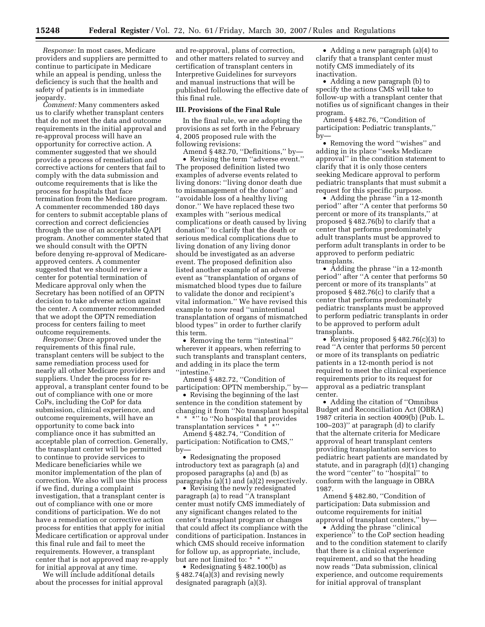*Response:* In most cases, Medicare providers and suppliers are permitted to continue to participate in Medicare while an appeal is pending, unless the deficiency is such that the health and safety of patients is in immediate jeopardy.

*Comment:* Many commenters asked us to clarify whether transplant centers that do not meet the data and outcome requirements in the initial approval and re-approval process will have an opportunity for corrective action. A commenter suggested that we should provide a process of remediation and corrective actions for centers that fail to comply with the data submission and outcome requirements that is like the process for hospitals that face termination from the Medicare program. A commenter recommended 180 days for centers to submit acceptable plans of correction and correct deficiencies through the use of an acceptable QAPI program. Another commenter stated that we should consult with the OPTN before denying re-approval of Medicareapproved centers. A commenter suggested that we should review a center for potential termination of Medicare approval only when the Secretary has been notified of an OPTN decision to take adverse action against the center. A commenter recommended that we adopt the OPTN remediation process for centers failing to meet outcome requirements.

*Response:* Once approved under the requirements of this final rule, transplant centers will be subject to the same remediation process used for nearly all other Medicare providers and suppliers. Under the process for reapproval, a transplant center found to be out of compliance with one or more CoPs, including the CoP for data submission, clinical experience, and outcome requirements, will have an opportunity to come back into compliance once it has submitted an acceptable plan of correction. Generally, the transplant center will be permitted to continue to provide services to Medicare beneficiaries while we monitor implementation of the plan of correction. We also will use this process if we find, during a complaint investigation, that a transplant center is out of compliance with one or more conditions of participation. We do not have a remediation or corrective action process for entities that apply for initial Medicare certification or approval under this final rule and fail to meet the requirements. However, a transplant center that is not approved may re-apply for initial approval at any time.

We will include additional details about the processes for initial approval

and re-approval, plans of correction, and other matters related to survey and certification of transplant centers in Interpretive Guidelines for surveyors and manual instructions that will be published following the effective date of this final rule.

#### **III. Provisions of the Final Rule**

In the final rule, we are adopting the provisions as set forth in the February 4, 2005 proposed rule with the following revisions:

Amend § 482.70, ''Definitions,'' by— • Revising the term ''adverse event.'' The proposed definition listed two examples of adverse events related to living donors: ''living donor death due to mismanagement of the donor'' and ''avoidable loss of a healthy living donor.'' We have replaced these two examples with ''serious medical complications or death caused by living donation'' to clarify that the death or serious medical complications due to living donation of any living donor should be investigated as an adverse event. The proposed definition also listed another example of an adverse event as ''transplantation of organs of mismatched blood types due to failure to validate the donor and recipient's vital information.'' We have revised this example to now read ''unintentional transplantation of organs of mismatched blood types'' in order to further clarify this term.

• Removing the term "intestinal" wherever it appears, when referring to such transplants and transplant centers, and adding in its place the term ''intestine.''

Amend § 482.72, ''Condition of participation: OPTN membership,'' by—

• Revising the beginning of the last sentence in the condition statement by changing it from ''No transplant hospital \* \* \*" to "No hospital that provides transplantation services \* \*

Amend § 482.74, ''Condition of participation: Notification to CMS,'' by—

• Redesignating the proposed introductory text as paragraph (a) and proposed paragraphs (a) and (b) as paragraphs (a)(1) and (a)(2) respectively.

• Revising the newly redesignated paragraph (a) to read ''A transplant center must notify CMS immediately of any significant changes related to the center's transplant program or changes that could affect its compliance with the conditions of participation. Instances in which CMS should receive information for follow up, as appropriate, include, but are not limited to: \* \* \*

• Redesignating § 482.100(b) as § 482.74(a)(3) and revising newly designated paragraph (a)(3).

• Adding a new paragraph (a)(4) to clarify that a transplant center must notify CMS immediately of its inactivation.

• Adding a new paragraph (b) to specify the actions CMS will take to follow-up with a transplant center that notifies us of significant changes in their program.

Amend § 482.76, ''Condition of participation: Pediatric transplants,'' by—

• Removing the word ''wishes'' and adding in its place ''seeks Medicare approval'' in the condition statement to clarify that it is only those centers seeking Medicare approval to perform pediatric transplants that must submit a request for this specific purpose.

• Adding the phrase "in a 12-month" period'' after ''A center that performs 50 percent or more of its transplants,'' at proposed § 482.76(b) to clarify that a center that performs predominately adult transplants must be approved to perform adult transplants in order to be approved to perform pediatric transplants.

• Adding the phrase "in a 12-month" period'' after ''A center that performs 50 percent or more of its transplants'' at proposed § 482.76(c) to clarify that a center that performs predominately pediatric transplants must be approved to perform pediatric transplants in order to be approved to perform adult transplants.

• Revising proposed § 482.76(c)(3) to read ''A center that performs 50 percent or more of its transplants on pediatric patients in a 12-month period is not required to meet the clinical experience requirements prior to its request for approval as a pediatric transplant center.

• Adding the citation of ''Omnibus Budget and Reconciliation Act (OBRA) 1987 criteria in section 4009(b) (Pub. L. 100–203)'' at paragraph (d) to clarify that the alternate criteria for Medicare approval of heart transplant centers providing transplantation services to pediatric heart patients are mandated by statute, and in paragraph (d)(1) changing the word ''center'' to ''hospital'' to conform with the language in OBRA 1987.

Amend § 482.80, ''Condition of participation: Data submission and outcome requirements for initial approval of transplant centers,'' by—

• Adding the phrase "clinical" experience'' to the CoP section heading and to the condition statement to clarify that there is a clinical experience requirement, and so that the heading now reads ''Data submission, clinical experience, and outcome requirements for initial approval of transplant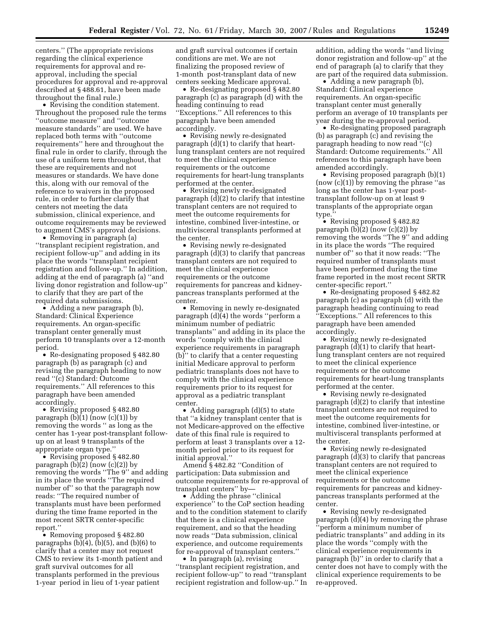centers.'' (The appropriate revisions regarding the clinical experience requirements for approval and reapproval, including the special procedures for approval and re-approval described at § 488.61, have been made throughout the final rule.)

• Revising the condition statement. Throughout the proposed rule the terms ''outcome measure'' and ''outcome measure standards'' are used. We have replaced both terms with ''outcome requirements'' here and throughout the final rule in order to clarify, through the use of a uniform term throughout, that these are requirements and not measures or standards. We have done this, along with our removal of the reference to waivers in the proposed rule, in order to further clarify that centers not meeting the data submission, clinical experience, and outcome requirements may be reviewed to augment CMS's approval decisions.

• Removing in paragraph (a) ''transplant recipient registration, and recipient follow-up'' and adding in its place the words ''transplant recipient registration and follow-up.'' In addition, adding at the end of paragraph (a) ''and living donor registration and follow-up'' to clarify that they are part of the required data submissions.

• Adding a new paragraph (b), Standard: Clinical Experience requirements. An organ-specific transplant center generally must perform 10 transplants over a 12-month period.

• Re-designating proposed § 482.80 paragraph (b) as paragraph (c) and revising the paragraph heading to now read ''(c) Standard: Outcome requirements.'' All references to this paragraph have been amended accordingly.

• Revising proposed § 482.80 paragraph  $(b)(1)$  (now  $(c)(1)$ ) by removing the words '' as long as the center has 1-year post-transplant followup on at least 9 transplants of the appropriate organ type.''

• Revising proposed § 482.80 paragraph (b)(2) (now (c)(2)) by removing the words ''The 9'' and adding in its place the words ''The required number of'' so that the paragraph now reads: ''The required number of transplants must have been performed during the time frame reported in the most recent SRTR center-specific report.''

• Removing proposed §482.80 paragraphs  $(b)(4)$ ,  $(b)(5)$ , and  $(b)(6)$  to clarify that a center may not request CMS to review its 1-month patient and graft survival outcomes for all transplants performed in the previous 1-year period in lieu of 1-year patient

and graft survival outcomes if certain conditions are met. We are not finalizing the proposed review of 1-month post-transplant data of new centers seeking Medicare approval.

• Re-designating proposed § 482.80 paragraph (c) as paragraph (d) with the heading continuing to read ''Exceptions.'' All references to this paragraph have been amended accordingly.

• Revising newly re-designated paragraph (d)(1) to clarify that heartlung transplant centers are not required to meet the clinical experience requirements or the outcome requirements for heart-lung transplants performed at the center.

• Revising newly re-designated paragraph (d)(2) to clarify that intestine transplant centers are not required to meet the outcome requirements for intestine, combined liver-intestine, or multivisceral transplants performed at the center.

• Revising newly re-designated paragraph (d)(3) to clarify that pancreas transplant centers are not required to meet the clinical experience requirements or the outcome requirements for pancreas and kidneypancreas transplants performed at the center.

• Removing in newly re-designated paragraph (d)(4) the words ''perform a minimum number of pediatric transplants'' and adding in its place the words ''comply with the clinical experience requirements in paragraph (b)'' to clarify that a center requesting initial Medicare approval to perform pediatric transplants does not have to comply with the clinical experience requirements prior to its request for approval as a pediatric transplant center.

• Adding paragraph (d)(5) to state that ''a kidney transplant center that is not Medicare-approved on the effective date of this final rule is required to perform at least 3 transplants over a 12 month period prior to its request for initial approval.''

Amend § 482.82 ''Condition of participation: Data submission and outcome requirements for re-approval of transplant centers'' by—

• Adding the phrase "clinical experience'' to the CoP section heading and to the condition statement to clarify that there is a clinical experience requirement, and so that the heading now reads ''Data submission, clinical experience, and outcome requirements for re-approval of transplant centers.''

• In paragraph (a), revising ''transplant recipient registration, and recipient follow-up'' to read ''transplant recipient registration and follow-up.'' In addition, adding the words ''and living donor registration and follow-up'' at the end of paragraph (a) to clarify that they are part of the required data submission.

• Adding a new paragraph (b), Standard: Clinical experience requirements. An organ-specific transplant center must generally perform an average of 10 transplants per year during the re-approval period.

• Re-designating proposed paragraph (b) as paragraph (c) and revising the paragraph heading to now read ''(c) Standard: Outcome requirements.'' All references to this paragraph have been amended accordingly.

• Revising proposed paragraph (b)(1) (now (c)(1)) by removing the phrase ''as long as the center has 1-year posttransplant follow-up on at least 9 transplants of the appropriate organ type.''

• Revising proposed §482.82 paragraph  $(b)(2)$  (now  $(c)(2)$ ) by removing the words ''The 9'' and adding in its place the words ''The required number of'' so that it now reads: ''The required number of transplants must have been performed during the time frame reported in the most recent SRTR center-specific report.''

• Re-designating proposed § 482.82 paragraph (c) as paragraph (d) with the paragraph heading continuing to read ''Exceptions.'' All references to this paragraph have been amended accordingly.

• Revising newly re-designated paragraph (d)(1) to clarify that heartlung transplant centers are not required to meet the clinical experience requirements or the outcome requirements for heart-lung transplants performed at the center.

• Revising newly re-designated paragraph (d)(2) to clarify that intestine transplant centers are not required to meet the outcome requirements for intestine, combined liver-intestine, or multivisceral transplants performed at the center.

• Revising newly re-designated paragraph (d)(3) to clarify that pancreas transplant centers are not required to meet the clinical experience requirements or the outcome requirements for pancreas and kidneypancreas transplants performed at the center.

• Revising newly re-designated paragraph (d)(4) by removing the phrase 'perform a minimum number of pediatric transplants'' and adding in its place the words ''comply with the clinical experience requirements in paragraph (b)'' in order to clarify that a center does not have to comply with the clinical experience requirements to be re-approved.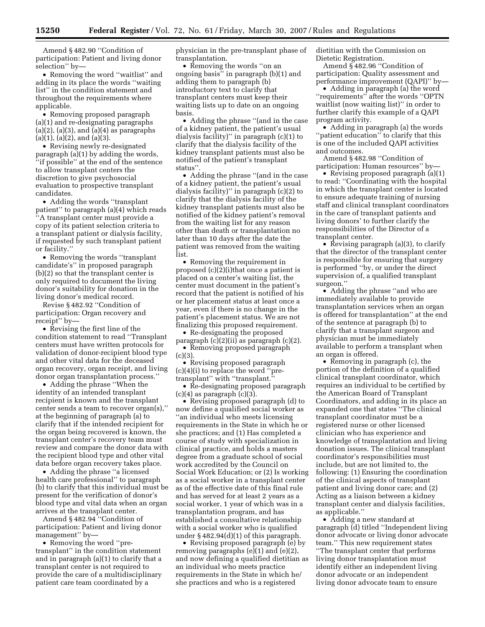Amend § 482.90 ''Condition of participation: Patient and living donor selection'' by—

• Removing the word ''waitlist'' and adding in its place the words ''waiting list'' in the condition statement and throughout the requirements where applicable.

• Removing proposed paragraph (a)(1) and re-designating paragraphs  $(a)(2)$ ,  $(a)(3)$ , and  $(a)(4)$  as paragraphs (a)(1), (a)(2), and (a)(3).

• Revising newly re-designated paragraph (a)(1) by adding the words, ''if possible'' at the end of the sentence to allow transplant centers the discretion to give psychosocial evaluation to prospective transplant candidates.

• Adding the words "transplant" patient'' to paragraph (a)(4) which reads 'A transplant center must provide a copy of its patient selection criteria to a transplant patient or dialysis facility, if requested by such transplant patient or facility.''

• Removing the words ''transplant candidate's'' in proposed paragraph (b)(2) so that the transplant center is only required to document the living donor's suitability for donation in the living donor's medical record.

Revise § 482.92 ''Condition of participation: Organ recovery and receipt'' by—

• Revising the first line of the condition statement to read ''Transplant centers must have written protocols for validation of donor-recipient blood type and other vital data for the deceased organ recovery, organ receipt, and living donor organ transplantation process.''

• Adding the phrase ''When the identity of an intended transplant recipient is known and the transplant center sends a team to recover organ(s),'' at the beginning of paragraph (a) to clarify that if the intended recipient for the organ being recovered is known, the transplant center's recovery team must review and compare the donor data with the recipient blood type and other vital data before organ recovery takes place.

• Adding the phrase "a licensed" health care professional'' to paragraph (b) to clarify that this individual must be present for the verification of donor's blood type and vital data when an organ arrives at the transplant center.

Amend § 482.94 ''Condition of participation: Patient and living donor management'' by—

• Removing the word ''pretransplant'' in the condition statement and in paragraph (a)(1) to clarify that a transplant center is not required to provide the care of a multidisciplinary patient care team coordinated by a

physician in the pre-transplant phase of transplantation.

• Removing the words ''on an ongoing basis'' in paragraph (b)(1) and adding them to paragraph (b) introductory text to clarify that transplant centers must keep their waiting lists up to date on an ongoing basis.

• Adding the phrase ''(and in the case of a kidney patient, the patient's usual dialysis facility)'' in paragraph (c)(1) to clarify that the dialysis facility of the kidney transplant patients must also be notified of the patient's transplant status''.

• Adding the phrase ''(and in the case of a kidney patient, the patient's usual dialysis facility)'' in paragraph (c)(2) to clarify that the dialysis facility of the kidney transplant patients must also be notified of the kidney patient's removal from the waiting list for any reason other than death or transplantation no later than 10 days after the date the patient was removed from the waiting list.

• Removing the requirement in proposed (c)(2)(i)that once a patient is placed on a center's waiting list, the center must document in the patient's record that the patient is notified of his or her placement status at least once a year, even if there is no change in the patient's placement status. We are not finalizing this proposed requirement.

• Re-designating the proposed paragraph (c)(2)(ii) as paragraph (c)(2).

• Removing proposed paragraph (c)(3).

• Revising proposed paragraph (c)(4)(i) to replace the word ''pretransplant'' with ''transplant.''

• Re-designating proposed paragraph  $(c)(4)$  as paragraph  $(c)(3)$ .

• Revising proposed paragraph (d) to now define a qualified social worker as ''an individual who meets licensing requirements in the State in which he or she practices; and (1) Has completed a course of study with specialization in clinical practice, and holds a masters degree from a graduate school of social work accredited by the Council on Social Work Education; or (2) Is working as a social worker in a transplant center as of the effective date of this final rule and has served for at least 2 years as a social worker, 1 year of which was in a transplantation program, and has established a consultative relationship with a social worker who is qualified under § 482.94(d)(1) of this paragraph.

• Revising proposed paragraph (e) by removing paragraphs (e)(1) and (e)(2), and now defining a qualified dietitian as an individual who meets practice requirements in the State in which he/ she practices and who is a registered

dietitian with the Commission on Dietetic Registration.

Amend § 482.96 ''Condition of participation: Quality assessment and performance improvement (QAPI)" by-

• Adding in paragraph (a) the word ''requirements'' after the words ''OPTN waitlist (now waiting list)'' in order to further clarify this example of a QAPI program activity.

• Adding in paragraph (a) the words ''patient education'' to clarify that this is one of the included QAPI activities and outcomes.

Amend § 482.98 ''Condition of participation: Human resources'' by—

• Revising proposed paragraph (a)(1) to read: ''Coordinating with the hospital in which the transplant center is located to ensure adequate training of nursing staff and clinical transplant coordinators in the care of transplant patients and living donors' to further clarify the responsibilities of the Director of a transplant center.

• Revising paragraph (a)(3), to clarify that the director of the transplant center is responsible for ensuring that surgery is performed ''by, or under the direct supervision of, a qualified transplant surgeon.''

• Adding the phrase "and who are immediately available to provide transplantation services when an organ is offered for transplantation'' at the end of the sentence at paragraph (b) to clarify that a transplant surgeon and physician must be immediately available to perform a transplant when an organ is offered.

• Removing in paragraph (c), the portion of the definition of a qualified clinical transplant coordinator, which requires an individual to be certified by the American Board of Transplant Coordinators, and adding in its place an expanded one that states ''The clinical transplant coordinator must be a registered nurse or other licensed clinician who has experience and knowledge of transplantation and living donation issues. The clinical transplant coordinator's responsibilities must include, but are not limited to, the following: (1) Ensuring the coordination of the clinical aspects of transplant patient and living donor care; and (2) Acting as a liaison between a kidney transplant center and dialysis facilities, as applicable.''

• Adding a new standard at paragraph (d) titled ''Independent living donor advocate or living donor advocate team.'' This new requirement states ''The transplant center that performs living donor transplantation must identify either an independent living donor advocate or an independent living donor advocate team to ensure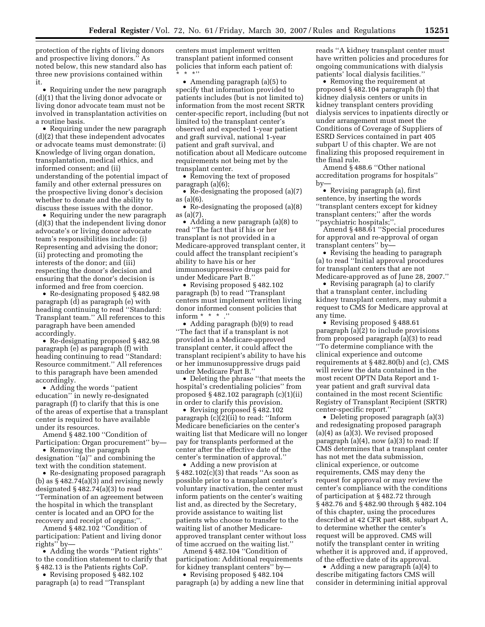protection of the rights of living donors and prospective living donors.'' As noted below, this new standard also has three new provisions contained within it.

• Requiring under the new paragraph (d)(1) that the living donor advocate or living donor advocate team must not be involved in transplantation activities on a routine basis.

• Requiring under the new paragraph (d)(2) that these independent advocates or advocate teams must demonstrate: (i) Knowledge of living organ donation, transplantation, medical ethics, and informed consent; and (ii) understanding of the potential impact of family and other external pressures on the prospective living donor's decision whether to donate and the ability to discuss these issues with the donor.

• Requiring under the new paragraph (d)(3) that the independent living donor advocate's or living donor advocate team's responsibilities include: (i) Representing and advising the donor; (ii) protecting and promoting the interests of the donor; and (iii) respecting the donor's decision and ensuring that the donor's decision is informed and free from coercion.

• Re-designating proposed § 482.98 paragraph (d) as paragraph (e) with heading continuing to read ''Standard: Transplant team.'' All references to this paragraph have been amended accordingly.

• Re-designating proposed § 482.98 paragraph (e) as paragraph (f) with heading continuing to read ''Standard: Resource commitment.'' All references to this paragraph have been amended accordingly.

• Adding the words ''patient education'' in newly re-designated paragraph (f) to clarify that this is one of the areas of expertise that a transplant center is required to have available under its resources.

Amend § 482.100 ''Condition of Participation: Organ procurement'' by—

• Removing the paragraph designation ''(a)'' and combining the text with the condition statement.

• Re-designating proposed paragraph (b) as  $\S 482.74(a)(3)$  and revising newly designated § 482.74(a)(3) to read ''Termination of an agreement between the hospital in which the transplant center is located and an OPO for the recovery and receipt of organs;''.

Amend § 482.102 ''Condition of participation: Patient and living donor rights'' by—

• Adding the words "Patient rights" to the condition statement to clarify that § 482.13 is the Patients rights CoP.

• Revising proposed § 482.102 paragraph (a) to read ''Transplant centers must implement written transplant patient informed consent policies that inform each patient of:  $*$  \*''

• Amending paragraph (a)(5) to specify that information provided to patients includes (but is not limited to) information from the most recent SRTR center-specific report, including (but not limited to) the transplant center's observed and expected 1-year patient and graft survival, national 1-year patient and graft survival, and notification about all Medicare outcome requirements not being met by the transplant center.

• Removing the text of proposed paragraph (a)(6);

• Re-designating the proposed (a)(7) as (a)(6).

• Re-designating the proposed (a)(8) as (a)(7).

• Adding a new paragraph (a)(8) to read ''The fact that if his or her transplant is not provided in a Medicare-approved transplant center, it could affect the transplant recipient's ability to have his or her immunosuppressive drugs paid for under Medicare Part B.''

• Revising proposed § 482.102 paragraph (b) to read ''Transplant centers must implement written living donor informed consent policies that inform  $* * *$ ."

• Adding paragraph (b)(9) to read ''The fact that if a transplant is not provided in a Medicare-approved transplant center, it could affect the transplant recipient's ability to have his or her immunosuppressive drugs paid under Medicare Part B.''

• Deleting the phrase ''that meets the hospital's credentialing policies'' from proposed § 482.102 paragraph (c)(1)(ii) in order to clarify this provision.

• Revising proposed § 482.102 paragraph (c)(2)(ii) to read: ''Inform Medicare beneficiaries on the center's waiting list that Medicare will no longer pay for transplants performed at the center after the effective date of the center's termination of approval.''

• Adding a new provision at § 482.102(c)(3) that reads ''As soon as possible prior to a transplant center's voluntary inactivation, the center must inform patients on the center's waiting list and, as directed by the Secretary, provide assistance to waiting list patients who choose to transfer to the waiting list of another Medicareapproved transplant center without loss of time accrued on the waiting list.''

Amend § 482.104 ''Condition of participation: Additional requirements for kidney transplant centers'' by—

• Revising proposed § 482.104 paragraph (a) by adding a new line that reads ''A kidney transplant center must have written policies and procedures for ongoing communications with dialysis patients' local dialysis facilities.''

• Removing the requirement at proposed § 482.104 paragraph (b) that kidney dialysis centers or units in kidney transplant centers providing dialysis services to inpatients directly or under arrangement must meet the Conditions of Coverage of Suppliers of ESRD Services contained in part 405 subpart U of this chapter. We are not finalizing this proposed requirement in the final rule.

Amend § 488.6 ''Other national accreditation programs for hospitals'' by—

• Revising paragraph (a), first sentence, by inserting the words ''transplant centers except for kidney transplant centers;'' after the words ''psychiatric hospitals;''.

Amend § 488.61 ''Special procedures for approval and re-approval of organ transplant centers'' by—

• Revising the heading to paragraph (a) to read ''Initial approval procedures for transplant centers that are not Medicare-approved as of June 28, 2007.''

• Revising paragraph (a) to clarify that a transplant center, including kidney transplant centers, may submit a request to CMS for Medicare approval at any time.

• Revising proposed § 488.61 paragraph (a)(2) to include provisions from proposed paragraph (a)(3) to read ''To determine compliance with the clinical experience and outcome requirements at § 482.80(b) and (c), CMS will review the data contained in the most recent OPTN Data Report and 1 year patient and graft survival data contained in the most recent Scientific Registry of Transplant Recipient (SRTR) center-specific report.''

• Deleting proposed paragraph (a)(3) and redesignating proposed paragraph  $(a)(4)$  as  $(a)(3)$ . We revised proposed paragraph  $(a)(4)$ , now  $(a)(3)$  to read: If CMS determines that a transplant center has not met the data submission, clinical experience, or outcome requirements, CMS may deny the request for approval or may review the center's compliance with the conditions of participation at § 482.72 through § 482.76 and § 482.90 through § 482.104 of this chapter, using the procedures described at 42 CFR part 488, subpart A, to determine whether the center's request will be approved. CMS will notify the transplant center in writing whether it is approved and, if approved, of the effective date of its approval.

• Adding a new paragraph (a)(4) to describe mitigating factors CMS will consider in determining initial approval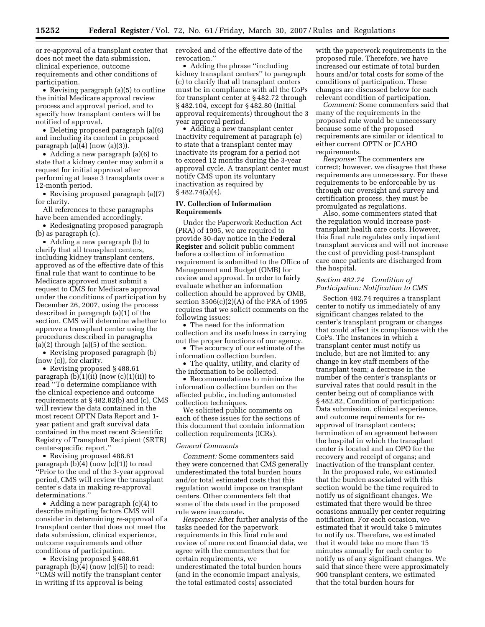or re-approval of a transplant center that does not meet the data submission, clinical experience, outcome requirements and other conditions of participation.

• Revising paragraph (a)(5) to outline the initial Medicare approval review process and approval period, and to specify how transplant centers will be notified of approval.

• Deleting proposed paragraph (a)(6) and including its content in proposed paragraph  $(a)(4)$  (now  $(a)(3)$ ).

• Adding a new paragraph (a)(6) to state that a kidney center may submit a request for initial approval after performing at lease 3 transplants over a 12-month period.

• Revising proposed paragraph (a)(7) for clarity.

All references to these paragraphs have been amended accordingly.

• Redesignating proposed paragraph (b) as paragraph (c).

• Adding a new paragraph (b) to clarify that all transplant centers, including kidney transplant centers, approved as of the effective date of this final rule that want to continue to be Medicare approved must submit a request to CMS for Medicare approval under the conditions of participation by December 26, 2007, using the process described in paragraph (a)(1) of the section. CMS will determine whether to approve a transplant center using the procedures described in paragraphs  $(a)(2)$  through  $(a)(5)$  of the section.

• Revising proposed paragraph (b) (now (c)), for clarity.

• Revising proposed § 488.61 paragraph  $(b)(1)(ii)$  (now  $(c)(1)(ii)$ ) to read ''To determine compliance with the clinical experience and outcome requirements at § 482.82(b) and (c), CMS will review the data contained in the most recent OPTN Data Report and 1 year patient and graft survival data contained in the most recent Scientific Registry of Transplant Recipient (SRTR) center-specific report.''

• Revising proposed 488.61 paragraph (b)(4) (now (c)(1)) to read ''Prior to the end of the 3-year approval period, CMS will review the transplant center's data in making re-approval determinations.''

• Adding a new paragraph (c)(4) to describe mitigating factors CMS will consider in determining re-approval of a transplant center that does not meet the data submission, clinical experience, outcome requirements and other conditions of participation.

• Revising proposed §488.61 paragraph  $(b)(4)$  (now  $(c)(5)$ ) to read: ''CMS will notify the transplant center in writing if its approval is being

revoked and of the effective date of the revocation.''

• Adding the phrase "including" kidney transplant centers'' to paragraph (c) to clarify that all transplant centers must be in compliance with all the CoPs for transplant center at § 482.72 through § 482.104, except for § 482.80 (Initial approval requirements) throughout the 3 year approval period.

• Adding a new transplant center inactivity requirement at paragraph (e) to state that a transplant center may inactivate its program for a period not to exceed 12 months during the 3-year approval cycle. A transplant center must notify CMS upon its voluntary inactivation as required by  $§ 482.74(a)(4).$ 

## **IV. Collection of Information Requirements**

Under the Paperwork Reduction Act (PRA) of 1995, we are required to provide 30-day notice in the **Federal Register** and solicit public comment before a collection of information requirement is submitted to the Office of Management and Budget (OMB) for review and approval. In order to fairly evaluate whether an information collection should be approved by OMB, section 3506(c)(2)(A) of the PRA of 1995 requires that we solicit comments on the following issues:

• The need for the information collection and its usefulness in carrying out the proper functions of our agency.

• The accuracy of our estimate of the information collection burden.

• The quality, utility, and clarity of the information to be collected.

• Recommendations to minimize the information collection burden on the affected public, including automated collection techniques.

We solicited public comments on each of these issues for the sections of this document that contain information collection requirements (ICRs).

### *General Comments*

*Comment:* Some commenters said they were concerned that CMS generally underestimated the total burden hours and/or total estimated costs that this regulation would impose on transplant centers. Other commenters felt that some of the data used in the proposed rule were inaccurate.

*Response:* After further analysis of the tasks needed for the paperwork requirements in this final rule and review of more recent financial data, we agree with the commenters that for certain requirements, we underestimated the total burden hours (and in the economic impact analysis, the total estimated costs) associated

with the paperwork requirements in the proposed rule. Therefore, we have increased our estimate of total burden hours and/or total costs for some of the conditions of participation. These changes are discussed below for each relevant condition of participation.

*Comment:* Some commenters said that many of the requirements in the proposed rule would be unnecessary because some of the proposed requirements are similar or identical to either current OPTN or JCAHO requirements.

*Response:* The commenters are correct; however, we disagree that these requirements are unnecessary. For these requirements to be enforceable by us through our oversight and survey and certification process, they must be promulgated as regulations.

Also, some commenters stated that the regulation would increase posttransplant health care costs. However, this final rule regulates only inpatient transplant services and will not increase the cost of providing post-transplant care once patients are discharged from the hospital.

## *Section 482.74 Condition of Participation: Notification to CMS*

Section 482.74 requires a transplant center to notify us immediately of any significant changes related to the center's transplant program or changes that could affect its compliance with the CoPs. The instances in which a transplant center must notify us include, but are not limited to: any change in key staff members of the transplant team; a decrease in the number of the center's transplants or survival rates that could result in the center being out of compliance with § 482.82, Condition of participation: Data submission, clinical experience, and outcome requirements for reapproval of transplant centers; termination of an agreement between the hospital in which the transplant center is located and an OPO for the recovery and receipt of organs; and inactivation of the transplant center.

In the proposed rule, we estimated that the burden associated with this section would be the time required to notify us of significant changes. We estimated that there would be three occasions annually per center requiring notification. For each occasion, we estimated that it would take 5 minutes to notify us. Therefore, we estimated that it would take no more than 15 minutes annually for each center to notify us of any significant changes. We said that since there were approximately 900 transplant centers, we estimated that the total burden hours for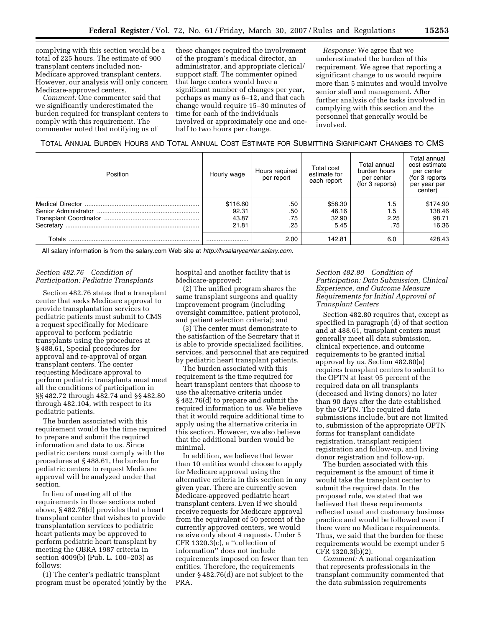complying with this section would be a total of 225 hours. The estimate of 900 transplant centers included non-Medicare approved transplant centers. However, our analysis will only concern Medicare-approved centers.

*Comment:* One commenter said that we significantly underestimated the burden required for transplant centers to comply with this requirement. The commenter noted that notifying us of

these changes required the involvement of the program's medical director, an administrator, and appropriate clerical/ support staff. The commenter opined that large centers would have a significant number of changes per year, perhaps as many as 6–12, and that each change would require 15–30 minutes of time for each of the individuals involved or approximately one and onehalf to two hours per change.

*Response:* We agree that we underestimated the burden of this requirement. We agree that reporting a significant change to us would require more than 5 minutes and would involve senior staff and management. After further analysis of the tasks involved in complying with this section and the personnel that generally would be involved.

TOTAL ANNUAL BURDEN HOURS AND TOTAL ANNUAL COST ESTIMATE FOR SUBMITTING SIGNIFICANT CHANGES TO CMS

| Position | Hourly wage | Hours required<br>per report | Total cost<br>estimate for<br>each report | Total annual<br>burden hours<br>per center<br>(for 3 reports) | Total annual<br>cost estimate<br>per center<br>(for 3 reports<br>per year per<br>center) |
|----------|-------------|------------------------------|-------------------------------------------|---------------------------------------------------------------|------------------------------------------------------------------------------------------|
|          | \$116.60    | .50                          | \$58.30                                   | 1.5                                                           | \$174.90                                                                                 |
|          | 92.31       | .50                          | 46.16                                     | $1.5\,$                                                       | 138.46                                                                                   |
|          | 43.87       | .75                          | 32.90                                     | 2.25                                                          | 98.71                                                                                    |
|          | 21.81       | .25                          | 5.45                                      | .75                                                           | 16.36                                                                                    |
| Totals   |             | 2.00                         | 142.81                                    | 6.0                                                           | 428.43                                                                                   |

All salary information is from the salary.com Web site at *[http://hrsalarycenter.salary.com.](http://hrsalarycenter.salary.com)* 

## *Section 482.76 Condition of Participation: Pediatric Transplants*

Section 482.76 states that a transplant center that seeks Medicare approval to provide transplantation services to pediatric patients must submit to CMS a request specifically for Medicare approval to perform pediatric transplants using the procedures at § 488.61, Special procedures for approval and re-approval of organ transplant centers. The center requesting Medicare approval to perform pediatric transplants must meet all the conditions of participation in §§ 482.72 through 482.74 and §§ 482.80 through 482.104, with respect to its pediatric patients.

The burden associated with this requirement would be the time required to prepare and submit the required information and data to us. Since pediatric centers must comply with the procedures at § 488.61, the burden for pediatric centers to request Medicare approval will be analyzed under that section.

In lieu of meeting all of the requirements in those sections noted above, § 482.76(d) provides that a heart transplant center that wishes to provide transplantation services to pediatric heart patients may be approved to perform pediatric heart transplant by meeting the OBRA 1987 criteria in section 4009(b) (Pub. L. 100–203) as follows:

(1) The center's pediatric transplant program must be operated jointly by the hospital and another facility that is Medicare-approved;

(2) The unified program shares the same transplant surgeons and quality improvement program (including oversight committee, patient protocol, and patient selection criteria); and

(3) The center must demonstrate to the satisfaction of the Secretary that it is able to provide specialized facilities, services, and personnel that are required by pediatric heart transplant patients.

The burden associated with this requirement is the time required for heart transplant centers that choose to use the alternative criteria under § 482.76(d) to prepare and submit the required information to us. We believe that it would require additional time to apply using the alternative criteria in this section. However, we also believe that the additional burden would be minimal.

In addition, we believe that fewer than 10 entities would choose to apply for Medicare approval using the alternative criteria in this section in any given year. There are currently seven Medicare-approved pediatric heart transplant centers. Even if we should receive requests for Medicare approval from the equivalent of 50 percent of the currently approved centers, we would receive only about 4 requests. Under 5 CFR 1320.3(c), a ''collection of information'' does not include requirements imposed on fewer than ten entities. Therefore, the requirements under § 482.76(d) are not subject to the PRA.

# *Section 482.80 Condition of Participation: Data Submission, Clinical Experience, and Outcome Measure Requirements for Initial Approval of Transplant Centers*

Section 482.80 requires that, except as specified in paragraph (d) of that section and at 488.61, transplant centers must generally meet all data submission, clinical experience, and outcome requirements to be granted initial approval by us. Section 482.80(a) requires transplant centers to submit to the OPTN at least 95 percent of the required data on all transplants (deceased and living donors) no later than 90 days after the date established by the OPTN. The required data submissions include, but are not limited to, submission of the appropriate OPTN forms for transplant candidate registration, transplant recipient registration and follow-up, and living donor registration and follow-up.

The burden associated with this requirement is the amount of time it would take the transplant center to submit the required data. In the proposed rule, we stated that we believed that these requirements reflected usual and customary business practice and would be followed even if there were no Medicare requirements. Thus, we said that the burden for these requirements would be exempt under 5 CFR 1320.3(b)(2).

*Comment:* A national organization that represents professionals in the transplant community commented that the data submission requirements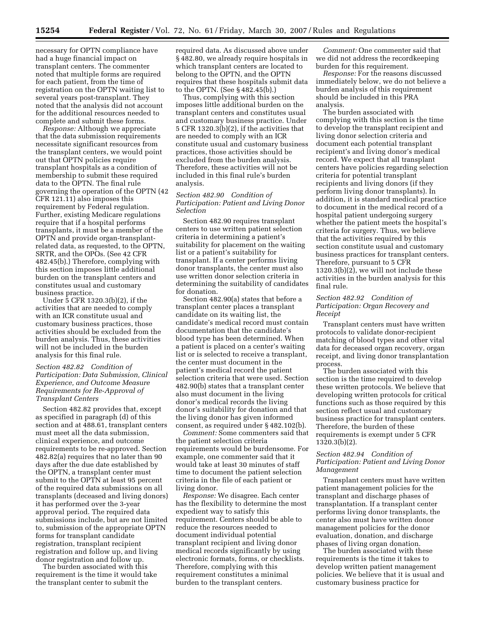necessary for OPTN compliance have had a huge financial impact on transplant centers. The commenter noted that multiple forms are required for each patient, from the time of registration on the OPTN waiting list to several years post-transplant. They noted that the analysis did not account for the additional resources needed to complete and submit these forms.

*Response:* Although we appreciate that the data submission requirements necessitate significant resources from the transplant centers, we would point out that OPTN policies require transplant hospitals as a condition of membership to submit these required data to the OPTN. The final rule governing the operation of the OPTN (42 CFR 121.11) also imposes this requirement by Federal regulation. Further, existing Medicare regulations require that if a hospital performs transplants, it must be a member of the OPTN and provide organ-transplantrelated data, as requested, to the OPTN, SRTR, and the OPOs. (See 42 CFR 482.45(b).) Therefore, complying with this section imposes little additional burden on the transplant centers and constitutes usual and customary business practice.

Under 5 CFR 1320.3(b)(2), if the activities that are needed to comply with an ICR constitute usual and customary business practices, those activities should be excluded from the burden analysis. Thus, these activities will not be included in the burden analysis for this final rule.

## *Section 482.82 Condition of Participation: Data Submission, Clinical Experience, and Outcome Measure Requirements for Re-Approval of Transplant Centers*

Section 482.82 provides that, except as specified in paragraph (d) of this section and at 488.61, transplant centers must meet all the data submission, clinical experience, and outcome requirements to be re-approved. Section 482.82(a) requires that no later than 90 days after the due date established by the OPTN, a transplant center must submit to the OPTN at least 95 percent of the required data submissions on all transplants (deceased and living donors) it has performed over the 3-year approval period. The required data submissions include, but are not limited to, submission of the appropriate OPTN forms for transplant candidate registration, transplant recipient registration and follow up, and living donor registration and follow up.

The burden associated with this requirement is the time it would take the transplant center to submit the

required data. As discussed above under § 482.80, we already require hospitals in which transplant centers are located to belong to the OPTN, and the OPTN requires that these hospitals submit data to the OPTN. (See § 482.45(b).)

Thus, complying with this section imposes little additional burden on the transplant centers and constitutes usual and customary business practice. Under 5 CFR 1320.3(b)(2), if the activities that are needed to comply with an ICR constitute usual and customary business practices, those activities should be excluded from the burden analysis. Therefore, these activities will not be included in this final rule's burden analysis.

## *Section 482.90 Condition of Participation: Patient and Living Donor Selection*

Section 482.90 requires transplant centers to use written patient selection criteria in determining a patient's suitability for placement on the waiting list or a patient's suitability for transplant. If a center performs living donor transplants, the center must also use written donor selection criteria in determining the suitability of candidates for donation.

Section 482.90(a) states that before a transplant center places a transplant candidate on its waiting list, the candidate's medical record must contain documentation that the candidate's blood type has been determined. When a patient is placed on a center's waiting list or is selected to receive a transplant, the center must document in the patient's medical record the patient selection criteria that were used. Section 482.90(b) states that a transplant center also must document in the living donor's medical records the living donor's suitability for donation and that the living donor has given informed consent, as required under § 482.102(b).

*Comment:* Some commenters said that the patient selection criteria requirements would be burdensome. For example, one commenter said that it would take at least 30 minutes of staff time to document the patient selection criteria in the file of each patient or living donor.

*Response:* We disagree. Each center has the flexibility to determine the most expedient way to satisfy this requirement. Centers should be able to reduce the resources needed to document individual potential transplant recipient and living donor medical records significantly by using electronic formats, forms, or checklists. Therefore, complying with this requirement constitutes a minimal burden to the transplant centers.

*Comment:* One commenter said that we did not address the recordkeeping burden for this requirement.

*Response:* For the reasons discussed immediately below, we do not believe a burden analysis of this requirement should be included in this PRA analysis.

The burden associated with complying with this section is the time to develop the transplant recipient and living donor selection criteria and document each potential transplant recipient's and living donor's medical record. We expect that all transplant centers have policies regarding selection criteria for potential transplant recipients and living donors (if they perform living donor transplants). In addition, it is standard medical practice to document in the medical record of a hospital patient undergoing surgery whether the patient meets the hospital's criteria for surgery. Thus, we believe that the activities required by this section constitute usual and customary business practices for transplant centers. Therefore, pursuant to 5 CFR 1320.3(b)(2), we will not include these activities in the burden analysis for this final rule.

## *Section 482.92 Condition of Participation: Organ Recovery and Receipt*

Transplant centers must have written protocols to validate donor-recipient matching of blood types and other vital data for deceased organ recovery, organ receipt, and living donor transplantation process.

The burden associated with this section is the time required to develop these written protocols. We believe that developing written protocols for critical functions such as those required by this section reflect usual and customary business practice for transplant centers. Therefore, the burden of these requirements is exempt under 5 CFR 1320.3(b)(2).

## *Section 482.94 Condition of Participation: Patient and Living Donor Management*

Transplant centers must have written patient management policies for the transplant and discharge phases of transplantation. If a transplant center performs living donor transplants, the center also must have written donor management policies for the donor evaluation, donation, and discharge phases of living organ donation.

The burden associated with these requirements is the time it takes to develop written patient management policies. We believe that it is usual and customary business practice for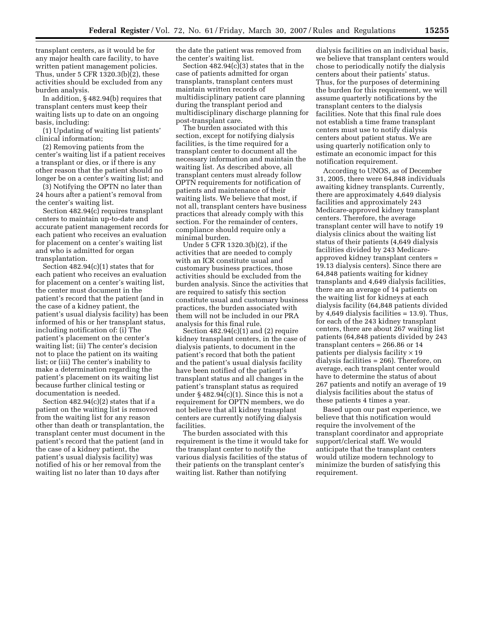transplant centers, as it would be for any major health care facility, to have written patient management policies. Thus, under 5 CFR 1320.3(b)(2), these activities should be excluded from any burden analysis.

In addition, § 482.94(b) requires that transplant centers must keep their waiting lists up to date on an ongoing basis, including:

(1) Updating of waiting list patients' clinical information;

(2) Removing patients from the center's waiting list if a patient receives a transplant or dies, or if there is any other reason that the patient should no longer be on a center's waiting list; and

(3) Notifying the OPTN no later than 24 hours after a patient's removal from the center's waiting list.

Section 482.94(c) requires transplant centers to maintain up-to-date and accurate patient management records for each patient who receives an evaluation for placement on a center's waiting list and who is admitted for organ transplantation.

Section 482.94(c)(1) states that for each patient who receives an evaluation for placement on a center's waiting list, the center must document in the patient's record that the patient (and in the case of a kidney patient, the patient's usual dialysis facility) has been informed of his or her transplant status, including notification of: (i) The patient's placement on the center's waiting list; (ii) The center's decision not to place the patient on its waiting list; or (iii) The center's inability to make a determination regarding the patient's placement on its waiting list because further clinical testing or documentation is needed.

Section  $482.94(c)(2)$  states that if a patient on the waiting list is removed from the waiting list for any reason other than death or transplantation, the transplant center must document in the patient's record that the patient (and in the case of a kidney patient, the patient's usual dialysis facility) was notified of his or her removal from the waiting list no later than 10 days after

the date the patient was removed from the center's waiting list.

Section 482.94(c)(3) states that in the case of patients admitted for organ transplants, transplant centers must maintain written records of multidisciplinary patient care planning during the transplant period and multidisciplinary discharge planning for post-transplant care.

The burden associated with this section, except for notifying dialysis facilities, is the time required for a transplant center to document all the necessary information and maintain the waiting list. As described above, all transplant centers must already follow OPTN requirements for notification of patients and maintenance of their waiting lists. We believe that most, if not all, transplant centers have business practices that already comply with this section. For the remainder of centers, compliance should require only a minimal burden.

Under 5 CFR 1320.3(b)(2), if the activities that are needed to comply with an ICR constitute usual and customary business practices, those activities should be excluded from the burden analysis. Since the activities that are required to satisfy this section constitute usual and customary business practices, the burden associated with them will not be included in our PRA analysis for this final rule.

Section  $482.94(c)(1)$  and  $(2)$  require kidney transplant centers, in the case of dialysis patients, to document in the patient's record that both the patient and the patient's usual dialysis facility have been notified of the patient's transplant status and all changes in the patient's transplant status as required under § 482.94(c)(1). Since this is not a requirement for OPTN members, we do not believe that all kidney transplant centers are currently notifying dialysis facilities.

The burden associated with this requirement is the time it would take for the transplant center to notify the various dialysis facilities of the status of their patients on the transplant center's waiting list. Rather than notifying

dialysis facilities on an individual basis, we believe that transplant centers would chose to periodically notify the dialysis centers about their patients' status. Thus, for the purposes of determining the burden for this requirement, we will assume quarterly notifications by the transplant centers to the dialysis facilities. Note that this final rule does not establish a time frame transplant centers must use to notify dialysis centers about patient status. We are using quarterly notification only to estimate an economic impact for this notification requirement.

According to UNOS, as of December 31, 2005, there were 64,848 individuals awaiting kidney transplants. Currently, there are approximately 4,649 dialysis facilities and approximately 243 Medicare-approved kidney transplant centers. Therefore, the average transplant center will have to notify 19 dialysis clinics about the waiting list status of their patients (4,649 dialysis facilities divided by 243 Medicareapproved kidney transplant centers = 19.13 dialysis centers). Since there are 64,848 patients waiting for kidney transplants and 4,649 dialysis facilities, there are an average of 14 patients on the waiting list for kidneys at each dialysis facility (64,848 patients divided by 4,649 dialysis facilities = 13.9). Thus, for each of the 243 kidney transplant centers, there are about 267 waiting list patients (64,848 patients divided by 243 transplant centers = 266.86 or 14 patients per dialysis facility  $\times$  19 dialysis facilities = 266). Therefore, on average, each transplant center would have to determine the status of about 267 patients and notify an average of 19 dialysis facilities about the status of these patients 4 times a year.

Based upon our past experience, we believe that this notification would require the involvement of the transplant coordinator and appropriate support/clerical staff. We would anticipate that the transplant centers would utilize modern technology to minimize the burden of satisfying this requirement.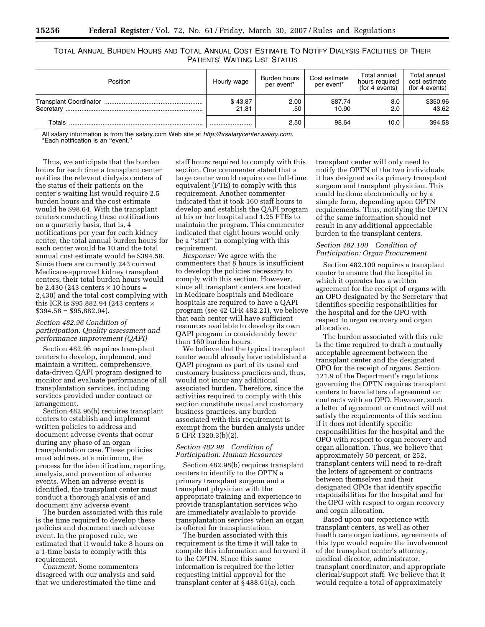# TOTAL ANNUAL BURDEN HOURS AND TOTAL ANNUAL COST ESTIMATE TO NOTIFY DIALYSIS FACILITIES OF THEIR PATIENTS' WAITING LIST STATUS

| Position  | Hourly wage      | Burden hours<br>per event* | Cost estimate<br>per event* | Total annual<br>hours required<br>(for 4 events) | Total annual<br>cost estimate<br>(for 4 events) |
|-----------|------------------|----------------------------|-----------------------------|--------------------------------------------------|-------------------------------------------------|
| Secretary | \$43.87<br>21.81 | 2.00<br>.50                | \$87.74<br>10.90            | 8.0<br>2.0                                       | \$350.96<br>43.62                               |
| Totals    |                  | 2.50                       | 98.64                       | 10.0                                             | 394.58                                          |

All salary information is from the salary.com Web site at *[http://hrsalarycenter.salary.com.](http://hrsalarycenter.salary.com)*  \*Each notification is an ''event.''

Thus, we anticipate that the burden hours for each time a transplant center notifies the relevant dialysis centers of the status of their patients on the center's waiting list would require 2.5 burden hours and the cost estimate would be \$98.64. With the transplant centers conducting these notifications on a quarterly basis, that is, 4 notifications per year for each kidney center, the total annual burden hours for each center would be 10 and the total annual cost estimate would be \$394.58. Since there are currently 243 current Medicare-approved kidney transplant centers, their total burden hours would be 2,430 (243 centers  $\times$  10 hours = 2,430) and the total cost complying with this ICR is \$95,882.94 (243 centers  $\times$  $$394.58 = $95,882.94$ .

### *Section 482.96 Condition of participation: Quality assessment and performance improvement (QAPI)*

Section 482.96 requires transplant centers to develop, implement, and maintain a written, comprehensive, data-driven QAPI program designed to monitor and evaluate performance of all transplantation services, including services provided under contract or arrangement.

Section 482.96(b) requires transplant centers to establish and implement written policies to address and document adverse events that occur during any phase of an organ transplantation case. These policies must address, at a minimum, the process for the identification, reporting, analysis, and prevention of adverse events. When an adverse event is identified, the transplant center must conduct a thorough analysis of and document any adverse event.

The burden associated with this rule is the time required to develop these policies and document each adverse event. In the proposed rule, we estimated that it would take 8 hours on a 1-time basis to comply with this requirement.

*Comment:* Some commenters disagreed with our analysis and said that we underestimated the time and

staff hours required to comply with this section. One commenter stated that a large center would require one full-time equivalent (FTE) to comply with this requirement. Another commenter indicated that it took 160 staff hours to develop and establish the QAPI program at his or her hospital and 1.25 FTEs to maintain the program. This commenter indicated that eight hours would only be a ''start'' in complying with this requirement.

*Response:* We agree with the commenters that 8 hours is insufficient to develop the policies necessary to comply with this section. However, since all transplant centers are located in Medicare hospitals and Medicare hospitals are required to have a QAPI program (see 42 CFR 482.21), we believe that each center will have sufficient resources available to develop its own QAPI program in considerably fewer than 160 burden hours.

We believe that the typical transplant center would already have established a QAPI program as part of its usual and customary business practices and, thus, would not incur any additional associated burden. Therefore, since the activities required to comply with this section constitute usual and customary business practices, any burden associated with this requirement is exempt from the burden analysis under 5 CFR 1320.3(b)(2).

### *Section 482.98 Condition of Participation: Human Resources*

Section 482.98(b) requires transplant centers to identify to the OPTN a primary transplant surgeon and a transplant physician with the appropriate training and experience to provide transplantation services who are immediately available to provide transplantation services when an organ is offered for transplantation.

The burden associated with this requirement is the time it will take to compile this information and forward it to the OPTN. Since this same information is required for the letter requesting initial approval for the transplant center at § 488.61(a), each

transplant center will only need to notify the OPTN of the two individuals it has designed as its primary transplant surgeon and transplant physician. This could be done electronically or by a simple form, depending upon OPTN requirements. Thus, notifying the OPTN of the same information should not result in any additional appreciable burden to the transplant centers.

### *Section 482.100 Condition of Participation: Organ Procurement*

Section 482.100 requires a transplant center to ensure that the hospital in which it operates has a written agreement for the receipt of organs with an OPO designated by the Secretary that identifies specific responsibilities for the hospital and for the OPO with respect to organ recovery and organ allocation.

The burden associated with this rule is the time required to draft a mutually acceptable agreement between the transplant center and the designated OPO for the receipt of organs. Section 121.9 of the Department's regulations governing the OPTN requires transplant centers to have letters of agreement or contracts with an OPO. However, such a letter of agreement or contract will not satisfy the requirements of this section if it does not identify specific responsibilities for the hospital and the OPO with respect to organ recovery and organ allocation. Thus, we believe that approximately 50 percent, or 252, transplant centers will need to re-draft the letters of agreement or contracts between themselves and their designated OPOs that identify specific responsibilities for the hospital and for the OPO with respect to organ recovery and organ allocation.

Based upon our experience with transplant centers, as well as other health care organizations, agreements of this type would require the involvement of the transplant center's attorney, medical director, administrator, transplant coordinator, and appropriate clerical/support staff. We believe that it would require a total of approximately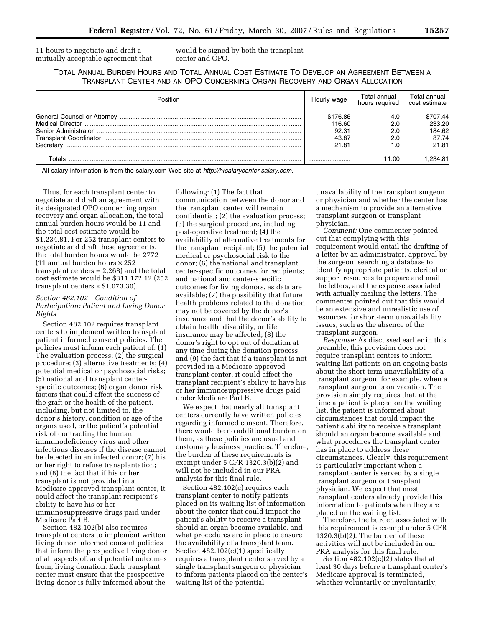11 hours to negotiate and draft a mutually acceptable agreement that would be signed by both the transplant center and OPO.

TOTAL ANNUAL BURDEN HOURS AND TOTAL ANNUAL COST ESTIMATE TO DEVELOP AN AGREEMENT BETWEEN A TRANSPLANT CENTER AND AN OPO CONCERNING ORGAN RECOVERY AND ORGAN ALLOCATION

| Position  | Hourly wage        | Total annual<br>hours required | Total annual<br>cost estimate |
|-----------|--------------------|--------------------------------|-------------------------------|
|           | \$176.86<br>116.60 | 4.0<br>2.0                     | \$707.44<br>233.20            |
|           | 92.31              | 2.0                            | 184.62                        |
| Secretary | 43.87<br>21.81     | 2.0                            | 87.74<br>21.81                |
| Totals    |                    | 11.00                          | .234.81                       |

All salary information is from the salary.com Web site at *<http://hrsalarycenter.salary.com>*.

Thus, for each transplant center to negotiate and draft an agreement with its designated OPO concerning organ recovery and organ allocation, the total annual burden hours would be 11 and the total cost estimate would be \$1,234.81. For 252 transplant centers to negotiate and draft these agreements, the total burden hours would be 2772 (11 annual burden hours  $\times$  252 transplant centers = 2,268) and the total cost estimate would be \$311.172.12 (252 transplant centers  $\times$  \$1,073.30).

### *Section 482.102 Condition of Participation: Patient and Living Donor Rights*

Section 482.102 requires transplant centers to implement written transplant patient informed consent policies. The policies must inform each patient of: (1) The evaluation process; (2) the surgical procedure; (3) alternative treatments; (4) potential medical or psychosocial risks; (5) national and transplant centerspecific outcomes; (6) organ donor risk factors that could affect the success of the graft or the health of the patient, including, but not limited to, the donor's history, condition or age of the organs used, or the patient's potential risk of contracting the human immunodeficiency virus and other infectious diseases if the disease cannot be detected in an infected donor; (7) his or her right to refuse transplantation; and (8) the fact that if his or her transplant is not provided in a Medicare-approved transplant center, it could affect the transplant recipient's ability to have his or her immunosuppressive drugs paid under Medicare Part B.

Section 482.102(b) also requires transplant centers to implement written living donor informed consent policies that inform the prospective living donor of all aspects of, and potential outcomes from, living donation. Each transplant center must ensure that the prospective living donor is fully informed about the

following: (1) The fact that communication between the donor and the transplant center will remain confidential; (2) the evaluation process; (3) the surgical procedure, including post-operative treatment; (4) the availability of alternative treatments for the transplant recipient; (5) the potential medical or psychosocial risk to the donor; (6) the national and transplant center-specific outcomes for recipients; and national and center-specific outcomes for living donors, as data are available; (7) the possibility that future health problems related to the donation may not be covered by the donor's insurance and that the donor's ability to obtain health, disability, or life insurance may be affected; (8) the donor's right to opt out of donation at any time during the donation process; and (9) the fact that if a transplant is not provided in a Medicare-approved transplant center, it could affect the transplant recipient's ability to have his or her immunosuppressive drugs paid under Medicare Part B.

We expect that nearly all transplant centers currently have written policies regarding informed consent. Therefore, there would be no additional burden on them, as these policies are usual and customary business practices. Therefore, the burden of these requirements is exempt under 5 CFR 1320.3(b)(2) and will not be included in our PRA analysis for this final rule.

Section 482.102(c) requires each transplant center to notify patients placed on its waiting list of information about the center that could impact the patient's ability to receive a transplant should an organ become available, and what procedures are in place to ensure the availability of a transplant team. Section 482.102(c)(1) specifically requires a transplant center served by a single transplant surgeon or physician to inform patients placed on the center's waiting list of the potential

unavailability of the transplant surgeon or physician and whether the center has a mechanism to provide an alternative transplant surgeon or transplant physician.

*Comment:* One commenter pointed out that complying with this requirement would entail the drafting of a letter by an administrator, approval by the surgeon, searching a database to identify appropriate patients, clerical or support resources to prepare and mail the letters, and the expense associated with actually mailing the letters. The commenter pointed out that this would be an extensive and unrealistic use of resources for short-term unavailability issues, such as the absence of the transplant surgeon.

*Response:* As discussed earlier in this preamble, this provision does not require transplant centers to inform waiting list patients on an ongoing basis about the short-term unavailability of a transplant surgeon, for example, when a transplant surgeon is on vacation. The provision simply requires that, at the time a patient is placed on the waiting list, the patient is informed about circumstances that could impact the patient's ability to receive a transplant should an organ become available and what procedures the transplant center has in place to address these circumstances. Clearly, this requirement is particularly important when a transplant center is served by a single transplant surgeon or transplant physician. We expect that most transplant centers already provide this information to patients when they are placed on the waiting list.

Therefore, the burden associated with this requirement is exempt under 5 CFR  $1320.3(b)(2)$ . The burden of these activities will not be included in our PRA analysis for this final rule.

Section 482.102(c)(2) states that at least 30 days before a transplant center's Medicare approval is terminated, whether voluntarily or involuntarily,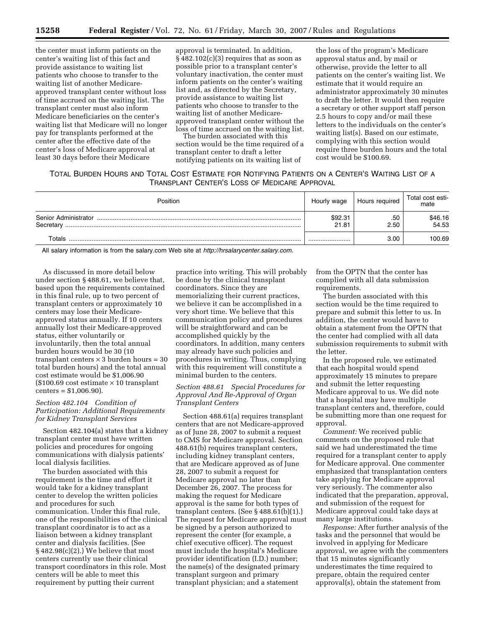the center must inform patients on the center's waiting list of this fact and provide assistance to waiting list patients who choose to transfer to the waiting list of another Medicareapproved transplant center without loss of time accrued on the waiting list. The transplant center must also inform Medicare beneficiaries on the center's waiting list that Medicare will no longer pay for transplants performed at the center after the effective date of the center's loss of Medicare approval at least 30 days before their Medicare

approval is terminated. In addition,  $§$  482.102(c)(3) requires that as soon as possible prior to a transplant center's voluntary inactivation, the center must inform patients on the center's waiting list and, as directed by the Secretary, provide assistance to waiting list patients who choose to transfer to the waiting list of another Medicareapproved transplant center without the loss of time accrued on the waiting list.

The burden associated with this section would be the time required of a transplant center to draft a letter notifying patients on its waiting list of

the loss of the program's Medicare approval status and, by mail or otherwise, provide the letter to all patients on the center's waiting list. We estimate that it would require an administrator approximately 30 minutes to draft the letter. It would then require a secretary or other support staff person 2.5 hours to copy and/or mail these letters to the individuals on the center's waiting list(s). Based on our estimate, complying with this section would require three burden hours and the total cost would be \$100.69.

TOTAL BURDEN HOURS AND TOTAL COST ESTIMATE FOR NOTIFYING PATIENTS ON A CENTER'S WAITING LIST OF A TRANSPLANT CENTER'S LOSS OF MEDICARE APPROVAL

| Position                          | Hourly wage      | Hours required | Total cost esti-<br>mate |
|-----------------------------------|------------------|----------------|--------------------------|
| Senior Administrator<br>Secretary | \$92.31<br>21.81 | .50<br>2.50    | \$46.16<br>54.53         |
| Totals                            |                  | 3.00           | 100.69                   |

All salary information is from the salary.com Web site at *<http://hrsalarycenter.salary.com>*.

As discussed in more detail below under section § 488.61, we believe that, based upon the requirements contained in this final rule, up to two percent of transplant centers or approximately 10 centers may lose their Medicareapproved status annually. If 10 centers annually lost their Medicare-approved status, either voluntarily or involuntarily, then the total annual burden hours would be 30 (10 transplant centers  $\times$  3 burden hours = 30 total burden hours) and the total annual cost estimate would be \$1,006.90  $$100.69$  cost estimate  $\times 10$  transplant centers = \$1,006.90).

## *Section 482.104 Condition of Participation: Additional Requirements for Kidney Transplant Services*

Section 482.104(a) states that a kidney transplant center must have written policies and procedures for ongoing communications with dialysis patients' local dialysis facilities.

The burden associated with this requirement is the time and effort it would take for a kidney transplant center to develop the written policies and procedures for such communication. Under this final rule, one of the responsibilities of the clinical transplant coordinator is to act as a liaison between a kidney transplant center and dialysis facilities. (See § 482.98(c)(2).) We believe that most centers currently use their clinical transport coordinators in this role. Most centers will be able to meet this requirement by putting their current

practice into writing. This will probably be done by the clinical transplant coordinators. Since they are memorializing their current practices, we believe it can be accomplished in a very short time. We believe that this communication policy and procedures will be straightforward and can be accomplished quickly by the coordinators. In addition, many centers may already have such policies and procedures in writing. Thus, complying with this requirement will constitute a minimal burden to the centers.

## *Section 488.61 Special Procedures for Approval And Re-Approval of Organ Transplant Centers*

Section 488.61(a) requires transplant centers that are not Medicare-approved as of June 28, 2007 to submit a request to CMS for Medicare approval. Section 488.61(b) requires transplant centers, including kidney transplant centers, that are Medicare approved as of June 28, 2007 to submit a request for Medicare approval no later than December 26, 2007. The process for making the request for Medicare approval is the same for both types of transplant centers. (See § 488.61(b)(1).) The request for Medicare approval must be signed by a person authorized to represent the center (for example, a chief executive officer). The request must include the hospital's Medicare provider identification (I.D.) number; the name(s) of the designated primary transplant surgeon and primary transplant physician; and a statement

from the OPTN that the center has complied with all data submission requirements.

The burden associated with this section would be the time required to prepare and submit this letter to us. In addition, the center would have to obtain a statement from the OPTN that the center had complied with all data submission requirements to submit with the letter.

In the proposed rule, we estimated that each hospital would spend approximately 15 minutes to prepare and submit the letter requesting Medicare approval to us. We did note that a hospital may have multiple transplant centers and, therefore, could be submitting more than one request for approval.

*Comment:* We received public comments on the proposed rule that said we had underestimated the time required for a transplant center to apply for Medicare approval. One commenter emphasized that transplantation centers take applying for Medicare approval very seriously. The commenter also indicated that the preparation, approval, and submission of the request for Medicare approval could take days at many large institutions.

*Response:* After further analysis of the tasks and the personnel that would be involved in applying for Medicare approval, we agree with the commenters that 15 minutes significantly underestimates the time required to prepare, obtain the required center approval(s), obtain the statement from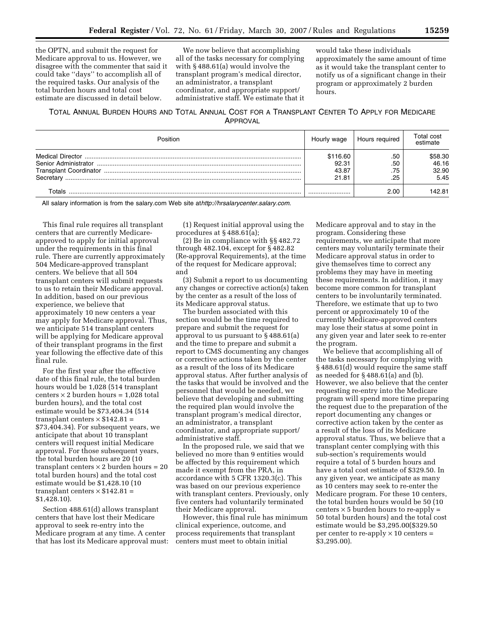the OPTN, and submit the request for Medicare approval to us. However, we disagree with the commenter that said it could take ''days'' to accomplish all of the required tasks. Our analysis of the total burden hours and total cost estimate are discussed in detail below.

We now believe that accomplishing all of the tasks necessary for complying with § 488.61(a) would involve the transplant program's medical director, an administrator, a transplant coordinator, and appropriate support/ administrative staff. We estimate that it

would take these individuals approximately the same amount of time as it would take the transplant center to notify us of a significant change in their program or approximately 2 burden hours.

TOTAL ANNUAL BURDEN HOURS AND TOTAL ANNUAL COST FOR A TRANSPLANT CENTER TO APPLY FOR MEDICARE APPROVAL

| Position                          | Hourly wage                         | Hours required           | Total cost<br>estimate            |
|-----------------------------------|-------------------------------------|--------------------------|-----------------------------------|
| Senior Administrator<br>Secretary | \$116.60<br>92.31<br>43.87<br>21.81 | .50<br>.50<br>.75<br>.25 | \$58.30<br>46.16<br>32.90<br>5.45 |
| Totals                            |                                     | 2.00                     | 142.81                            |

All salary information is from the salary.com Web site at*[http://hrsalarycenter.salary.com.](athttp://hrsalarycenter.salary.com)* 

This final rule requires all transplant centers that are currently Medicareapproved to apply for initial approval under the requirements in this final rule. There are currently approximately 504 Medicare-approved transplant centers. We believe that all 504 transplant centers will submit requests to us to retain their Medicare approval. In addition, based on our previous experience, we believe that approximately 10 new centers a year may apply for Medicare approval. Thus, we anticipate 514 transplant centers will be applying for Medicare approval of their transplant programs in the first year following the effective date of this final rule.

For the first year after the effective date of this final rule, the total burden hours would be 1,028 (514 transplant centers  $\times$  2 burden hours = 1,028 total burden hours), and the total cost estimate would be \$73,404.34 (514 transplant centers  $\times$  \$142.81 = \$73,404.34). For subsequent years, we anticipate that about 10 transplant centers will request initial Medicare approval. For those subsequent years, the total burden hours are 20 (10 transplant centers  $\times$  2 burden hours = 20 total burden hours) and the total cost estimate would be \$1,428.10 (10 transplant centers  $\times$  \$142.81 = \$1,428.10).

Section 488.61(d) allows transplant centers that have lost their Medicare approval to seek re-entry into the Medicare program at any time. A center that has lost its Medicare approval must:

(1) Request initial approval using the procedures at § 488.61(a);

(2) Be in compliance with §§ 482.72 through 482.104, except for § 482.82 (Re-approval Requirements), at the time of the request for Medicare approval; and

(3) Submit a report to us documenting any changes or corrective action(s) taken by the center as a result of the loss of its Medicare approval status.

The burden associated with this section would be the time required to prepare and submit the request for approval to us pursuant to § 488.61(a) and the time to prepare and submit a report to CMS documenting any changes or corrective actions taken by the center as a result of the loss of its Medicare approval status. After further analysis of the tasks that would be involved and the personnel that would be needed, we believe that developing and submitting the required plan would involve the transplant program's medical director, an administrator, a transplant coordinator, and appropriate support/ administrative staff.

In the proposed rule, we said that we believed no more than 9 entities would be affected by this requirement which made it exempt from the PRA, in accordance with 5 CFR 1320.3(c). This was based on our previous experience with transplant centers. Previously, only five centers had voluntarily terminated their Medicare approval.

However, this final rule has minimum clinical experience, outcome, and process requirements that transplant centers must meet to obtain initial

Medicare approval and to stay in the program. Considering these requirements, we anticipate that more centers may voluntarily terminate their Medicare approval status in order to give themselves time to correct any problems they may have in meeting these requirements. In addition, it may become more common for transplant centers to be involuntarily terminated. Therefore, we estimate that up to two percent or approximately 10 of the currently Medicare-approved centers may lose their status at some point in any given year and later seek to re-enter the program.

We believe that accomplishing all of the tasks necessary for complying with § 488.61(d) would require the same staff as needed for § 488.61(a) and (b). However, we also believe that the center requesting re-entry into the Medicare program will spend more time preparing the request due to the preparation of the report documenting any changes or corrective action taken by the center as a result of the loss of its Medicare approval status. Thus, we believe that a transplant center complying with this sub-section's requirements would require a total of 5 burden hours and have a total cost estimate of \$329.50. In any given year, we anticipate as many as 10 centers may seek to re-enter the Medicare program. For these 10 centers, the total burden hours would be 50 (10 centers  $\times$  5 burden hours to re-apply = 50 total burden hours) and the total cost estimate would be \$3,295.00(\$329.50 per center to re-apply  $\times$  10 centers = \$3,295.00).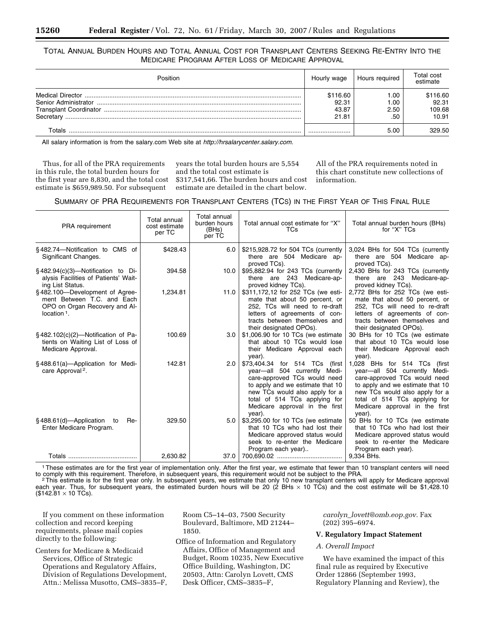# TOTAL ANNUAL BURDEN HOURS AND TOTAL ANNUAL COST FOR TRANSPLANT CENTERS SEEKING RE-ENTRY INTO THE MEDICARE PROGRAM AFTER LOSS OF MEDICARE APPROVAL

| Position  | Hourly wage | Hours required | Total cost<br>estimate |
|-----------|-------------|----------------|------------------------|
|           | \$116.60    | . .00          | \$116.60               |
|           | 92.31       | 00. ا          | 92.31                  |
|           | 43.87       | 2.50           | 109.68                 |
| Secretary | 21.81       | .50            | 10.91                  |
| Γ∩tals    |             | 5.00           | 329.50                 |

All salary information is from the salary.com Web site at *[http://hrsalarycenter.salary.com.](http://hrsalarycenter.salary.com)* 

Thus, for all of the PRA requirements in this rule, the total burden hours for the first year are 8,830, and the total cost estimate is \$659,989.50. For subsequent

years the total burden hours are 5,554 and the total cost estimate is \$317,541,66. The burden hours and cost estimate are detailed in the chart below.

All of the PRA requirements noted in this chart constitute new collections of information.

# SUMMARY OF PRA REQUIREMENTS FOR TRANSPLANT CENTERS (TCS) IN THE FIRST YEAR OF THIS FINAL RULE

| <b>PRA</b> requirement                                                                                          | <b>Total annual</b><br>cost estimate<br>per TC | Total annual<br>burden hours<br>(BHs)<br>per TC | Total annual cost estimate for "X"<br>TCs                                                                                                                                                                                                         | Total annual burden hours (BHs)<br>for "X" TCs                                                                                                                                                                                                  |
|-----------------------------------------------------------------------------------------------------------------|------------------------------------------------|-------------------------------------------------|---------------------------------------------------------------------------------------------------------------------------------------------------------------------------------------------------------------------------------------------------|-------------------------------------------------------------------------------------------------------------------------------------------------------------------------------------------------------------------------------------------------|
| §482.74-Notification to CMS of<br>Significant Changes.                                                          | \$428.43                                       | 6.0                                             | \$215,928.72 for 504 TCs (currently<br>there are 504 Medicare ap-<br>proved TCs).                                                                                                                                                                 | 3,024 BHs for 504 TCs (currently<br>there are 504 Medicare ap-<br>proved TCs).                                                                                                                                                                  |
| $\S$ 482.94(c)(3)—Notification to Di-<br>alysis Facilities of Patients' Wait-<br>ing List Status.               | 394.58                                         | 10.0                                            | \$95,882.94 for 243 TCs (currently<br>there are 243 Medicare-ap-<br>proved kidney TCs).                                                                                                                                                           | 2,430 BHs for 243 TCs (currently<br>there are 243 Medicare-ap-<br>proved kidney TCs).                                                                                                                                                           |
| §482.100-Development of Agree-<br>ment Between T.C. and Each<br>OPO on Organ Recovery and Al-<br>location $1$ . | 1,234.81                                       | 11.0                                            | \$311,172,12 for 252 TCs (we esti-<br>mate that about 50 percent, or<br>252, TCs will need to re-draft<br>letters of agreements of con-<br>tracts between themselves and<br>their designated OPOs).                                               | 2,772 BHs for 252 TCs (we esti-<br>mate that about 50 percent, or<br>252, TCs will need to re-draft<br>letters of agreements of con-<br>tracts between themselves and<br>their designated OPOs).                                                |
| $\S$ 482.102(c)(2)—Notification of Pa-<br>tients on Waiting List of Loss of<br>Medicare Approval.               | 100.69                                         | 3.0                                             | \$1,006.90 for 10 TCs (we estimate<br>that about 10 TCs would lose<br>their Medicare Approval each<br>year).                                                                                                                                      | 30 BHs for 10 TCs (we estimate<br>that about 10 TCs would lose<br>their Medicare Approval each<br>year).                                                                                                                                        |
| §488.61(a)-Application for Medi-<br>care Approval <sup>2</sup> .                                                | 142.81                                         | 2.0                                             | \$73,404.34 for 514 TCs (first<br>year-all 504 currently Medi-<br>care-approved TCs would need<br>to apply and we estimate that 10<br>new TCs would also apply for a<br>total of 514 TCs applying for<br>Medicare approval in the first<br>year). | 1,028 BHs for 514 TCs (first<br>year-all 504 currently Medi-<br>care-approved TCs would need<br>to apply and we estimate that 10<br>new TCs would also apply for a<br>total of 514 TCs applying for<br>Medicare approval in the first<br>year). |
| $§$ 488.61(d) — Application<br>Re-<br>to<br>Enter Medicare Program.                                             | 329.50                                         | 5.0                                             | \$3,295.00 for 10 TCs (we estimate<br>that 10 TCs who had lost their<br>Medicare approved status would<br>seek to re-enter the Medicare<br>Program each year)                                                                                     | 50 BHs for 10 TCs (we estimate<br>that 10 TCs who had lost their<br>Medicare approved status would<br>seek to re-enter the Medicare<br>Program each year).                                                                                      |
|                                                                                                                 | 2,630.82                                       | 37.0                                            |                                                                                                                                                                                                                                                   | 9.334 BHs.                                                                                                                                                                                                                                      |

1These estimates are for the first year of implementation only. After the first year, we estimate that fewer than 10 transplant centers will need

to comply with this requirement. Therefore, in subsequent years, this requirement would not be subject to the PRA.<br>This estimate is for the first year only. In subsequent years, we estimate that only 10 new transplant cent each year. Thus, for subsequent years, the estimated burden hours will be 20 (2 BHs × 10 TCs) and the cost estimate will be \$1,428.10  $($142.81 \times 10$  TCs).

If you comment on these information collection and record keeping requirements, please mail copies directly to the following:

Centers for Medicare & Medicaid Services, Office of Strategic Operations and Regulatory Affairs, Division of Regulations Development, Attn.: Melissa Musotto, CMS–3835–F, Room C5–14–03, 7500 Security Boulevard, Baltimore, MD 21244– 1850.

Office of Information and Regulatory Affairs, Office of Management and Budget, Room 10235, New Executive Office Building, Washington, DC 20503, Attn: Carolyn Lovett, CMS Desk Officer, CMS–3835–F,

*carolyn*\_*[lovett@omb.eop.gov.](mailto:carolyn_lovett@omb.eop.gov)* Fax (202) 395–6974.

## **V. Regulatory Impact Statement**

## *A. Overall Impact*

We have examined the impact of this final rule as required by Executive Order 12866 (September 1993, Regulatory Planning and Review), the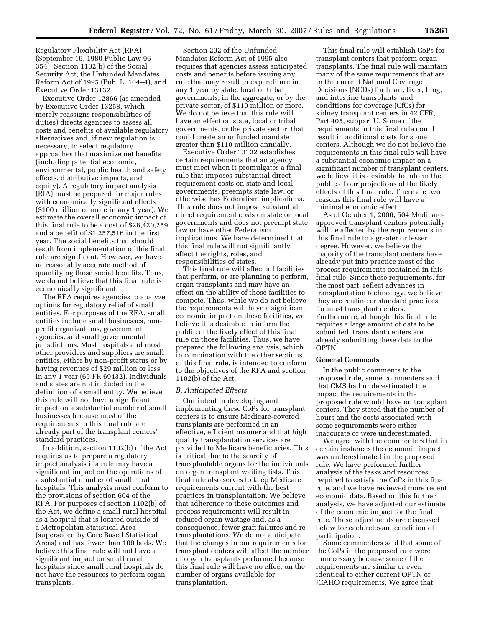Regulatory Flexibility Act (RFA) (September 16, 1980 Public Law 96– 354), Section 1102(b) of the Social Security Act, the Unfunded Mandates Reform Act of 1995 (Pub. L. 104–4), and Executive Order 13132.

Executive Order 12866 (as amended by Executive Order 13258, which merely reassigns responsibilities of duties) directs agencies to assess all costs and benefits of available regulatory alternatives and, if new regulation is necessary, to select regulatory approaches that maximize net benefits (including potential economic, environmental, public health and safety effects, distributive impacts, and equity). A regulatory impact analysis (RIA) must be prepared for major rules with economically significant effects (\$100 million or more in any 1 year). We estimate the overall economic impact of this final rule to be a cost of \$28,420,259 and a benefit of \$1,257,516 in the first year. The social benefits that should result from implementation of this final rule are significant. However, we have no reasonably accurate method of quantifying those social benefits. Thus, we do not believe that this final rule is economically significant.

The RFA requires agencies to analyze options for regulatory relief of small entities. For purposes of the RFA, small entities include small businesses, nonprofit organizations, government agencies, and small governmental jurisdictions. Most hospitals and most other providers and suppliers are small entities, either by non-profit status or by having revenues of \$29 million or less in any 1 year (65 FR 69432). Individuals and states are not included in the definition of a small entity. We believe this rule will not have a significant impact on a substantial number of small businesses because most of the requirements in this final rule are already part of the transplant centers' standard practices.

In addition, section 1102(b) of the Act requires us to prepare a regulatory impact analysis if a rule may have a significant impact on the operations of a substantial number of small rural hospitals. This analysis must conform to the provisions of section 604 of the RFA. For purposes of section 1102(b) of the Act, we define a small rural hospital as a hospital that is located outside of a Metropolitan Statistical Area (superseded by Core Based Statistical Areas) and has fewer than 100 beds. We believe this final rule will not have a significant impact on small rural hospitals since small rural hospitals do not have the resources to perform organ transplants.

Section 202 of the Unfunded Mandates Reform Act of 1995 also requires that agencies assess anticipated costs and benefits before issuing any rule that may result in expenditure in any 1 year by state, local or tribal governments, in the aggregate, or by the private sector, of \$110 million or more. We do not believe that this rule will have an effect on state, local or tribal governments, or the private sector, that could create an unfunded mandate greater than \$110 million annually.

Executive Order 13132 establishes certain requirements that an agency must meet when it promulgates a final rule that imposes substantial direct requirement costs on state and local governments, preempts state law, or otherwise has Federalism implications. This rule does not impose substantial direct requirement costs on state or local governments and does not preempt state law or have other Federalism implications. We have determined that this final rule will not significantly affect the rights, roles, and responsibilities of states.

This final rule will affect all facilities that perform, or are planning to perform, organ transplants and may have an effect on the ability of those facilities to compete. Thus, while we do not believe the requirements will have a significant economic impact on these facilities, we believe it is desirable to inform the public of the likely effect of this final rule on those facilities. Thus, we have prepared the following analysis, which in combination with the other sections of this final rule, is intended to conform to the objectives of the RFA and section 1102(b) of the Act.

### *B. Anticipated Effects*

Our intent in developing and implementing these CoPs for transplant centers is to ensure Medicare-covered transplants are performed in an effective, efficient manner and that high quality transplantation services are provided to Medicare beneficiaries. This is critical due to the scarcity of transplantable organs for the individuals on organ transplant waiting lists. This final rule also serves to keep Medicare requirements current with the best practices in transplantation. We believe that adherence to these outcomes and process requirements will result in reduced organ wastage and, as a consequence, fewer graft failures and retransplantations. We do not anticipate that the changes in our requirements for transplant centers will affect the number of organ transplants performed because this final rule will have no effect on the number of organs available for transplantation.

This final rule will establish CoPs for transplant centers that perform organ transplants. The final rule will maintain many of the same requirements that are in the current National Coverage Decisions (NCDs) for heart, liver, lung, and intestine transplants, and conditions for coverage (CfCs) for kidney transplant centers in 42 CFR, Part 405, subpart U. Some of the requirements in this final rule could result in additional costs for some centers. Although we do not believe the requirements in this final rule will have a substantial economic impact on a significant number of transplant centers, we believe it is desirable to inform the public of our projections of the likely effects of this final rule. There are two reasons this final rule will have a minimal economic effect.

As of October 1, 2006, 504 Medicareapproved transplant centers potentially will be affected by the requirements in this final rule to a greater or lesser degree. However, we believe the majority of the transplant centers have already put into practice most of the process requirements contained in this final rule. Since these requirements, for the most part, reflect advances in transplantation technology, we believe they are routine or standard practices for most transplant centers. Furthermore, although this final rule requires a large amount of data to be submitted, transplant centers are already submitting these data to the OPTN.

### **General Comments**

In the public comments to the proposed rule, some commenters said that CMS had underestimated the impact the requirements in the proposed rule would have on transplant centers. They stated that the number of hours and the costs associated with some requirements were either inaccurate or were underestimated.

We agree with the commenters that in certain instances the economic impact was underestimated in the proposed rule. We have performed further analysis of the tasks and resources required to satisfy the CoPs in this final rule, and we have reviewed more recent economic data. Based on this further analysis, we have adjusted our estimate of the economic impact for the final rule. These adjustments are discussed below for each relevant condition of participation.

Some commenters said that some of the CoPs in the proposed rule were unnecessary because some of the requirements are similar or even identical to either current OPTN or JCAHO requirements. We agree that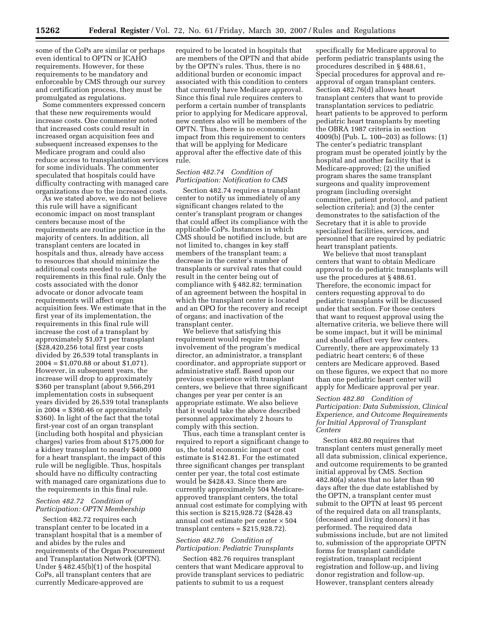some of the CoPs are similar or perhaps even identical to OPTN or JCAHO requirements. However, for these requirements to be mandatory and enforceable by CMS through our survey and certification process, they must be promulgated as regulations.

Some commenters expressed concern that these new requirements would increase costs. One commenter noted that increased costs could result in increased organ acquisition fees and subsequent increased expenses to the Medicare program and could also reduce access to transplantation services for some individuals. The commenter speculated that hospitals could have difficulty contracting with managed care organizations due to the increased costs.

As we stated above, we do not believe this rule will have a significant economic impact on most transplant centers because most of the requirements are routine practice in the majority of centers. In addition, all transplant centers are located in hospitals and thus, already have access to resources that should minimize the additional costs needed to satisfy the requirements in this final rule. Only the costs associated with the donor advocate or donor advocate team requirements will affect organ acquisition fees. We estimate that in the first year of its implementation, the requirements in this final rule will increase the cost of a transplant by approximately \$1,071 per transplant  $($28,420,256$$  total first year costs divided by 26,539 total transplants in 2004 = \$1,070.88 or about \$1,071). However, in subsequent years, the increase will drop to approximately \$360 per transplant (about 9,566,291 implementation costs in subsequent years divided by 26,539 total transplants in  $2004 = $360.46$  or approximately \$360). In light of the fact that the total first-year cost of an organ transplant (including both hospital and physician charges) varies from about \$175,000 for a kidney transplant to nearly \$400,000 for a heart transplant, the impact of this rule will be negligible. Thus, hospitals should have no difficulty contracting with managed care organizations due to the requirements in this final rule.

### *Section 482.72 Condition of Participation: OPTN Membership*

Section 482.72 requires each transplant center to be located in a transplant hospital that is a member of and abides by the rules and requirements of the Organ Procurement and Transplantation Network (OPTN). Under § 482.45(b)(1) of the hospital CoPs, all transplant centers that are currently Medicare-approved are

required to be located in hospitals that are members of the OPTN and that abide by the OPTN's rules. Thus, there is no additional burden or economic impact associated with this condition to centers that currently have Medicare approval. Since this final rule requires centers to perform a certain number of transplants prior to applying for Medicare approval, new centers also will be members of the OPTN. Thus, there is no economic impact from this requirement to centers that will be applying for Medicare approval after the effective date of this rule.

## *Section 482.74 Condition of Participation: Notification to CMS*

Section 482.74 requires a transplant center to notify us immediately of any significant changes related to the center's transplant program or changes that could affect its compliance with the applicable CoPs. Instances in which CMS should be notified include, but are not limited to, changes in key staff members of the transplant team; a decrease in the center's number of transplants or survival rates that could result in the center being out of compliance with § 482.82; termination of an agreement between the hospital in which the transplant center is located and an OPO for the recovery and receipt of organs; and inactivation of the transplant center.

We believe that satisfying this requirement would require the involvement of the program's medical director, an administrator, a transplant coordinator, and appropriate support or administrative staff. Based upon our previous experience with transplant centers, we believe that three significant changes per year per center is an appropriate estimate. We also believe that it would take the above described personnel approximately 2 hours to comply with this section.

Thus, each time a transplant center is required to report a significant change to us, the total economic impact or cost estimate is \$142.81. For the estimated three significant changes per transplant center per year, the total cost estimate would be \$428.43. Since there are currently approximately 504 Medicareapproved transplant centers, the total annual cost estimate for complying with this section is \$215,928.72 (\$428.43 annual cost estimate per center  $\times\,504$ transplant centers  $=$  \$215,928.72).

# *Section 482.76 Condition of Participation: Pediatric Transplants*

Section 482.76 requires transplant centers that want Medicare approval to provide transplant services to pediatric patients to submit to us a request

specifically for Medicare approval to perform pediatric transplants using the procedures described in § 488.61, Special procedures for approval and reapproval of organ transplant centers. Section 482.76(d) allows heart transplant centers that want to provide transplantation services to pediatric heart patients to be approved to perform pediatric heart transplants by meeting the OBRA 1987 criteria in section 4009(b) (Pub. L. 100–203) as follows: (1) The center's pediatric transplant program must be operated jointly by the hospital and another facility that is Medicare-approved; (2) the unified program shares the same transplant surgeons and quality improvement program (including oversight committee, patient protocol, and patient selection criteria); and (3) the center demonstrates to the satisfaction of the Secretary that it is able to provide specialized facilities, services, and personnel that are required by pediatric heart transplant patients.

We believe that most transplant centers that want to obtain Medicare approval to do pediatric transplants will use the procedures at § 488.61. Therefore, the economic impact for centers requesting approval to do pediatric transplants will be discussed under that section. For those centers that want to request approval using the alternative criteria, we believe there will be some impact, but it will be minimal and should affect very few centers. Currently, there are approximately 13 pediatric heart centers; 6 of these centers are Medicare approved. Based on these figures, we expect that no more than one pediatric heart center will apply for Medicare approval per year.

## *Section 482.80 Condition of Participation: Data Submission, Clinical Experience, and Outcome Requirements for Initial Approval of Transplant Centers*

Section 482.80 requires that transplant centers must generally meet all data submission, clinical experience, and outcome requirements to be granted initial approval by CMS. Section 482.80(a) states that no later than 90 days after the due date established by the OPTN, a transplant center must submit to the OPTN at least 95 percent of the required data on all transplants, (deceased and living donors) it has performed. The required data submissions include, but are not limited to, submission of the appropriate OPTN forms for transplant candidate registration, transplant recipient registration and follow-up, and living donor registration and follow-up. However, transplant centers already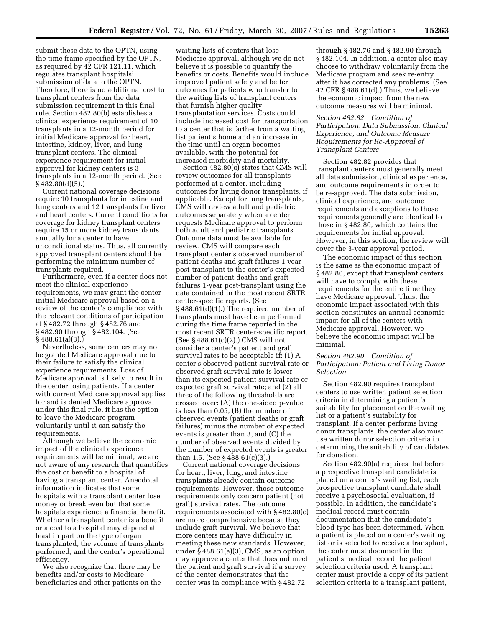submit these data to the OPTN, using the time frame specified by the OPTN, as required by 42 CFR 121.11, which regulates transplant hospitals' submission of data to the OPTN. Therefore, there is no additional cost to transplant centers from the data submission requirement in this final rule. Section 482.80(b) establishes a clinical experience requirement of 10 transplants in a 12-month period for initial Medicare approval for heart, intestine, kidney, liver, and lung transplant centers. The clinical experience requirement for initial approval for kidney centers is 3 transplants in a 12-month period. (See § 482.80(d)(5).)

Current national coverage decisions require 10 transplants for intestine and lung centers and 12 transplants for liver and heart centers. Current conditions for coverage for kidney transplant centers require 15 or more kidney transplants annually for a center to have unconditional status. Thus, all currently approved transplant centers should be performing the minimum number of transplants required.

Furthermore, even if a center does not meet the clinical experience requirements, we may grant the center initial Medicare approval based on a review of the center's compliance with the relevant conditions of participation at § 482.72 through § 482.76 and § 482.90 through § 482.104. (See § 488.61(a)(3).)

Nevertheless, some centers may not be granted Medicare approval due to their failure to satisfy the clinical experience requirements. Loss of Medicare approval is likely to result in the center losing patients. If a center with current Medicare approval applies for and is denied Medicare approval under this final rule, it has the option to leave the Medicare program voluntarily until it can satisfy the requirements.

Although we believe the economic impact of the clinical experience requirements will be minimal, we are not aware of any research that quantifies the cost or benefit to a hospital of having a transplant center. Anecdotal information indicates that some hospitals with a transplant center lose money or break even but that some hospitals experience a financial benefit. Whether a transplant center is a benefit or a cost to a hospital may depend at least in part on the type of organ transplanted, the volume of transplants performed, and the center's operational efficiency.

We also recognize that there may be benefits and/or costs to Medicare beneficiaries and other patients on the waiting lists of centers that lose Medicare approval, although we do not believe it is possible to quantify the benefits or costs. Benefits would include improved patient safety and better outcomes for patients who transfer to the waiting lists of transplant centers that furnish higher quality transplantation services. Costs could include increased cost for transportation to a center that is farther from a waiting list patient's home and an increase in the time until an organ becomes available, with the potential for increased morbidity and mortality.

Section 482.80(c) states that CMS will review outcomes for all transplants performed at a center, including outcomes for living donor transplants, if applicable. Except for lung transplants, CMS will review adult and pediatric outcomes separately when a center requests Medicare approval to perform both adult and pediatric transplants. Outcome data must be available for review. CMS will compare each transplant center's observed number of patient deaths and graft failures 1 year post-transplant to the center's expected number of patient deaths and graft failures 1-year post-transplant using the data contained in the most recent SRTR center-specific reports. (See § 488.61(d)(1).) The required number of transplants must have been performed during the time frame reported in the most recent SRTR center-specific report. (See § 488.61(c)(2).) CMS will not consider a center's patient and graft survival rates to be acceptable if: (1) A center's observed patient survival rate or observed graft survival rate is lower than its expected patient survival rate or expected graft survival rate; and (2) all three of the following thresholds are crossed over: (A) the one-sided p-value is less than 0.05, (B) the number of observed events (patient deaths or graft failures) minus the number of expected events is greater than 3, and (C) the number of observed events divided by the number of expected events is greater than 1.5. (See § 488.61(c)(3).)

Current national coverage decisions for heart, liver, lung, and intestine transplants already contain outcome requirements. However, those outcome requirements only concern patient (not graft) survival rates. The outcome requirements associated with § 482.80(c) are more comprehensive because they include graft survival. We believe that more centers may have difficulty in meeting these new standards. However, under  $\S 488.61(a)(3)$ , CMS, as an option, may approve a center that does not meet the patient and graft survival if a survey of the center demonstrates that the center was in compliance with § 482.72

through § 482.76 and § 482.90 through § 482.104. In addition, a center also may choose to withdraw voluntarily from the Medicare program and seek re-entry after it has corrected any problems. (See 42 CFR § 488.61(d).) Thus, we believe the economic impact from the new outcome measures will be minimal.

## *Section 482.82 Condition of Participation: Data Submission, Clinical Experience, and Outcome Measure Requirements for Re-Approval of Transplant Centers*

Section 482.82 provides that transplant centers must generally meet all data submission, clinical experience, and outcome requirements in order to be re-approved. The data submission, clinical experience, and outcome requirements and exceptions to those requirements generally are identical to those in § 482.80, which contains the requirements for initial approval. However, in this section, the review will cover the 3-year approval period.

The economic impact of this section is the same as the economic impact of § 482.80, except that transplant centers will have to comply with these requirements for the entire time they have Medicare approval. Thus, the economic impact associated with this section constitutes an annual economic impact for all of the centers with Medicare approval. However, we believe the economic impact will be minimal.

# *Section 482.90 Condition of Participation: Patient and Living Donor Selection*

Section 482.90 requires transplant centers to use written patient selection criteria in determining a patient's suitability for placement on the waiting list or a patient's suitability for transplant. If a center performs living donor transplants, the center also must use written donor selection criteria in determining the suitability of candidates for donation.

Section 482.90(a) requires that before a prospective transplant candidate is placed on a center's waiting list, each prospective transplant candidate shall receive a psychosocial evaluation, if possible. In addition, the candidate's medical record must contain documentation that the candidate's blood type has been determined. When a patient is placed on a center's waiting list or is selected to receive a transplant, the center must document in the patient's medical record the patient selection criteria used. A transplant center must provide a copy of its patient selection criteria to a transplant patient,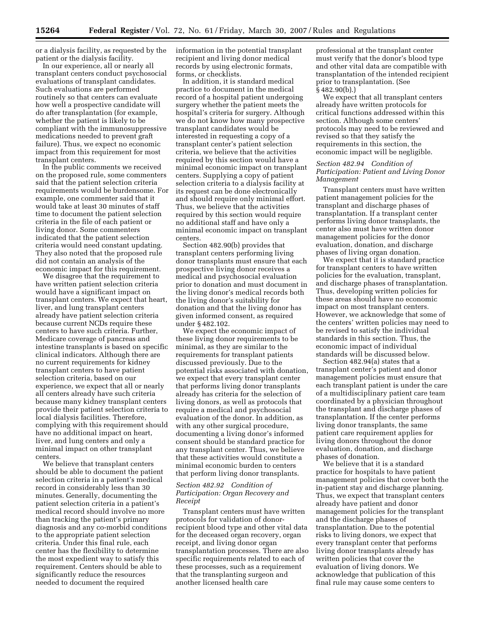or a dialysis facility, as requested by the patient or the dialysis facility.

In our experience, all or nearly all transplant centers conduct psychosocial evaluations of transplant candidates. Such evaluations are performed routinely so that centers can evaluate how well a prospective candidate will do after transplantation (for example, whether the patient is likely to be compliant with the immunosuppressive medications needed to prevent graft failure). Thus, we expect no economic impact from this requirement for most transplant centers.

In the public comments we received on the proposed rule, some commenters said that the patient selection criteria requirements would be burdensome. For example, one commenter said that it would take at least 30 minutes of staff time to document the patient selection criteria in the file of each patient or living donor. Some commenters indicated that the patient selection criteria would need constant updating. They also noted that the proposed rule did not contain an analysis of the economic impact for this requirement.

We disagree that the requirement to have written patient selection criteria would have a significant impact on transplant centers. We expect that heart, liver, and lung transplant centers already have patient selection criteria because current NCDs require these centers to have such criteria. Further, Medicare coverage of pancreas and intestine transplants is based on specific clinical indicators. Although there are no current requirements for kidney transplant centers to have patient selection criteria, based on our experience, we expect that all or nearly all centers already have such criteria because many kidney transplant centers provide their patient selection criteria to local dialysis facilities. Therefore, complying with this requirement should have no additional impact on heart, liver, and lung centers and only a minimal impact on other transplant centers.

We believe that transplant centers should be able to document the patient selection criteria in a patient's medical record in considerably less than 30 minutes. Generally, documenting the patient selection criteria in a patient's medical record should involve no more than tracking the patient's primary diagnosis and any co-morbid conditions to the appropriate patient selection criteria. Under this final rule, each center has the flexibility to determine the most expedient way to satisfy this requirement. Centers should be able to significantly reduce the resources needed to document the required

information in the potential transplant recipient and living donor medical records by using electronic formats, forms, or checklists.

In addition, it is standard medical practice to document in the medical record of a hospital patient undergoing surgery whether the patient meets the hospital's criteria for surgery. Although we do not know how many prospective transplant candidates would be interested in requesting a copy of a transplant center's patient selection criteria, we believe that the activities required by this section would have a minimal economic impact on transplant centers. Supplying a copy of patient selection criteria to a dialysis facility at its request can be done electronically and should require only minimal effort. Thus, we believe that the activities required by this section would require no additional staff and have only a minimal economic impact on transplant centers.

Section 482.90(b) provides that transplant centers performing living donor transplants must ensure that each prospective living donor receives a medical and psychosocial evaluation prior to donation and must document in the living donor's medical records both the living donor's suitability for donation and that the living donor has given informed consent, as required under § 482.102.

We expect the economic impact of these living donor requirements to be minimal, as they are similar to the requirements for transplant patients discussed previously. Due to the potential risks associated with donation, we expect that every transplant center that performs living donor transplants already has criteria for the selection of living donors, as well as protocols that require a medical and psychosocial evaluation of the donor. In addition, as with any other surgical procedure, documenting a living donor's informed consent should be standard practice for any transplant center. Thus, we believe that these activities would constitute a minimal economic burden to centers that perform living donor transplants.

## *Section 482.92 Condition of Participation: Organ Recovery and Receipt*

Transplant centers must have written protocols for validation of donorrecipient blood type and other vital data for the deceased organ recovery, organ receipt, and living donor organ transplantation processes. There are also specific requirements related to each of these processes, such as a requirement that the transplanting surgeon and another licensed health care

professional at the transplant center must verify that the donor's blood type and other vital data are compatible with transplantation of the intended recipient prior to transplantation. (See § 482.90(b).)

We expect that all transplant centers already have written protocols for critical functions addressed within this section. Although some centers' protocols may need to be reviewed and revised so that they satisfy the requirements in this section, the economic impact will be negligible.

## *Section 482.94 Condition of Participation: Patient and Living Donor Management*

Transplant centers must have written patient management policies for the transplant and discharge phases of transplantation. If a transplant center performs living donor transplants, the center also must have written donor management policies for the donor evaluation, donation, and discharge phases of living organ donation.

We expect that it is standard practice for transplant centers to have written policies for the evaluation, transplant, and discharge phases of transplantation. Thus, developing written policies for these areas should have no economic impact on most transplant centers. However, we acknowledge that some of the centers' written policies may need to be revised to satisfy the individual standards in this section. Thus, the economic impact of individual standards will be discussed below.

Section 482.94(a) states that a transplant center's patient and donor management policies must ensure that each transplant patient is under the care of a multidisciplinary patient care team coordinated by a physician throughout the transplant and discharge phases of transplantation. If the center performs living donor transplants, the same patient care requirement applies for living donors throughout the donor evaluation, donation, and discharge phases of donation.

We believe that it is a standard practice for hospitals to have patient management policies that cover both the in-patient stay and discharge planning. Thus, we expect that transplant centers already have patient and donor management policies for the transplant and the discharge phases of transplantation. Due to the potential risks to living donors, we expect that every transplant center that performs living donor transplants already has written policies that cover the evaluation of living donors. We acknowledge that publication of this final rule may cause some centers to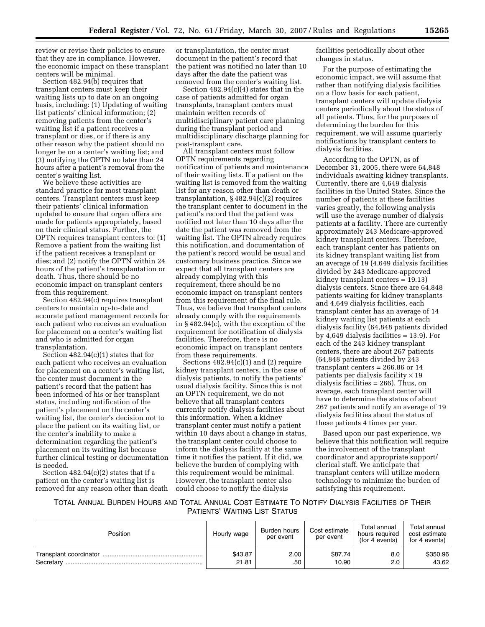review or revise their policies to ensure that they are in compliance. However, the economic impact on these transplant centers will be minimal.

Section 482.94(b) requires that transplant centers must keep their waiting lists up to date on an ongoing basis, including: (1) Updating of waiting list patients' clinical information; (2) removing patients from the center's waiting list if a patient receives a transplant or dies, or if there is any other reason why the patient should no longer be on a center's waiting list; and (3) notifying the OPTN no later than 24 hours after a patient's removal from the center's waiting list.

We believe these activities are standard practice for most transplant centers. Transplant centers must keep their patients' clinical information updated to ensure that organ offers are made for patients appropriately, based on their clinical status. Further, the OPTN requires transplant centers to: (1) Remove a patient from the waiting list if the patient receives a transplant or dies; and (2) notify the OPTN within 24 hours of the patient's transplantation or death. Thus, there should be no economic impact on transplant centers from this requirement.

Section 482.94(c) requires transplant centers to maintain up-to-date and accurate patient management records for each patient who receives an evaluation for placement on a center's waiting list and who is admitted for organ transplantation.

Section 482.94(c)(1) states that for each patient who receives an evaluation for placement on a center's waiting list, the center must document in the patient's record that the patient has been informed of his or her transplant status, including notification of the patient's placement on the center's waiting list, the center's decision not to place the patient on its waiting list, or the center's inability to make a determination regarding the patient's placement on its waiting list because further clinical testing or documentation is needed.

Section  $482.94(c)(2)$  states that if a patient on the center's waiting list is removed for any reason other than death

or transplantation, the center must document in the patient's record that the patient was notified no later than 10 days after the date the patient was removed from the center's waiting list.

Section 482.94(c)(4) states that in the case of patients admitted for organ transplants, transplant centers must maintain written records of multidisciplinary patient care planning during the transplant period and multidisciplinary discharge planning for post-transplant care.

All transplant centers must follow OPTN requirements regarding notification of patients and maintenance of their waiting lists. If a patient on the waiting list is removed from the waiting list for any reason other than death or transplantation, § 482.94(c)(2) requires the transplant center to document in the patient's record that the patient was notified not later than 10 days after the date the patient was removed from the waiting list. The OPTN already requires this notification, and documentation of the patient's record would be usual and customary business practice. Since we expect that all transplant centers are already complying with this requirement, there should be no economic impact on transplant centers from this requirement of the final rule. Thus, we believe that transplant centers already comply with the requirements in § 482.94(c), with the exception of the requirement for notification of dialysis facilities. Therefore, there is no economic impact on transplant centers from these requirements.

Sections 482.94(c)(1) and (2) require kidney transplant centers, in the case of dialysis patients, to notify the patients' usual dialysis facility. Since this is not an OPTN requirement, we do not believe that all transplant centers currently notify dialysis facilities about this information. When a kidney transplant center must notify a patient within 10 days about a change in status, the transplant center could choose to inform the dialysis facility at the same time it notifies the patient. If it did, we believe the burden of complying with this requirement would be minimal. However, the transplant center also could choose to notify the dialysis

facilities periodically about other changes in status.

For the purpose of estimating the economic impact, we will assume that rather than notifying dialysis facilities on a flow basis for each patient, transplant centers will update dialysis centers periodically about the status of all patients. Thus, for the purposes of determining the burden for this requirement, we will assume quarterly notifications by transplant centers to dialysis facilities.

According to the OPTN, as of December 31, 2005, there were 64,848 individuals awaiting kidney transplants. Currently, there are 4,649 dialysis facilities in the United States. Since the number of patients at these facilities varies greatly, the following analysis will use the average number of dialysis patients at a facility. There are currently approximately 243 Medicare-approved kidney transplant centers. Therefore, each transplant center has patients on its kidney transplant waiting list from an average of 19 (4,649 dialysis facilities divided by 243 Medicare-approved kidney transplant centers = 19.13) dialysis centers. Since there are 64,848 patients waiting for kidney transplants and 4,649 dialysis facilities, each transplant center has an average of 14 kidney waiting list patients at each dialysis facility (64,848 patients divided by 4,649 dialysis facilities = 13.9). For each of the 243 kidney transplant centers, there are about 267 patients (64,848 patients divided by 243 transplant centers = 266.86 or 14 patients per dialysis facility  $\times$  19 dialysis facilities = 266). Thus, on average, each transplant center will have to determine the status of about 267 patients and notify an average of 19 dialysis facilities about the status of these patients 4 times per year.

Based upon our past experience, we believe that this notification will require the involvement of the transplant coordinator and appropriate support/ clerical staff. We anticipate that transplant centers will utilize modern technology to minimize the burden of satisfying this requirement.

TOTAL ANNUAL BURDEN HOURS AND TOTAL ANNUAL COST ESTIMATE TO NOTIFY DIALYSIS FACILITIES OF THEIR PATIENTS' WAITING LIST STATUS

| Position               | Hourly wage | Burden hours<br>per event | Cost estimate<br>per event | Total annual<br>hours required<br>(for 4 events) | Total annual<br>cost estimate<br>for 4 events) |
|------------------------|-------------|---------------------------|----------------------------|--------------------------------------------------|------------------------------------------------|
| Transplant coordinator | \$43.87     | 2.00                      | \$87.74                    | 8.0                                              | \$350.96                                       |
| Secretary              | 21.81       | .50                       | 10.90                      | 2.0                                              | 43.62                                          |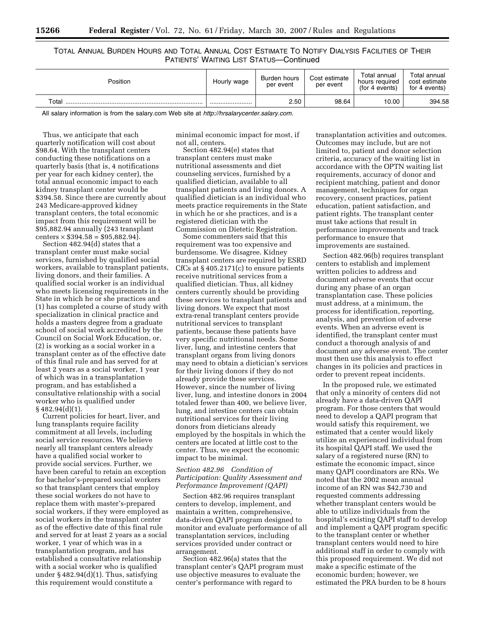# TOTAL ANNUAL BURDEN HOURS AND TOTAL ANNUAL COST ESTIMATE TO NOTIFY DIALYSIS FACILITIES OF THEIR PATIENTS' WAITING LIST STATUS—Continued

| Position   | Hourly wage | Burden hours<br>per event | Cost estimate<br>per event | Total annual<br>hours required<br>(for 4 events) | Total annual<br>cost estimate<br>for 4 events) |
|------------|-------------|---------------------------|----------------------------|--------------------------------------------------|------------------------------------------------|
| Total<br>. |             | 2.50                      | 98.64                      | 10.00                                            | 394.58                                         |

All salary information is from the salary.com Web site at *[http://hrsalarycenter.salary.com.](http://hrsalarycenter.salary.com)* 

Thus, we anticipate that each quarterly notification will cost about \$98.64. With the transplant centers conducting these notifications on a quarterly basis (that is, 4 notifications per year for each kidney center), the total annual economic impact to each kidney transplant center would be \$394.58. Since there are currently about 243 Medicare-approved kidney transplant centers, the total economic impact from this requirement will be \$95,882.94 annually (243 transplant centers  $\times$  \$394.58 = \$95.882.94).

Section 482.94(d) states that a transplant center must make social services, furnished by qualified social workers, available to transplant patients, living donors, and their families. A qualified social worker is an individual who meets licensing requirements in the State in which he or she practices and (1) has completed a course of study with specialization in clinical practice and holds a masters degree from a graduate school of social work accredited by the Council on Social Work Education, or, (2) is working as a social worker in a transplant center as of the effective date of this final rule and has served for at least 2 years as a social worker, 1 year of which was in a transplantation program, and has established a consultative relationship with a social worker who is qualified under  $§$ 482.94(d)(1)

Current policies for heart, liver, and lung transplants require facility commitment at all levels, including social service resources. We believe nearly all transplant centers already have a qualified social worker to provide social services. Further, we have been careful to retain an exception for bachelor's-prepared social workers so that transplant centers that employ these social workers do not have to replace them with master's-prepared social workers, if they were employed as social workers in the transplant center as of the effective date of this final rule and served for at least 2 years as a social worker, 1 year of which was in a transplantation program, and has established a consultative relationship with a social worker who is qualified under  $§$  482.94(d)(1). Thus, satisfying this requirement would constitute a

minimal economic impact for most, if not all, centers.

Section 482.94(e) states that transplant centers must make nutritional assessments and diet counseling services, furnished by a qualified dietician, available to all transplant patients and living donors. A qualified dietician is an individual who meets practice requirements in the State in which he or she practices, and is a registered dietician with the Commission on Dietetic Registration.

Some commenters said that this requirement was too expensive and burdensome. We disagree. Kidney transplant centers are required by ESRD CfCs at § 405.2171(c) to ensure patients receive nutritional services from a qualified dietician. Thus, all kidney centers currently should be providing these services to transplant patients and living donors. We expect that most extra-renal transplant centers provide nutritional services to transplant patients, because these patients have very specific nutritional needs. Some liver, lung, and intestine centers that transplant organs from living donors may need to obtain a dietician's services for their living donors if they do not already provide these services. However, since the number of living liver, lung, and intestine donors in 2004 totaled fewer than 400, we believe liver, lung, and intestine centers can obtain nutritional services for their living donors from dieticians already employed by the hospitals in which the centers are located at little cost to the center. Thus, we expect the economic impact to be minimal.

## *Section 482.96 Condition of Participation: Quality Assessment and Performance Improvement (QAPI)*

Section 482.96 requires transplant centers to develop, implement, and maintain a written, comprehensive, data-driven QAPI program designed to monitor and evaluate performance of all transplantation services, including services provided under contract or arrangement.

Section 482.96(a) states that the transplant center's QAPI program must use objective measures to evaluate the center's performance with regard to

transplantation activities and outcomes. Outcomes may include, but are not limited to, patient and donor selection criteria, accuracy of the waiting list in accordance with the OPTN waiting list requirements, accuracy of donor and recipient matching, patient and donor management, techniques for organ recovery, consent practices, patient education, patient satisfaction, and patient rights. The transplant center must take actions that result in performance improvements and track performance to ensure that improvements are sustained.

Section 482.96(b) requires transplant centers to establish and implement written policies to address and document adverse events that occur during any phase of an organ transplantation case. These policies must address, at a minimum, the process for identification, reporting, analysis, and prevention of adverse events. When an adverse event is identified, the transplant center must conduct a thorough analysis of and document any adverse event. The center must then use this analysis to effect changes in its policies and practices in order to prevent repeat incidents.

In the proposed rule, we estimated that only a minority of centers did not already have a data-driven QAPI program. For those centers that would need to develop a QAPI program that would satisfy this requirement, we estimated that a center would likely utilize an experienced individual from its hospital QAPI staff. We used the salary of a registered nurse (RN) to estimate the economic impact, since many QAPI coordinators are RNs. We noted that the 2002 mean annual income of an RN was \$42,730 and requested comments addressing whether transplant centers would be able to utilize individuals from the hospital's existing QAPI staff to develop and implement a QAPI program specific to the transplant center or whether transplant centers would need to hire additional staff in order to comply with this proposed requirement. We did not make a specific estimate of the economic burden; however, we estimated the PRA burden to be 8 hours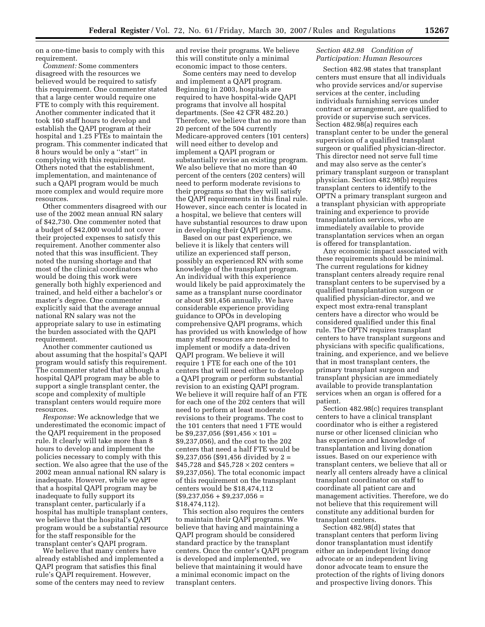on a one-time basis to comply with this requirement.

*Comment:* Some commenters disagreed with the resources we believed would be required to satisfy this requirement. One commenter stated that a large center would require one FTE to comply with this requirement. Another commenter indicated that it took 160 staff hours to develop and establish the QAPI program at their hospital and 1.25 FTEs to maintain the program. This commenter indicated that 8 hours would be only a ''start'' in complying with this requirement. Others noted that the establishment, implementation, and maintenance of such a QAPI program would be much more complex and would require more resources.

Other commenters disagreed with our use of the 2002 mean annual RN salary of \$42,730. One commenter noted that a budget of \$42,000 would not cover their projected expenses to satisfy this requirement. Another commenter also noted that this was insufficient. They noted the nursing shortage and that most of the clinical coordinators who would be doing this work were generally both highly experienced and trained, and held either a bachelor's or master's degree. One commenter explicitly said that the average annual national RN salary was not the appropriate salary to use in estimating the burden associated with the QAPI requirement.

Another commenter cautioned us about assuming that the hospital's QAPI program would satisfy this requirement. The commenter stated that although a hospital QAPI program may be able to support a single transplant center, the scope and complexity of multiple transplant centers would require more resources.

*Response:* We acknowledge that we underestimated the economic impact of the QAPI requirement in the proposed rule. It clearly will take more than 8 hours to develop and implement the policies necessary to comply with this section. We also agree that the use of the 2002 mean annual national RN salary is inadequate. However, while we agree that a hospital QAPI program may be inadequate to fully support its transplant center, particularly if a hospital has multiple transplant centers, we believe that the hospital's QAPI program would be a substantial resource for the staff responsible for the transplant center's QAPI program.

We believe that many centers have already established and implemented a QAPI program that satisfies this final rule's QAPI requirement. However, some of the centers may need to review

and revise their programs. We believe this will constitute only a minimal economic impact to those centers.

Some centers may need to develop and implement a QAPI program. Beginning in 2003, hospitals are required to have hospital-wide QAPI programs that involve all hospital departments. (See 42 CFR 482.20.) Therefore, we believe that no more than 20 percent of the 504 currently Medicare-approved centers (101 centers) will need either to develop and implement a QAPI program or substantially revise an existing program. We also believe that no more than 40 percent of the centers (202 centers) will need to perform moderate revisions to their programs so that they will satisfy the QAPI requirements in this final rule. However, since each center is located in a hospital, we believe that centers will have substantial resources to draw upon in developing their QAPI programs.

Based on our past experience, we believe it is likely that centers will utilize an experienced staff person, possibly an experienced RN with some knowledge of the transplant program. An individual with this experience would likely be paid approximately the same as a transplant nurse coordinator or about \$91,456 annually. We have considerable experience providing guidance to OPOs in developing comprehensive QAPI programs, which has provided us with knowledge of how many staff resources are needed to implement or modify a data-driven QAPI program. We believe it will require 1 FTE for each one of the 101 centers that will need either to develop a QAPI program or perform substantial revision to an existing QAPI program. We believe it will require half of an FTE for each one of the 202 centers that will need to perform at least moderate revisions to their programs. The cost to the 101 centers that need 1 FTE would be \$9,237,056 (\$91,456  $\times$  101 = \$9,237,056), and the cost to the 202 centers that need a half FTE would be \$9,237,056 (\$91,456 divided by 2 = \$45,728 and \$45,728  $\times$  202 centers = \$9,237,056). The total economic impact of this requirement on the transplant centers would be \$18,474,112  $($9,237,056 + $9,237,056 =$ \$18,474,112).

This section also requires the centers to maintain their QAPI programs. We believe that having and maintaining a QAPI program should be considered standard practice by the transplant centers. Once the center's QAPI program is developed and implemented, we believe that maintaining it would have a minimal economic impact on the transplant centers.

# *Section 482.98 Condition of Participation: Human Resources*

Section 482.98 states that transplant centers must ensure that all individuals who provide services and/or supervise services at the center, including individuals furnishing services under contract or arrangement, are qualified to provide or supervise such services. Section 482.98(a) requires each transplant center to be under the general supervision of a qualified transplant surgeon or qualified physician-director. This director need not serve full time and may also serve as the center's primary transplant surgeon or transplant physician. Section 482.98(b) requires transplant centers to identify to the OPTN a primary transplant surgeon and a transplant physician with appropriate training and experience to provide transplantation services, who are immediately available to provide transplantation services when an organ is offered for transplantation.

Any economic impact associated with these requirements should be minimal. The current regulations for kidney transplant centers already require renal transplant centers to be supervised by a qualified transplantation surgeon or qualified physician-director, and we expect most extra-renal transplant centers have a director who would be considered qualified under this final rule. The OPTN requires transplant centers to have transplant surgeons and physicians with specific qualifications, training, and experience, and we believe that in most transplant centers, the primary transplant surgeon and transplant physician are immediately available to provide transplantation services when an organ is offered for a patient.

Section 482.98(c) requires transplant centers to have a clinical transplant coordinator who is either a registered nurse or other licensed clinician who has experience and knowledge of transplantation and living donation issues. Based on our experience with transplant centers, we believe that all or nearly all centers already have a clinical transplant coordinator on staff to coordinate all patient care and management activities. Therefore, we do not believe that this requirement will constitute any additional burden for transplant centers.

Section 482.98(d) states that transplant centers that perform living donor transplantation must identify either an independent living donor advocate or an independent living donor advocate team to ensure the protection of the rights of living donors and prospective living donors. This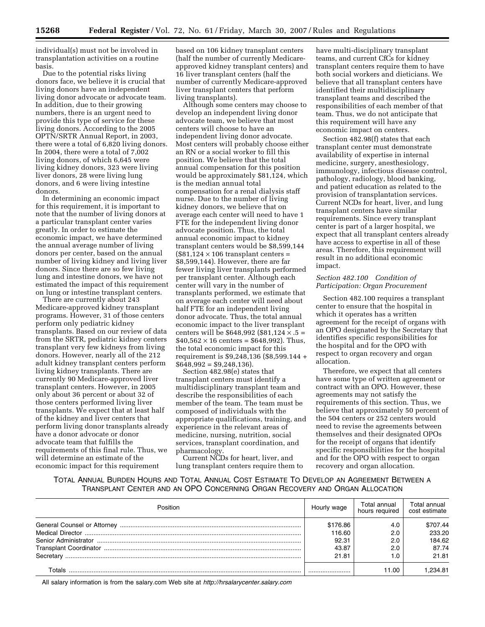individual(s) must not be involved in transplantation activities on a routine basis.

Due to the potential risks living donors face, we believe it is crucial that living donors have an independent living donor advocate or advocate team. In addition, due to their growing numbers, there is an urgent need to provide this type of service for these living donors. According to the 2005 OPTN/SRTR Annual Report, in 2003, there were a total of 6,820 living donors. In 2004, there were a total of 7,002 living donors, of which 6,645 were living kidney donors, 323 were living liver donors, 28 were living lung donors, and 6 were living intestine donors.

In determining an economic impact for this requirement, it is important to note that the number of living donors at a particular transplant center varies greatly. In order to estimate the economic impact, we have determined the annual average number of living donors per center, based on the annual number of living kidney and living liver donors. Since there are so few living lung and intestine donors, we have not estimated the impact of this requirement on lung or intestine transplant centers.

There are currently about 243 Medicare-approved kidney transplant programs. However, 31 of those centers perform only pediatric kidney transplants. Based on our review of data from the SRTR, pediatric kidney centers transplant very few kidneys from living donors. However, nearly all of the 212 adult kidney transplant centers perform living kidney transplants. There are currently 90 Medicare-approved liver transplant centers. However, in 2005 only about 36 percent or about 32 of those centers performed living liver transplants. We expect that at least half of the kidney and liver centers that perform living donor transplants already have a donor advocate or donor advocate team that fulfills the requirements of this final rule. Thus, we will determine an estimate of the economic impact for this requirement

based on 106 kidney transplant centers (half the number of currently Medicareapproved kidney transplant centers) and 16 liver transplant centers (half the number of currently Medicare-approved liver transplant centers that perform living transplants).

Although some centers may choose to develop an independent living donor advocate team, we believe that most centers will choose to have an independent living donor advocate. Most centers will probably choose either an RN or a social worker to fill this position. We believe that the total annual compensation for this position would be approximately \$81,124, which is the median annual total compensation for a renal dialysis staff nurse. Due to the number of living kidney donors, we believe that on average each center will need to have 1 FTE for the independent living donor advocate position. Thus, the total annual economic impact to kidney transplant centers would be \$8,599,144  $($81,124 \times 106$  transplant centers = \$8,599,144). However, there are far fewer living liver transplants performed per transplant center. Although each center will vary in the number of transplants performed, we estimate that on average each center will need about half FTE for an independent living donor advocate. Thus, the total annual economic impact to the liver transplant centers will be \$648,992 (\$81,124  $\times$  .5 =  $$40,562 \times 16 \text{ centers} = $648,992$ . Thus, the total economic impact for this requirement is \$9,248,136 (\$8,599.144 +  $$648,992 = $9,248,136$ .

Section 482.98(e) states that transplant centers must identify a multidisciplinary transplant team and describe the responsibilities of each member of the team. The team must be composed of individuals with the appropriate qualifications, training, and experience in the relevant areas of medicine, nursing, nutrition, social services, transplant coordination, and pharmacology.

Current NCDs for heart, liver, and lung transplant centers require them to

have multi-disciplinary transplant teams, and current CfCs for kidney transplant centers require them to have both social workers and dieticians. We believe that all transplant centers have identified their multidisciplinary transplant teams and described the responsibilities of each member of that team. Thus, we do not anticipate that this requirement will have any economic impact on centers.

Section 482.98(f) states that each transplant center must demonstrate availability of expertise in internal medicine, surgery, anesthesiology, immunology, infectious disease control, pathology, radiology, blood banking, and patient education as related to the provision of transplantation services. Current NCDs for heart, liver, and lung transplant centers have similar requirements. Since every transplant center is part of a larger hospital, we expect that all transplant centers already have access to expertise in all of these areas. Therefore, this requirement will result in no additional economic impact.

# *Section 482.100 Condition of Participation: Organ Procurement*

Section 482.100 requires a transplant center to ensure that the hospital in which it operates has a written agreement for the receipt of organs with an OPO designated by the Secretary that identifies specific responsibilities for the hospital and for the OPO with respect to organ recovery and organ allocation.

Therefore, we expect that all centers have some type of written agreement or contract with an OPO. However, these agreements may not satisfy the requirements of this section. Thus, we believe that approximately 50 percent of the 504 centers or 252 centers would need to revise the agreements between themselves and their designated OPOs for the receipt of organs that identify specific responsibilities for the hospital and for the OPO with respect to organ recovery and organ allocation.

# TOTAL ANNUAL BURDEN HOURS AND TOTAL ANNUAL COST ESTIMATE TO DEVELOP AN AGREEMENT BETWEEN A TRANSPLANT CENTER AND AN OPO CONCERNING ORGAN RECOVERY AND ORGAN ALLOCATION

| <b>Position</b> | Hourly wage | Total annual<br>hours required | Total annual<br>cost estimate |
|-----------------|-------------|--------------------------------|-------------------------------|
|                 | \$176.86    | 4.C                            | \$707.44                      |
|                 | 116.60      | 2. <sub>C</sub>                | 233.20                        |
|                 | 92.31       | 2.0                            | 184.62                        |
|                 | 43.87       | 2.0                            | 87.74                         |
| Secretary       | 21.81       |                                | 21.81                         |
| Γ∩tals          |             | 11.00                          | .234.81                       |

All salary information is from the salary.com Web site at *<http://hrsalarycenter.salary.com>*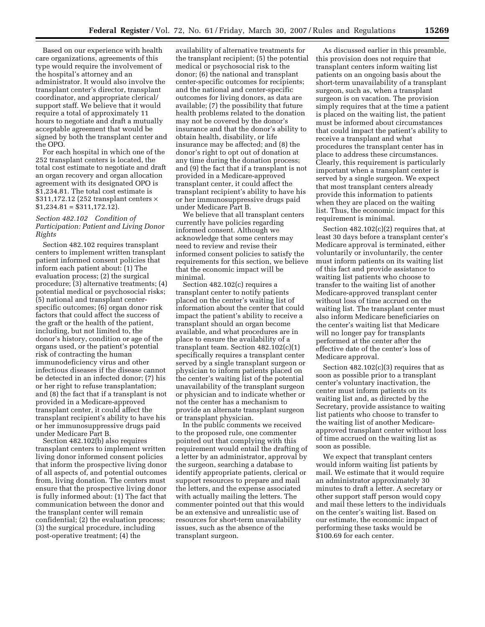Based on our experience with health care organizations, agreements of this type would require the involvement of the hospital's attorney and an administrator. It would also involve the transplant center's director, transplant coordinator, and appropriate clerical/ support staff. We believe that it would require a total of approximately 11 hours to negotiate and draft a mutually acceptable agreement that would be signed by both the transplant center and the OPO.

For each hospital in which one of the 252 transplant centers is located, the total cost estimate to negotiate and draft an organ recovery and organ allocation agreement with its designated OPO is \$1,234.81. The total cost estimate is \$311,172.12 (252 transplant centers  $\times$  $$1,234.81 = $311,172.12$ .

## *Section 482.102 Condition of Participation: Patient and Living Donor Rights*

Section 482.102 requires transplant centers to implement written transplant patient informed consent policies that inform each patient about: (1) The evaluation process; (2) the surgical procedure; (3) alternative treatments; (4) potential medical or psychosocial risks; (5) national and transplant centerspecific outcomes; (6) organ donor risk factors that could affect the success of the graft or the health of the patient, including, but not limited to, the donor's history, condition or age of the organs used, or the patient's potential risk of contracting the human immunodeficiency virus and other infectious diseases if the disease cannot be detected in an infected donor; (7) his or her right to refuse transplantation; and (8) the fact that if a transplant is not provided in a Medicare-approved transplant center, it could affect the transplant recipient's ability to have his or her immunosuppressive drugs paid under Medicare Part B.

Section 482.102(b) also requires transplant centers to implement written living donor informed consent policies that inform the prospective living donor of all aspects of, and potential outcomes from, living donation. The centers must ensure that the prospective living donor is fully informed about: (1) The fact that communication between the donor and the transplant center will remain confidential; (2) the evaluation process; (3) the surgical procedure, including post-operative treatment; (4) the

availability of alternative treatments for the transplant recipient; (5) the potential medical or psychosocial risk to the donor; (6) the national and transplant center-specific outcomes for recipients; and the national and center-specific outcomes for living donors, as data are available; (7) the possibility that future health problems related to the donation may not be covered by the donor's insurance and that the donor's ability to obtain health, disability, or life insurance may be affected; and (8) the donor's right to opt out of donation at any time during the donation process; and (9) the fact that if a transplant is not provided in a Medicare-approved transplant center, it could affect the transplant recipient's ability to have his or her immunosuppressive drugs paid under Medicare Part B.

We believe that all transplant centers currently have policies regarding informed consent. Although we acknowledge that some centers may need to review and revise their informed consent policies to satisfy the requirements for this section, we believe that the economic impact will be minimal.

Section 482.102(c) requires a transplant center to notify patients placed on the center's waiting list of information about the center that could impact the patient's ability to receive a transplant should an organ become available, and what procedures are in place to ensure the availability of a transplant team. Section 482.102(c)(1) specifically requires a transplant center served by a single transplant surgeon or physician to inform patients placed on the center's waiting list of the potential unavailability of the transplant surgeon or physician and to indicate whether or not the center has a mechanism to provide an alternate transplant surgeon or transplant physician.

In the public comments we received to the proposed rule, one commenter pointed out that complying with this requirement would entail the drafting of a letter by an administrator, approval by the surgeon, searching a database to identify appropriate patients, clerical or support resources to prepare and mail the letters, and the expense associated with actually mailing the letters. The commenter pointed out that this would be an extensive and unrealistic use of resources for short-term unavailability issues, such as the absence of the transplant surgeon.

As discussed earlier in this preamble, this provision does not require that transplant centers inform waiting list patients on an ongoing basis about the short-term unavailability of a transplant surgeon, such as, when a transplant surgeon is on vacation. The provision simply requires that at the time a patient is placed on the waiting list, the patient must be informed about circumstances that could impact the patient's ability to receive a transplant and what procedures the transplant center has in place to address these circumstances. Clearly, this requirement is particularly important when a transplant center is served by a single surgeon. We expect that most transplant centers already provide this information to patients when they are placed on the waiting list. Thus, the economic impact for this requirement is minimal.

Section  $482.102(c)(2)$  requires that, at least 30 days before a transplant center's Medicare approval is terminated, either voluntarily or involuntarily, the center must inform patients on its waiting list of this fact and provide assistance to waiting list patients who choose to transfer to the waiting list of another Medicare-approved transplant center without loss of time accrued on the waiting list. The transplant center must also inform Medicare beneficiaries on the center's waiting list that Medicare will no longer pay for transplants performed at the center after the effective date of the center's loss of Medicare approval.

Section  $482.102(c)(3)$  requires that as soon as possible prior to a transplant center's voluntary inactivation, the center must inform patients on its waiting list and, as directed by the Secretary, provide assistance to waiting list patients who choose to transfer to the waiting list of another Medicareapproved transplant center without loss of time accrued on the waiting list as soon as possible.

We expect that transplant centers would inform waiting list patients by mail. We estimate that it would require an administrator approximately 30 minutes to draft a letter. A secretary or other support staff person would copy and mail these letters to the individuals on the center's waiting list. Based on our estimate, the economic impact of performing these tasks would be \$100.69 for each center.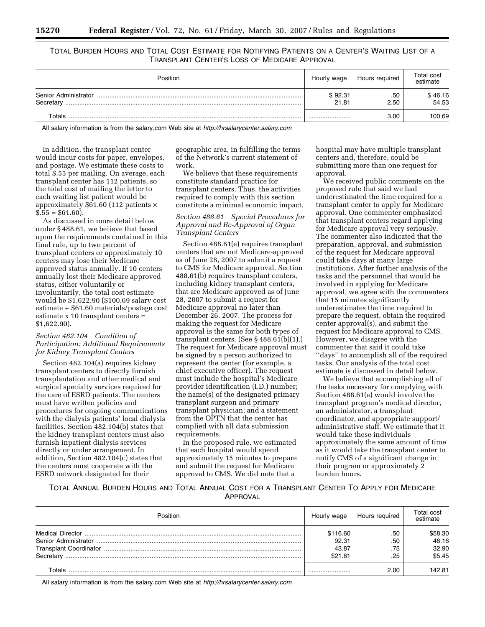TOTAL BURDEN HOURS AND TOTAL COST ESTIMATE FOR NOTIFYING PATIENTS ON A CENTER'S WAITING LIST OF A TRANSPLANT CENTER'S LOSS OF MEDICARE APPROVAL

| Position                          | Hourly wage      | Hours reguired | Total cost<br>estimate |
|-----------------------------------|------------------|----------------|------------------------|
| Senior Administrator<br>Secretary | \$92.31<br>21.81 | .50<br>2.50    | \$46.16<br>54.53       |
| Totals                            |                  | 3.00           | 100.69                 |

All salary information is from the salary.com Web site at *<http://hrsalarycenter.salary.com>*

In addition, the transplant center would incur costs for paper, envelopes, and postage. We estimate these costs to total \$.55 per mailing. On average, each transplant center has 112 patients, so the total cost of mailing the letter to each waiting list patient would be approximately \$61.60 (112 patients ×  $$.55 = $61.60$ ).

As discussed in more detail below under § 488.61, we believe that based upon the requirements contained in this final rule, up to two percent of transplant centers or approximately 10 centers may lose their Medicare approved status annually. If 10 centers annually lost their Medicare approved status, either voluntarily or involuntarily, the total cost estimate would be \$1,622.90 (\$100.69 salary cost estimate + \$61.60 materials/postage cost estimate x 10 transplant centers = \$1,622.90).

## *Section 482.104 Condition of Participation: Additional Requirements for Kidney Transplant Centers*

Section 482.104(a) requires kidney transplant centers to directly furnish transplantation and other medical and surgical specialty services required for the care of ESRD patients. The centers must have written policies and procedures for ongoing communications with the dialysis patients' local dialysis facilities. Section 482.104(b) states that the kidney transplant centers must also furnish inpatient dialysis services directly or under arrangement. In addition, Section 482.104(c) states that the centers must cooperate with the ESRD network designated for their

geographic area, in fulfilling the terms of the Network's current statement of work.

We believe that these requirements constitute standard practice for transplant centers. Thus, the activities required to comply with this section constitute a minimal economic impact.

# *Section 488.61 Special Procedures for Approval and Re-Approval of Organ Transplant Centers*

Section 488.61(a) requires transplant centers that are not Medicare-approved as of June 28, 2007 to submit a request to CMS for Medicare approval. Section 488.61(b) requires transplant centers, including kidney transplant centers, that are Medicare approved as of June 28, 2007 to submit a request for Medicare approval no later than December 26, 2007. The process for making the request for Medicare approval is the same for both types of transplant centers. (See § 488.61(b)(1).) The request for Medicare approval must be signed by a person authorized to represent the center (for example, a chief executive officer). The request must include the hospital's Medicare provider identification (I.D.) number; the name(s) of the designated primary transplant surgeon and primary transplant physician; and a statement from the OPTN that the center has complied with all data submission requirements.

In the proposed rule, we estimated that each hospital would spend approximately 15 minutes to prepare and submit the request for Medicare approval to CMS. We did note that a

hospital may have multiple transplant centers and, therefore, could be submitting more than one request for approval.

We received public comments on the proposed rule that said we had underestimated the time required for a transplant center to apply for Medicare approval. One commenter emphasized that transplant centers regard applying for Medicare approval very seriously. The commenter also indicated that the preparation, approval, and submission of the request for Medicare approval could take days at many large institutions. After further analysis of the tasks and the personnel that would be involved in applying for Medicare approval, we agree with the commenters that 15 minutes significantly underestimates the time required to prepare the request, obtain the required center approval(s), and submit the request for Medicare approval to CMS. However, we disagree with the commenter that said it could take ''days'' to accomplish all of the required tasks. Our analysis of the total cost estimate is discussed in detail below.

We believe that accomplishing all of the tasks necessary for complying with Section 488.61(a) would involve the transplant program's medical director, an administrator, a transplant coordinator, and appropriate support/ administrative staff. We estimate that it would take these individuals approximately the same amount of time as it would take the transplant center to notify CMS of a significant change in their program or approximately 2 burden hours.

TOTAL ANNUAL BURDEN HOURS AND TOTAL ANNUAL COST FOR A TRANSPLANT CENTER TO APPLY FOR MEDICARE APPROVAL

| Position  | Hourly wage | Hours required | <b>Total cost</b><br>estimate |
|-----------|-------------|----------------|-------------------------------|
|           | \$116.60    | .50            | \$58.30                       |
|           | 92.31       | .50            | 46.16                         |
|           | 43.87       | .75            | 32.90                         |
| Secretary | \$21.81     | .25            | \$5.45                        |
| ⊺otals    |             | 2.00           | 142.81                        |

All salary information is from the salary.com Web site at *<http://hrsalarycenter.salary.com>*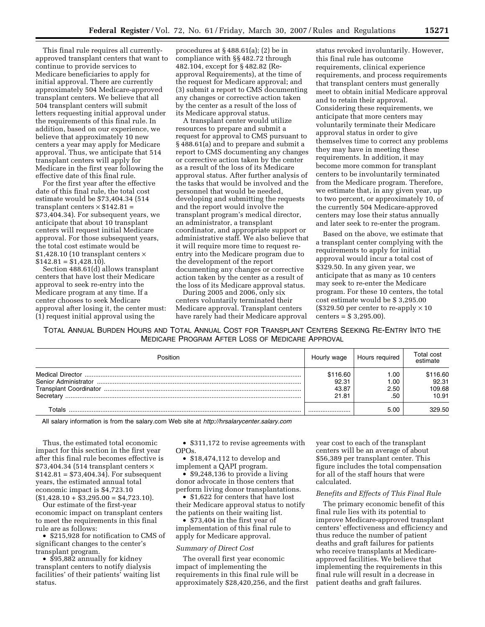This final rule requires all currentlyapproved transplant centers that want to continue to provide services to Medicare beneficiaries to apply for initial approval. There are currently approximately 504 Medicare-approved transplant centers. We believe that all 504 transplant centers will submit letters requesting initial approval under the requirements of this final rule. In addition, based on our experience, we believe that approximately 10 new centers a year may apply for Medicare approval. Thus, we anticipate that 514 transplant centers will apply for Medicare in the first year following the effective date of this final rule.

For the first year after the effective date of this final rule, the total cost estimate would be \$73,404.34 (514 transplant centers  $\times$  \$142.81 = \$73,404.34). For subsequent years, we anticipate that about 10 transplant centers will request initial Medicare approval. For those subsequent years, the total cost estimate would be \$1,428.10 (10 transplant centers  $\times$  $$142.81 = $1,428.10$ .

Section 488.61(d) allows transplant centers that have lost their Medicare approval to seek re-entry into the Medicare program at any time. If a center chooses to seek Medicare approval after losing it, the center must: (1) request initial approval using the

procedures at § 488.61(a); (2) be in compliance with §§ 482.72 through 482.104, except for § 482.82 (Reapproval Requirements), at the time of the request for Medicare approval; and (3) submit a report to CMS documenting any changes or corrective action taken by the center as a result of the loss of its Medicare approval status.

A transplant center would utilize resources to prepare and submit a request for approval to CMS pursuant to § 488.61(a) and to prepare and submit a report to CMS documenting any changes or corrective action taken by the center as a result of the loss of its Medicare approval status. After further analysis of the tasks that would be involved and the personnel that would be needed, developing and submitting the requests and the report would involve the transplant program's medical director, an administrator, a transplant coordinator, and appropriate support or administrative staff. We also believe that it will require more time to request reentry into the Medicare program due to the development of the report documenting any changes or corrective action taken by the center as a result of the loss of its Medicare approval status.

During 2005 and 2006, only six centers voluntarily terminated their Medicare approval. Transplant centers have rarely had their Medicare approval

status revoked involuntarily. However, this final rule has outcome requirements, clinical experience requirements, and process requirements that transplant centers must generally meet to obtain initial Medicare approval and to retain their approval. Considering these requirements, we anticipate that more centers may voluntarily terminate their Medicare approval status in order to give themselves time to correct any problems they may have in meeting these requirements. In addition, it may become more common for transplant centers to be involuntarily terminated from the Medicare program. Therefore, we estimate that, in any given year, up to two percent, or approximately 10, of the currently 504 Medicare-approved centers may lose their status annually and later seek to re-enter the program.

Based on the above, we estimate that a transplant center complying with the requirements to apply for initial approval would incur a total cost of \$329.50. In any given year, we anticipate that as many as 10 centers may seek to re-enter the Medicare program. For these 10 centers, the total cost estimate would be \$ 3,295.00  $($329.50 \text{ per center to re-apply} \times 10$ centers = \$ 3,295.00).

TOTAL ANNUAL BURDEN HOURS AND TOTAL ANNUAL COST FOR TRANSPLANT CENTERS SEEKING RE-ENTRY INTO THE MEDICARE PROGRAM AFTER LOSS OF MEDICARE APPROVAL

| Position  | Hourly wage | Hours reguired | Total cost<br>estimate |
|-----------|-------------|----------------|------------------------|
|           | \$116.60    | .00            | \$116.60               |
|           | 92.31       | 00. I          | 92.31                  |
|           | 43.87       | 2.50           | 109.68                 |
| Secretary | 21.81       | .50            | 10.91                  |
| Γ∩tals    |             | 5.00           | 329.50                 |

All salary information is from the salary.com Web site at *<http://hrsalarycenter.salary.com>*

Thus, the estimated total economic impact for this section in the first year after this final rule becomes effective is  $$73,404.34$  (514 transplant centers  $\times$  $$142.81 = $73,404.34$ . For subsequent years, the estimated annual total economic impact is \$4,723.10  $($1,428.10 + $3,295.00 = $4,723.10).$ 

Our estimate of the first-year economic impact on transplant centers to meet the requirements in this final rule are as follows:

• \$215,928 for notification to CMS of significant changes to the center's transplant program.

• \$95,882 annually for kidney transplant centers to notify dialysis facilities' of their patients' waiting list status.

• \$311,172 to revise agreements with OPOs.

• \$18,474,112 to develop and implement a QAPI program.

• \$9,248,136 to provide a living donor advocate in those centers that perform living donor transplantations.

• \$1,622 for centers that have lost their Medicare approval status to notify the patients on their waiting list.

• \$73,404 in the first year of implementation of this final rule to apply for Medicare approval.

#### *Summary of Direct Cost*

The overall first year economic impact of implementing the requirements in this final rule will be approximately \$28,420,256, and the first year cost to each of the transplant centers will be an average of about \$56,389 per transplant center. This figure includes the total compensation for all of the staff hours that were calculated.

#### *Benefits and Effects of This Final Rule*

The primary economic benefit of this final rule lies with its potential to improve Medicare-approved transplant centers' effectiveness and efficiency and thus reduce the number of patient deaths and graft failures for patients who receive transplants at Medicareapproved facilities. We believe that implementing the requirements in this final rule will result in a decrease in patient deaths and graft failures.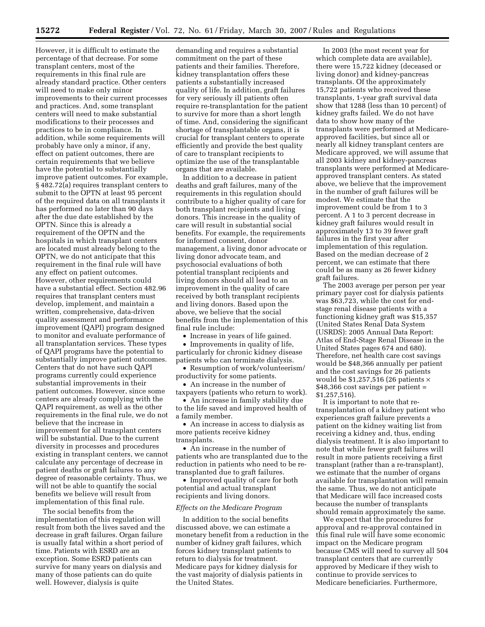However, it is difficult to estimate the percentage of that decrease. For some transplant centers, most of the requirements in this final rule are already standard practice. Other centers will need to make only minor improvements to their current processes and practices. And, some transplant centers will need to make substantial modifications to their processes and practices to be in compliance. In addition, while some requirements will probably have only a minor, if any, effect on patient outcomes, there are certain requirements that we believe have the potential to substantially improve patient outcomes. For example, § 482.72(a) requires transplant centers to submit to the OPTN at least 95 percent of the required data on all transplants it has performed no later than 90 days after the due date established by the OPTN. Since this is already a requirement of the OPTN and the hospitals in which transplant centers are located must already belong to the OPTN, we do not anticipate that this requirement in the final rule will have any effect on patient outcomes. However, other requirements could have a substantial effect. Section 482.96 requires that transplant centers must develop, implement, and maintain a written, comprehensive, data-driven quality assessment and performance improvement (QAPI) program designed to monitor and evaluate performance of all transplantation services. These types of QAPI programs have the potential to substantially improve patient outcomes. Centers that do not have such QAPI programs currently could experience substantial improvements in their patient outcomes. However, since some centers are already complying with the QAPI requirement, as well as the other requirements in the final rule, we do not believe that the increase in improvement for all transplant centers will be substantial. Due to the current diversity in processes and procedures existing in transplant centers, we cannot calculate any percentage of decrease in patient deaths or graft failures to any degree of reasonable certainty. Thus, we will not be able to quantify the social benefits we believe will result from implementation of this final rule.

The social benefits from the implementation of this regulation will result from both the lives saved and the decrease in graft failures. Organ failure is usually fatal within a short period of time. Patients with ESRD are an exception. Some ESRD patients can survive for many years on dialysis and many of those patients can do quite well. However, dialysis is quite

demanding and requires a substantial commitment on the part of these patients and their families. Therefore, kidney transplantation offers these patients a substantially increased quality of life. In addition, graft failures for very seriously ill patients often require re-transplantation for the patient to survive for more than a short length of time. And, considering the significant shortage of transplantable organs, it is crucial for transplant centers to operate efficiently and provide the best quality of care to transplant recipients to optimize the use of the transplantable organs that are available.

In addition to a decrease in patient deaths and graft failures, many of the requirements in this regulation should contribute to a higher quality of care for both transplant recipients and living donors. This increase in the quality of care will result in substantial social benefits. For example, the requirements for informed consent, donor management, a living donor advocate or living donor advocate team, and psychosocial evaluations of both potential transplant recipients and living donors should all lead to an improvement in the quality of care received by both transplant recipients and living donors. Based upon the above, we believe that the social benefits from the implementation of this final rule include:

• Increase in years of life gained.

• Improvements in quality of life, particularly for chronic kidney disease patients who can terminate dialysis.

• Resumption of work/volunteerism/ productivity for some patients.

• An increase in the number of taxpayers (patients who return to work).

• An increase in family stability due to the life saved and improved health of a family member.

• An increase in access to dialysis as more patients receive kidney transplants.

• An increase in the number of patients who are transplanted due to the reduction in patients who need to be retransplanted due to graft failures.

• Improved quality of care for both potential and actual transplant recipients and living donors.

## *Effects on the Medicare Program*

In addition to the social benefits discussed above, we can estimate a monetary benefit from a reduction in the number of kidney graft failures, which forces kidney transplant patients to return to dialysis for treatment. Medicare pays for kidney dialysis for the vast majority of dialysis patients in the United States.

In 2003 (the most recent year for which complete data are available), there were 15,722 kidney (deceased or living donor) and kidney-pancreas transplants. Of the approximately 15,722 patients who received these transplants, 1-year graft survival data show that 1288 (less than 10 percent) of kidney grafts failed. We do not have data to show how many of the transplants were performed at Medicareapproved facilities, but since all or nearly all kidney transplant centers are Medicare approved, we will assume that all 2003 kidney and kidney-pancreas transplants were performed at Medicareapproved transplant centers. As stated above, we believe that the improvement in the number of graft failures will be modest. We estimate that the improvement could be from 1 to 3 percent. A 1 to 3 percent decrease in kidney graft failures would result in approximately 13 to 39 fewer graft failures in the first year after implementation of this regulation. Based on the median decrease of 2 percent, we can estimate that there could be as many as 26 fewer kidney graft failures.

The 2003 average per person per year primary payer cost for dialysis patients was \$63,723, while the cost for endstage renal disease patients with a functioning kidney graft was \$15,357 (United States Renal Data System (USRDS): 2005 Annual Data Report: Atlas of End-Stage Renal Disease in the United States pages 674 and 680). Therefore, net health care cost savings would be \$48,366 annually per patient and the cost savings for 26 patients would be  $$1,257,516$  (26 patients  $\times$ \$48,366 cost savings per patient = \$1,257,516).

It is important to note that retransplantation of a kidney patient who experiences graft failure prevents a patient on the kidney waiting list from receiving a kidney and, thus, ending dialysis treatment. It is also important to note that while fewer graft failures will result in more patients receiving a first transplant (rather than a re-transplant), we estimate that the number of organs available for transplantation will remain the same. Thus, we do not anticipate that Medicare will face increased costs because the number of transplants should remain approximately the same.

We expect that the procedures for approval and re-approval contained in this final rule will have some economic impact on the Medicare program because CMS will need to survey all 504 transplant centers that are currently approved by Medicare if they wish to continue to provide services to Medicare beneficiaries. Furthermore,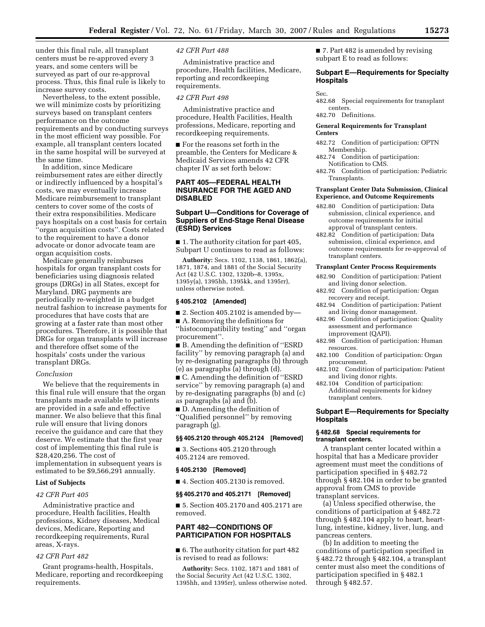under this final rule, all transplant centers must be re-approved every 3 years, and some centers will be surveyed as part of our re-approval process. Thus, this final rule is likely to increase survey costs.

Nevertheless, to the extent possible, we will minimize costs by prioritizing surveys based on transplant centers performance on the outcome requirements and by conducting surveys in the most efficient way possible. For example, all transplant centers located in the same hospital will be surveyed at the same time.

In addition, since Medicare reimbursement rates are either directly or indirectly influenced by a hospital's costs, we may eventually increase Medicare reimbursement to transplant centers to cover some of the costs of their extra responsibilities. Medicare pays hospitals on a cost basis for certain ''organ acquisition costs''. Costs related to the requirement to have a donor advocate or donor advocate team are organ acquisition costs.

Medicare generally reimburses hospitals for organ transplant costs for beneficiaries using diagnosis related groups (DRGs) in all States, except for Maryland. DRG payments are periodically re-weighted in a budget neutral fashion to increase payments for procedures that have costs that are growing at a faster rate than most other procedures. Therefore, it is possible that DRGs for organ transplants will increase and therefore offset some of the hospitals' costs under the various transplant DRGs.

#### *Conclusion*

We believe that the requirements in this final rule will ensure that the organ transplants made available to patients are provided in a safe and effective manner. We also believe that this final rule will ensure that living donors receive the guidance and care that they deserve. We estimate that the first year cost of implementing this final rule is \$28,420,256. The cost of implementation in subsequent years is estimated to be \$9,566,291 annually.

## **List of Subjects**

### *42 CFR Part 405*

Administrative practice and procedure, Health facilities, Health professions, Kidney diseases, Medical devices, Medicare, Reporting and recordkeeping requirements, Rural areas, X-rays.

### *42 CFR Part 482*

Grant programs-health, Hospitals, Medicare, reporting and recordkeeping requirements.

### *42 CFR Part 488*

Administrative practice and procedure, Health facilities, Medicare, reporting and recordkeeping requirements.

### *42 CFR Part 498*

Administrative practice and procedure, Health Facilities, Health professions, Medicare, reporting and recordkeeping requirements.

■ For the reasons set forth in the preamble, the Centers for Medicare & Medicaid Services amends 42 CFR chapter IV as set forth below:

## **PART 405—FEDERAL HEALTH INSURANCE FOR THE AGED AND DISABLED**

# **Subpart U—Conditions for Coverage of Suppliers of End-Stage Renal Disease (ESRD) Services**

■ 1. The authority citation for part 405, Subpart U continues to read as follows:

**Authority:** Secs. 1102, 1138, 1861, 1862(a), 1871, 1874, and 1881 of the Social Security Act (42 U.S.C. 1302, 1320b–8, 1395x, 1395y(a), 1395hh, 1395kk, and 1395rr), unless otherwise noted.

#### **§ 405.2102 [Amended]**

■ 2. Section 405.2102 is amended by—

■ A. Removing the definitions for ''histocompatibility testing'' and ''organ procurement''.

■ B. Amending the definition of "ESRD" facility'' by removing paragraph (a) and by re-designating paragraphs (b) through (e) as paragraphs (a) through (d).

■ C. Amending the definition of "ESRD service'' by removing paragraph (a) and by re-designating paragraphs (b) and (c) as paragraphs (a) and (b).

■ D. Amending the definition of ''Qualified personnel'' by removing paragraph (g).

#### **§§ 405.2120 through 405.2124 [Removed]**

■ 3. Sections 405.2120 through 405.2124 are removed.

## **§ 405.2130 [Removed]**

■ 4. Section 405.2130 is removed.

#### **§§ 405.2170 and 405.2171 [Removed]**

■ 5. Section 405.2170 and 405.2171 are removed.

# **PART 482—CONDITIONS OF PARTICIPATION FOR HOSPITALS**

■ 6. The authority citation for part 482 is revised to read as follows:

**Authority:** Secs. 1102, 1871 and 1881 of the Social Security Act (42 U.S.C. 1302, 1395hh, and 1395rr), unless otherwise noted. ■ 7. Part 482 is amended by revising subpart E to read as follows:

# **Subpart E—Requirements for Specialty Hospitals**

#### Sec.

482.68 Special requirements for transplant centers.

482.70 Definitions.

### **General Requirements for Transplant Centers**

- 482.72 Condition of participation: OPTN Membership.
- 482.74 Condition of participation: Notification to CMS.
- 482.76 Condition of participation: Pediatric Transplants.

### **Transplant Center Data Submission, Clinical Experience, and Outcome Requirements**

- 482.80 Condition of participation: Data submission, clinical experience, and outcome requirements for initial approval of transplant centers.
- 482.82 Condition of participation: Data submission, clinical experience, and outcome requirements for re-approval of transplant centers.

#### **Transplant Center Process Requirements**

- 482.90 Condition of participation: Patient and living donor selection.
- 482.92 Condition of participation: Organ recovery and receipt.
- 482.94 Condition of participation: Patient and living donor management.
- 482.96 Condition of participation: Quality assessment and performance improvement (QAPI).
- 482.98 Condition of participation: Human resources.
- 482.100 Condition of participation: Organ procurement.
- 482.102 Condition of participation: Patient and living donor rights.
- 482.104 Condition of participation: Additional requirements for kidney transplant centers.

# **Subpart E—Requirements for Specialty Hospitals**

### **§ 482.68 Special requirements for transplant centers.**

A transplant center located within a hospital that has a Medicare provider agreement must meet the conditions of participation specified in § 482.72 through § 482.104 in order to be granted approval from CMS to provide transplant services.

(a) Unless specified otherwise, the conditions of participation at § 482.72 through § 482.104 apply to heart, heartlung, intestine, kidney, liver, lung, and pancreas centers.

(b) In addition to meeting the conditions of participation specified in § 482.72 through § 482.104, a transplant center must also meet the conditions of participation specified in § 482.1 through § 482.57.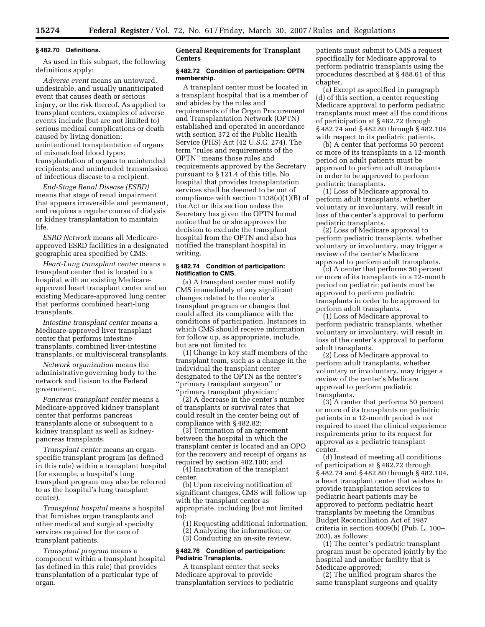#### **§ 482.70 Definitions.**

As used in this subpart, the following definitions apply:

*Adverse event* means an untoward, undesirable, and usually unanticipated event that causes death or serious injury, or the risk thereof. As applied to transplant centers, examples of adverse events include (but are not limited to) serious medical complications or death caused by living donation; unintentional transplantation of organs of mismatched blood types; transplantation of organs to unintended recipients; and unintended transmission of infectious disease to a recipient.

*End-Stage Renal Disease (ESRD)*  means that stage of renal impairment that appears irreversible and permanent, and requires a regular course of dialysis or kidney transplantation to maintain life.

*ESRD Network* means all Medicareapproved ESRD facilities in a designated geographic area specified by CMS.

*Heart-Lung transplant center* means a transplant center that is located in a hospital with an existing Medicareapproved heart transplant center and an existing Medicare-approved lung center that performs combined heart-lung transplants.

*Intestine transplant center* means a Medicare-approved liver transplant center that performs intestine transplants, combined liver-intestine transplants, or multivisceral transplants.

*Network organization* means the administrative governing body to the network and liaison to the Federal government.

*Pancreas transplant center* means a Medicare-approved kidney transplant center that performs pancreas transplants alone or subsequent to a kidney transplant as well as kidneypancreas transplants.

*Transplant center* means an organspecific transplant program (as defined in this rule) within a transplant hospital (for example, a hospital's lung transplant program may also be referred to as the hospital's lung transplant center).

*Transplant hospital* means a hospital that furnishes organ transplants and other medical and surgical specialty services required for the care of transplant patients.

*Transplant program* means a component within a transplant hospital (as defined in this rule) that provides transplantation of a particular type of organ.

# **General Requirements for Transplant Centers**

### **§ 482.72 Condition of participation: OPTN membership.**

A transplant center must be located in a transplant hospital that is a member of and abides by the rules and requirements of the Organ Procurement and Transplantation Network (OPTN) established and operated in accordance with section 372 of the Public Health Service (PHS) Act (42 U.S.C. 274). The term ''rules and requirements of the OPTN'' means those rules and requirements approved by the Secretary pursuant to § 121.4 of this title. No hospital that provides transplantation services shall be deemed to be out of compliance with section 1138(a)(1)(B) of the Act or this section unless the Secretary has given the OPTN formal notice that he or she approves the decision to exclude the transplant hospital from the OPTN and also has notified the transplant hospital in writing.

## **§ 482.74 Condition of participation: Notification to CMS.**

(a) A transplant center must notify CMS immediately of any significant changes related to the center's transplant program or changes that could affect its compliance with the conditions of participation. Instances in which CMS should receive information for follow up, as appropriate, include, but are not limited to:

(1) Change in key staff members of the transplant team, such as a change in the individual the transplant center designated to the OPTN as the center's ''primary transplant surgeon'' or ''primary transplant physician;'

(2) A decrease in the center's number of transplants or survival rates that could result in the center being out of compliance with § 482.82;

(3) Termination of an agreement between the hospital in which the transplant center is located and an OPO for the recovery and receipt of organs as required by section 482.100; and

(4) Inactivation of the transplant center.

(b) Upon receiving notification of significant changes, CMS will follow up with the transplant center as appropriate, including (but not limited to):

(1) Requesting additional information;

(2) Analyzing the information; or

(3) Conducting an on-site review.

### **§ 482.76 Condition of participation: Pediatric Transplants.**

A transplant center that seeks Medicare approval to provide transplantation services to pediatric patients must submit to CMS a request specifically for Medicare approval to perform pediatric transplants using the procedures described at § 488.61 of this chapter.

(a) Except as specified in paragraph (d) of this section, a center requesting Medicare approval to perform pediatric transplants must meet all the conditions of participation at § 482.72 through § 482.74 and § 482.80 through § 482.104 with respect to its pediatric patients.

(b) A center that performs 50 percent or more of its transplants in a 12-month period on adult patients must be approved to perform adult transplants in order to be approved to perform pediatric transplants.

(1) Loss of Medicare approval to perform adult transplants, whether voluntary or involuntary, will result in loss of the center's approval to perform pediatric transplants.

(2) Loss of Medicare approval to perform pediatric transplants, whether voluntary or involuntary, may trigger a review of the center's Medicare approval to perform adult transplants.

(c) A center that performs 50 percent or more of its transplants in a 12-month period on pediatric patients must be approved to perform pediatric transplants in order to be approved to perform adult transplants.

(1) Loss of Medicare approval to perform pediatric transplants, whether voluntary or involuntary, will result in loss of the center's approval to perform adult transplants.

(2) Loss of Medicare approval to perform adult transplants, whether voluntary or involuntary, may trigger a review of the center's Medicare approval to perform pediatric transplants.

(3) A center that performs 50 percent or more of its transplants on pediatric patients in a 12-month period is not required to meet the clinical experience requirements prior to its request for approval as a pediatric transplant center.

(d) Instead of meeting all conditions of participation at § 482.72 through § 482.74 and § 482.80 through § 482.104, a heart transplant center that wishes to provide transplantation services to pediatric heart patients may be approved to perform pediatric heart transplants by meeting the Omnibus Budget Reconciliation Act of 1987 criteria in section 4009(b) (Pub. L. 100– 203), as follows:

(1) The center's pediatric transplant program must be operated jointly by the hospital and another facility that is Medicare-approved;

(2) The unified program shares the same transplant surgeons and quality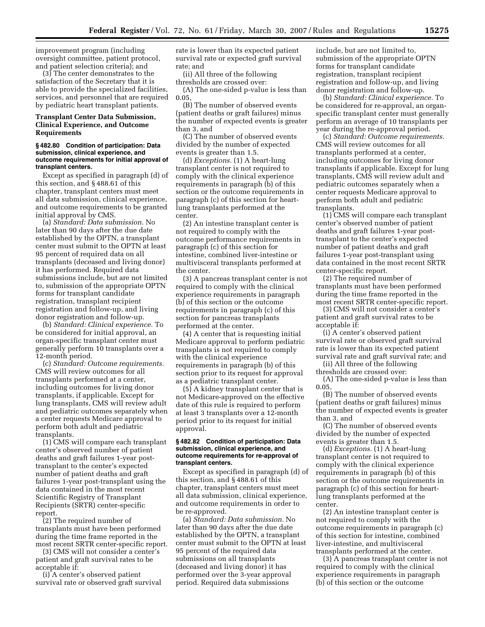improvement program (including oversight committee, patient protocol, and patient selection criteria); and

(3) The center demonstrates to the satisfaction of the Secretary that it is able to provide the specialized facilities, services, and personnel that are required by pediatric heart transplant patients.

# **Transplant Center Data Submission, Clinical Experience, and Outcome Requirements**

#### **§ 482.80 Condition of participation: Data submission, clinical experience, and outcome requirements for initial approval of transplant centers.**

Except as specified in paragraph (d) of this section, and § 488.61 of this chapter, transplant centers must meet all data submission, clinical experience, and outcome requirements to be granted initial approval by CMS.

(a) *Standard: Data submission.* No later than 90 days after the due date established by the OPTN, a transplant center must submit to the OPTN at least 95 percent of required data on all transplants (deceased and living donor) it has performed. Required data submissions include, but are not limited to, submission of the appropriate OPTN forms for transplant candidate registration, transplant recipient registration and follow-up, and living donor registration and follow-up.

(b) *Standard: Clinical experience.* To be considered for initial approval, an organ-specific transplant center must generally perform 10 transplants over a 12-month period.

(c) *Standard: Outcome requirements.*  CMS will review outcomes for all transplants performed at a center, including outcomes for living donor transplants, if applicable. Except for lung transplants, CMS will review adult and pediatric outcomes separately when a center requests Medicare approval to perform both adult and pediatric transplants.

(1) CMS will compare each transplant center's observed number of patient deaths and graft failures 1-year posttransplant to the center's expected number of patient deaths and graft failures 1-year post-transplant using the data contained in the most recent Scientific Registry of Transplant Recipients (SRTR) center-specific report.

(2) The required number of transplants must have been performed during the time frame reported in the most recent SRTR center-specific report.

(3) CMS will not consider a center's patient and graft survival rates to be acceptable if:

(i) A center's observed patient survival rate or observed graft survival rate is lower than its expected patient survival rate or expected graft survival rate; and

(ii) All three of the following thresholds are crossed over:

(A) The one-sided p-value is less than 0.05,

(B) The number of observed events (patient deaths or graft failures) minus the number of expected events is greater than 3, and

(C) The number of observed events divided by the number of expected events is greater than 1.5.

(d) *Exceptions.* (1) A heart-lung transplant center is not required to comply with the clinical experience requirements in paragraph (b) of this section or the outcome requirements in paragraph (c) of this section for heartlung transplants performed at the center.

(2) An intestine transplant center is not required to comply with the outcome performance requirements in paragraph (c) of this section for intestine, combined liver-intestine or multivisceral transplants performed at the center.

(3) A pancreas transplant center is not required to comply with the clinical experience requirements in paragraph (b) of this section or the outcome requirements in paragraph (c) of this section for pancreas transplants performed at the center.

(4) A center that is requesting initial Medicare approval to perform pediatric transplants is not required to comply with the clinical experience requirements in paragraph (b) of this section prior to its request for approval as a pediatric transplant center.

(5) A kidney transplant center that is not Medicare-approved on the effective date of this rule is required to perform at least 3 transplants over a 12-month period prior to its request for initial approval.

### **§ 482.82 Condition of participation: Data submission, clinical experience, and outcome requirements for re-approval of transplant centers.**

Except as specified in paragraph (d) of this section, and § 488.61 of this chapter, transplant centers must meet all data submission, clinical experience, and outcome requirements in order to be re-approved.

(a) *Standard: Data submission.* No later than 90 days after the due date established by the OPTN, a transplant center must submit to the OPTN at least 95 percent of the required data submissions on all transplants (deceased and living donor) it has performed over the 3-year approval period. Required data submissions

include, but are not limited to, submission of the appropriate OPTN forms for transplant candidate registration, transplant recipient registration and follow-up, and living donor registration and follow-up.

(b) *Standard: Clinical experience.* To be considered for re-approval, an organspecific transplant center must generally perform an average of 10 transplants per year during the re-approval period.

(c) *Standard: Outcome requirements.*  CMS will review outcomes for all transplants performed at a center, including outcomes for living donor transplants if applicable. Except for lung transplants, CMS will review adult and pediatric outcomes separately when a center requests Medicare approval to perform both adult and pediatric transplants.

(1) CMS will compare each transplant center's observed number of patient deaths and graft failures 1-year posttransplant to the center's expected number of patient deaths and graft failures 1-year post-transplant using data contained in the most recent SRTR center-specific report.

(2) The required number of transplants must have been performed during the time frame reported in the most recent SRTR center-specific report.

(3) CMS will not consider a center's patient and graft survival rates to be acceptable if:

(i) A center's observed patient survival rate or observed graft survival rate is lower than its expected patient survival rate and graft survival rate; and

(ii) All three of the following thresholds are crossed over:

(A) The one-sided p-value is less than 0.05,

(B) The number of observed events (patient deaths or graft failures) minus the number of expected events is greater than 3, and

(C) The number of observed events divided by the number of expected events is greater than 1.5.

(d) *Exceptions.* (1) A heart-lung transplant center is not required to comply with the clinical experience requirements in paragraph (b) of this section or the outcome requirements in paragraph (c) of this section for heartlung transplants performed at the center.

(2) An intestine transplant center is not required to comply with the outcome requirements in paragraph (c) of this section for intestine, combined liver-intestine, and multivisceral transplants performed at the center.

(3) A pancreas transplant center is not required to comply with the clinical experience requirements in paragraph (b) of this section or the outcome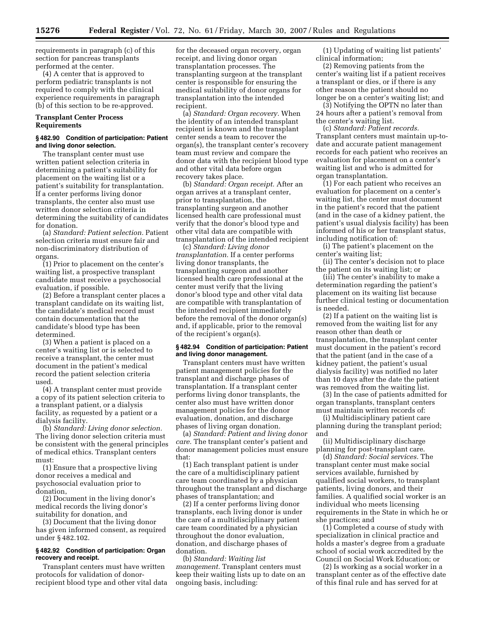requirements in paragraph (c) of this section for pancreas transplants performed at the center.

(4) A center that is approved to perform pediatric transplants is not required to comply with the clinical experience requirements in paragraph (b) of this section to be re-approved.

# **Transplant Center Process Requirements**

## **§ 482.90 Condition of participation: Patient and living donor selection.**

The transplant center must use written patient selection criteria in determining a patient's suitability for placement on the waiting list or a patient's suitability for transplantation. If a center performs living donor transplants, the center also must use written donor selection criteria in determining the suitability of candidates for donation.

(a) *Standard: Patient selection.* Patient selection criteria must ensure fair and non-discriminatory distribution of organs.

(1) Prior to placement on the center's waiting list, a prospective transplant candidate must receive a psychosocial evaluation, if possible.

(2) Before a transplant center places a transplant candidate on its waiting list, the candidate's medical record must contain documentation that the candidate's blood type has been determined.

(3) When a patient is placed on a center's waiting list or is selected to receive a transplant, the center must document in the patient's medical record the patient selection criteria used.

(4) A transplant center must provide a copy of its patient selection criteria to a transplant patient, or a dialysis facility, as requested by a patient or a dialysis facility.

(b) *Standard: Living donor selection.*  The living donor selection criteria must be consistent with the general principles of medical ethics. Transplant centers must:

(1) Ensure that a prospective living donor receives a medical and psychosocial evaluation prior to donation,

(2) Document in the living donor's medical records the living donor's suitability for donation, and

(3) Document that the living donor has given informed consent, as required under § 482.102.

# **§ 482.92 Condition of participation: Organ recovery and receipt.**

Transplant centers must have written protocols for validation of donorrecipient blood type and other vital data for the deceased organ recovery, organ receipt, and living donor organ transplantation processes. The transplanting surgeon at the transplant center is responsible for ensuring the medical suitability of donor organs for transplantation into the intended recipient.

(a) *Standard: Organ recovery.* When the identity of an intended transplant recipient is known and the transplant center sends a team to recover the organ(s), the transplant center's recovery team must review and compare the donor data with the recipient blood type and other vital data before organ recovery takes place.

(b) *Standard: Organ receipt.* After an organ arrives at a transplant center, prior to transplantation, the transplanting surgeon and another licensed health care professional must verify that the donor's blood type and other vital data are compatible with transplantation of the intended recipient

(c) *Standard: Living donor transplantation.* If a center performs living donor transplants, the transplanting surgeon and another licensed health care professional at the center must verify that the living donor's blood type and other vital data are compatible with transplantation of the intended recipient immediately before the removal of the donor organ(s) and, if applicable, prior to the removal of the recipient's organ(s).

## **§ 482.94 Condition of participation: Patient and living donor management.**

Transplant centers must have written patient management policies for the transplant and discharge phases of transplantation. If a transplant center performs living donor transplants, the center also must have written donor management policies for the donor evaluation, donation, and discharge phases of living organ donation.

(a) *Standard: Patient and living donor care.* The transplant center's patient and donor management policies must ensure that:

(1) Each transplant patient is under the care of a multidisciplinary patient care team coordinated by a physician throughout the transplant and discharge phases of transplantation; and

(2) If a center performs living donor transplants, each living donor is under the care of a multidisciplinary patient care team coordinated by a physician throughout the donor evaluation, donation, and discharge phases of donation.

(b) *Standard: Waiting list management.* Transplant centers must keep their waiting lists up to date on an ongoing basis, including:

(1) Updating of waiting list patients' clinical information;

(2) Removing patients from the center's waiting list if a patient receives a transplant or dies, or if there is any other reason the patient should no longer be on a center's waiting list; and

(3) Notifying the OPTN no later than 24 hours after a patient's removal from the center's waiting list.

(c) *Standard: Patient records.*  Transplant centers must maintain up-todate and accurate patient management records for each patient who receives an evaluation for placement on a center's waiting list and who is admitted for organ transplantation.

(1) For each patient who receives an evaluation for placement on a center's waiting list, the center must document in the patient's record that the patient (and in the case of a kidney patient, the patient's usual dialysis facility) has been informed of his or her transplant status, including notification of:

(i) The patient's placement on the center's waiting list;

(ii) The center's decision not to place the patient on its waiting list; or

(iii) The center's inability to make a determination regarding the patient's placement on its waiting list because further clinical testing or documentation is needed.

(2) If a patient on the waiting list is removed from the waiting list for any reason other than death or transplantation, the transplant center must document in the patient's record that the patient (and in the case of a kidney patient, the patient's usual dialysis facility) was notified no later than 10 days after the date the patient was removed from the waiting list.

(3) In the case of patients admitted for organ transplants, transplant centers must maintain written records of:

(i) Multidisciplinary patient care planning during the transplant period; and

(ii) Multidisciplinary discharge planning for post-transplant care.

(d) *Standard: Social services.* The transplant center must make social services available, furnished by qualified social workers, to transplant patients, living donors, and their families. A qualified social worker is an individual who meets licensing requirements in the State in which he or she practices; and

(1) Completed a course of study with specialization in clinical practice and holds a master's degree from a graduate school of social work accredited by the Council on Social Work Education; or

(2) Is working as a social worker in a transplant center as of the effective date of this final rule and has served for at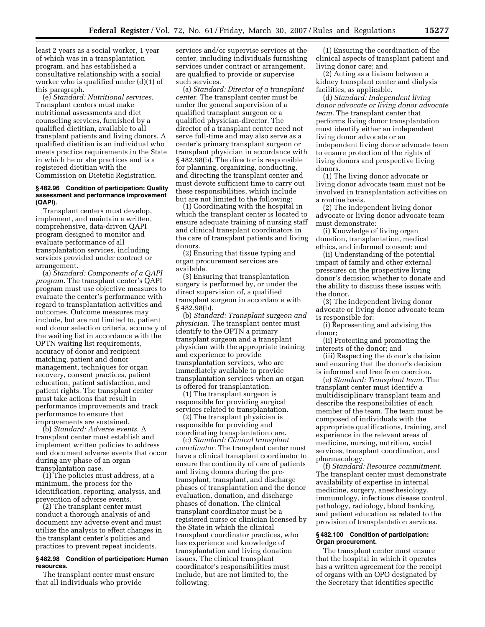least 2 years as a social worker, 1 year of which was in a transplantation program, and has established a consultative relationship with a social worker who is qualified under (d)(1) of this paragraph.

(e) *Standard: Nutritional services.*  Transplant centers must make nutritional assessments and diet counseling services, furnished by a qualified dietitian, available to all transplant patients and living donors. A qualified dietitian is an individual who meets practice requirements in the State in which he or she practices and is a registered dietitian with the Commission on Dietetic Registration.

### **§ 482.96 Condition of participation: Quality assessment and performance improvement (QAPI).**

Transplant centers must develop, implement, and maintain a written, comprehensive, data-driven QAPI program designed to monitor and evaluate performance of all transplantation services, including services provided under contract or arrangement.

(a) *Standard: Components of a QAPI program.* The transplant center's QAPI program must use objective measures to evaluate the center's performance with regard to transplantation activities and outcomes. Outcome measures may include, but are not limited to, patient and donor selection criteria, accuracy of the waiting list in accordance with the OPTN waiting list requirements, accuracy of donor and recipient matching, patient and donor management, techniques for organ recovery, consent practices, patient education, patient satisfaction, and patient rights. The transplant center must take actions that result in performance improvements and track performance to ensure that improvements are sustained.

(b) *Standard: Adverse events.* A transplant center must establish and implement written policies to address and document adverse events that occur during any phase of an organ transplantation case.

(1) The policies must address, at a minimum, the process for the identification, reporting, analysis, and prevention of adverse events.

(2) The transplant center must conduct a thorough analysis of and document any adverse event and must utilize the analysis to effect changes in the transplant center's policies and practices to prevent repeat incidents.

### **§ 482.98 Condition of participation: Human resources.**

The transplant center must ensure that all individuals who provide

services and/or supervise services at the center, including individuals furnishing services under contract or arrangement, are qualified to provide or supervise such services.

(a) *Standard: Director of a transplant center.* The transplant center must be under the general supervision of a qualified transplant surgeon or a qualified physician-director. The director of a transplant center need not serve full-time and may also serve as a center's primary transplant surgeon or transplant physician in accordance with § 482.98(b). The director is responsible for planning, organizing, conducting, and directing the transplant center and must devote sufficient time to carry out these responsibilities, which include but are not limited to the following:

(1) Coordinating with the hospital in which the transplant center is located to ensure adequate training of nursing staff and clinical transplant coordinators in the care of transplant patients and living donors.

(2) Ensuring that tissue typing and organ procurement services are available.

(3) Ensuring that transplantation surgery is performed by, or under the direct supervision of, a qualified transplant surgeon in accordance with § 482.98(b).

(b) *Standard: Transplant surgeon and physician.* The transplant center must identify to the OPTN a primary transplant surgeon and a transplant physician with the appropriate training and experience to provide transplantation services, who are immediately available to provide transplantation services when an organ is offered for transplantation.

(1) The transplant surgeon is responsible for providing surgical services related to transplantation.

(2) The transplant physician is responsible for providing and coordinating transplantation care.

(c) *Standard: Clinical transplant coordinator.* The transplant center must have a clinical transplant coordinator to ensure the continuity of care of patients and living donors during the pretransplant, transplant, and discharge phases of transplantation and the donor evaluation, donation, and discharge phases of donation. The clinical transplant coordinator must be a registered nurse or clinician licensed by the State in which the clinical transplant coordinator practices, who has experience and knowledge of transplantation and living donation issues. The clinical transplant coordinator's responsibilities must include, but are not limited to, the following:

(1) Ensuring the coordination of the clinical aspects of transplant patient and living donor care; and

(2) Acting as a liaison between a kidney transplant center and dialysis facilities, as applicable.

(d) *Standard: Independent living donor advocate or living donor advocate team.* The transplant center that performs living donor transplantation must identify either an independent living donor advocate or an independent living donor advocate team to ensure protection of the rights of living donors and prospective living donors.

(1) The living donor advocate or living donor advocate team must not be involved in transplantation activities on a routine basis.

(2) The independent living donor advocate or living donor advocate team must demonstrate:

(i) Knowledge of living organ donation, transplantation, medical ethics, and informed consent; and

(ii) Understanding of the potential impact of family and other external pressures on the prospective living donor's decision whether to donate and the ability to discuss these issues with the donor.

(3) The independent living donor advocate or living donor advocate team is responsible for:

(i) Representing and advising the donor;

(ii) Protecting and promoting the interests of the donor; and

(iii) Respecting the donor's decision and ensuring that the donor's decision is informed and free from coercion.

(e) *Standard: Transplant team.* The transplant center must identify a multidisciplinary transplant team and describe the responsibilities of each member of the team. The team must be composed of individuals with the appropriate qualifications, training, and experience in the relevant areas of medicine, nursing, nutrition, social services, transplant coordination, and pharmacology.

(f) *Standard: Resource commitment.*  The transplant center must demonstrate availability of expertise in internal medicine, surgery, anesthesiology, immunology, infectious disease control, pathology, radiology, blood banking, and patient education as related to the provision of transplantation services.

#### **§ 482.100 Condition of participation: Organ procurement.**

The transplant center must ensure that the hospital in which it operates has a written agreement for the receipt of organs with an OPO designated by the Secretary that identifies specific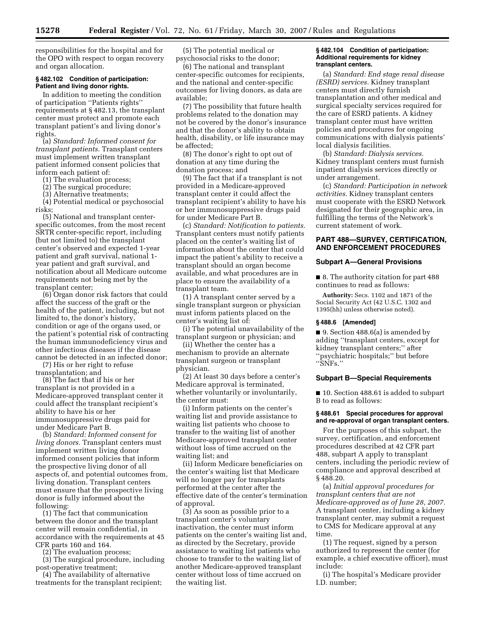responsibilities for the hospital and for the OPO with respect to organ recovery and organ allocation.

### **§ 482.102 Condition of participation: Patient and living donor rights.**

In addition to meeting the condition of participation ''Patients rights'' requirements at § 482.13, the transplant center must protect and promote each transplant patient's and living donor's rights.

(a) *Standard: Informed consent for transplant patients.* Transplant centers must implement written transplant patient informed consent policies that inform each patient of:

- (1) The evaluation process;
- (2) The surgical procedure;
- (3) Alternative treatments;

(4) Potential medical or psychosocial risks;

(5) National and transplant centerspecific outcomes, from the most recent SRTR center-specific report, including (but not limited to) the transplant center's observed and expected 1-year patient and graft survival, national 1 year patient and graft survival, and notification about all Medicare outcome requirements not being met by the transplant center;

(6) Organ donor risk factors that could affect the success of the graft or the health of the patient, including, but not limited to, the donor's history, condition or age of the organs used, or the patient's potential risk of contracting the human immunodeficiency virus and other infectious diseases if the disease cannot be detected in an infected donor;

(7) His or her right to refuse transplantation; and

(8) The fact that if his or her transplant is not provided in a Medicare-approved transplant center it could affect the transplant recipient's ability to have his or her immunosuppressive drugs paid for under Medicare Part B.

(b) *Standard: Informed consent for living donors.* Transplant centers must implement written living donor informed consent policies that inform the prospective living donor of all aspects of, and potential outcomes from, living donation. Transplant centers must ensure that the prospective living donor is fully informed about the following:

(1) The fact that communication between the donor and the transplant center will remain confidential, in accordance with the requirements at 45 CFR parts 160 and 164.

(2) The evaluation process;

(3) The surgical procedure, including post-operative treatment;

(4) The availability of alternative treatments for the transplant recipient;

(5) The potential medical or psychosocial risks to the donor;

(6) The national and transplant center-specific outcomes for recipients, and the national and center-specific outcomes for living donors, as data are available;

(7) The possibility that future health problems related to the donation may not be covered by the donor's insurance and that the donor's ability to obtain health, disability, or life insurance may be affected;

(8) The donor's right to opt out of donation at any time during the donation process; and

(9) The fact that if a transplant is not provided in a Medicare-approved transplant center it could affect the transplant recipient's ability to have his or her immunosuppressive drugs paid for under Medicare Part B.

(c) *Standard: Notification to patients.*  Transplant centers must notify patients placed on the center's waiting list of information about the center that could impact the patient's ability to receive a transplant should an organ become available, and what procedures are in place to ensure the availability of a transplant team.

(1) A transplant center served by a single transplant surgeon or physician must inform patients placed on the center's waiting list of:

(i) The potential unavailability of the transplant surgeon or physician; and

(ii) Whether the center has a mechanism to provide an alternate transplant surgeon or transplant physician.

(2) At least 30 days before a center's Medicare approval is terminated, whether voluntarily or involuntarily, the center must:

(i) Inform patients on the center's waiting list and provide assistance to waiting list patients who choose to transfer to the waiting list of another Medicare-approved transplant center without loss of time accrued on the waiting list; and

(ii) Inform Medicare beneficiaries on the center's waiting list that Medicare will no longer pay for transplants performed at the center after the effective date of the center's termination of approval.

(3) As soon as possible prior to a transplant center's voluntary inactivation, the center must inform patients on the center's waiting list and, as directed by the Secretary, provide assistance to waiting list patients who choose to transfer to the waiting list of another Medicare-approved transplant center without loss of time accrued on the waiting list.

### **§ 482.104 Condition of participation: Additional requirements for kidney transplant centers.**

(a) *Standard: End stage renal disease (ESRD) services.* Kidney transplant centers must directly furnish transplantation and other medical and surgical specialty services required for the care of ESRD patients. A kidney transplant center must have written policies and procedures for ongoing communications with dialysis patients' local dialysis facilities.

(b) *Standard: Dialysis services.*  Kidney transplant centers must furnish inpatient dialysis services directly or under arrangement.

(c) *Standard: Participation in network activities.* Kidney transplant centers must cooperate with the ESRD Network designated for their geographic area, in fulfilling the terms of the Network's current statement of work.

# **PART 488—SURVEY, CERTIFICATION, AND ENFORCEMENT PROCEDURES**

### **Subpart A—General Provisions**

■ 8. The authority citation for part 488 continues to read as follows:

**Authority:** Secs. 1102 and 1871 of the Social Security Act (42 U.S.C. 1302 and 1395(hh) unless otherwise noted).

## **§ 488.6 [Amended]**

■ 9. Section 488.6(a) is amended by adding ''transplant centers, except for kidney transplant centers;'' after ''psychiatric hospitals;'' but before ''SNFs.''

#### **Subpart B—Special Requirements**

■ 10. Section 488.61 is added to subpart B to read as follows:

### **§ 488.61 Special procedures for approval and re-approval of organ transplant centers.**

For the purposes of this subpart, the survey, certification, and enforcement procedures described at 42 CFR part 488, subpart A apply to transplant centers, including the periodic review of compliance and approval described at § 488.20.

(a) *Initial approval procedures for transplant centers that are not Medicare-approved as of June 28, 2007.*  A transplant center, including a kidney transplant center, may submit a request to CMS for Medicare approval at any time.

(1) The request, signed by a person authorized to represent the center (for example, a chief executive officer), must include:

(i) The hospital's Medicare provider I.D. number;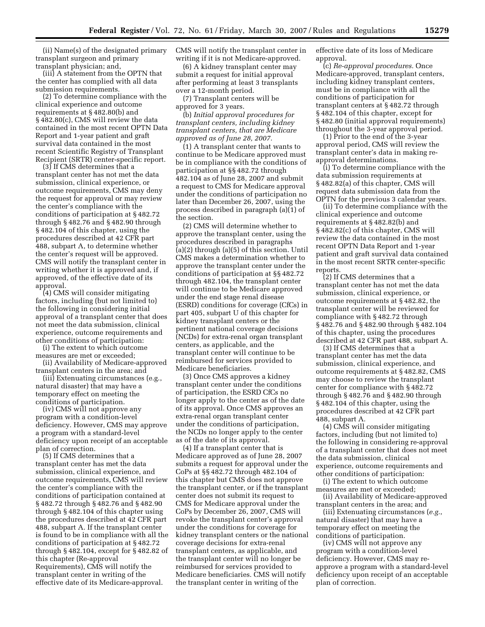(ii) Name(s) of the designated primary transplant surgeon and primary transplant physician; and,

(iii) A statement from the OPTN that the center has complied with all data submission requirements.

(2) To determine compliance with the clinical experience and outcome requirements at § 482.80(b) and § 482.80(c), CMS will review the data contained in the most recent OPTN Data Report and 1-year patient and graft survival data contained in the most recent Scientific Registry of Transplant Recipient (SRTR) center-specific report.

(3) If CMS determines that a transplant center has not met the data submission, clinical experience, or outcome requirements, CMS may deny the request for approval or may review the center's compliance with the conditions of participation at § 482.72 through § 482.76 and § 482.90 through § 482.104 of this chapter, using the procedures described at 42 CFR part 488, subpart A, to determine whether the center's request will be approved. CMS will notify the transplant center in writing whether it is approved and, if approved, of the effective date of its approval.

(4) CMS will consider mitigating factors, including (but not limited to) the following in considering initial approval of a transplant center that does not meet the data submission, clinical experience, outcome requirements and other conditions of participation:

(i) The extent to which outcome measures are met or exceeded;

(ii) Availability of Medicare-approved transplant centers in the area; and

(iii) Extenuating circumstances (e.g., natural disaster) that may have a temporary effect on meeting the conditions of participation.

(iv) CMS will not approve any program with a condition-level deficiency. However, CMS may approve a program with a standard-level deficiency upon receipt of an acceptable plan of correction.

(5) If CMS determines that a transplant center has met the data submission, clinical experience, and outcome requirements, CMS will review the center's compliance with the conditions of participation contained at § 482.72 through § 482.76 and § 482.90 through § 482.104 of this chapter using the procedures described at 42 CFR part 488, subpart A. If the transplant center is found to be in compliance with all the conditions of participation at § 482.72 through § 482.104, except for § 482.82 of this chapter (Re-approval Requirements), CMS will notify the transplant center in writing of the effective date of its Medicare-approval.

CMS will notify the transplant center in writing if it is not Medicare-approved.

(6) A kidney transplant center may submit a request for initial approval after performing at least 3 transplants over a 12-month period.

(7) Transplant centers will be approved for 3 years.

(b) *Initial approval procedures for transplant centers, including kidney transplant centers, that are Medicare approved as of June 28, 2007.* 

(1) A transplant center that wants to continue to be Medicare approved must be in compliance with the conditions of participation at §§ 482.72 through 482.104 as of June 28, 2007 and submit a request to CMS for Medicare approval under the conditions of participation no later than December 26, 2007, using the process described in paragraph (a)(1) of the section.

(2) CMS will determine whether to approve the transplant center, using the procedures described in paragraphs (a)(2) through (a)(5) of this section. Until CMS makes a determination whether to approve the transplant center under the conditions of participation at §§ 482.72 through 482.104, the transplant center will continue to be Medicare approved under the end stage renal disease (ESRD) conditions for coverage (CfCs) in part 405, subpart U of this chapter for kidney transplant centers or the pertinent national coverage decisions (NCDs) for extra-renal organ transplant centers, as applicable, and the transplant center will continue to be reimbursed for services provided to Medicare beneficiaries.

(3) Once CMS approves a kidney transplant center under the conditions of participation, the ESRD CfCs no longer apply to the center as of the date of its approval. Once CMS approves an extra-renal organ transplant center under the conditions of participation, the NCDs no longer apply to the center as of the date of its approval.

(4) If a transplant center that is Medicare approved as of June 28, 2007 submits a request for approval under the CoPs at §§ 482.72 through 482.104 of this chapter but CMS does not approve the transplant center, or if the transplant center does not submit its request to CMS for Medicare approval under the CoPs by December 26, 2007, CMS will revoke the transplant center's approval under the conditions for coverage for kidney transplant centers or the national coverage decisions for extra-renal transplant centers, as applicable, and the transplant center will no longer be reimbursed for services provided to Medicare beneficiaries. CMS will notify the transplant center in writing of the

effective date of its loss of Medicare approval.

(c) *Re-approval procedures.* Once Medicare-approved, transplant centers, including kidney transplant centers, must be in compliance with all the conditions of participation for transplant centers at § 482.72 through § 482.104 of this chapter, except for § 482.80 (initial approval requirements) throughout the 3-year approval period.

(1) Prior to the end of the 3-year approval period, CMS will review the transplant center's data in making reapproval determinations.

(i) To determine compliance with the data submission requirements at § 482.82(a) of this chapter, CMS will request data submission data from the OPTN for the previous 3 calendar years.

(ii) To determine compliance with the clinical experience and outcome requirements at § 482.82(b) and § 482.82(c) of this chapter, CMS will review the data contained in the most recent OPTN Data Report and 1-year patient and graft survival data contained in the most recent SRTR center-specific reports.

(2) If CMS determines that a transplant center has not met the data submission, clinical experience, or outcome requirements at § 482.82, the transplant center will be reviewed for compliance with § 482.72 through § 482.76 and § 482.90 through § 482.104 of this chapter, using the procedures described at 42 CFR part 488, subpart A.

(3) If CMS determines that a transplant center has met the data submission, clinical experience, and outcome requirements at § 482.82, CMS may choose to review the transplant center for compliance with § 482.72 through § 482.76 and § 482.90 through § 482.104 of this chapter, using the procedures described at 42 CFR part 488, subpart A.

(4) CMS will consider mitigating factors, including (but not limited to) the following in considering re-approval of a transplant center that does not meet the data submission, clinical experience, outcome requirements and other conditions of participation:

(i) The extent to which outcome measures are met or exceeded;

(ii) Availability of Medicare-approved transplant centers in the area; and

(iii) Extenuating circumstances (*e.g.*, natural disaster) that may have a temporary effect on meeting the conditions of participation.

(iv) CMS will not approve any program with a condition-level deficiency. However, CMS may reapprove a program with a standard-level deficiency upon receipt of an acceptable plan of correction.